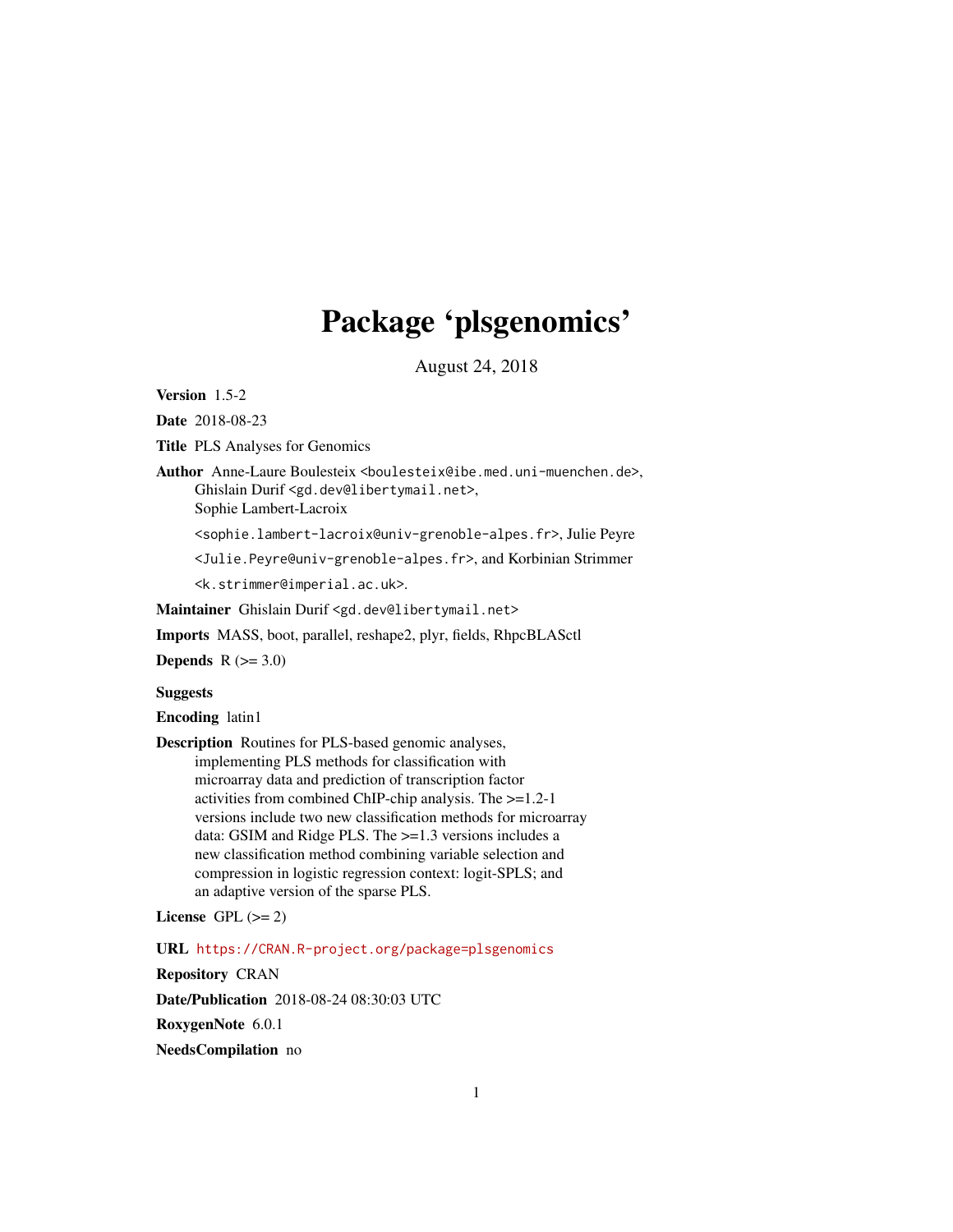# Package 'plsgenomics'

August 24, 2018

<span id="page-0-0"></span>Version 1.5-2

Date 2018-08-23

Title PLS Analyses for Genomics

Author Anne-Laure Boulesteix <boulesteix@ibe.med.uni-muenchen.de>, Ghislain Durif <gd.dev@libertymail.net>,

Sophie Lambert-Lacroix

<sophie.lambert-lacroix@univ-grenoble-alpes.fr>, Julie Peyre

<Julie.Peyre@univ-grenoble-alpes.fr>, and Korbinian Strimmer

<k.strimmer@imperial.ac.uk>.

Maintainer Ghislain Durif <gd.dev@libertymail.net>

Imports MASS, boot, parallel, reshape2, plyr, fields, RhpcBLASctl

Depends  $R$  ( $>= 3.0$ )

Suggests

Encoding latin1

Description Routines for PLS-based genomic analyses, implementing PLS methods for classification with microarray data and prediction of transcription factor activities from combined ChIP-chip analysis. The >=1.2-1 versions include two new classification methods for microarray data: GSIM and Ridge PLS. The >=1.3 versions includes a new classification method combining variable selection and compression in logistic regression context: logit-SPLS; and an adaptive version of the sparse PLS.

License GPL  $(>= 2)$ 

URL <https://CRAN.R-project.org/package=plsgenomics>

Repository CRAN

Date/Publication 2018-08-24 08:30:03 UTC

RoxygenNote 6.0.1

NeedsCompilation no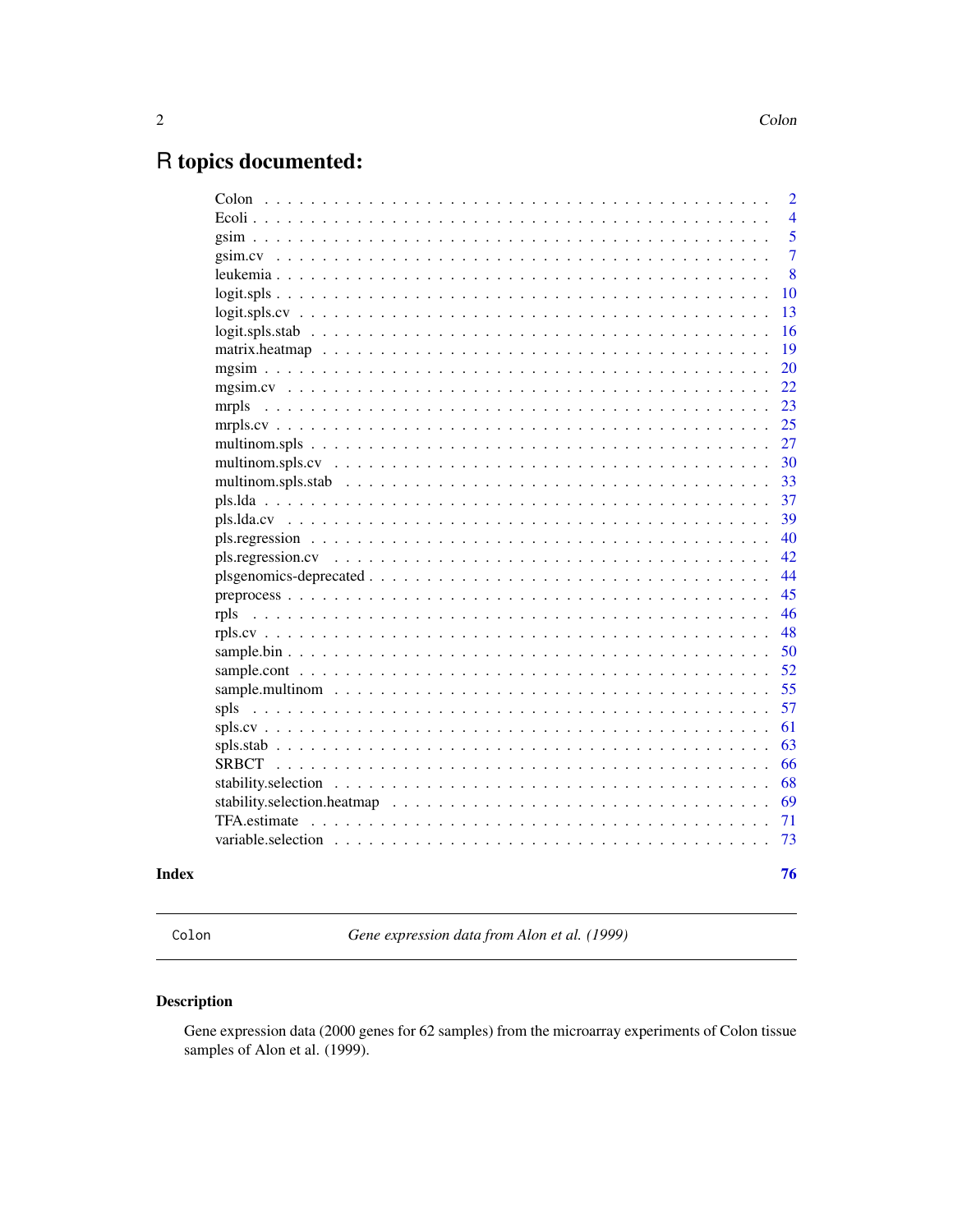# <span id="page-1-0"></span>R topics documented:

|                                                                                                           | $\overline{2}$ |
|-----------------------------------------------------------------------------------------------------------|----------------|
| Ecoli $\ldots$ .                                                                                          | $\overline{4}$ |
| $\sin \dots \dots$                                                                                        | 5              |
| $gsim.cv \dots$                                                                                           | $\overline{7}$ |
| leukemia                                                                                                  | 8              |
|                                                                                                           | 10             |
|                                                                                                           | 13             |
| $logit. splits. stab \ldots \ldots \ldots \ldots \ldots \ldots \ldots \ldots \ldots \ldots \ldots \ldots$ | 16             |
|                                                                                                           | 19             |
|                                                                                                           | 20             |
|                                                                                                           | 22             |
| mrpls                                                                                                     | 23             |
|                                                                                                           | 25             |
|                                                                                                           | 27             |
|                                                                                                           | 30             |
|                                                                                                           | 33             |
|                                                                                                           | 37             |
|                                                                                                           | 39             |
|                                                                                                           | 40             |
|                                                                                                           | 42             |
|                                                                                                           | 44             |
|                                                                                                           | 45             |
| rpls                                                                                                      | 46             |
|                                                                                                           | 48             |
|                                                                                                           | 50             |
|                                                                                                           | 52             |
|                                                                                                           | 55             |
|                                                                                                           | 57             |
|                                                                                                           | 61             |
| $spls.stab$                                                                                               | 63             |
|                                                                                                           | 66             |
|                                                                                                           | 68             |
|                                                                                                           | 69             |
|                                                                                                           | 71             |
| $\mathbf{1}$ $\mathbf{1}$ $\mathbf{1}$                                                                    | 73             |
|                                                                                                           |                |
|                                                                                                           | 76             |

# **Index**

|--|

Gene expression data from Alon et al. (1999)

# **Description**

Gene expression data (2000 genes for 62 samples) from the microarray experiments of Colon tissue samples of Alon et al. (1999).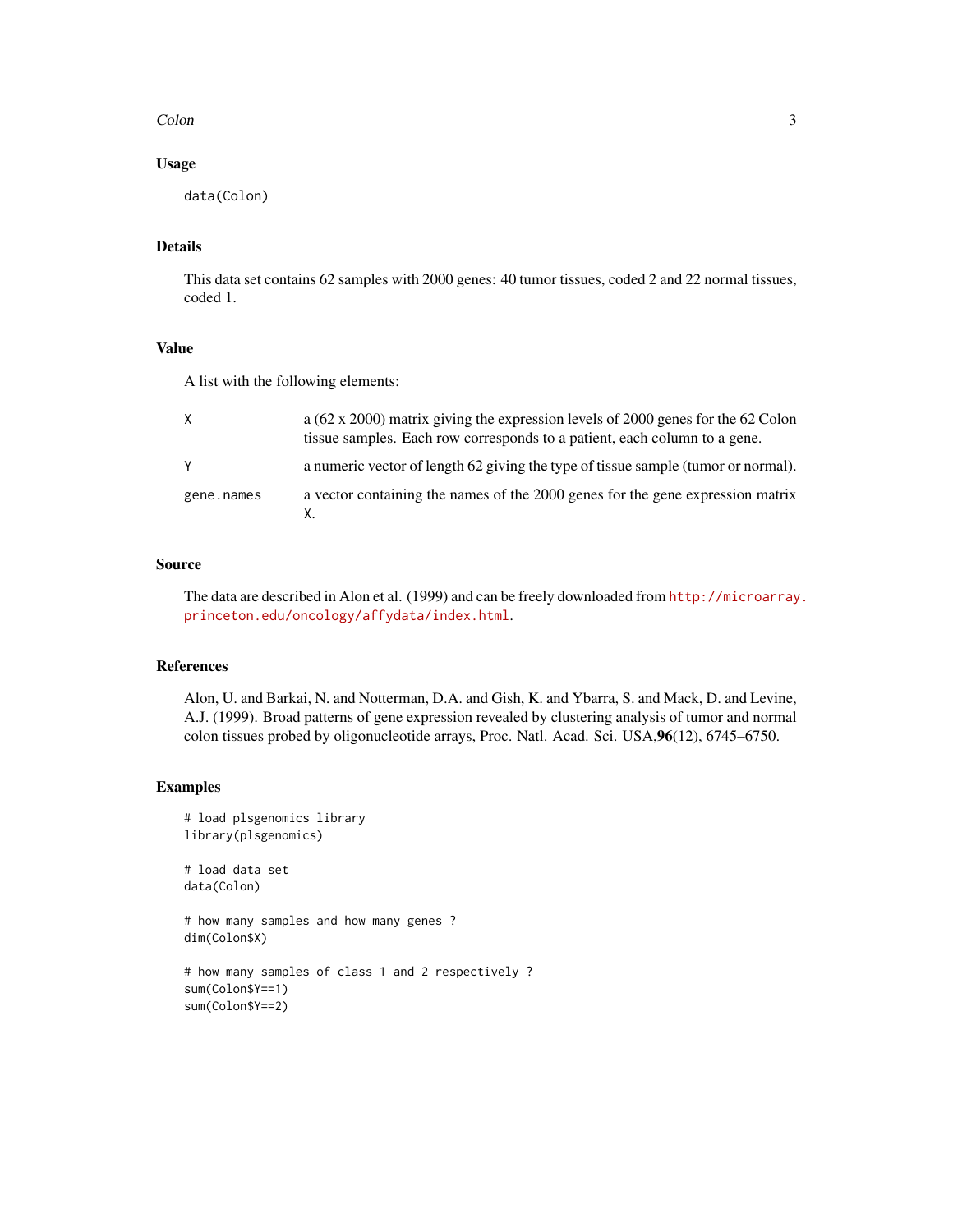#### Colon 3

# Usage

data(Colon)

# Details

This data set contains 62 samples with 2000 genes: 40 tumor tissues, coded 2 and 22 normal tissues, coded 1.

#### Value

A list with the following elements:

| X          | a ( $62 \times 2000$ ) matrix giving the expression levels of 2000 genes for the 62 Colon<br>tissue samples. Each row corresponds to a patient, each column to a gene. |
|------------|------------------------------------------------------------------------------------------------------------------------------------------------------------------------|
| Y          | a numeric vector of length 62 giving the type of tissue sample (tumor or normal).                                                                                      |
| gene.names | a vector containing the names of the 2000 genes for the gene expression matrix                                                                                         |

# Source

The data are described in Alon et al. (1999) and can be freely downloaded from [http://microarray](http://microarray.princeton.edu/oncology/affydata/index.html). [princeton.edu/oncology/affydata/index.html](http://microarray.princeton.edu/oncology/affydata/index.html).

# References

Alon, U. and Barkai, N. and Notterman, D.A. and Gish, K. and Ybarra, S. and Mack, D. and Levine, A.J. (1999). Broad patterns of gene expression revealed by clustering analysis of tumor and normal colon tissues probed by oligonucleotide arrays, Proc. Natl. Acad. Sci. USA,96(12), 6745–6750.

```
# load plsgenomics library
library(plsgenomics)
# load data set
data(Colon)
# how many samples and how many genes ?
dim(Colon$X)
# how many samples of class 1 and 2 respectively ?
sum(Colon$Y==1)
sum(Colon$Y==2)
```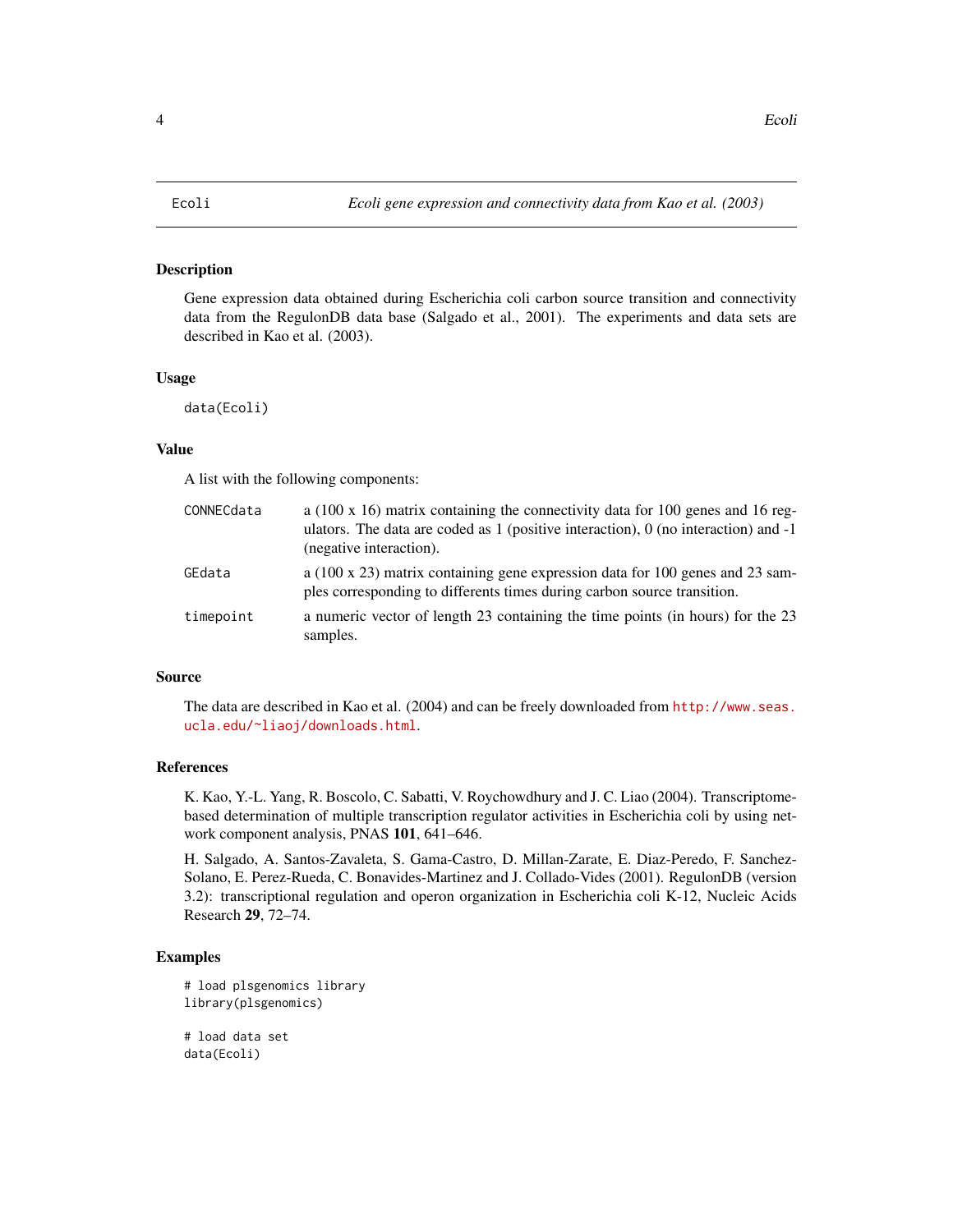#### <span id="page-3-0"></span>**Description**

Gene expression data obtained during Escherichia coli carbon source transition and connectivity data from the RegulonDB data base (Salgado et al., 2001). The experiments and data sets are described in Kao et al. (2003).

#### Usage

```
data(Ecoli)
```
#### Value

A list with the following components:

| CONNECdata | a (100 x 16) matrix containing the connectivity data for 100 genes and 16 reg-<br>ulators. The data are coded as $1$ (positive interaction), $0$ (no interaction) and $-1$<br>(negative interaction). |
|------------|-------------------------------------------------------------------------------------------------------------------------------------------------------------------------------------------------------|
| GEdata     | a (100 x 23) matrix containing gene expression data for 100 genes and 23 sam-<br>ples corresponding to differents times during carbon source transition.                                              |
| timepoint  | a numeric vector of length 23 containing the time points (in hours) for the 23<br>samples.                                                                                                            |

# Source

The data are described in Kao et al. (2004) and can be freely downloaded from [http://www.seas.](http://www.seas.ucla.edu/~liaoj/downloads.html) [ucla.edu/~liaoj/downloads.html](http://www.seas.ucla.edu/~liaoj/downloads.html).

#### References

K. Kao, Y.-L. Yang, R. Boscolo, C. Sabatti, V. Roychowdhury and J. C. Liao (2004). Transcriptomebased determination of multiple transcription regulator activities in Escherichia coli by using network component analysis, PNAS 101, 641–646.

H. Salgado, A. Santos-Zavaleta, S. Gama-Castro, D. Millan-Zarate, E. Diaz-Peredo, F. Sanchez-Solano, E. Perez-Rueda, C. Bonavides-Martinez and J. Collado-Vides (2001). RegulonDB (version 3.2): transcriptional regulation and operon organization in Escherichia coli K-12, Nucleic Acids Research 29, 72–74.

```
# load plsgenomics library
library(plsgenomics)
# load data set
data(Ecoli)
```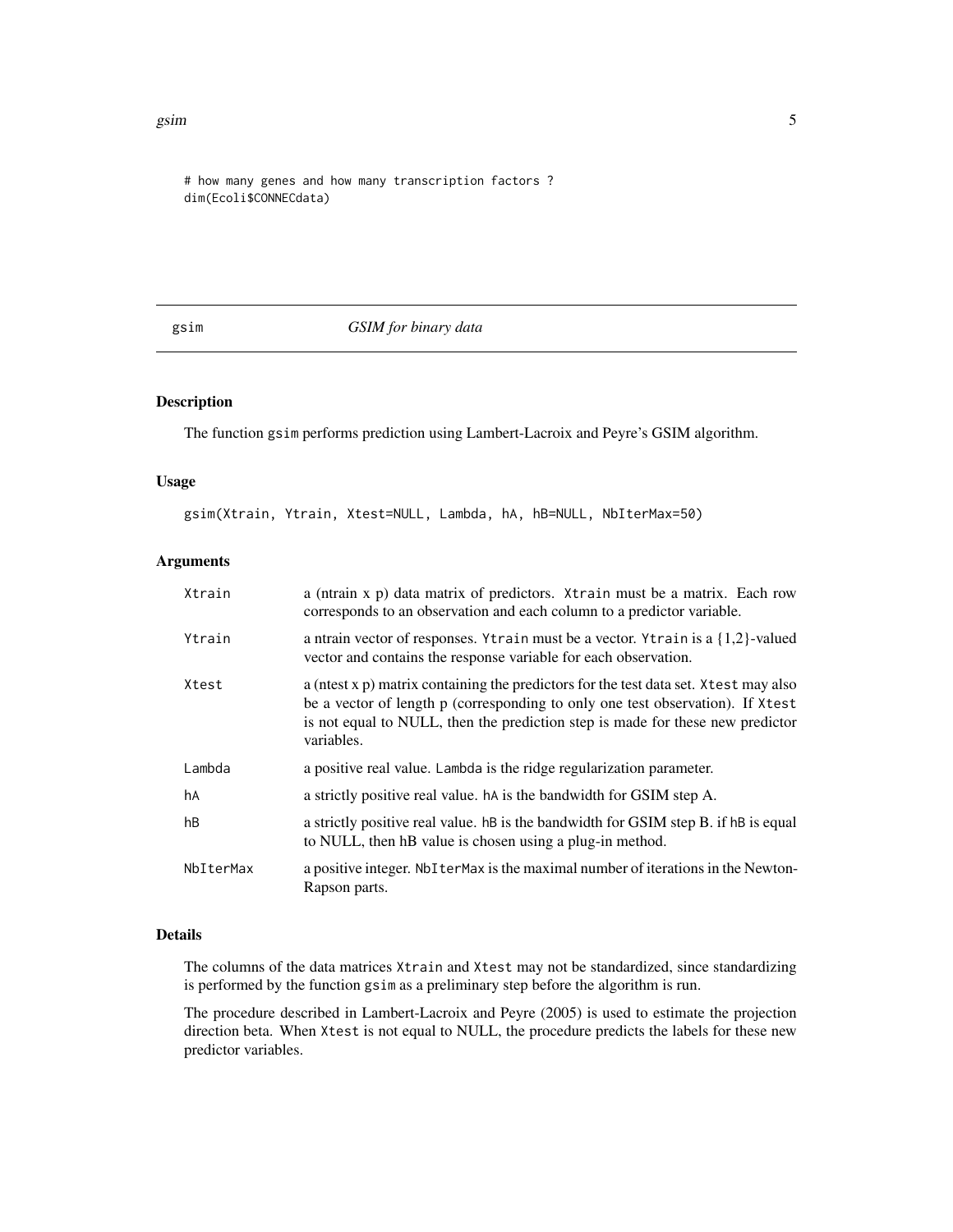<span id="page-4-0"></span>gsim 5

# how many genes and how many transcription factors ? dim(Ecoli\$CONNECdata)

#### <span id="page-4-1"></span>gsim *GSIM for binary data*

# Description

The function gsim performs prediction using Lambert-Lacroix and Peyre's GSIM algorithm.

# Usage

gsim(Xtrain, Ytrain, Xtest=NULL, Lambda, hA, hB=NULL, NbIterMax=50)

#### Arguments

| Xtrain    | a (ntrain x p) data matrix of predictors. Xtrain must be a matrix. Each row<br>corresponds to an observation and each column to a predictor variable.                                                                                                                   |
|-----------|-------------------------------------------------------------------------------------------------------------------------------------------------------------------------------------------------------------------------------------------------------------------------|
| Ytrain    | a ntrain vector of responses. Ytrain must be a vector. Ytrain is a $\{1,2\}$ -valued<br>vector and contains the response variable for each observation.                                                                                                                 |
| Xtest     | a (ntest x p) matrix containing the predictors for the test data set. X test may also<br>be a vector of length p (corresponding to only one test observation). If Xtest<br>is not equal to NULL, then the prediction step is made for these new predictor<br>variables. |
| Lambda    | a positive real value. Lambda is the ridge regularization parameter.                                                                                                                                                                                                    |
| hA        | a strictly positive real value. hA is the bandwidth for GSIM step A.                                                                                                                                                                                                    |
| hB        | a strictly positive real value. hB is the bandwidth for GSIM step B. if hB is equal<br>to NULL, then hB value is chosen using a plug-in method.                                                                                                                         |
| NbIterMax | a positive integer. Not term axis the maximal number of iterations in the Newton-<br>Rapson parts.                                                                                                                                                                      |

# Details

The columns of the data matrices Xtrain and Xtest may not be standardized, since standardizing is performed by the function gsim as a preliminary step before the algorithm is run.

The procedure described in Lambert-Lacroix and Peyre (2005) is used to estimate the projection direction beta. When Xtest is not equal to NULL, the procedure predicts the labels for these new predictor variables.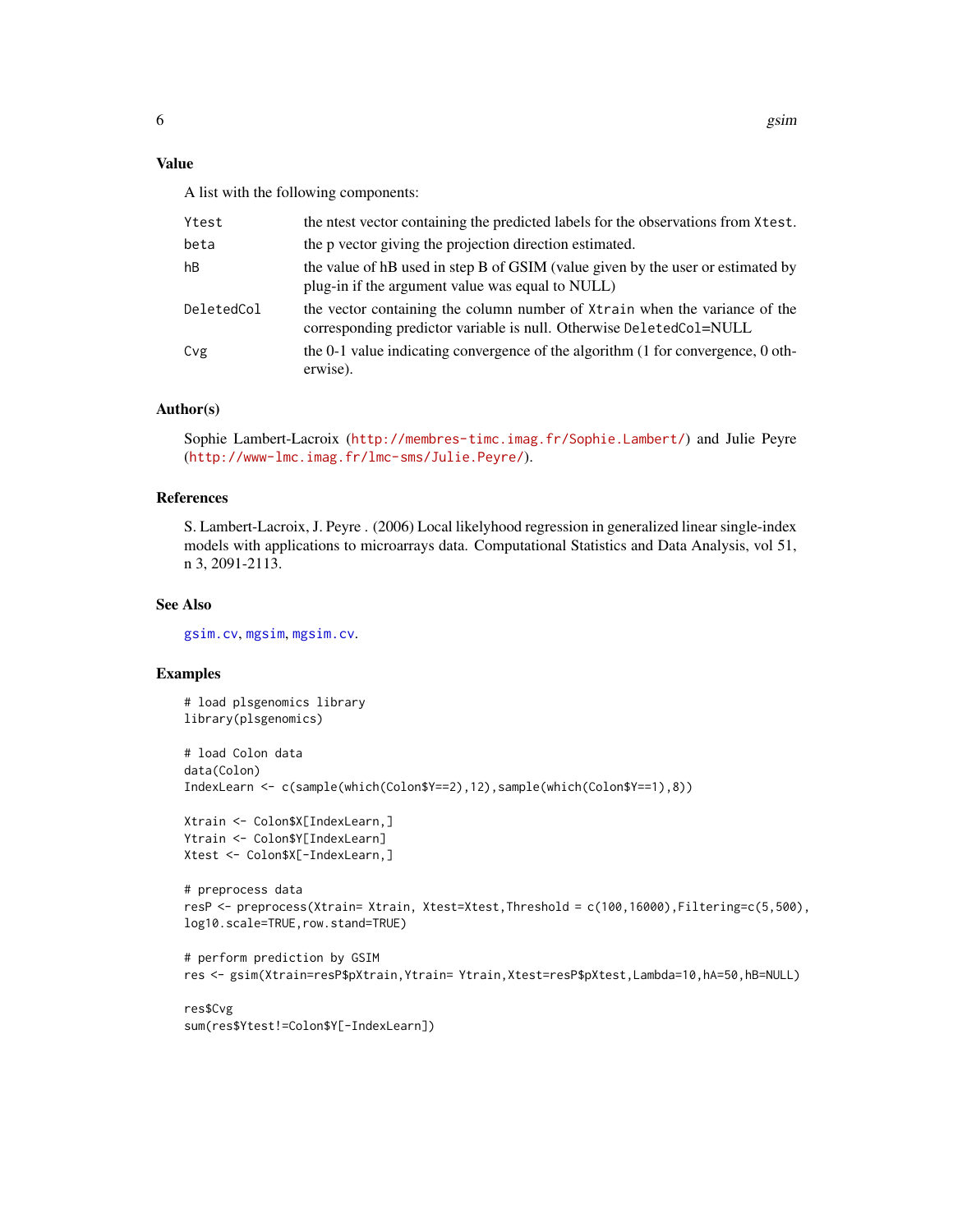# Value

A list with the following components:

| Ytest      | the net vector containing the predicted labels for the observations from Xtest.                                                                   |
|------------|---------------------------------------------------------------------------------------------------------------------------------------------------|
| beta       | the p vector giving the projection direction estimated.                                                                                           |
| hB         | the value of hB used in step B of GSIM (value given by the user or estimated by<br>plug-in if the argument value was equal to NULL)               |
| DeletedCol | the vector containing the column number of Xtrain when the variance of the<br>corresponding predictor variable is null. Otherwise DeletedCol=NULL |
| Cvg        | the 0-1 value indicating convergence of the algorithm (1 for convergence, 0 oth-<br>erwise).                                                      |

# Author(s)

Sophie Lambert-Lacroix (<http://membres-timc.imag.fr/Sophie.Lambert/>) and Julie Peyre (<http://www-lmc.imag.fr/lmc-sms/Julie.Peyre/>).

# References

S. Lambert-Lacroix, J. Peyre . (2006) Local likelyhood regression in generalized linear single-index models with applications to microarrays data. Computational Statistics and Data Analysis, vol 51, n 3, 2091-2113.

#### See Also

[gsim.cv](#page-6-1), [mgsim](#page-19-1), [mgsim.cv](#page-21-1).

```
# load plsgenomics library
library(plsgenomics)
# load Colon data
data(Colon)
IndexLearn <- c(sample(which(Colon$Y==2),12),sample(which(Colon$Y==1),8))
Xtrain <- Colon$X[IndexLearn,]
Ytrain <- Colon$Y[IndexLearn]
Xtest <- Colon$X[-IndexLearn,]
# preprocess data
resP <- preprocess(Xtrain= Xtrain, Xtest=Xtest,Threshold = c(100,16000),Filtering=c(5,500),
log10.scale=TRUE,row.stand=TRUE)
# perform prediction by GSIM
res <- gsim(Xtrain=resP$pXtrain,Ytrain= Ytrain,Xtest=resP$pXtest,Lambda=10,hA=50,hB=NULL)
```

```
res$Cvg
sum(res$Ytest!=Colon$Y[-IndexLearn])
```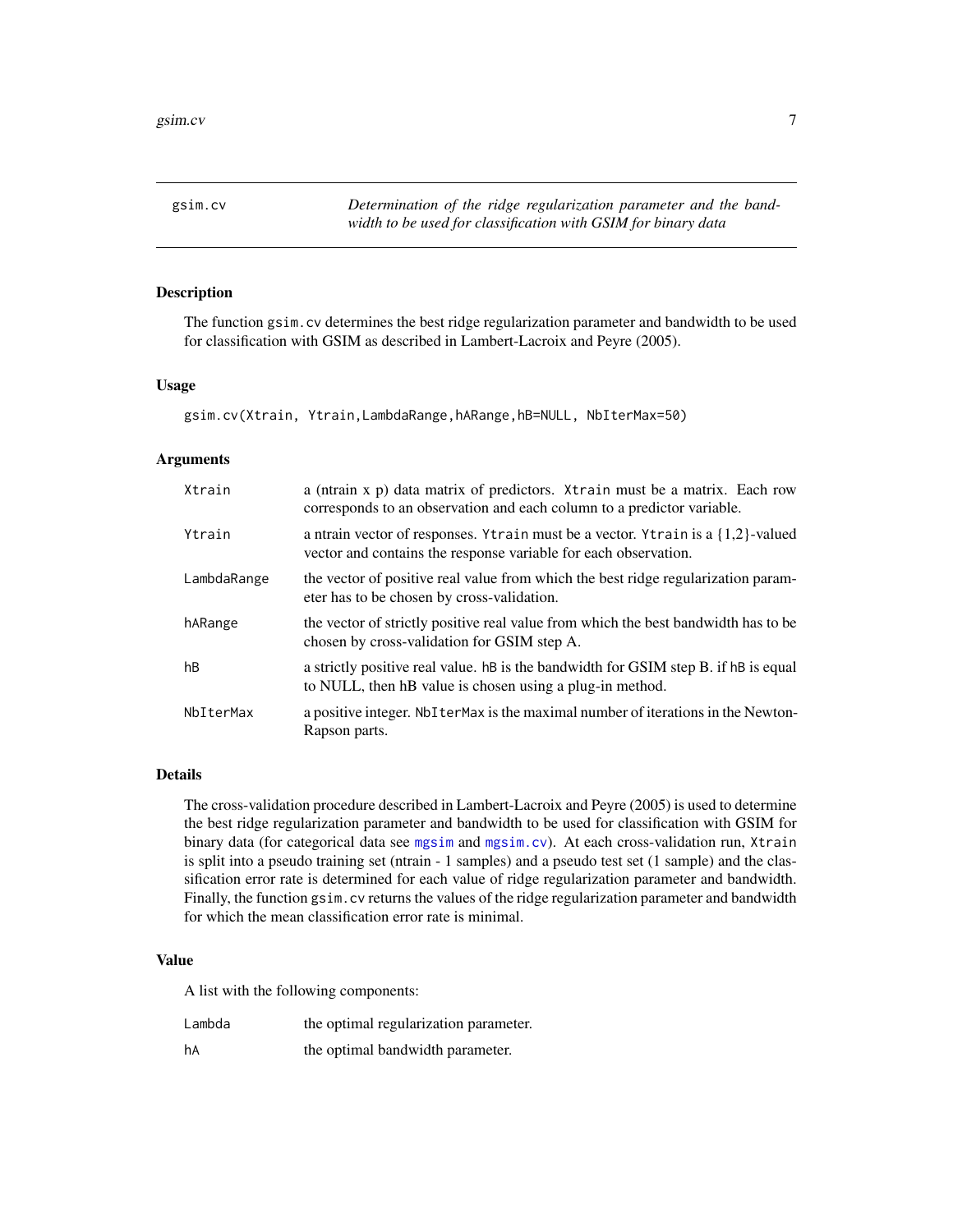<span id="page-6-1"></span><span id="page-6-0"></span>gsim.cv *Determination of the ridge regularization parameter and the bandwidth to be used for classification with GSIM for binary data*

# Description

The function gsim.cv determines the best ridge regularization parameter and bandwidth to be used for classification with GSIM as described in Lambert-Lacroix and Peyre (2005).

#### Usage

gsim.cv(Xtrain, Ytrain,LambdaRange,hARange,hB=NULL, NbIterMax=50)

#### Arguments

| Xtrain      | a (ntrain x p) data matrix of predictors. Xtrain must be a matrix. Each row<br>corresponds to an observation and each column to a predictor variable.   |
|-------------|---------------------------------------------------------------------------------------------------------------------------------------------------------|
| Ytrain      | a ntrain vector of responses. Ytrain must be a vector. Ytrain is a $\{1,2\}$ -valued<br>vector and contains the response variable for each observation. |
| LambdaRange | the vector of positive real value from which the best ridge regularization param-<br>eter has to be chosen by cross-validation.                         |
| hARange     | the vector of strictly positive real value from which the best bandwidth has to be<br>chosen by cross-validation for GSIM step A.                       |
| hB          | a strictly positive real value. hB is the bandwidth for GSIM step B. if hB is equal<br>to NULL, then hB value is chosen using a plug-in method.         |
| NbIterMax   | a positive integer. Not term axis the maximal number of iterations in the Newton-<br>Rapson parts.                                                      |

#### Details

The cross-validation procedure described in Lambert-Lacroix and Peyre (2005) is used to determine the best ridge regularization parameter and bandwidth to be used for classification with GSIM for binary data (for categorical data see [mgsim](#page-19-1) and [mgsim.cv](#page-21-1)). At each cross-validation run, Xtrain is split into a pseudo training set (ntrain - 1 samples) and a pseudo test set (1 sample) and the classification error rate is determined for each value of ridge regularization parameter and bandwidth. Finally, the function gsim.cv returns the values of the ridge regularization parameter and bandwidth for which the mean classification error rate is minimal.

#### Value

A list with the following components:

| Lambda | the optimal regularization parameter. |
|--------|---------------------------------------|
| hA     | the optimal bandwidth parameter.      |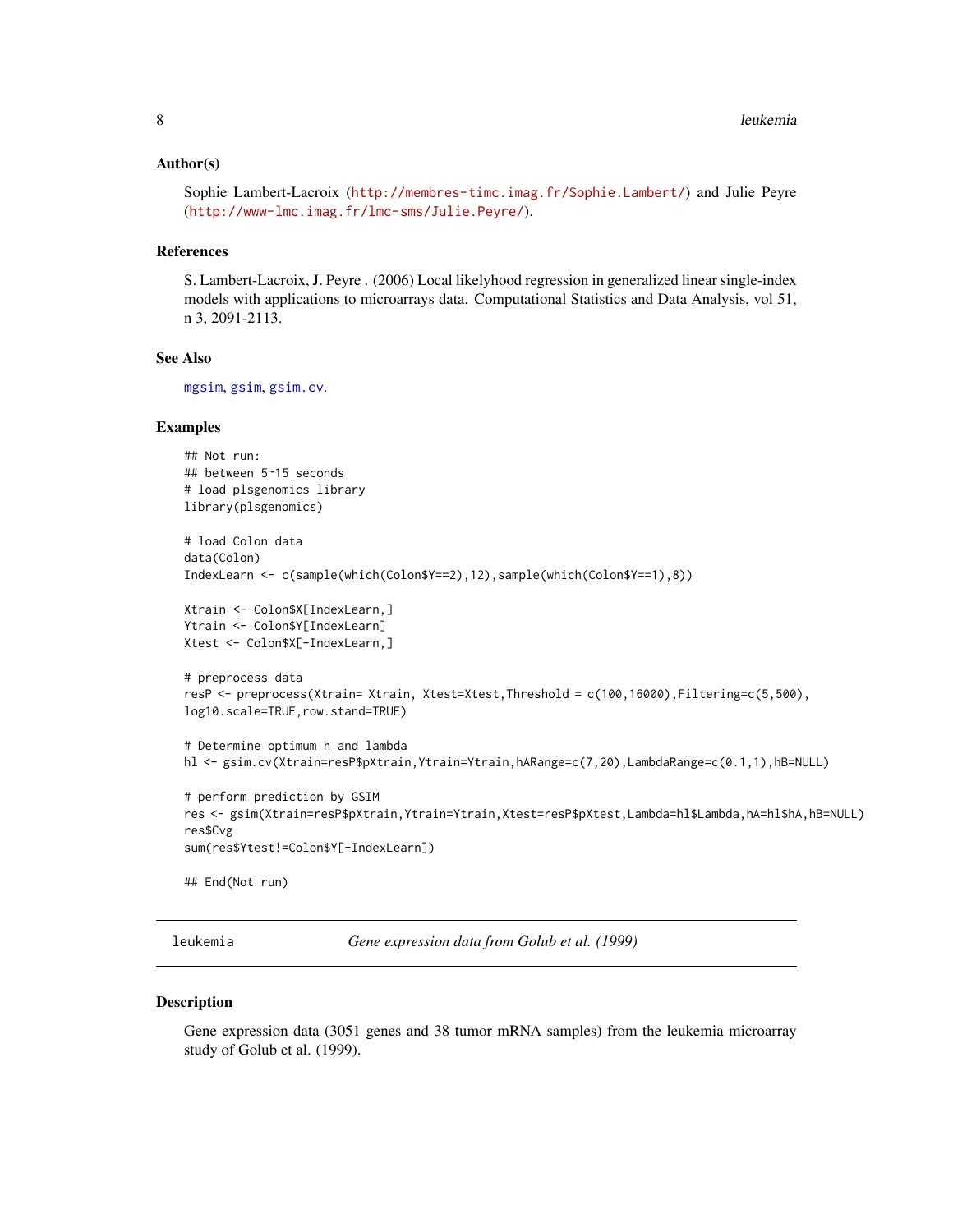#### <span id="page-7-0"></span>Author(s)

Sophie Lambert-Lacroix (<http://membres-timc.imag.fr/Sophie.Lambert/>) and Julie Peyre (<http://www-lmc.imag.fr/lmc-sms/Julie.Peyre/>).

#### References

S. Lambert-Lacroix, J. Peyre . (2006) Local likelyhood regression in generalized linear single-index models with applications to microarrays data. Computational Statistics and Data Analysis, vol 51, n 3, 2091-2113.

# See Also

[mgsim](#page-19-1), [gsim](#page-4-1), [gsim.cv](#page-6-1).

# Examples

```
## Not run:
## between 5~15 seconds
# load plsgenomics library
library(plsgenomics)
# load Colon data
data(Colon)
IndexLearn <- c(sample(which(Colon$Y==2),12),sample(which(Colon$Y==1),8))
Xtrain <- Colon$X[IndexLearn,]
Ytrain <- Colon$Y[IndexLearn]
Xtest <- Colon$X[-IndexLearn,]
# preprocess data
resP <- preprocess(Xtrain= Xtrain, Xtest=Xtest,Threshold = c(100,16000),Filtering=c(5,500),
log10.scale=TRUE,row.stand=TRUE)
# Determine optimum h and lambda
hl <- gsim.cv(Xtrain=resP$pXtrain,Ytrain=Ytrain,hARange=c(7,20),LambdaRange=c(0.1,1),hB=NULL)
# perform prediction by GSIM
res <- gsim(Xtrain=resP$pXtrain,Ytrain=Ytrain,Xtest=resP$pXtest,Lambda=hl$Lambda,hA=hl$hA,hB=NULL)
res$Cvg
sum(res$Ytest!=Colon$Y[-IndexLearn])
## End(Not run)
```
leukemia *Gene expression data from Golub et al. (1999)*

#### Description

Gene expression data (3051 genes and 38 tumor mRNA samples) from the leukemia microarray study of Golub et al. (1999).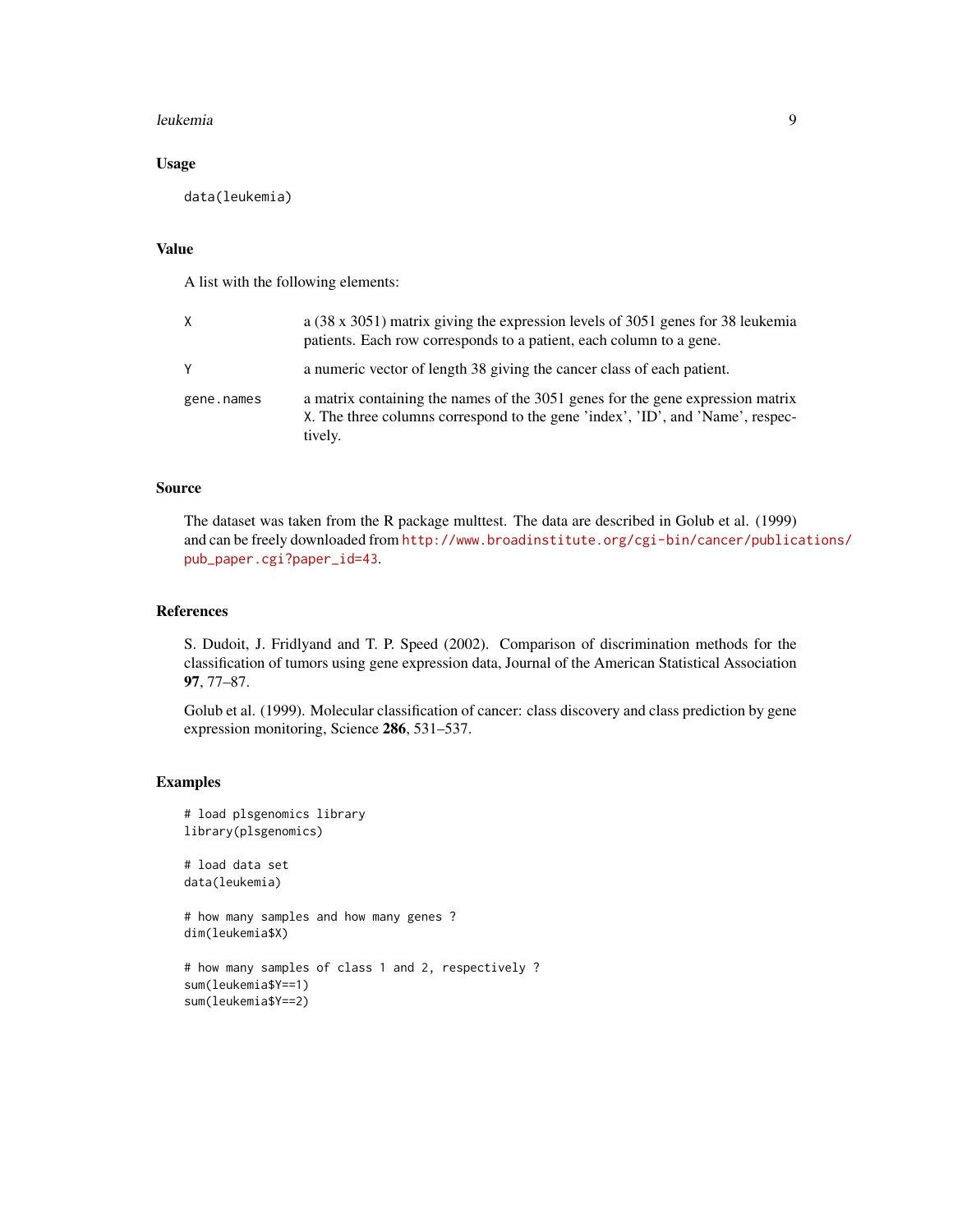#### leukemia 9

# Usage

```
data(leukemia)
```
# Value

A list with the following elements:

| X.         | a (38 x 3051) matrix giving the expression levels of 3051 genes for 38 leukemia<br>patients. Each row corresponds to a patient, each column to a gene.                      |
|------------|-----------------------------------------------------------------------------------------------------------------------------------------------------------------------------|
| γ          | a numeric vector of length 38 giving the cancer class of each patient.                                                                                                      |
| gene.names | a matrix containing the names of the 3051 genes for the gene expression matrix<br>X. The three columns correspond to the gene 'index', 'ID', and 'Name', respec-<br>tively. |

#### Source

The dataset was taken from the R package multtest. The data are described in Golub et al. (1999) and can be freely downloaded from [http://www.broadinstitute.org/cgi-bin/cancer/publica](http://www.broadinstitute.org/cgi-bin/cancer/publications/pub_paper.cgi?paper_id=43)tions/ [pub\\_paper.cgi?paper\\_id=43](http://www.broadinstitute.org/cgi-bin/cancer/publications/pub_paper.cgi?paper_id=43).

#### References

S. Dudoit, J. Fridlyand and T. P. Speed (2002). Comparison of discrimination methods for the classification of tumors using gene expression data, Journal of the American Statistical Association 97, 77–87.

Golub et al. (1999). Molecular classification of cancer: class discovery and class prediction by gene expression monitoring, Science 286, 531–537.

```
# load plsgenomics library
library(plsgenomics)
# load data set
data(leukemia)
# how many samples and how many genes ?
dim(leukemia$X)
# how many samples of class 1 and 2, respectively ?
sum(leukemia$Y==1)
sum(leukemia$Y==2)
```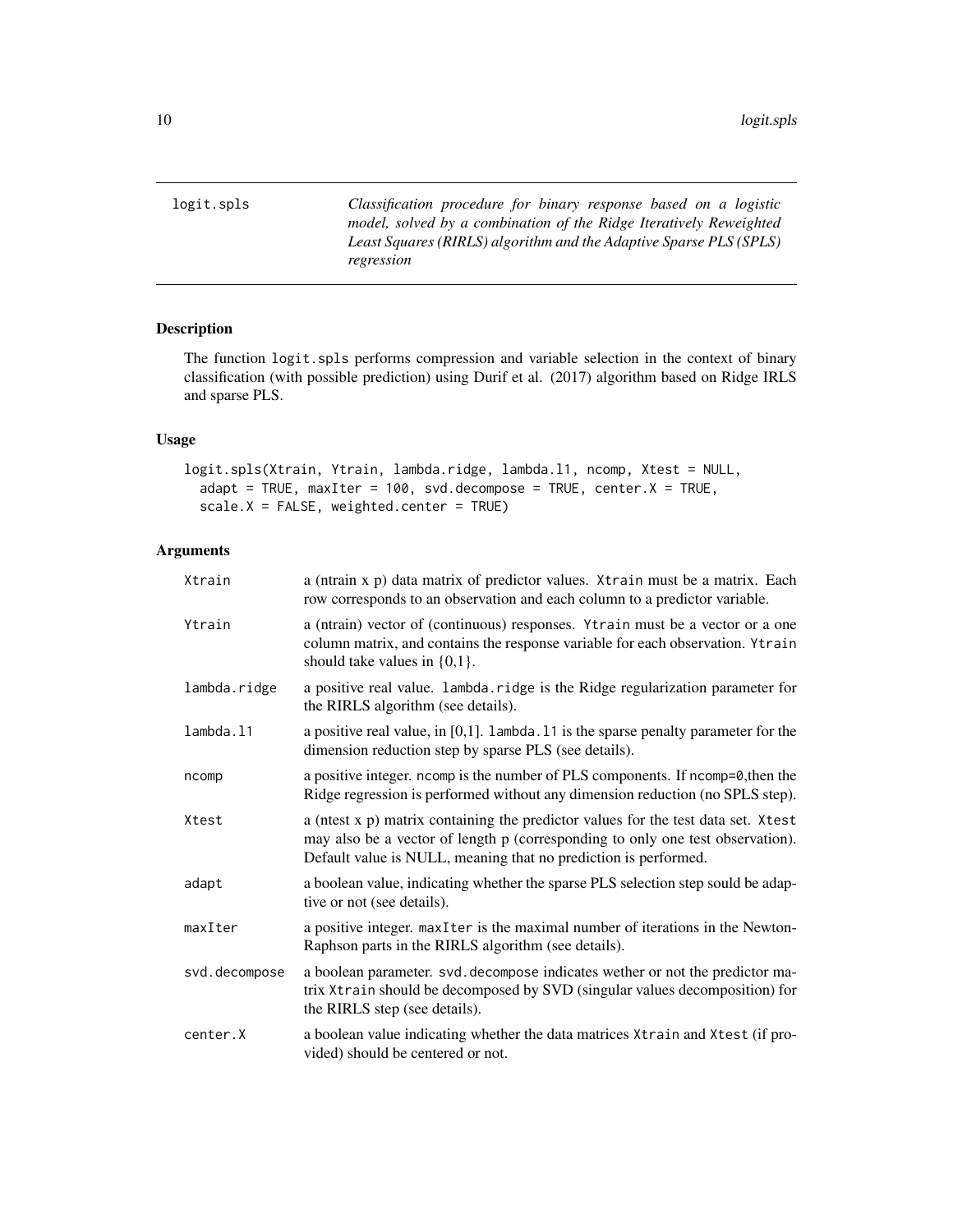<span id="page-9-1"></span><span id="page-9-0"></span>logit.spls *Classification procedure for binary response based on a logistic model, solved by a combination of the Ridge Iteratively Reweighted Least Squares (RIRLS) algorithm and the Adaptive Sparse PLS (SPLS) regression*

#### Description

The function logit.spls performs compression and variable selection in the context of binary classification (with possible prediction) using Durif et al. (2017) algorithm based on Ridge IRLS and sparse PLS.

# Usage

```
logit.spls(Xtrain, Ytrain, lambda.ridge, lambda.l1, ncomp, Xtest = NULL,
  adapt = TRUE, maxIter = 100, svd.decompose = TRUE, center.X = TRUE,
  scale.X = FALSE, weighted.center = TRUE)
```
# Arguments

| Xtrain        | a (ntrain x p) data matrix of predictor values. Xtrain must be a matrix. Each<br>row corresponds to an observation and each column to a predictor variable.                                                                            |
|---------------|----------------------------------------------------------------------------------------------------------------------------------------------------------------------------------------------------------------------------------------|
| Ytrain        | a (ntrain) vector of (continuous) responses. Ytrain must be a vector or a one<br>column matrix, and contains the response variable for each observation. Ytrain<br>should take values in $\{0,1\}$ .                                   |
| lambda.ridge  | a positive real value. lambda. ridge is the Ridge regularization parameter for<br>the RIRLS algorithm (see details).                                                                                                                   |
| lambda.11     | a positive real value, in $[0,1]$ . Lambda. 11 is the sparse penalty parameter for the<br>dimension reduction step by sparse PLS (see details).                                                                                        |
| ncomp         | a positive integer. ncomp is the number of PLS components. If ncomp=0, then the<br>Ridge regression is performed without any dimension reduction (no SPLS step).                                                                       |
| Xtest         | a (ntest x p) matrix containing the predictor values for the test data set. Xtest<br>may also be a vector of length p (corresponding to only one test observation).<br>Default value is NULL, meaning that no prediction is performed. |
| adapt         | a boolean value, indicating whether the sparse PLS selection step sould be adap-<br>tive or not (see details).                                                                                                                         |
| maxIter       | a positive integer. maxIter is the maximal number of iterations in the Newton-<br>Raphson parts in the RIRLS algorithm (see details).                                                                                                  |
| svd.decompose | a boolean parameter. svd. decompose indicates wether or not the predictor ma-<br>trix Xtrain should be decomposed by SVD (singular values decomposition) for<br>the RIRLS step (see details).                                          |
| center.X      | a boolean value indicating whether the data matrices Xtrain and Xtest (if pro-<br>vided) should be centered or not.                                                                                                                    |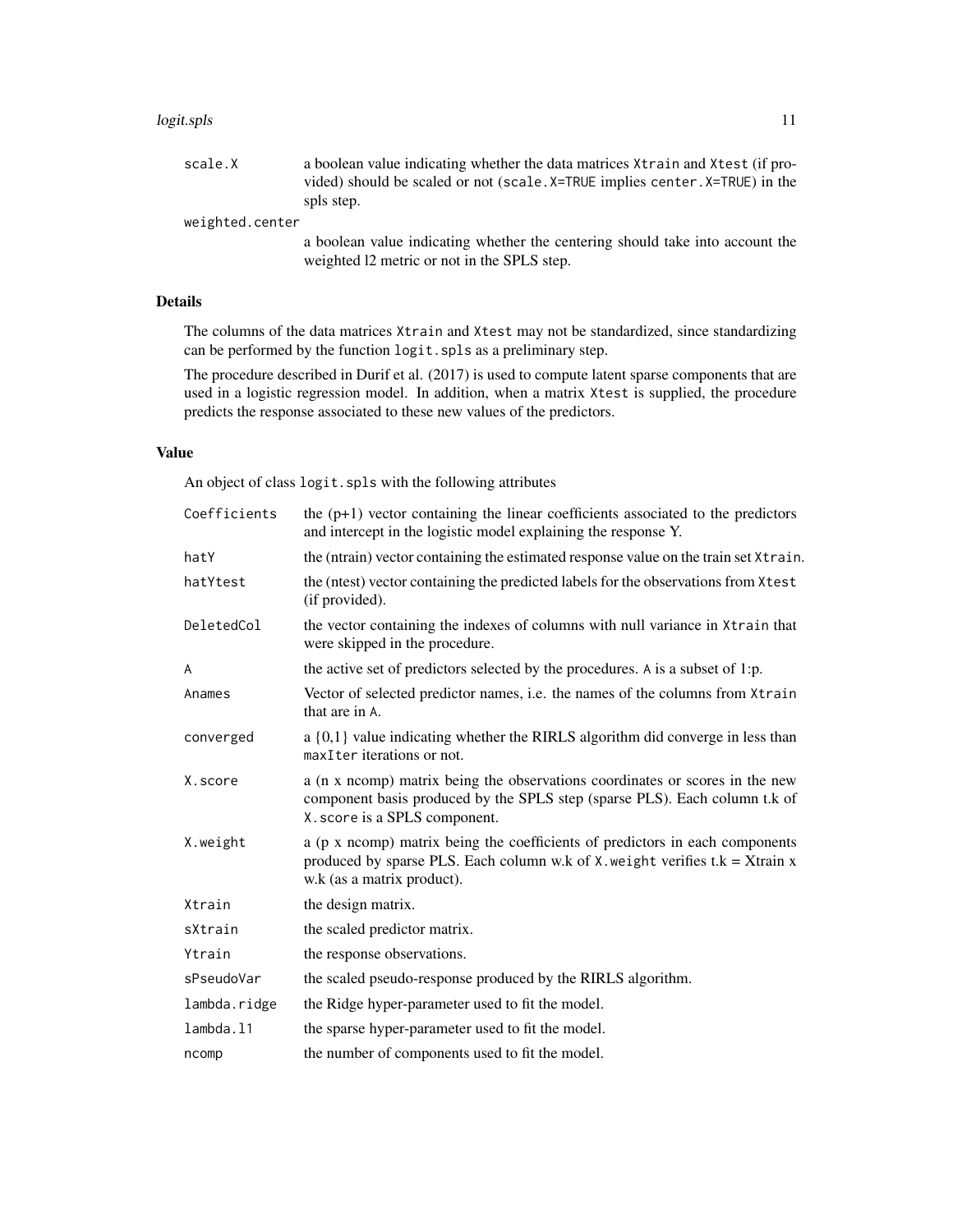#### logit.spls 11

weighted.center

a boolean value indicating whether the centering should take into account the weighted l2 metric or not in the SPLS step.

# Details

The columns of the data matrices Xtrain and Xtest may not be standardized, since standardizing can be performed by the function logit.spls as a preliminary step.

The procedure described in Durif et al. (2017) is used to compute latent sparse components that are used in a logistic regression model. In addition, when a matrix Xtest is supplied, the procedure predicts the response associated to these new values of the predictors.

# Value

An object of class logit.spls with the following attributes

| Coefficients | the $(p+1)$ vector containing the linear coefficients associated to the predictors<br>and intercept in the logistic model explaining the response Y.                                             |
|--------------|--------------------------------------------------------------------------------------------------------------------------------------------------------------------------------------------------|
| hatY         | the (ntrain) vector containing the estimated response value on the train set Xtrain.                                                                                                             |
| hatYtest     | the (ntest) vector containing the predicted labels for the observations from Xtest<br>(if provided).                                                                                             |
| DeletedCol   | the vector containing the indexes of columns with null variance in Xtrain that<br>were skipped in the procedure.                                                                                 |
| A            | the active set of predictors selected by the procedures. A is a subset of 1:p.                                                                                                                   |
| Anames       | Vector of selected predictor names, i.e. the names of the columns from Xtrain<br>that are in A.                                                                                                  |
| converged    | $a\{0,1\}$ value indicating whether the RIRLS algorithm did converge in less than<br>maxIter iterations or not.                                                                                  |
| X.score      | a (n x ncomp) matrix being the observations coordinates or scores in the new<br>component basis produced by the SPLS step (sparse PLS). Each column t.k of<br>X. score is a SPLS component.      |
| X.weight     | a (p x ncomp) matrix being the coefficients of predictors in each components<br>produced by sparse PLS. Each column w.k of $X$ . weight verifies $t.k = X$ train x<br>w.k (as a matrix product). |
| Xtrain       | the design matrix.                                                                                                                                                                               |
| sXtrain      | the scaled predictor matrix.                                                                                                                                                                     |
| Ytrain       | the response observations.                                                                                                                                                                       |
| sPseudoVar   | the scaled pseudo-response produced by the RIRLS algorithm.                                                                                                                                      |
| lambda.ridge | the Ridge hyper-parameter used to fit the model.                                                                                                                                                 |
| lambda.11    | the sparse hyper-parameter used to fit the model.                                                                                                                                                |
| ncomp        | the number of components used to fit the model.                                                                                                                                                  |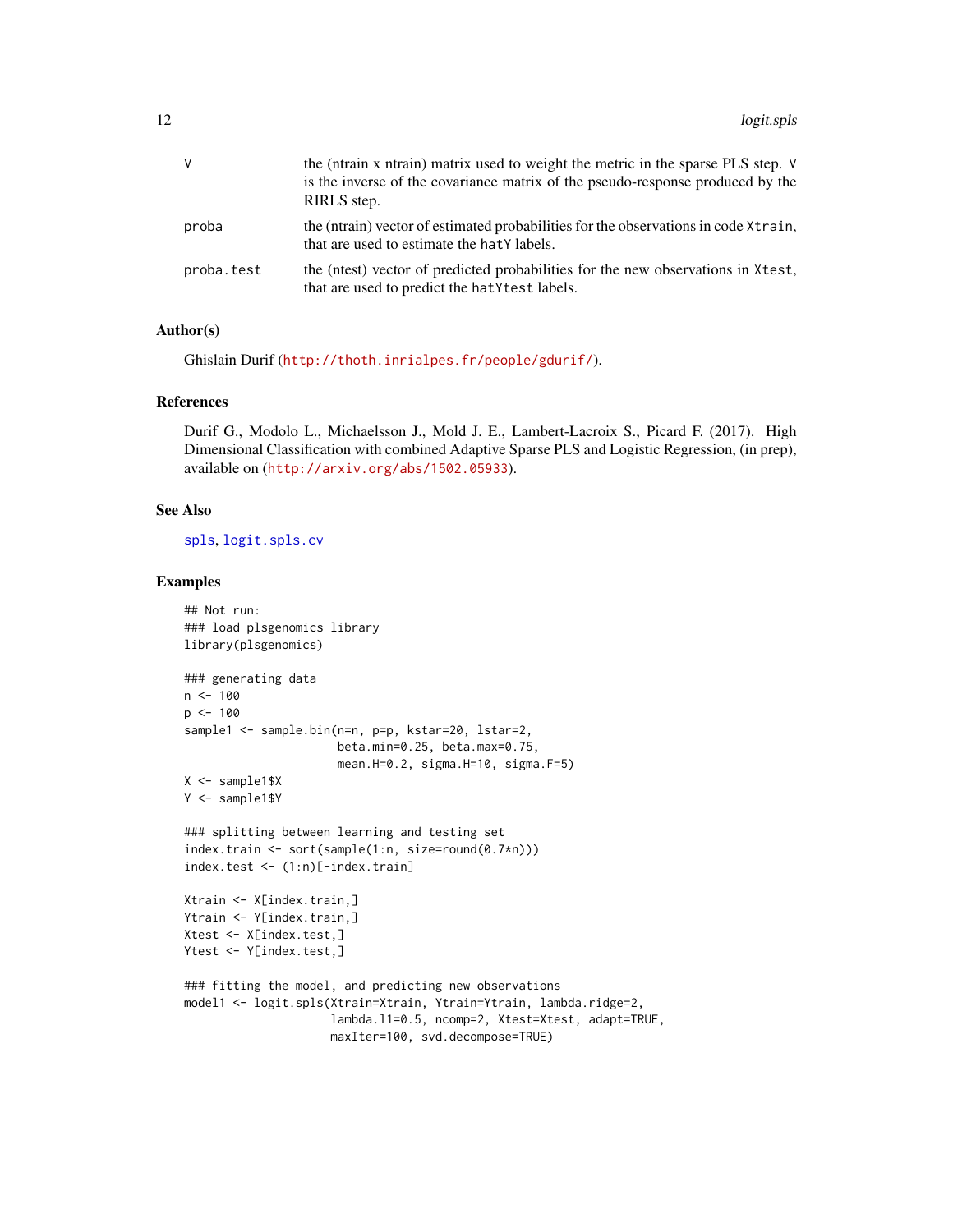| V          | the (ntrain x ntrain) matrix used to weight the metric in the sparse PLS step. V<br>is the inverse of the covariance matrix of the pseudo-response produced by the<br>RIRLS step. |
|------------|-----------------------------------------------------------------------------------------------------------------------------------------------------------------------------------|
| proba      | the (ntrain) vector of estimated probabilities for the observations in code Xtrain,<br>that are used to estimate the hat Y labels.                                                |
| proba.test | the (nest) vector of predicted probabilities for the new observations in Xtest,<br>that are used to predict the hat Y test labels.                                                |

#### Author(s)

Ghislain Durif (<http://thoth.inrialpes.fr/people/gdurif/>).

#### References

Durif G., Modolo L., Michaelsson J., Mold J. E., Lambert-Lacroix S., Picard F. (2017). High Dimensional Classification with combined Adaptive Sparse PLS and Logistic Regression, (in prep), available on (<http://arxiv.org/abs/1502.05933>).

# See Also

[spls](#page-56-1), [logit.spls.cv](#page-12-1)

```
## Not run:
### load plsgenomics library
library(plsgenomics)
### generating data
n < -100p <- 100
sample1 <- sample.bin(n=n, p=p, kstar=20, lstar=2,
                      beta.min=0.25, beta.max=0.75,
                      mean.H=0.2, sigma.H=10, sigma.F=5)
X <- sample1$X
Y <- sample1$Y
### splitting between learning and testing set
index.train <- sort(sample(1:n, size=round(0.7*n)))
index.test <- (1:n)[-index.train]
Xtrain <- X[index.train,]
Ytrain <- Y[index.train,]
Xtest <- X[index.test,]
Ytest <- Y[index.test,]
### fitting the model, and predicting new observations
model1 <- logit.spls(Xtrain=Xtrain, Ytrain=Ytrain, lambda.ridge=2,
                     lambda.l1=0.5, ncomp=2, Xtest=Xtest, adapt=TRUE,
                     maxIter=100, svd.decompose=TRUE)
```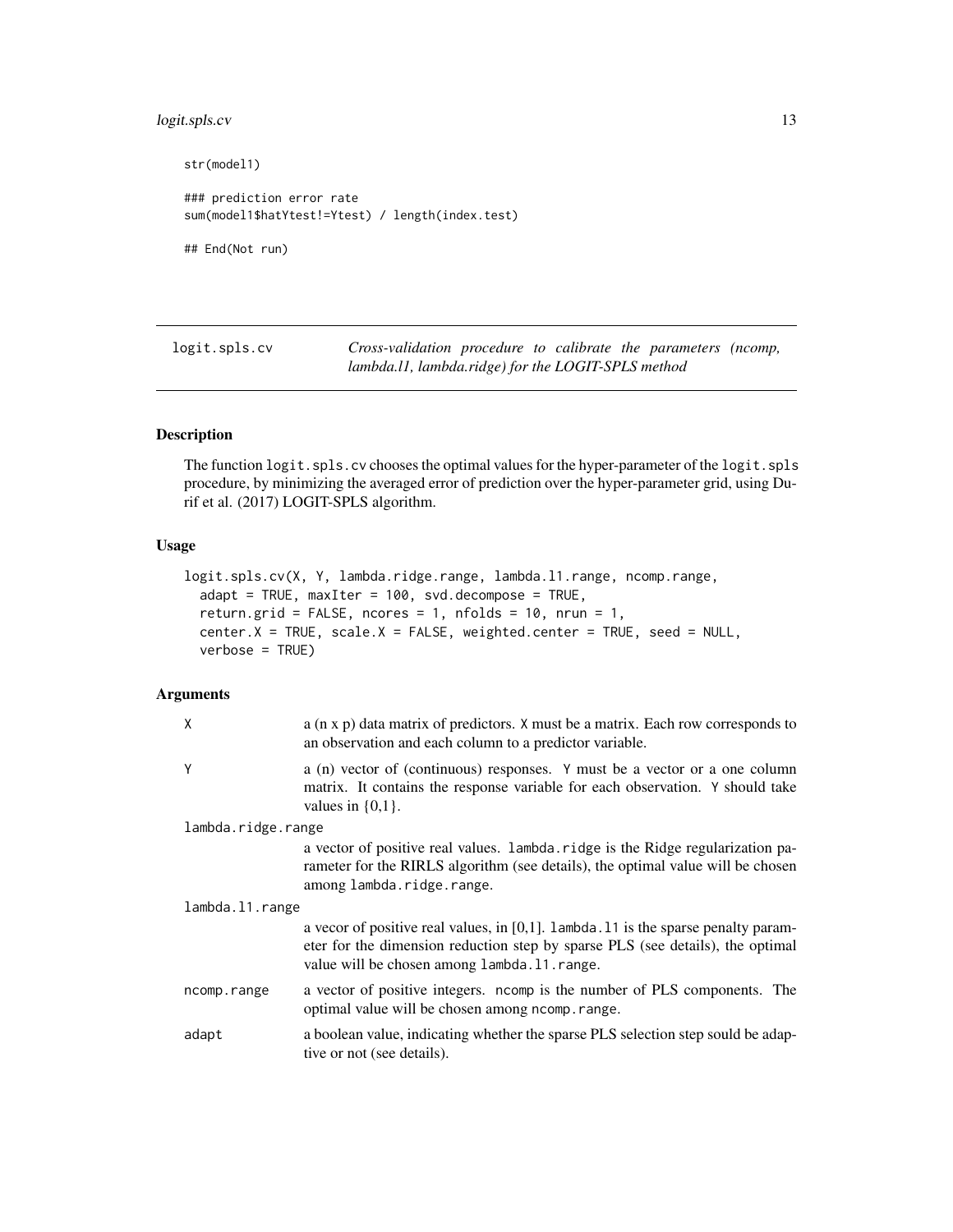# <span id="page-12-0"></span>logit.spls.cv 13

```
str(model1)
### prediction error rate
sum(model1$hatYtest!=Ytest) / length(index.test)
## End(Not run)
```
<span id="page-12-1"></span>logit.spls.cv *Cross-validation procedure to calibrate the parameters (ncomp, lambda.l1, lambda.ridge) for the LOGIT-SPLS method*

# Description

The function logit.spls.cv chooses the optimal values for the hyper-parameter of the logit.spls procedure, by minimizing the averaged error of prediction over the hyper-parameter grid, using Durif et al. (2017) LOGIT-SPLS algorithm.

# Usage

```
logit.spls.cv(X, Y, lambda.ridge.range, lambda.l1.range, ncomp.range,
  adapt = TRUE, maxIter = 100, svd.decompose = TRUE,return.grid = FALSE, ncores = 1, nfolds = 10, nrun = 1,
  center.X = TRUE, scale.X = FALSE, weighted.center = TRUE, seed = NULL,
  verbose = TRUE)
```
# Arguments

| $\mathsf{X}$       | $a$ (n x p) data matrix of predictors. X must be a matrix. Each row corresponds to<br>an observation and each column to a predictor variable.                                                                            |  |
|--------------------|--------------------------------------------------------------------------------------------------------------------------------------------------------------------------------------------------------------------------|--|
| Y                  | a (n) vector of (continuous) responses. Y must be a vector or a one column<br>matrix. It contains the response variable for each observation. Y should take<br>values in $\{0,1\}$ .                                     |  |
| lambda.ridge.range |                                                                                                                                                                                                                          |  |
|                    | a vector of positive real values. Lambda. ridge is the Ridge regularization pa-<br>rameter for the RIRLS algorithm (see details), the optimal value will be chosen<br>among lambda.ridge.range.                          |  |
| lambda.11.range    |                                                                                                                                                                                                                          |  |
|                    | a vecor of positive real values, in $[0,1]$ . Lambda. 11 is the sparse penalty param-<br>eter for the dimension reduction step by sparse PLS (see details), the optimal<br>value will be chosen among lambda. 11. range. |  |
| ncomp.range        | a vector of positive integers. noomp is the number of PLS components. The<br>optimal value will be chosen among nomp. range.                                                                                             |  |
| adapt              | a boolean value, indicating whether the sparse PLS selection step sould be adap-<br>tive or not (see details).                                                                                                           |  |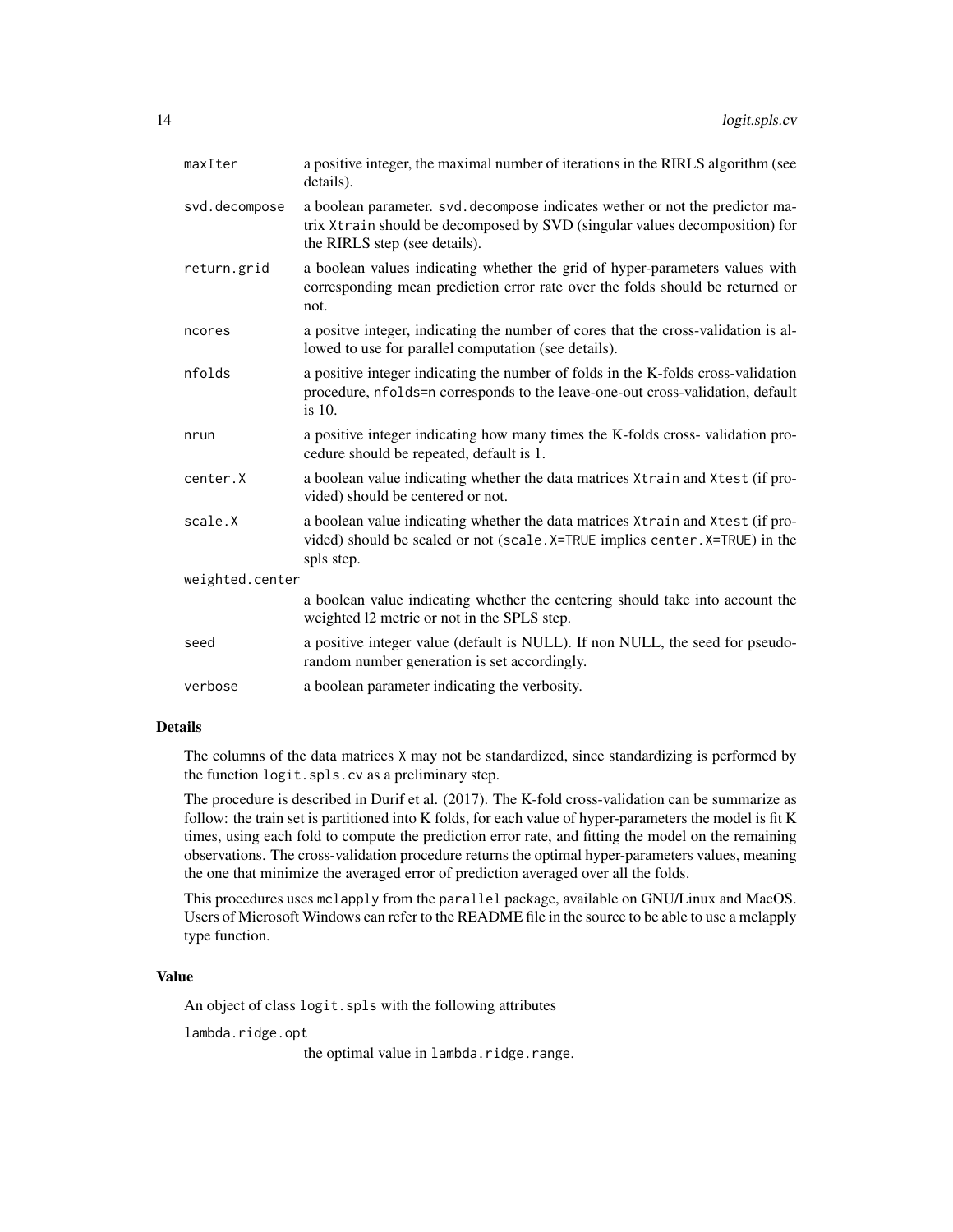| maxIter         | a positive integer, the maximal number of iterations in the RIRLS algorithm (see<br>details).                                                                                                 |
|-----------------|-----------------------------------------------------------------------------------------------------------------------------------------------------------------------------------------------|
| svd.decompose   | a boolean parameter. svd. decompose indicates wether or not the predictor ma-<br>trix Xtrain should be decomposed by SVD (singular values decomposition) for<br>the RIRLS step (see details). |
| return.grid     | a boolean values indicating whether the grid of hyper-parameters values with<br>corresponding mean prediction error rate over the folds should be returned or<br>not.                         |
| ncores          | a positve integer, indicating the number of cores that the cross-validation is al-<br>lowed to use for parallel computation (see details).                                                    |
| nfolds          | a positive integer indicating the number of folds in the K-folds cross-validation<br>procedure, nfolds=n corresponds to the leave-one-out cross-validation, default<br>is $10$ .              |
| nrun            | a positive integer indicating how many times the K-folds cross-validation pro-<br>cedure should be repeated, default is 1.                                                                    |
| center.X        | a boolean value indicating whether the data matrices Xtrain and Xtest (if pro-<br>vided) should be centered or not.                                                                           |
| scale.X         | a boolean value indicating whether the data matrices Xtrain and Xtest (if pro-<br>vided) should be scaled or not (scale. X=TRUE implies center. X=TRUE) in the<br>spls step.                  |
| weighted.center |                                                                                                                                                                                               |
|                 | a boolean value indicating whether the centering should take into account the<br>weighted 12 metric or not in the SPLS step.                                                                  |
| seed            | a positive integer value (default is NULL). If non NULL, the seed for pseudo-<br>random number generation is set accordingly.                                                                 |
| verbose         | a boolean parameter indicating the verbosity.                                                                                                                                                 |
|                 |                                                                                                                                                                                               |

# Details

The columns of the data matrices X may not be standardized, since standardizing is performed by the function logit.spls.cv as a preliminary step.

The procedure is described in Durif et al. (2017). The K-fold cross-validation can be summarize as follow: the train set is partitioned into K folds, for each value of hyper-parameters the model is fit K times, using each fold to compute the prediction error rate, and fitting the model on the remaining observations. The cross-validation procedure returns the optimal hyper-parameters values, meaning the one that minimize the averaged error of prediction averaged over all the folds.

This procedures uses mclapply from the parallel package, available on GNU/Linux and MacOS. Users of Microsoft Windows can refer to the README file in the source to be able to use a mclapply type function.

#### Value

An object of class logit.spls with the following attributes

lambda.ridge.opt

the optimal value in lambda.ridge.range.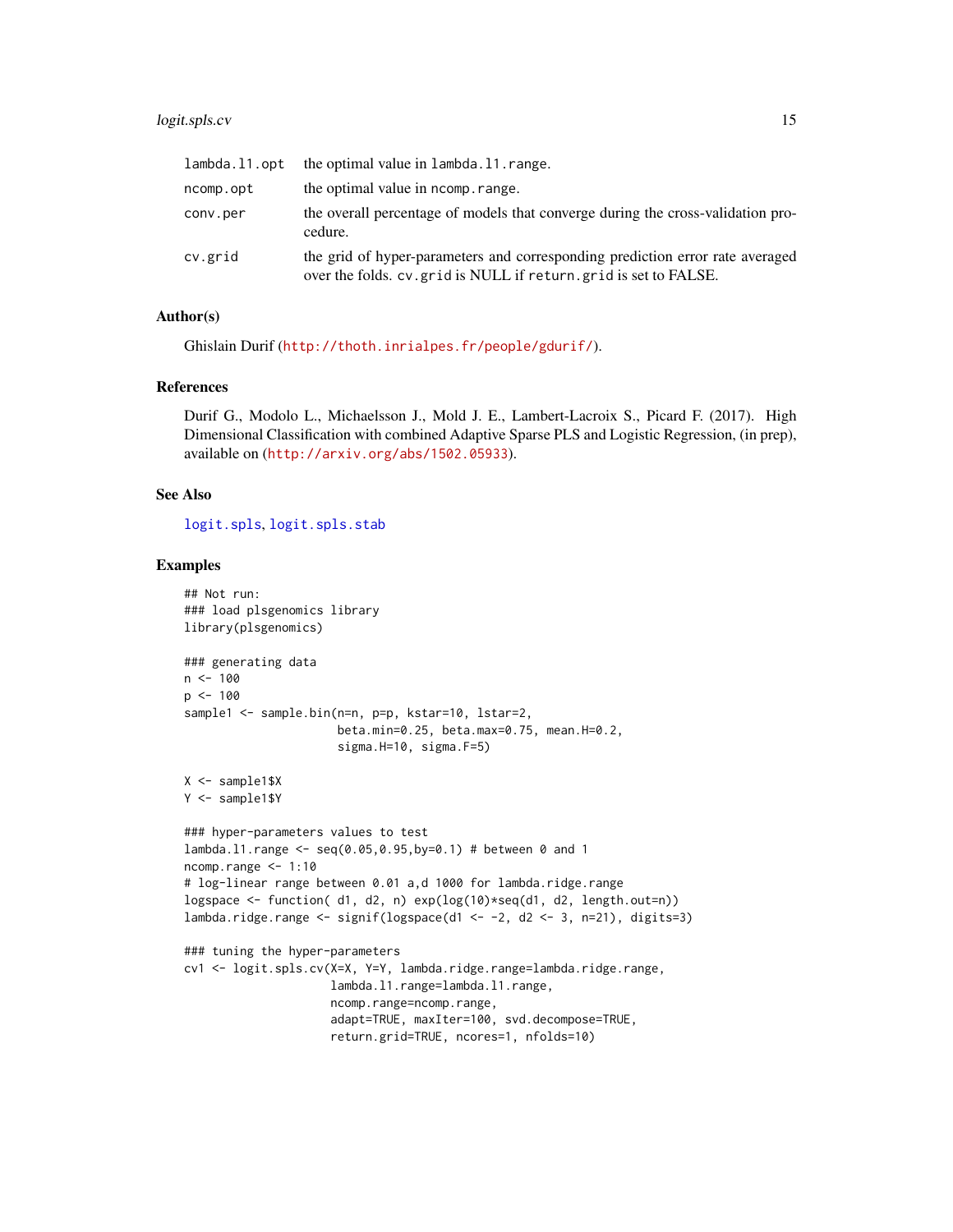# logit.spls.cv 15

| lambda.l1.opt | the optimal value in lambda. 11. range.                                                                                                            |
|---------------|----------------------------------------------------------------------------------------------------------------------------------------------------|
| ncomp.opt     | the optimal value in normp. range.                                                                                                                 |
| conv.per      | the overall percentage of models that converge during the cross-validation pro-<br>cedure.                                                         |
| cv.grid       | the grid of hyper-parameters and corresponding prediction error rate averaged<br>over the folds. cv. grid is NULL if return. grid is set to FALSE. |

# Author(s)

Ghislain Durif (<http://thoth.inrialpes.fr/people/gdurif/>).

#### References

Durif G., Modolo L., Michaelsson J., Mold J. E., Lambert-Lacroix S., Picard F. (2017). High Dimensional Classification with combined Adaptive Sparse PLS and Logistic Regression, (in prep), available on (<http://arxiv.org/abs/1502.05933>).

#### See Also

[logit.spls](#page-9-1), [logit.spls.stab](#page-15-1)

```
## Not run:
### load plsgenomics library
library(plsgenomics)
### generating data
n < -100p <- 100
sample1 <- sample.bin(n=n, p=p, kstar=10, lstar=2,
                      beta.min=0.25, beta.max=0.75, mean.H=0.2,
                      sigma.H=10, sigma.F=5)
X <- sample1$X
Y <- sample1$Y
### hyper-parameters values to test
lambda.l1.range <- seq(0.05,0.95,by=0.1) # between 0 and 1
ncomp.range <- 1:10
# log-linear range between 0.01 a,d 1000 for lambda.ridge.range
logspace <- function( d1, d2, n) exp(log(10)*seq(d1, d2, length.out=n))
lambda.ridge.range <- signif(logspace(d1 <- -2, d2 <- 3, n=21), digits=3)
### tuning the hyper-parameters
cv1 <- logit.spls.cv(X=X, Y=Y, lambda.ridge.range=lambda.ridge.range,
                     lambda.l1.range=lambda.l1.range,
                     ncomp.range=ncomp.range,
                     adapt=TRUE, maxIter=100, svd.decompose=TRUE,
                     return.grid=TRUE, ncores=1, nfolds=10)
```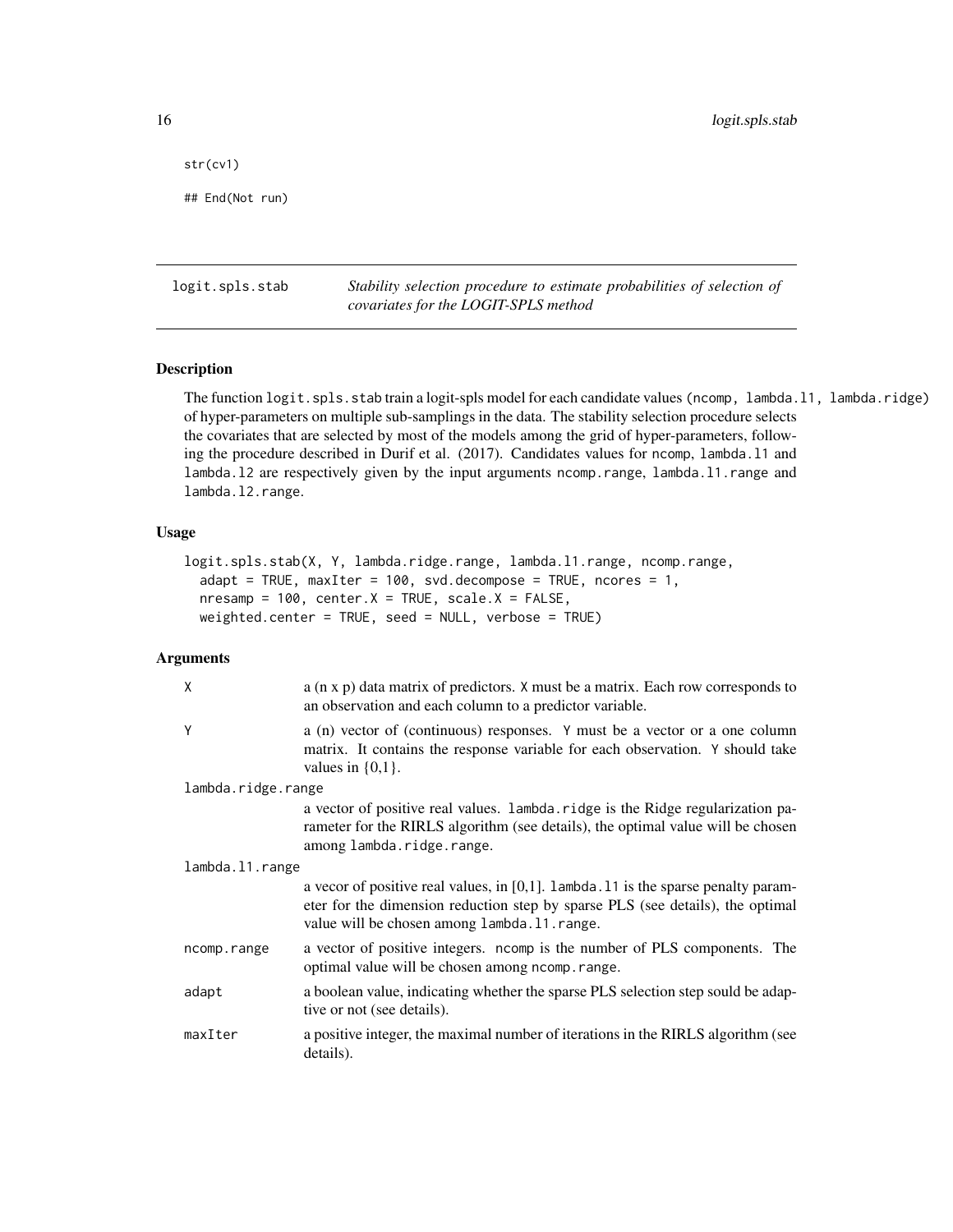<span id="page-15-0"></span>str(cv1)

## End(Not run)

<span id="page-15-1"></span>logit.spls.stab *Stability selection procedure to estimate probabilities of selection of covariates for the LOGIT-SPLS method*

# Description

The function logit.spls.stab train a logit-spls model for each candidate values (ncomp, lambda.l1, lambda.ridge) of hyper-parameters on multiple sub-samplings in the data. The stability selection procedure selects the covariates that are selected by most of the models among the grid of hyper-parameters, following the procedure described in Durif et al. (2017). Candidates values for ncomp, lambda.l1 and lambda.l2 are respectively given by the input arguments ncomp.range, lambda.l1.range and lambda.l2.range.

#### Usage

```
logit.spls.stab(X, Y, lambda.ridge.range, lambda.l1.range, ncomp.range,
  adapt = TRUE, maxIter = 100, svd.decompose = TRUE, ncores = 1,nresamp = 100, center.X = TRUE, scale.X = FALSE,
 weighted.center = TRUE, seed = NULL, verbose = TRUE)
```
# Arguments

| χ                  | $a$ (n x p) data matrix of predictors. X must be a matrix. Each row corresponds to<br>an observation and each column to a predictor variable.                                                                            |
|--------------------|--------------------------------------------------------------------------------------------------------------------------------------------------------------------------------------------------------------------------|
| Υ                  | a (n) vector of (continuous) responses. Y must be a vector or a one column<br>matrix. It contains the response variable for each observation. Y should take<br>values in $\{0,1\}$ .                                     |
| lambda.ridge.range |                                                                                                                                                                                                                          |
|                    | a vector of positive real values. lambda.ridge is the Ridge regularization pa-<br>rameter for the RIRLS algorithm (see details), the optimal value will be chosen<br>among lambda.ridge.range.                           |
| lambda.11.range    |                                                                                                                                                                                                                          |
|                    | a vecor of positive real values, in $[0,1]$ . Lambda. 11 is the sparse penalty param-<br>eter for the dimension reduction step by sparse PLS (see details), the optimal<br>value will be chosen among lambda. 11. range. |
| ncomp.range        | a vector of positive integers. ncomp is the number of PLS components. The<br>optimal value will be chosen among nomp. range.                                                                                             |
| adapt              | a boolean value, indicating whether the sparse PLS selection step sould be adap-<br>tive or not (see details).                                                                                                           |
| maxIter            | a positive integer, the maximal number of iterations in the RIRLS algorithm (see<br>details).                                                                                                                            |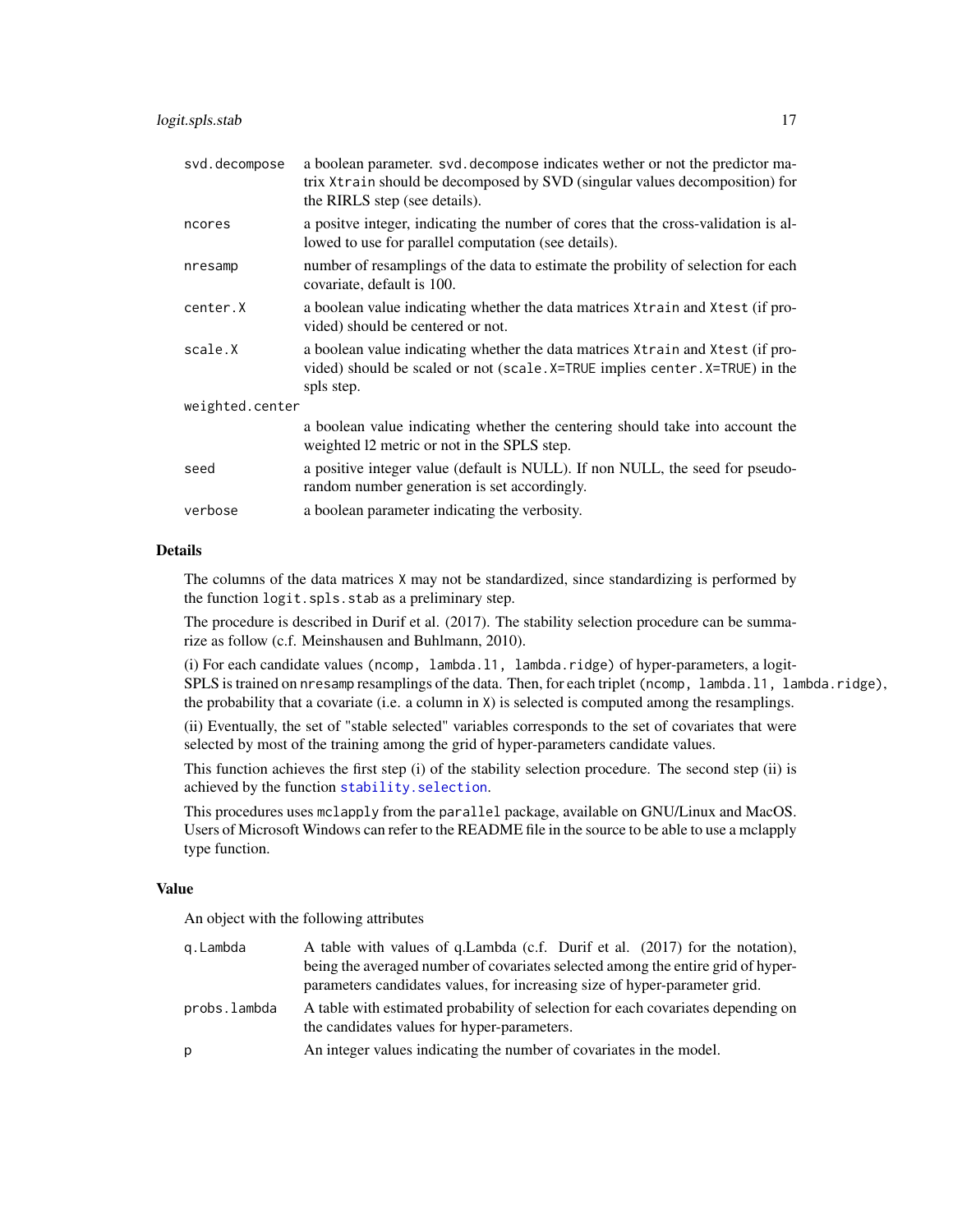| svd.decompose   | a boolean parameter, svd. decompose indicates wether or not the predictor ma-<br>trix Xtrain should be decomposed by SVD (singular values decomposition) for<br>the RIRLS step (see details). |  |
|-----------------|-----------------------------------------------------------------------------------------------------------------------------------------------------------------------------------------------|--|
| ncores          | a positive integer, indicating the number of cores that the cross-validation is al-<br>lowed to use for parallel computation (see details).                                                   |  |
| nresamp         | number of resamplings of the data to estimate the probility of selection for each<br>covariate, default is 100.                                                                               |  |
| center.X        | a boolean value indicating whether the data matrices $X$ train and $X$ test (if pro-<br>vided) should be centered or not.                                                                     |  |
| scale.X         | a boolean value indicating whether the data matrices $X$ train and $X$ test (if pro-<br>vided) should be scaled or not (scale. X=TRUE implies center. X=TRUE) in the<br>spls step.            |  |
| weighted.center |                                                                                                                                                                                               |  |
|                 | a boolean value indicating whether the centering should take into account the<br>weighted 12 metric or not in the SPLS step.                                                                  |  |
| seed            | a positive integer value (default is NULL). If non NULL, the seed for pseudo-<br>random number generation is set accordingly.                                                                 |  |
| verbose         | a boolean parameter indicating the verbosity.                                                                                                                                                 |  |
|                 |                                                                                                                                                                                               |  |

#### Details

The columns of the data matrices X may not be standardized, since standardizing is performed by the function logit.spls.stab as a preliminary step.

The procedure is described in Durif et al. (2017). The stability selection procedure can be summarize as follow (c.f. Meinshausen and Buhlmann, 2010).

(i) For each candidate values (ncomp, lambda.l1, lambda.ridge) of hyper-parameters, a logit-SPLS is trained on nresamp resamplings of the data. Then, for each triplet (ncomp, lambda.l1, lambda.ridge), the probability that a covariate (i.e. a column in X) is selected is computed among the resamplings.

(ii) Eventually, the set of "stable selected" variables corresponds to the set of covariates that were selected by most of the training among the grid of hyper-parameters candidate values.

This function achieves the first step (i) of the stability selection procedure. The second step (ii) is achieved by the function [stability.selection](#page-67-1).

This procedures uses mclapply from the parallel package, available on GNU/Linux and MacOS. Users of Microsoft Windows can refer to the README file in the source to be able to use a mclapply type function.

# Value

An object with the following attributes

| g.Lambda     | A table with values of q.Lambda (c.f. Durif et al. (2017) for the notation),                                                    |
|--------------|---------------------------------------------------------------------------------------------------------------------------------|
|              | being the averaged number of covariates selected among the entire grid of hyper-                                                |
|              | parameters candidates values, for increasing size of hyper-parameter grid.                                                      |
| probs.lambda | A table with estimated probability of selection for each covariates depending on<br>the candidates values for hyper-parameters. |
| p            | An integer values indicating the number of covariates in the model.                                                             |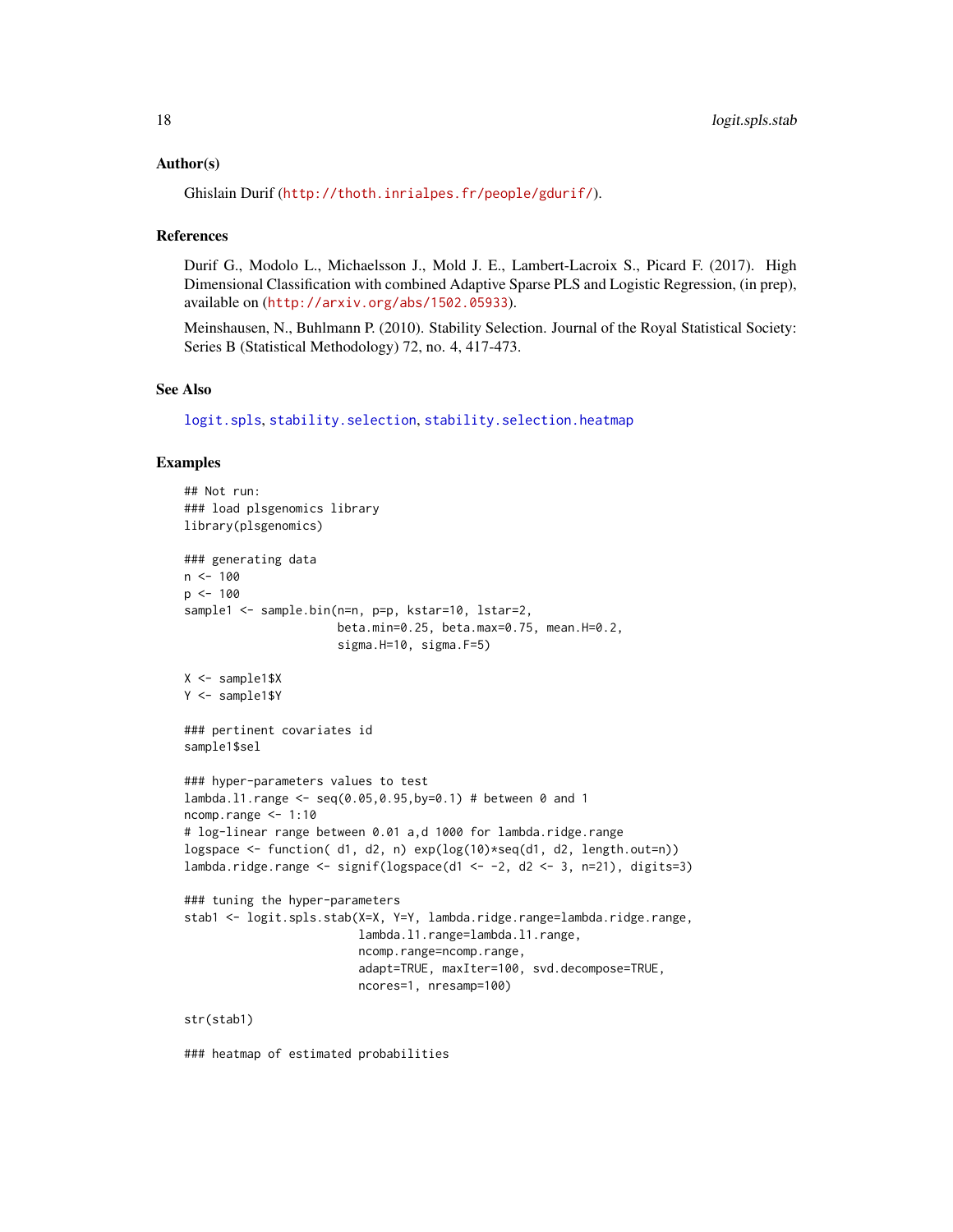#### Author(s)

```
Ghislain Durif (http://thoth.inrialpes.fr/people/gdurif/).
```
#### References

Durif G., Modolo L., Michaelsson J., Mold J. E., Lambert-Lacroix S., Picard F. (2017). High Dimensional Classification with combined Adaptive Sparse PLS and Logistic Regression, (in prep), available on (<http://arxiv.org/abs/1502.05933>).

Meinshausen, N., Buhlmann P. (2010). Stability Selection. Journal of the Royal Statistical Society: Series B (Statistical Methodology) 72, no. 4, 417-473.

#### See Also

[logit.spls](#page-9-1), [stability.selection](#page-67-1), [stability.selection.heatmap](#page-68-1)

#### Examples

```
## Not run:
### load plsgenomics library
library(plsgenomics)
### generating data
n < - 100p \le -100sample1 <- sample.bin(n=n, p=p, kstar=10, lstar=2,
                      beta.min=0.25, beta.max=0.75, mean.H=0.2,
                      sigma.H=10, sigma.F=5)
X <- sample1$X
Y <- sample1$Y
### pertinent covariates id
sample1$sel
### hyper-parameters values to test
lambda.l1.range <- seq(0.05,0.95,by=0.1) # between 0 and 1
ncomp.range <- 1:10
# log-linear range between 0.01 a,d 1000 for lambda.ridge.range
logspace \le function( d1, d2, n) exp(log(10)*seq(d1, d2, length.out=n))lambda.ridge.range <- signif(logspace(d1 <- -2, d2 <- 3, n=21), digits=3)
### tuning the hyper-parameters
stab1 <- logit.spls.stab(X=X, Y=Y, lambda.ridge.range=lambda.ridge.range,
                         lambda.l1.range=lambda.l1.range,
                         ncomp.range=ncomp.range,
                         adapt=TRUE, maxIter=100, svd.decompose=TRUE,
                         ncores=1, nresamp=100)
str(stab1)
```
### heatmap of estimated probabilities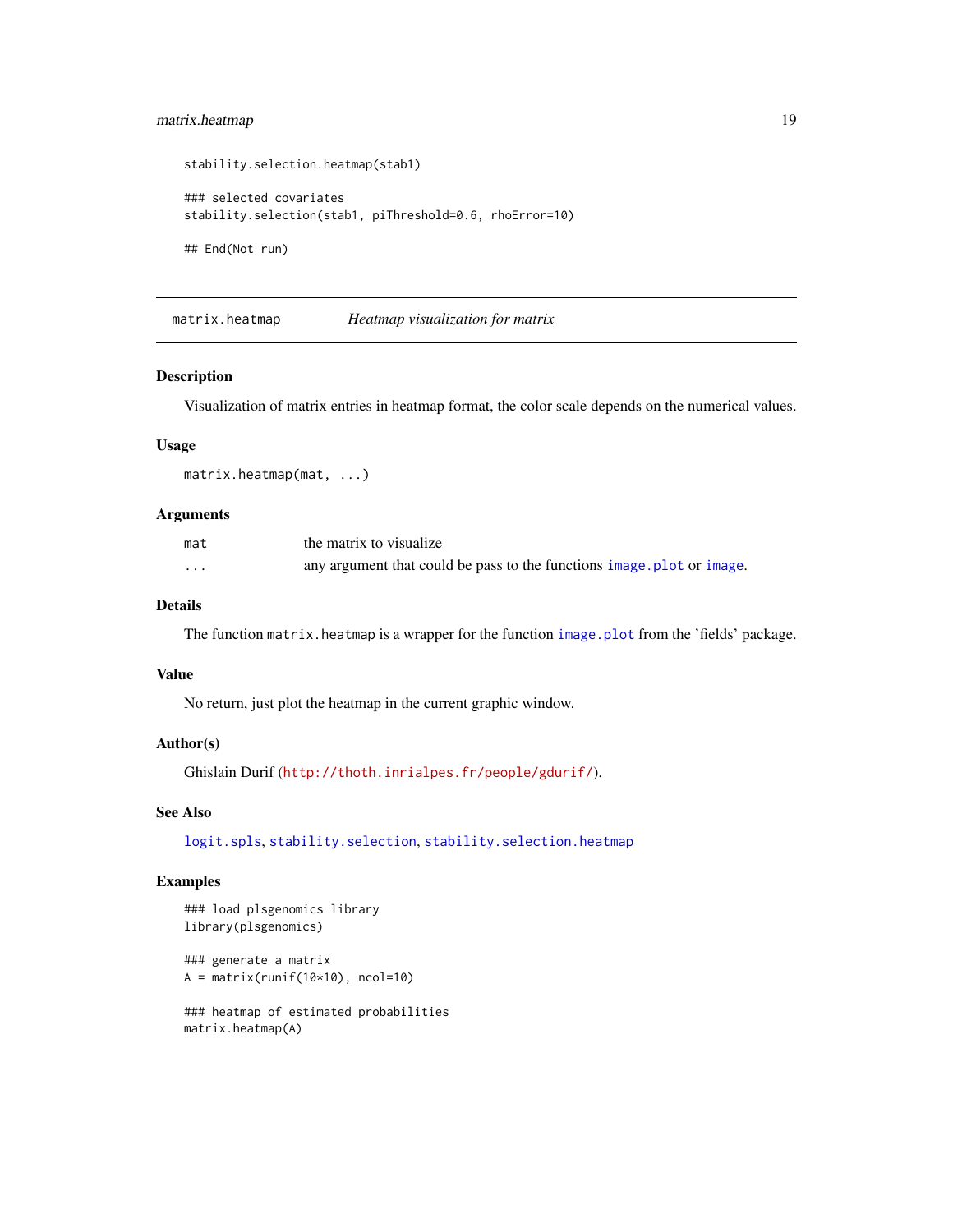# <span id="page-18-0"></span>matrix.heatmap 19

```
stability.selection.heatmap(stab1)
### selected covariates
stability.selection(stab1, piThreshold=0.6, rhoError=10)
## End(Not run)
```
matrix.heatmap *Heatmap visualization for matrix*

# Description

Visualization of matrix entries in heatmap format, the color scale depends on the numerical values.

# Usage

matrix.heatmap(mat, ...)

# Arguments

| mat     | the matrix to visualize                                                |
|---------|------------------------------------------------------------------------|
| $\cdot$ | any argument that could be pass to the functions image, plot or image. |

# Details

The function matrix.heatmap is a wrapper for the function [image.plot](#page-0-0) from the 'fields' package.

#### Value

No return, just plot the heatmap in the current graphic window.

#### Author(s)

Ghislain Durif (<http://thoth.inrialpes.fr/people/gdurif/>).

#### See Also

[logit.spls](#page-9-1), [stability.selection](#page-67-1), [stability.selection.heatmap](#page-68-1)

```
### load plsgenomics library
library(plsgenomics)
```

```
### generate a matrix
A = matrix(runif(10*10), ncol=10)
```

```
### heatmap of estimated probabilities
matrix.heatmap(A)
```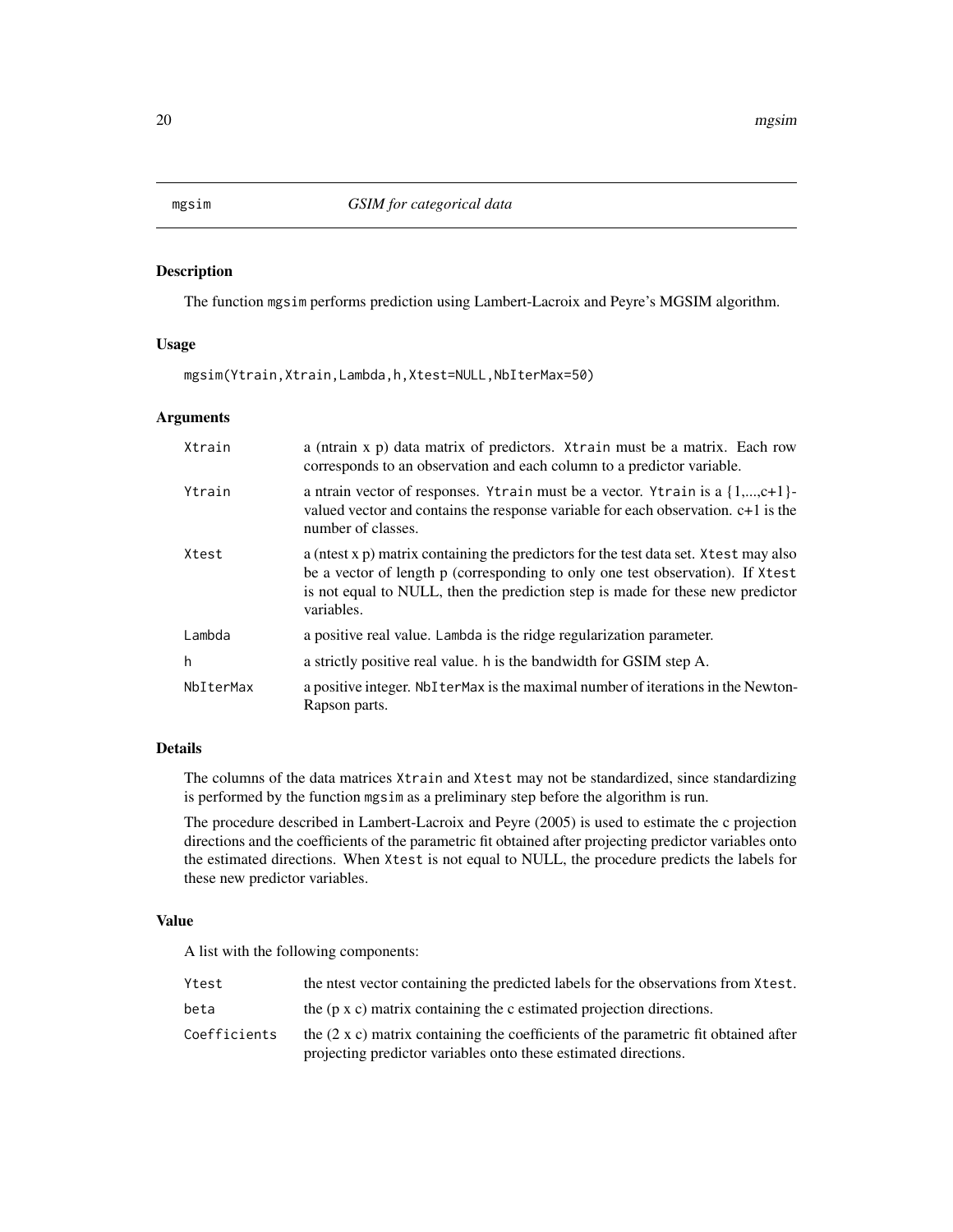#### <span id="page-19-1"></span><span id="page-19-0"></span>Description

The function mgsim performs prediction using Lambert-Lacroix and Peyre's MGSIM algorithm.

# Usage

mgsim(Ytrain,Xtrain,Lambda,h,Xtest=NULL,NbIterMax=50)

#### **Arguments**

| Xtrain    | a (ntrain x p) data matrix of predictors. Xtrain must be a matrix. Each row<br>corresponds to an observation and each column to a predictor variable.                                                                                                                  |
|-----------|------------------------------------------------------------------------------------------------------------------------------------------------------------------------------------------------------------------------------------------------------------------------|
| Ytrain    | a ntrain vector of responses. Ytrain must be a vector. Ytrain is a $\{1,,c+1\}$ -<br>valued vector and contains the response variable for each observation. $c+1$ is the<br>number of classes.                                                                         |
| Xtest     | a (nest x p) matrix containing the predictors for the test data set. X test may also<br>be a vector of length p (corresponding to only one test observation). If Xtest<br>is not equal to NULL, then the prediction step is made for these new predictor<br>variables. |
| Lambda    | a positive real value. Lambda is the ridge regularization parameter.                                                                                                                                                                                                   |
| h         | a strictly positive real value. h is the bandwidth for GSIM step A.                                                                                                                                                                                                    |
| NbIterMax | a positive integer. NbIterMax is the maximal number of iterations in the Newton-<br>Rapson parts.                                                                                                                                                                      |

# Details

The columns of the data matrices Xtrain and Xtest may not be standardized, since standardizing is performed by the function mgsim as a preliminary step before the algorithm is run.

The procedure described in Lambert-Lacroix and Peyre (2005) is used to estimate the c projection directions and the coefficients of the parametric fit obtained after projecting predictor variables onto the estimated directions. When Xtest is not equal to NULL, the procedure predicts the labels for these new predictor variables.

# Value

A list with the following components:

| Ytest        | the nest vector containing the predicted labels for the observations from Xtest.           |  |
|--------------|--------------------------------------------------------------------------------------------|--|
| beta         | the (p x c) matrix containing the c estimated projection directions.                       |  |
| Coefficients | the $(2 \times c)$ matrix containing the coefficients of the parametric fit obtained after |  |
|              | projecting predictor variables onto these estimated directions.                            |  |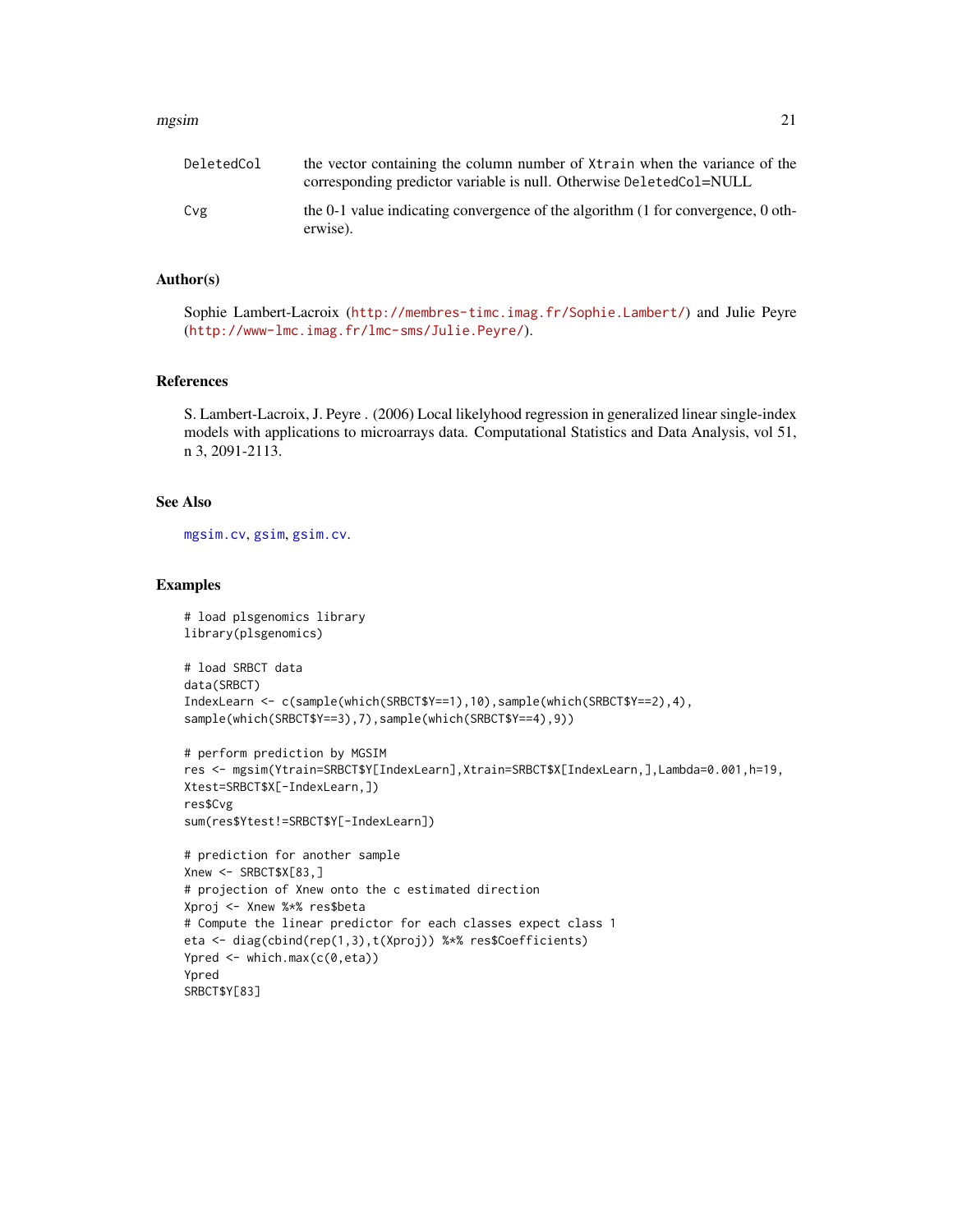#### mgsim 21

| DeletedCol | the vector containing the column number of Xtrain when the variance of the<br>corresponding predictor variable is null. Otherwise DeletedCol=NULL |
|------------|---------------------------------------------------------------------------------------------------------------------------------------------------|
| Cvg        | the 0-1 value indicating convergence of the algorithm (1 for convergence, 0 oth-<br>erwise).                                                      |

#### Author(s)

Sophie Lambert-Lacroix (<http://membres-timc.imag.fr/Sophie.Lambert/>) and Julie Peyre (<http://www-lmc.imag.fr/lmc-sms/Julie.Peyre/>).

#### References

S. Lambert-Lacroix, J. Peyre . (2006) Local likelyhood regression in generalized linear single-index models with applications to microarrays data. Computational Statistics and Data Analysis, vol 51, n 3, 2091-2113.

# See Also

[mgsim.cv](#page-21-1), [gsim](#page-4-1), [gsim.cv](#page-6-1).

```
# load plsgenomics library
library(plsgenomics)
# load SRBCT data
data(SRBCT)
IndexLearn <- c(sample(which(SRBCT$Y==1),10),sample(which(SRBCT$Y==2),4),
sample(which(SRBCT$Y==3),7),sample(which(SRBCT$Y==4),9))
# perform prediction by MGSIM
res <- mgsim(Ytrain=SRBCT$Y[IndexLearn],Xtrain=SRBCT$X[IndexLearn,],Lambda=0.001,h=19,
Xtest=SRBCT$X[-IndexLearn,])
res$Cvg
sum(res$Ytest!=SRBCT$Y[-IndexLearn])
# prediction for another sample
Xnew <- SRBCT$X[83,]
# projection of Xnew onto the c estimated direction
Xproj <- Xnew %*% res$beta
# Compute the linear predictor for each classes expect class 1
eta <- diag(cbind(rep(1,3),t(Xproj)) %*% res$Coefficients)
Ypred <- which.max(c(0,eta))
Ypred
SRBCT$Y[83]
```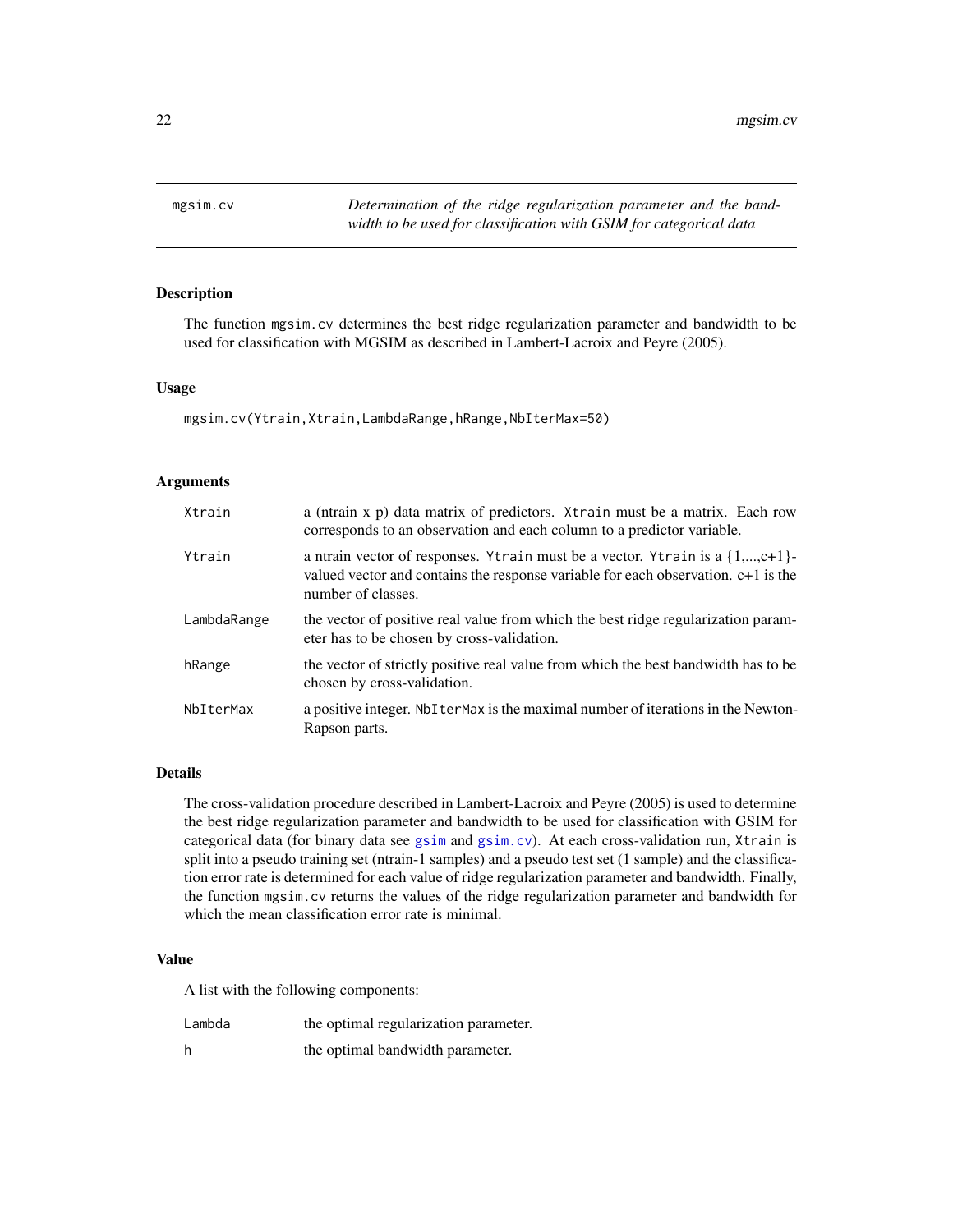<span id="page-21-1"></span><span id="page-21-0"></span>

#### Description

The function mgsim.cv determines the best ridge regularization parameter and bandwidth to be used for classification with MGSIM as described in Lambert-Lacroix and Peyre (2005).

#### Usage

mgsim.cv(Ytrain,Xtrain,LambdaRange,hRange,NbIterMax=50)

# Arguments

| Xtrain      | a (ntrain x p) data matrix of predictors. Xtrain must be a matrix. Each row<br>corresponds to an observation and each column to a predictor variable.                                        |
|-------------|----------------------------------------------------------------------------------------------------------------------------------------------------------------------------------------------|
| Ytrain      | a ntrain vector of responses. Ytrain must be a vector. Ytrain is a $\{1,,c+1\}$ -<br>valued vector and contains the response variable for each observation. c+1 is the<br>number of classes. |
| LambdaRange | the vector of positive real value from which the best ridge regularization param-<br>eter has to be chosen by cross-validation.                                                              |
| hRange      | the vector of strictly positive real value from which the best bandwidth has to be<br>chosen by cross-validation.                                                                            |
| NbIterMax   | a positive integer. Not term axis the maximal number of iterations in the Newton-<br>Rapson parts.                                                                                           |

# Details

The cross-validation procedure described in Lambert-Lacroix and Peyre (2005) is used to determine the best ridge regularization parameter and bandwidth to be used for classification with GSIM for categorical data (for binary data see [gsim](#page-4-1) and [gsim.cv](#page-6-1)). At each cross-validation run, Xtrain is split into a pseudo training set (ntrain-1 samples) and a pseudo test set (1 sample) and the classification error rate is determined for each value of ridge regularization parameter and bandwidth. Finally, the function mgsim.cv returns the values of the ridge regularization parameter and bandwidth for which the mean classification error rate is minimal.

### Value

A list with the following components:

| Lambda | the optimal regularization parameter. |
|--------|---------------------------------------|
| h      | the optimal bandwidth parameter.      |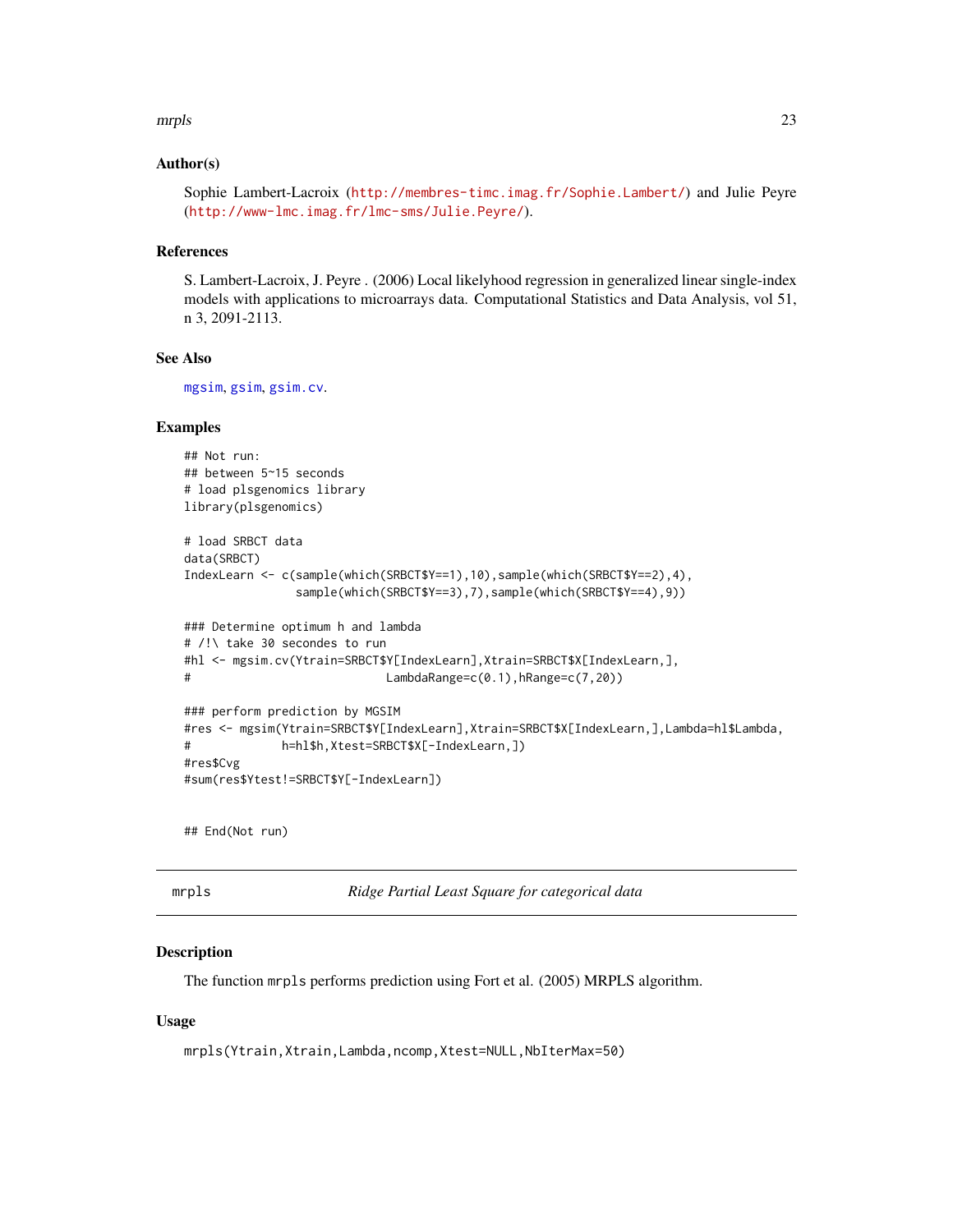#### <span id="page-22-0"></span>mrpls 23

# Author(s)

Sophie Lambert-Lacroix (<http://membres-timc.imag.fr/Sophie.Lambert/>) and Julie Peyre (<http://www-lmc.imag.fr/lmc-sms/Julie.Peyre/>).

#### References

S. Lambert-Lacroix, J. Peyre . (2006) Local likelyhood regression in generalized linear single-index models with applications to microarrays data. Computational Statistics and Data Analysis, vol 51, n 3, 2091-2113.

# See Also

[mgsim](#page-19-1), [gsim](#page-4-1), [gsim.cv](#page-6-1).

# Examples

```
## Not run:
## between 5~15 seconds
# load plsgenomics library
library(plsgenomics)
# load SRBCT data
data(SRBCT)
IndexLearn <- c(sample(which(SRBCT$Y==1),10),sample(which(SRBCT$Y==2),4),
               sample(which(SRBCT$Y==3),7),sample(which(SRBCT$Y==4),9))
### Determine optimum h and lambda
# /!\ take 30 secondes to run
#hl <- mgsim.cv(Ytrain=SRBCT$Y[IndexLearn],Xtrain=SRBCT$X[IndexLearn,],
# LambdaRange=c(0.1),hRange=c(7,20))
### perform prediction by MGSIM
#res <- mgsim(Ytrain=SRBCT$Y[IndexLearn],Xtrain=SRBCT$X[IndexLearn,],Lambda=hl$Lambda,
# h=hl$h,Xtest=SRBCT$X[-IndexLearn,])
#res$Cvg
#sum(res$Ytest!=SRBCT$Y[-IndexLearn])
```
## End(Not run)

<span id="page-22-1"></span>

| ٠ |  |
|---|--|

 $Ridge$  Partial Least Square for categorical data

#### Description

The function mrpls performs prediction using Fort et al. (2005) MRPLS algorithm.

#### Usage

mrpls(Ytrain,Xtrain,Lambda,ncomp,Xtest=NULL,NbIterMax=50)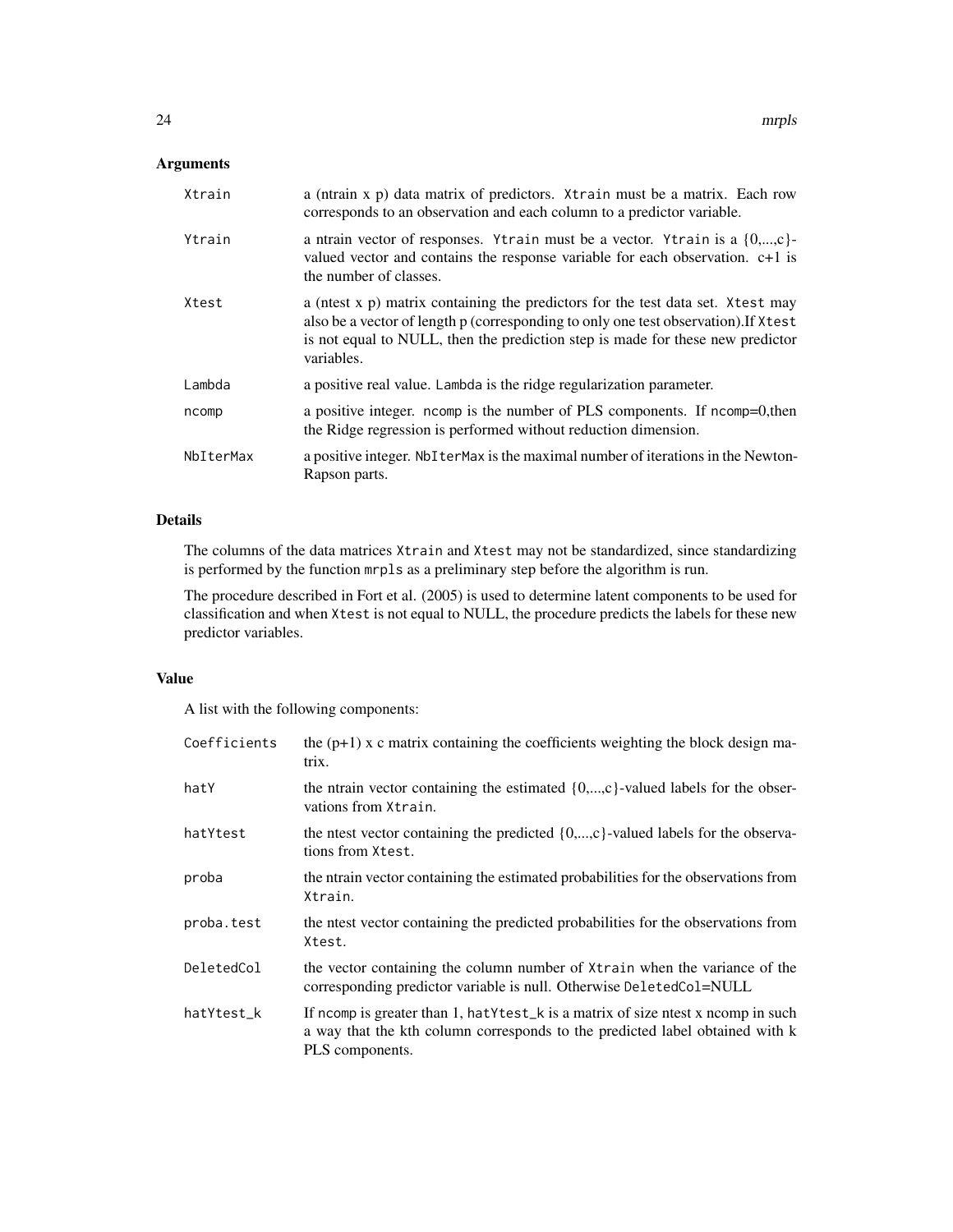# Arguments

| Xtrain    | a (ntrain x p) data matrix of predictors. Xtrain must be a matrix. Each row<br>corresponds to an observation and each column to a predictor variable.                                                                                                                 |
|-----------|-----------------------------------------------------------------------------------------------------------------------------------------------------------------------------------------------------------------------------------------------------------------------|
| Ytrain    | a ntrain vector of responses. Ytrain must be a vector. Ytrain is a $\{0,,c\}$ -<br>valued vector and contains the response variable for each observation. $c+1$ is<br>the number of classes.                                                                          |
| Xtest     | a (nest x p) matrix containing the predictors for the test data set. Xtest may<br>also be a vector of length p (corresponding to only one test observation). If Xtest<br>is not equal to NULL, then the prediction step is made for these new predictor<br>variables. |
| Lambda    | a positive real value. Lambda is the ridge regularization parameter.                                                                                                                                                                                                  |
| ncomp     | a positive integer. ncomp is the number of PLS components. If ncomp=0, then<br>the Ridge regression is performed without reduction dimension.                                                                                                                         |
| NbIterMax | a positive integer. NbIterMax is the maximal number of iterations in the Newton-<br>Rapson parts.                                                                                                                                                                     |

# Details

The columns of the data matrices Xtrain and Xtest may not be standardized, since standardizing is performed by the function mrpls as a preliminary step before the algorithm is run.

The procedure described in Fort et al. (2005) is used to determine latent components to be used for classification and when Xtest is not equal to NULL, the procedure predicts the labels for these new predictor variables.

# Value

A list with the following components:

| Coefficients | the $(p+1)$ x c matrix containing the coefficients weighting the block design ma-<br>trix.                                                                                                 |
|--------------|--------------------------------------------------------------------------------------------------------------------------------------------------------------------------------------------|
| hatY         | the ntrain vector containing the estimated $\{0,\ldots,c\}$ -valued labels for the obser-<br>vations from Xtrain.                                                                          |
| hatYtest     | the ntest vector containing the predicted $\{0,\ldots,c\}$ -valued labels for the observa-<br>tions from Xtest.                                                                            |
| proba        | the ntrain vector containing the estimated probabilities for the observations from<br>Xtrain.                                                                                              |
| proba.test   | the ntest vector containing the predicted probabilities for the observations from<br>Xtest.                                                                                                |
| DeletedCol   | the vector containing the column number of Xtrain when the variance of the<br>corresponding predictor variable is null. Otherwise DeletedCol=NULL                                          |
| hatYtest_k   | If normally is greater than 1, hat Y test_k is a matrix of size nest x normally in such<br>a way that the kth column corresponds to the predicted label obtained with k<br>PLS components. |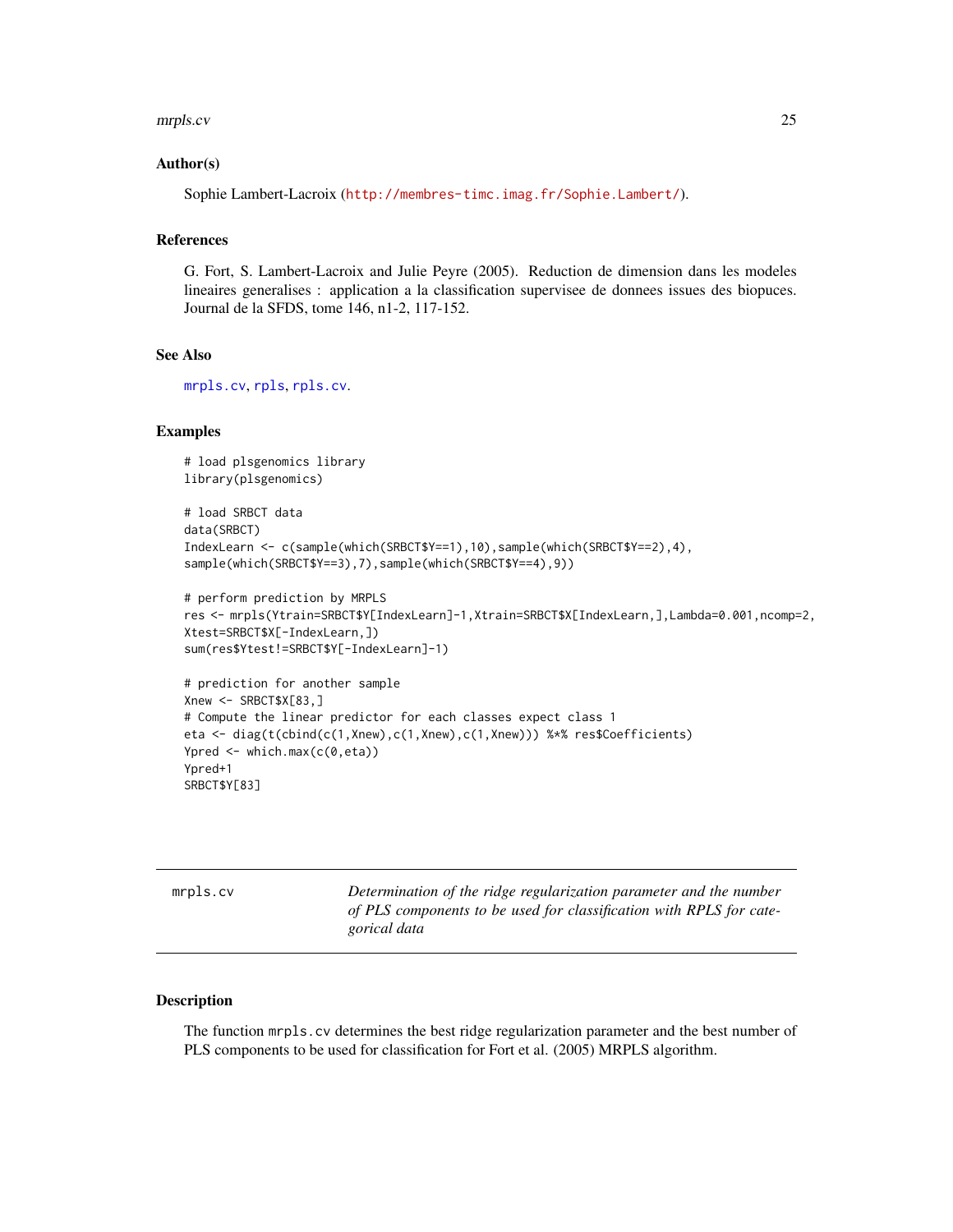#### <span id="page-24-0"></span>mrpls.cv 25

#### Author(s)

Sophie Lambert-Lacroix (<http://membres-timc.imag.fr/Sophie.Lambert/>).

# References

G. Fort, S. Lambert-Lacroix and Julie Peyre (2005). Reduction de dimension dans les modeles lineaires generalises : application a la classification supervisee de donnees issues des biopuces. Journal de la SFDS, tome 146, n1-2, 117-152.

# See Also

[mrpls.cv](#page-24-1), [rpls](#page-45-1), [rpls.cv](#page-47-1).

#### Examples

```
# load plsgenomics library
library(plsgenomics)
# load SRBCT data
data(SRBCT)
IndexLearn <- c(sample(which(SRBCT$Y==1),10),sample(which(SRBCT$Y==2),4),
sample(which(SRBCT$Y==3),7),sample(which(SRBCT$Y==4),9))
# perform prediction by MRPLS
res <- mrpls(Ytrain=SRBCT$Y[IndexLearn]-1,Xtrain=SRBCT$X[IndexLearn,],Lambda=0.001,ncomp=2,
Xtest=SRBCT$X[-IndexLearn,])
sum(res$Ytest!=SRBCT$Y[-IndexLearn]-1)
# prediction for another sample
Xnew <- SRBCT$X[83,]
# Compute the linear predictor for each classes expect class 1
eta <- diag(t(cbind(c(1,Xnew),c(1,Xnew),c(1,Xnew))) %*% res$Coefficients)
```
Ypred  $\leq$  which.max( $c(0,eta)$ ) Ypred+1 SRBCT\$Y[83]

<span id="page-24-1"></span>

mrpls.cv *Determination of the ridge regularization parameter and the number of PLS components to be used for classification with RPLS for categorical data*

#### Description

The function mrpls.cv determines the best ridge regularization parameter and the best number of PLS components to be used for classification for Fort et al. (2005) MRPLS algorithm.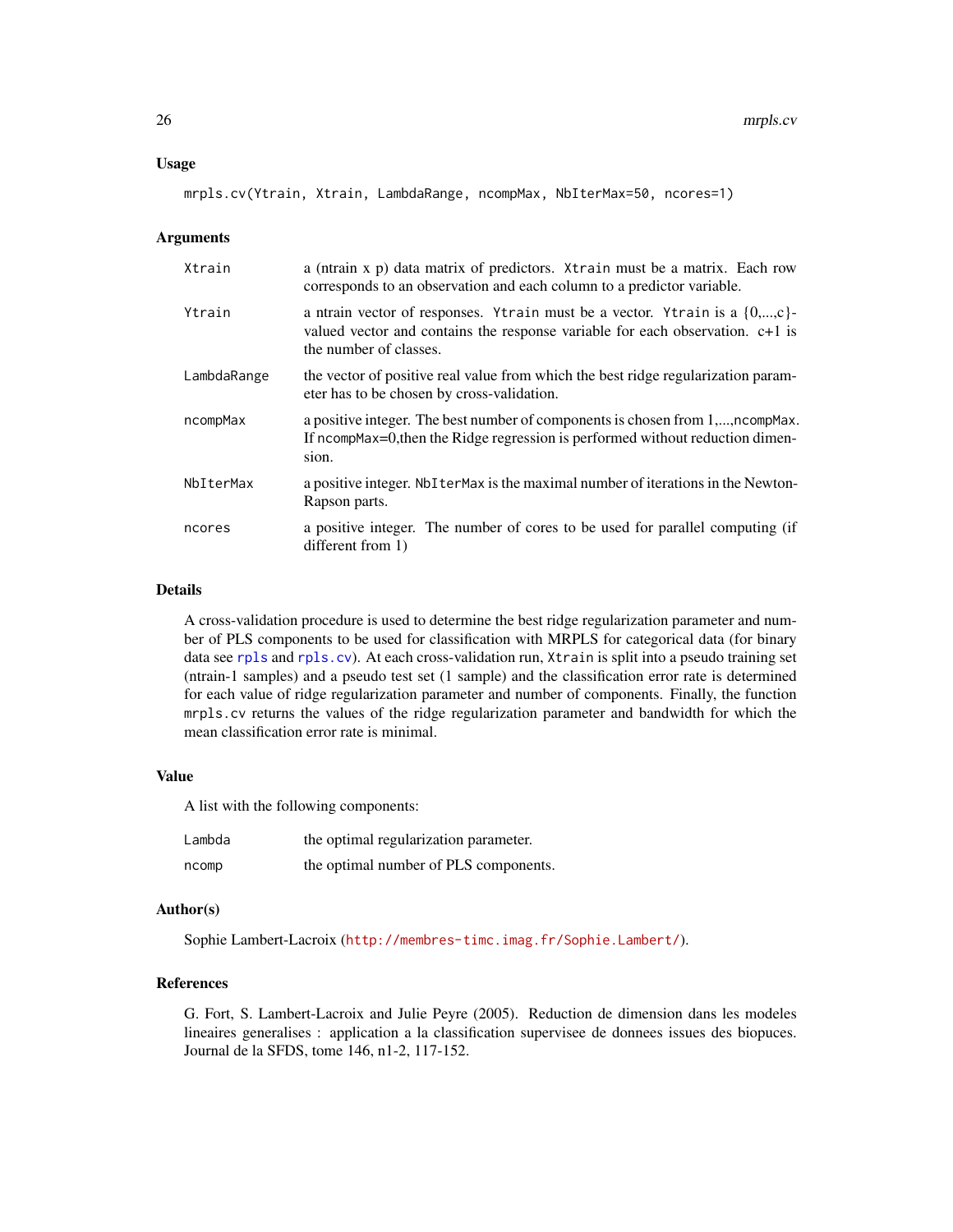#### Usage

```
mrpls.cv(Ytrain, Xtrain, LambdaRange, ncompMax, NbIterMax=50, ncores=1)
```
#### Arguments

| Xtrain      | a (ntrain x p) data matrix of predictors. Xtrain must be a matrix. Each row<br>corresponds to an observation and each column to a predictor variable.                                        |
|-------------|----------------------------------------------------------------------------------------------------------------------------------------------------------------------------------------------|
| Ytrain      | a ntrain vector of responses. Ytrain must be a vector. Ytrain is a $\{0,,c\}$ -<br>valued vector and contains the response variable for each observation. $c+1$ is<br>the number of classes. |
| LambdaRange | the vector of positive real value from which the best ridge regularization param-<br>eter has to be chosen by cross-validation.                                                              |
| ncompMax    | a positive integer. The best number of components is chosen from 1,, ncomp Max.<br>If ncompMax=0, then the Ridge regression is performed without reduction dimen-<br>sion.                   |
| NbIterMax   | a positive integer. NbIterMax is the maximal number of iterations in the Newton-<br>Rapson parts.                                                                                            |
| ncores      | a positive integer. The number of cores to be used for parallel computing (if<br>different from 1)                                                                                           |

# Details

A cross-validation procedure is used to determine the best ridge regularization parameter and number of PLS components to be used for classification with MRPLS for categorical data (for binary data see [rpls](#page-45-1) and [rpls.cv](#page-47-1)). At each cross-validation run, Xtrain is split into a pseudo training set (ntrain-1 samples) and a pseudo test set (1 sample) and the classification error rate is determined for each value of ridge regularization parameter and number of components. Finally, the function mrpls.cv returns the values of the ridge regularization parameter and bandwidth for which the mean classification error rate is minimal.

#### Value

A list with the following components:

| Lambda | the optimal regularization parameter. |
|--------|---------------------------------------|
| ncomp  | the optimal number of PLS components. |

# Author(s)

Sophie Lambert-Lacroix (<http://membres-timc.imag.fr/Sophie.Lambert/>).

# References

G. Fort, S. Lambert-Lacroix and Julie Peyre (2005). Reduction de dimension dans les modeles lineaires generalises : application a la classification supervisee de donnees issues des biopuces. Journal de la SFDS, tome 146, n1-2, 117-152.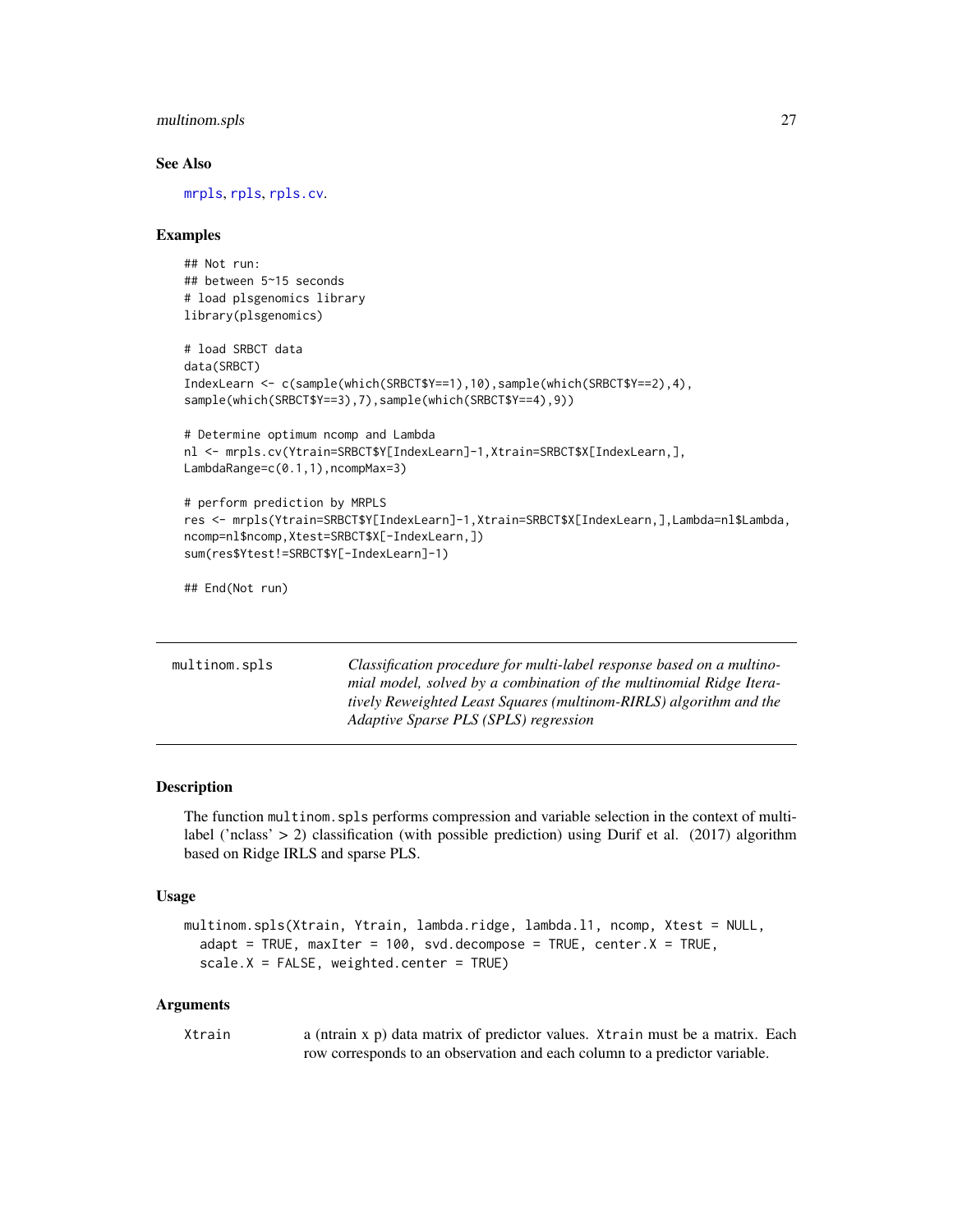# <span id="page-26-0"></span>multinom.spls 27

#### See Also

[mrpls](#page-22-1), [rpls](#page-45-1), [rpls.cv](#page-47-1).

#### Examples

```
## Not run:
## between 5~15 seconds
# load plsgenomics library
library(plsgenomics)
# load SRBCT data
data(SRBCT)
IndexLearn <- c(sample(which(SRBCT$Y==1),10),sample(which(SRBCT$Y==2),4),
sample(which(SRBCT$Y==3),7),sample(which(SRBCT$Y==4),9))
# Determine optimum ncomp and Lambda
nl <- mrpls.cv(Ytrain=SRBCT$Y[IndexLearn]-1,Xtrain=SRBCT$X[IndexLearn,],
LambdaRange=c(0.1,1),ncompMax=3)
# perform prediction by MRPLS
res <- mrpls(Ytrain=SRBCT$Y[IndexLearn]-1,Xtrain=SRBCT$X[IndexLearn,],Lambda=nl$Lambda,
ncomp=nl$ncomp,Xtest=SRBCT$X[-IndexLearn,])
sum(res$Ytest!=SRBCT$Y[-IndexLearn]-1)
## End(Not run)
```
<span id="page-26-1"></span>

| multinom.spls | Classification procedure for multi-label response based on a multino- |
|---------------|-----------------------------------------------------------------------|
|               | mial model, solved by a combination of the multinomial Ridge Itera-   |
|               | tively Reweighted Least Squares (multinom-RIRLS) algorithm and the    |
|               | Adaptive Sparse PLS (SPLS) regression                                 |
|               |                                                                       |

#### Description

The function multinom.spls performs compression and variable selection in the context of multilabel ('nclass'  $> 2$ ) classification (with possible prediction) using Durif et al. (2017) algorithm based on Ridge IRLS and sparse PLS.

#### Usage

```
multinom.spls(Xtrain, Ytrain, lambda.ridge, lambda.l1, ncomp, Xtest = NULL,
  adapt = TRUE, maxIter = 100, svd.decompose = TRUE, center.X = TRUE,
  scale.X = FALSE, weighted.center = TRUE)
```
#### Arguments

| Xtrain | a (ntrain x p) data matrix of predictor values. Xtrain must be a matrix. Each |
|--------|-------------------------------------------------------------------------------|
|        | row corresponds to an observation and each column to a predictor variable.    |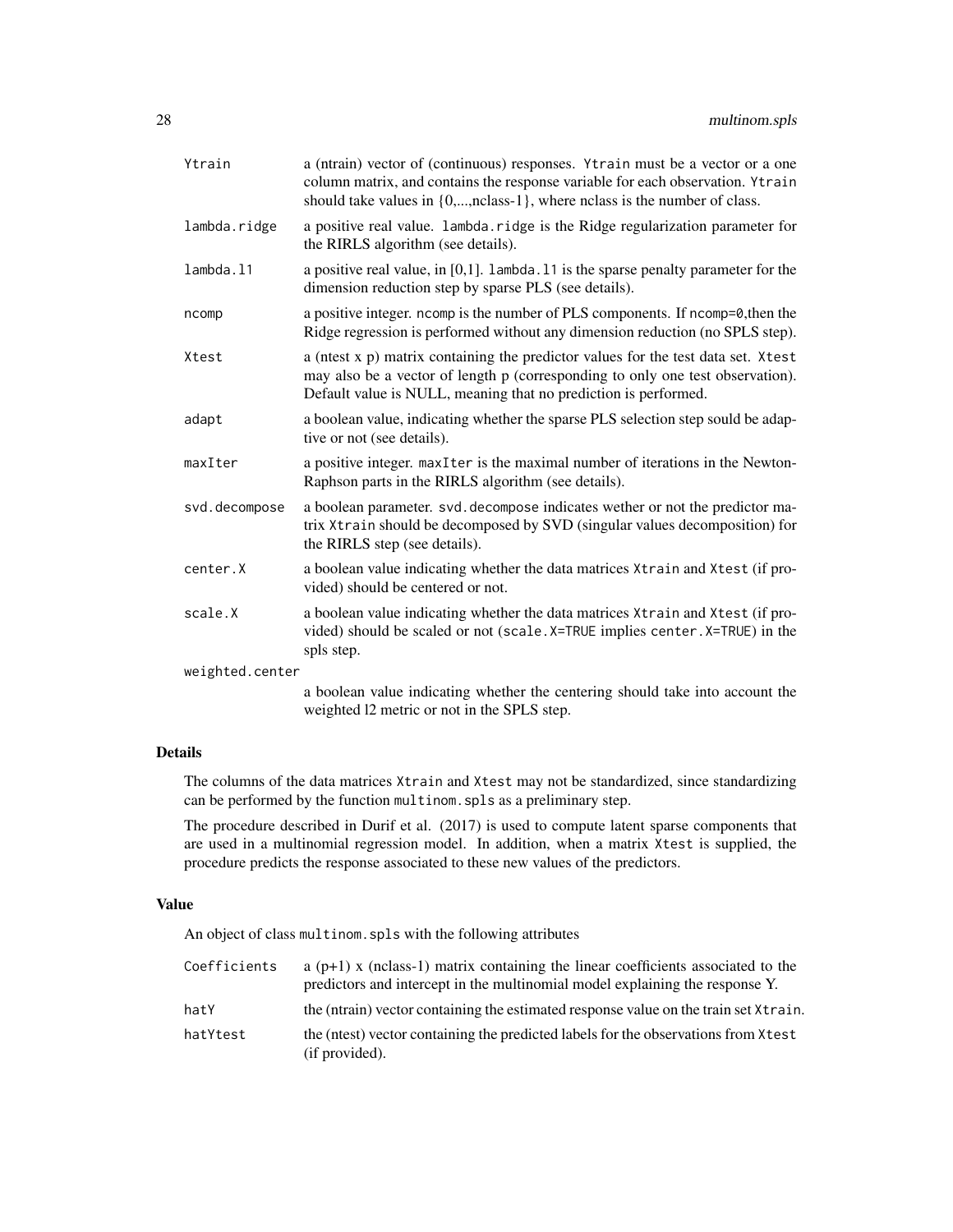| Ytrain          | a (ntrain) vector of (continuous) responses. Ytrain must be a vector or a one<br>column matrix, and contains the response variable for each observation. Ytrain<br>should take values in $\{0, \ldots, \text{nclass-1}\}$ , where nclass is the number of class. |
|-----------------|------------------------------------------------------------------------------------------------------------------------------------------------------------------------------------------------------------------------------------------------------------------|
| lambda.ridge    | a positive real value. lambda.ridge is the Ridge regularization parameter for<br>the RIRLS algorithm (see details).                                                                                                                                              |
| lambda.11       | a positive real value, in $[0,1]$ . Lambda. 11 is the sparse penalty parameter for the<br>dimension reduction step by sparse PLS (see details).                                                                                                                  |
| ncomp           | a positive integer. ncomp is the number of PLS components. If ncomp=0, then the<br>Ridge regression is performed without any dimension reduction (no SPLS step).                                                                                                 |
| Xtest           | a (ntest x p) matrix containing the predictor values for the test data set. Xtest<br>may also be a vector of length p (corresponding to only one test observation).<br>Default value is NULL, meaning that no prediction is performed.                           |
| adapt           | a boolean value, indicating whether the sparse PLS selection step sould be adap-<br>tive or not (see details).                                                                                                                                                   |
| maxIter         | a positive integer. maxIter is the maximal number of iterations in the Newton-<br>Raphson parts in the RIRLS algorithm (see details).                                                                                                                            |
| svd.decompose   | a boolean parameter. svd. decompose indicates wether or not the predictor ma-<br>trix Xtrain should be decomposed by SVD (singular values decomposition) for<br>the RIRLS step (see details).                                                                    |
| center.X        | a boolean value indicating whether the data matrices $X$ train and Xtest (if pro-<br>vided) should be centered or not.                                                                                                                                           |
| scale.X         | a boolean value indicating whether the data matrices Xtrain and Xtest (if pro-<br>vided) should be scaled or not (scale. X=TRUE implies center. X=TRUE) in the<br>spls step.                                                                                     |
| weighted.center |                                                                                                                                                                                                                                                                  |
|                 | a boolean value indicating whether the centering should take into account the<br>weighted 12 metric or not in the SPLS step.                                                                                                                                     |

# Details

The columns of the data matrices Xtrain and Xtest may not be standardized, since standardizing can be performed by the function multinom.spls as a preliminary step.

The procedure described in Durif et al. (2017) is used to compute latent sparse components that are used in a multinomial regression model. In addition, when a matrix Xtest is supplied, the procedure predicts the response associated to these new values of the predictors.

# Value

An object of class multinom.spls with the following attributes

| Coefficients | a $(p+1)$ x (nclass-1) matrix containing the linear coefficients associated to the<br>predictors and intercept in the multinomial model explaining the response Y. |
|--------------|--------------------------------------------------------------------------------------------------------------------------------------------------------------------|
| hatY         | the (ntrain) vector containing the estimated response value on the train set Xtrain.                                                                               |
| hatYtest     | the (ntest) vector containing the predicted labels for the observations from Xtest<br>(if provided).                                                               |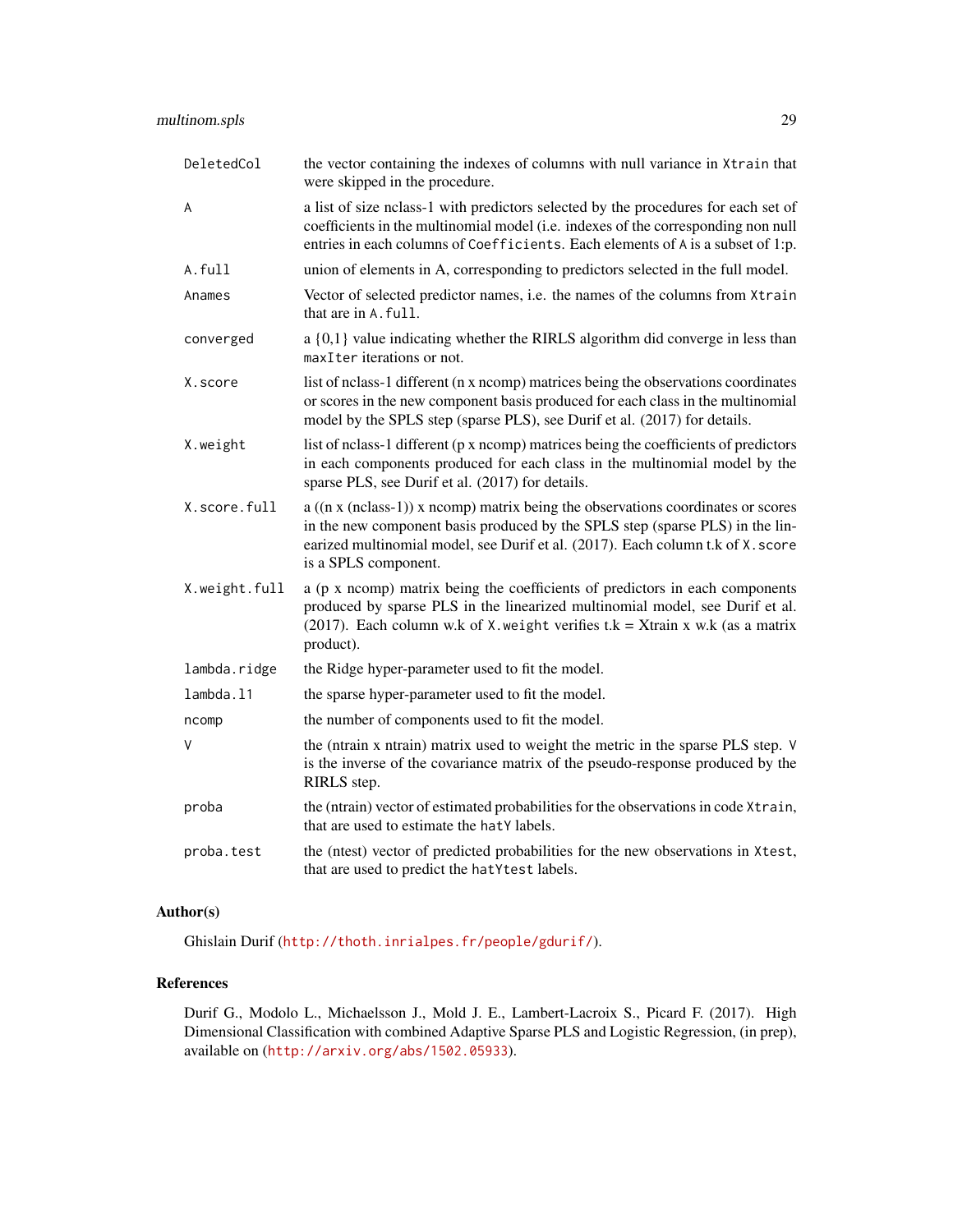| DeletedCol    | the vector containing the indexes of columns with null variance in Xtrain that<br>were skipped in the procedure.                                                                                                                                                                        |
|---------------|-----------------------------------------------------------------------------------------------------------------------------------------------------------------------------------------------------------------------------------------------------------------------------------------|
| A             | a list of size nclass-1 with predictors selected by the procedures for each set of<br>coefficients in the multinomial model (i.e. indexes of the corresponding non null<br>entries in each columns of Coefficients. Each elements of A is a subset of 1:p.                              |
| A.full        | union of elements in A, corresponding to predictors selected in the full model.                                                                                                                                                                                                         |
| Anames        | Vector of selected predictor names, i.e. the names of the columns from Xtrain<br>that are in A. full.                                                                                                                                                                                   |
| converged     | $a\{0,1\}$ value indicating whether the RIRLS algorithm did converge in less than<br>maxIter iterations or not.                                                                                                                                                                         |
| X.score       | list of nclass-1 different (n x ncomp) matrices being the observations coordinates<br>or scores in the new component basis produced for each class in the multinomial<br>model by the SPLS step (sparse PLS), see Durif et al. (2017) for details.                                      |
| X.weight      | list of nclass-1 different (p x ncomp) matrices being the coefficients of predictors<br>in each components produced for each class in the multinomial model by the<br>sparse PLS, see Durif et al. (2017) for details.                                                                  |
| X.score.full  | $a((n \times (nclass-1)) \times ncomp)$ matrix being the observations coordinates or scores<br>in the new component basis produced by the SPLS step (sparse PLS) in the lin-<br>earized multinomial model, see Durif et al. (2017). Each column t.k of X. score<br>is a SPLS component. |
| X.weight.full | a (p x ncomp) matrix being the coefficients of predictors in each components<br>produced by sparse PLS in the linearized multinomial model, see Durif et al.<br>(2017). Each column w.k of X. weight verifies $t.k = X$ train x w.k (as a matrix<br>product).                           |
| lambda.ridge  | the Ridge hyper-parameter used to fit the model.                                                                                                                                                                                                                                        |
| lambda.11     | the sparse hyper-parameter used to fit the model.                                                                                                                                                                                                                                       |
| ncomp         | the number of components used to fit the model.                                                                                                                                                                                                                                         |
| V             | the (ntrain x ntrain) matrix used to weight the metric in the sparse PLS step. V<br>is the inverse of the covariance matrix of the pseudo-response produced by the<br>RIRLS step.                                                                                                       |
| proba         | the (ntrain) vector of estimated probabilities for the observations in code Xtrain,<br>that are used to estimate the hatY labels.                                                                                                                                                       |
| proba.test    | the (ntest) vector of predicted probabilities for the new observations in Xtest,<br>that are used to predict the hatYtest labels.                                                                                                                                                       |

# Author(s)

Ghislain Durif (<http://thoth.inrialpes.fr/people/gdurif/>).

# References

Durif G., Modolo L., Michaelsson J., Mold J. E., Lambert-Lacroix S., Picard F. (2017). High Dimensional Classification with combined Adaptive Sparse PLS and Logistic Regression, (in prep), available on (<http://arxiv.org/abs/1502.05933>).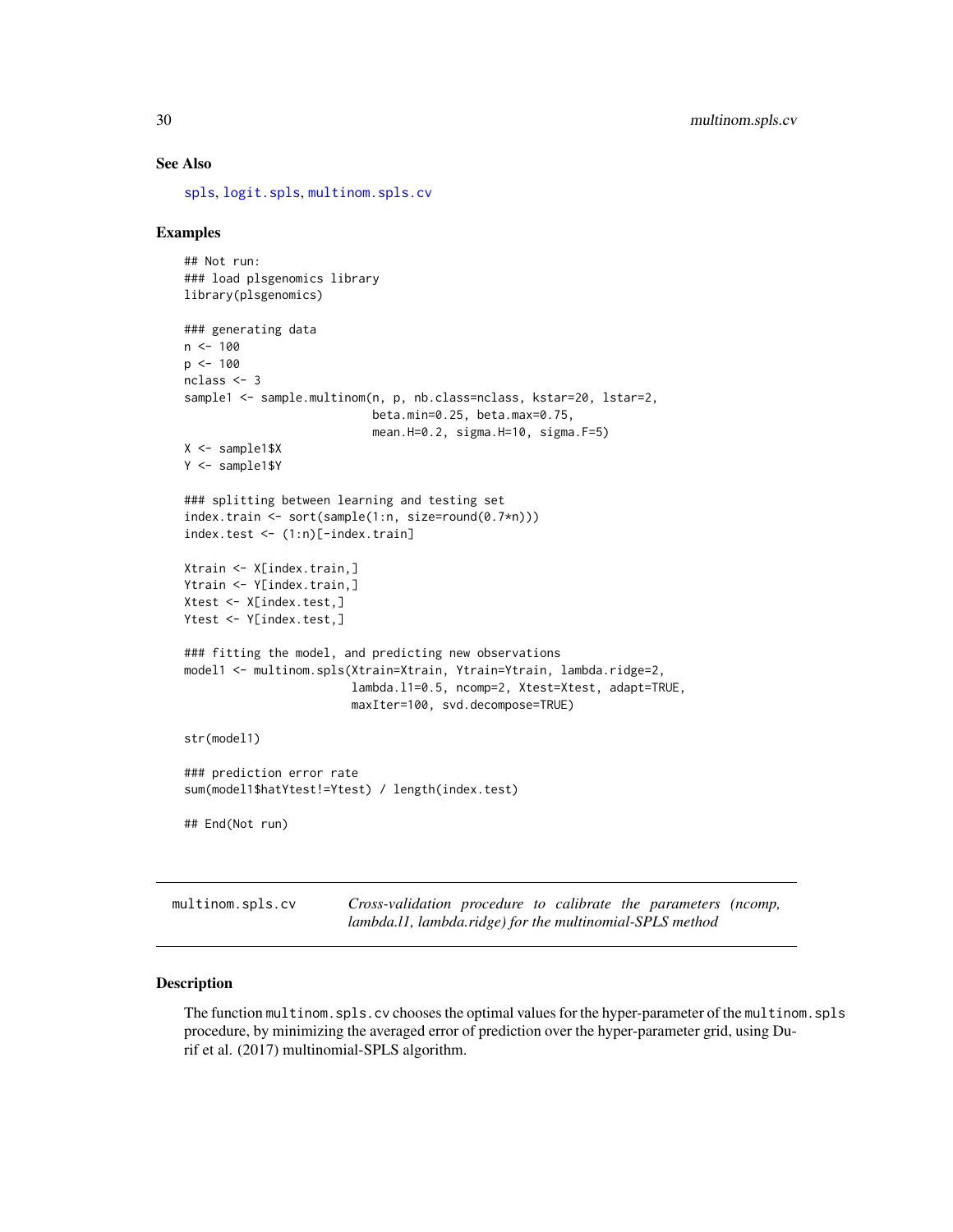#### See Also

[spls](#page-56-1), [logit.spls](#page-9-1), [multinom.spls.cv](#page-29-1)

# Examples

```
## Not run:
### load plsgenomics library
library(plsgenomics)
### generating data
n < - 100p <- 100
nclass <- 3
sample1 <- sample.multinom(n, p, nb.class=nclass, kstar=20, lstar=2,
                           beta.min=0.25, beta.max=0.75,
                           mean.H=0.2, sigma.H=10, sigma.F=5)
X <- sample1$X
Y <- sample1$Y
### splitting between learning and testing set
index.train <- sort(sample(1:n, size=round(0.7*n)))
index.test <- (1:n)[-index.train]
Xtrain <- X[index.train,]
Ytrain <- Y[index.train,]
Xtest <- X[index.test,]
Ytest <- Y[index.test,]
### fitting the model, and predicting new observations
model1 <- multinom.spls(Xtrain=Xtrain, Ytrain=Ytrain, lambda.ridge=2,
                        lambda.l1=0.5, ncomp=2, Xtest=Xtest, adapt=TRUE,
                        maxIter=100, svd.decompose=TRUE)
str(model1)
### prediction error rate
sum(model1$hatYtest!=Ytest) / length(index.test)
## End(Not run)
```
<span id="page-29-1"></span>multinom.spls.cv *Cross-validation procedure to calibrate the parameters (ncomp, lambda.l1, lambda.ridge) for the multinomial-SPLS method*

# Description

The function multinom.spls.cv chooses the optimal values for the hyper-parameter of the multinom.spls procedure, by minimizing the averaged error of prediction over the hyper-parameter grid, using Durif et al. (2017) multinomial-SPLS algorithm.

<span id="page-29-0"></span>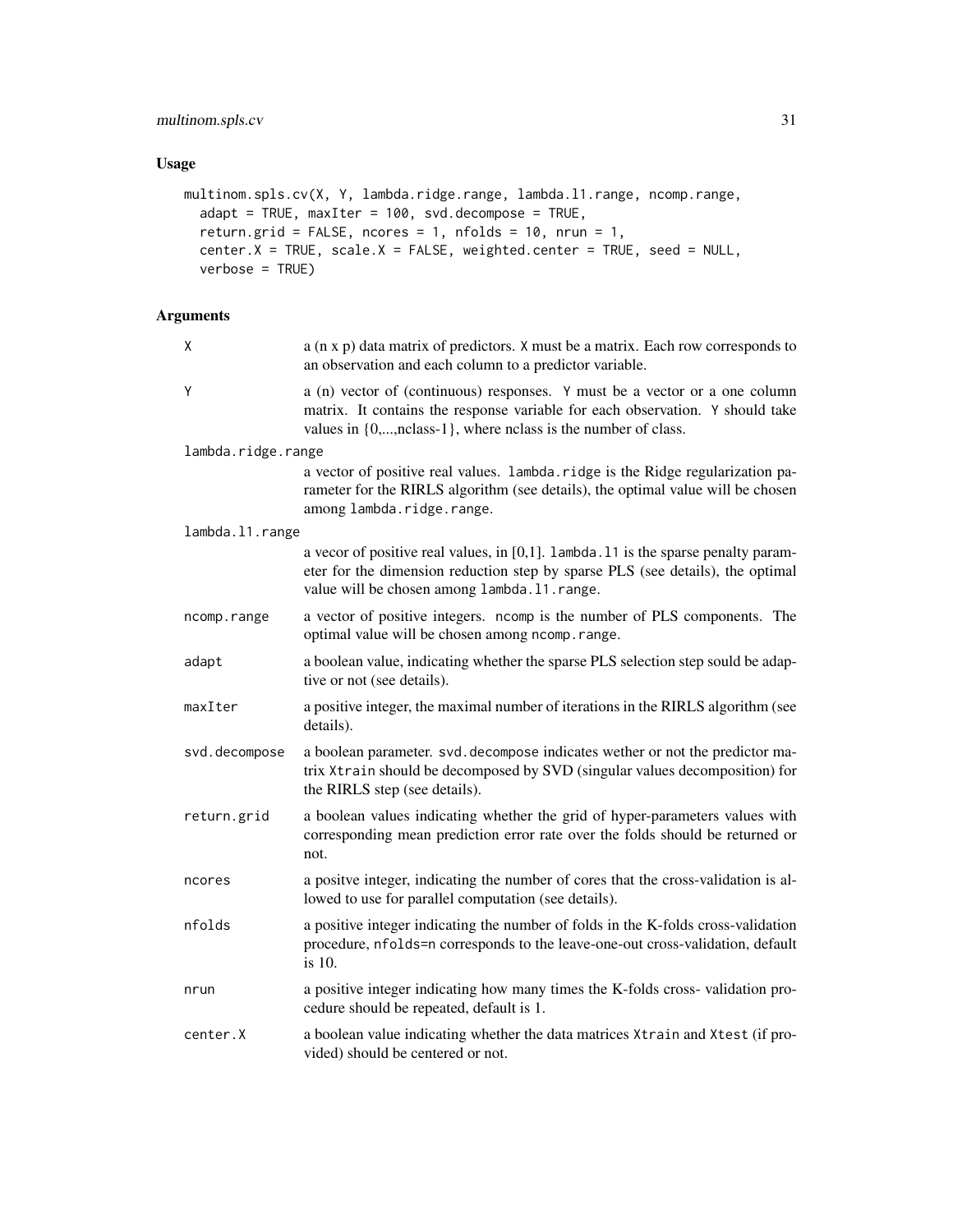# multinom.spls.cv 31

# Usage

```
multinom.spls.cv(X, Y, lambda.ridge.range, lambda.l1.range, ncomp.range,
  adapt = TRUE, maxIter = 100, svd.decompose = TRUE,
  return.grid = FALSE, ncores = 1, nfolds = 10, nrun = 1,
 center.X = TRUE, scale.X = FALSE, weighted.center = TRUE, seed = NULL,
 verbose = TRUE)
```
# Arguments

| χ                  | a (n x p) data matrix of predictors. X must be a matrix. Each row corresponds to<br>an observation and each column to a predictor variable.                                                                                             |
|--------------------|-----------------------------------------------------------------------------------------------------------------------------------------------------------------------------------------------------------------------------------------|
| Υ                  | a (n) vector of (continuous) responses. Y must be a vector or a one column<br>matrix. It contains the response variable for each observation. Y should take<br>values in $\{0, \ldots,$ nclass-1}, where nclass is the number of class. |
| lambda.ridge.range |                                                                                                                                                                                                                                         |
|                    | a vector of positive real values. lambda.ridge is the Ridge regularization pa-<br>rameter for the RIRLS algorithm (see details), the optimal value will be chosen<br>among lambda.ridge.range.                                          |
| lambda.11.range    |                                                                                                                                                                                                                                         |
|                    | a vecor of positive real values, in $[0,1]$ . lambda. 11 is the sparse penalty param-<br>eter for the dimension reduction step by sparse PLS (see details), the optimal<br>value will be chosen among lambda.11.range.                  |
| ncomp.range        | a vector of positive integers. ncomp is the number of PLS components. The<br>optimal value will be chosen among ncomp.range.                                                                                                            |
| adapt              | a boolean value, indicating whether the sparse PLS selection step sould be adap-<br>tive or not (see details).                                                                                                                          |
| maxIter            | a positive integer, the maximal number of iterations in the RIRLS algorithm (see<br>details).                                                                                                                                           |
| svd.decompose      | a boolean parameter. svd. decompose indicates wether or not the predictor ma-<br>trix Xtrain should be decomposed by SVD (singular values decomposition) for<br>the RIRLS step (see details).                                           |
| return.grid        | a boolean values indicating whether the grid of hyper-parameters values with<br>corresponding mean prediction error rate over the folds should be returned or<br>not.                                                                   |
| ncores             | a positve integer, indicating the number of cores that the cross-validation is al-<br>lowed to use for parallel computation (see details).                                                                                              |
| nfolds             | a positive integer indicating the number of folds in the K-folds cross-validation<br>procedure, nfolds=n corresponds to the leave-one-out cross-validation, default<br>is 10.                                                           |
| nrun               | a positive integer indicating how many times the K-folds cross-validation pro-<br>cedure should be repeated, default is 1.                                                                                                              |
| center.X           | a boolean value indicating whether the data matrices Xtrain and Xtest (if pro-<br>vided) should be centered or not.                                                                                                                     |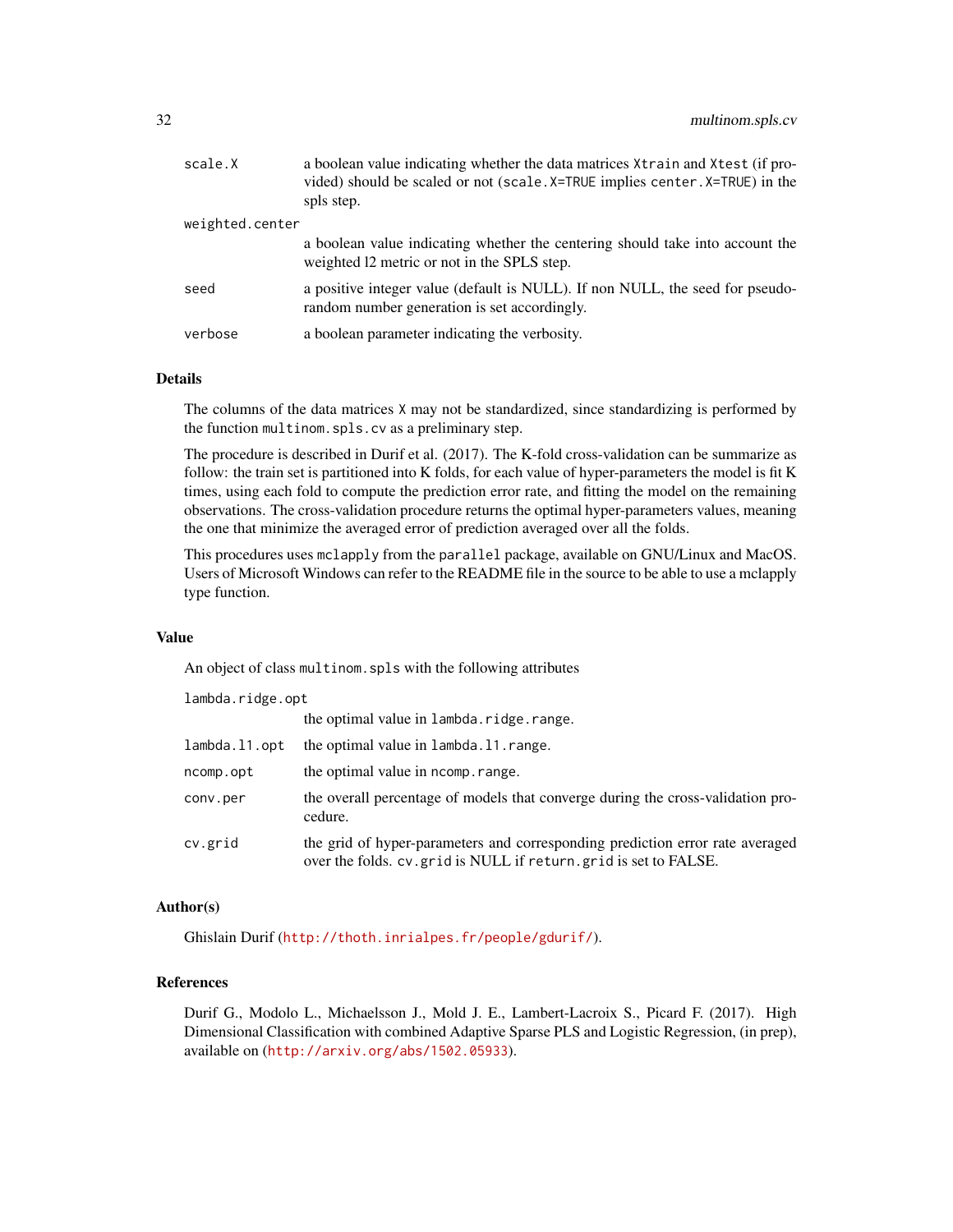| scale.X         | a boolean value indicating whether the data matrices Xtrain and Xtest (if pro-<br>vided) should be scaled or not (scale. X=TRUE implies center. X=TRUE) in the<br>spls step. |
|-----------------|------------------------------------------------------------------------------------------------------------------------------------------------------------------------------|
| weighted.center |                                                                                                                                                                              |
|                 | a boolean value indicating whether the centering should take into account the<br>weighted 12 metric or not in the SPLS step.                                                 |
| seed            | a positive integer value (default is NULL). If non NULL, the seed for pseudo-<br>random number generation is set accordingly.                                                |
| verbose         | a boolean parameter indicating the verbosity.                                                                                                                                |

# Details

The columns of the data matrices X may not be standardized, since standardizing is performed by the function multinom.spls.cv as a preliminary step.

The procedure is described in Durif et al. (2017). The K-fold cross-validation can be summarize as follow: the train set is partitioned into K folds, for each value of hyper-parameters the model is fit K times, using each fold to compute the prediction error rate, and fitting the model on the remaining observations. The cross-validation procedure returns the optimal hyper-parameters values, meaning the one that minimize the averaged error of prediction averaged over all the folds.

This procedures uses mclapply from the parallel package, available on GNU/Linux and MacOS. Users of Microsoft Windows can refer to the README file in the source to be able to use a mclapply type function.

# Value

An object of class multinom.spls with the following attributes

| lambda.ridge.opt |                                                                                                                                                    |  |  |
|------------------|----------------------------------------------------------------------------------------------------------------------------------------------------|--|--|
|                  | the optimal value in lambda.ridge.range.                                                                                                           |  |  |
| lambda.l1.opt    | the optimal value in lambda. 11. range.                                                                                                            |  |  |
| ncomp.opt        | the optimal value in ncomp. range.                                                                                                                 |  |  |
| conv.per         | the overall percentage of models that converge during the cross-validation pro-<br>cedure.                                                         |  |  |
| cv.grid          | the grid of hyper-parameters and corresponding prediction error rate averaged<br>over the folds. cv. grid is NULL if return. grid is set to FALSE. |  |  |

# Author(s)

Ghislain Durif (<http://thoth.inrialpes.fr/people/gdurif/>).

# References

Durif G., Modolo L., Michaelsson J., Mold J. E., Lambert-Lacroix S., Picard F. (2017). High Dimensional Classification with combined Adaptive Sparse PLS and Logistic Regression, (in prep), available on (<http://arxiv.org/abs/1502.05933>).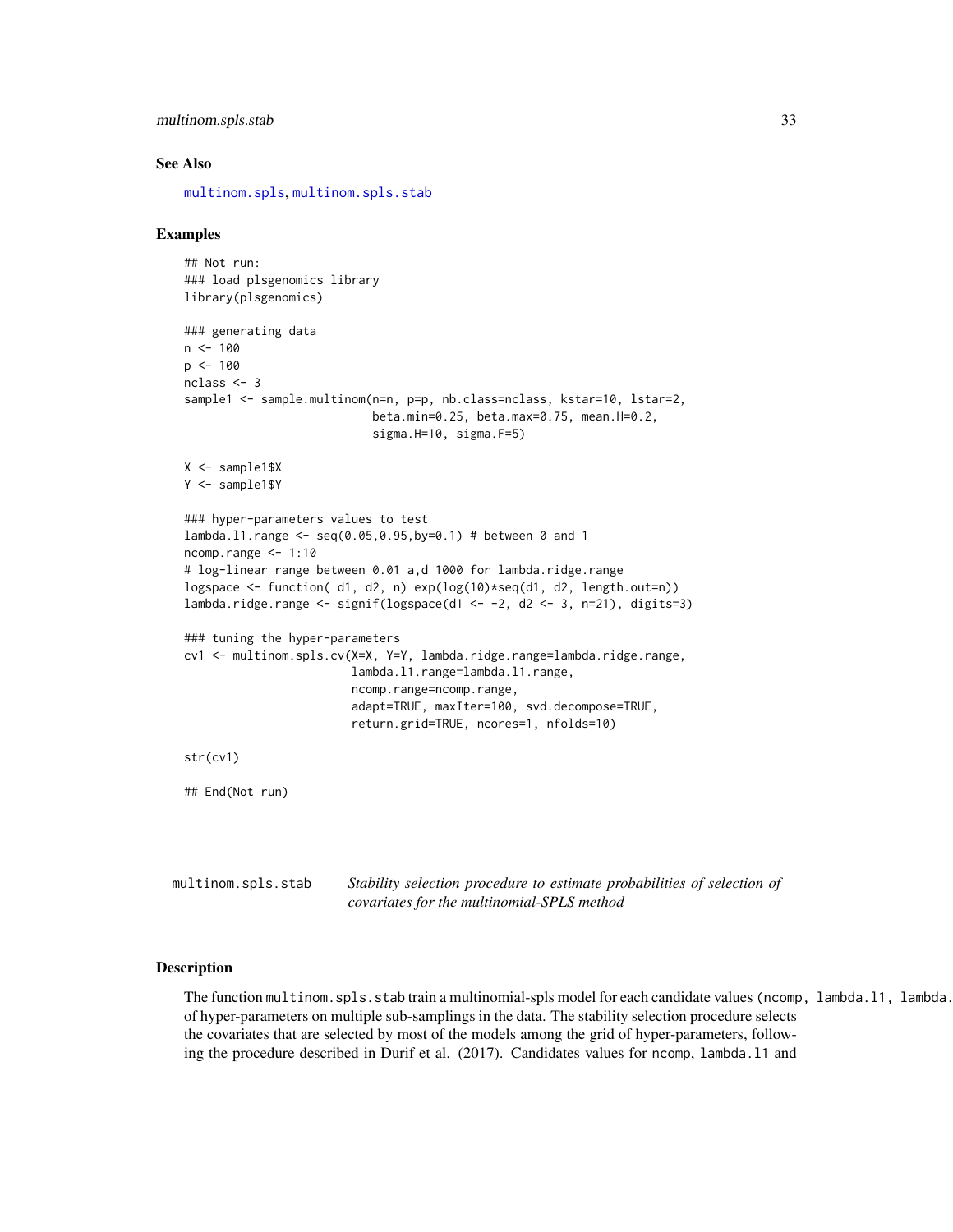```
multinom.spls.stab 33
```
#### See Also

[multinom.spls](#page-26-1), [multinom.spls.stab](#page-32-1)

# Examples

```
## Not run:
 ### load plsgenomics library
 library(plsgenomics)
 ### generating data
 n < - 100p \le -100nclass <- 3
 sample1 <- sample.multinom(n=n, p=p, nb.class=nclass, kstar=10, lstar=2,
                             beta.min=0.25, beta.max=0.75, mean.H=0.2,
                             sigma.H=10, sigma.F=5)
 X <- sample1$X
 Y <- sample1$Y
 ### hyper-parameters values to test
 lambda.l1.range <- seq(0.05,0.95,by=0.1) # between 0 and 1
 ncomp.range <- 1:10
 # log-linear range between 0.01 a,d 1000 for lambda.ridge.range
 logspace <- function( d1, d2, n) exp(log(10)*seq(d1, d2, length.out=n))
 lambda.ridge.range <- signif(logspace(d1 <- -2, d2 <- 3, n=21), digits=3)
 ### tuning the hyper-parameters
 cv1 <- multinom.spls.cv(X=X, Y=Y, lambda.ridge.range=lambda.ridge.range,
                          lambda.l1.range=lambda.l1.range,
                         ncomp.range=ncomp.range,
                          adapt=TRUE, maxIter=100, svd.decompose=TRUE,
                          return.grid=TRUE, ncores=1, nfolds=10)
 str(cv1)
 ## End(Not run)
multinom.spls.stab Stability selection procedure to estimate probabilities of selection of
```
*covariates for the multinomial-SPLS method*

#### <span id="page-32-1"></span>Description

The function multinom.spls.stab train a multinomial-spls model for each candidate values (ncomp, lambda.l1, lambda. of hyper-parameters on multiple sub-samplings in the data. The stability selection procedure selects the covariates that are selected by most of the models among the grid of hyper-parameters, following the procedure described in Durif et al. (2017). Candidates values for ncomp, lambda.l1 and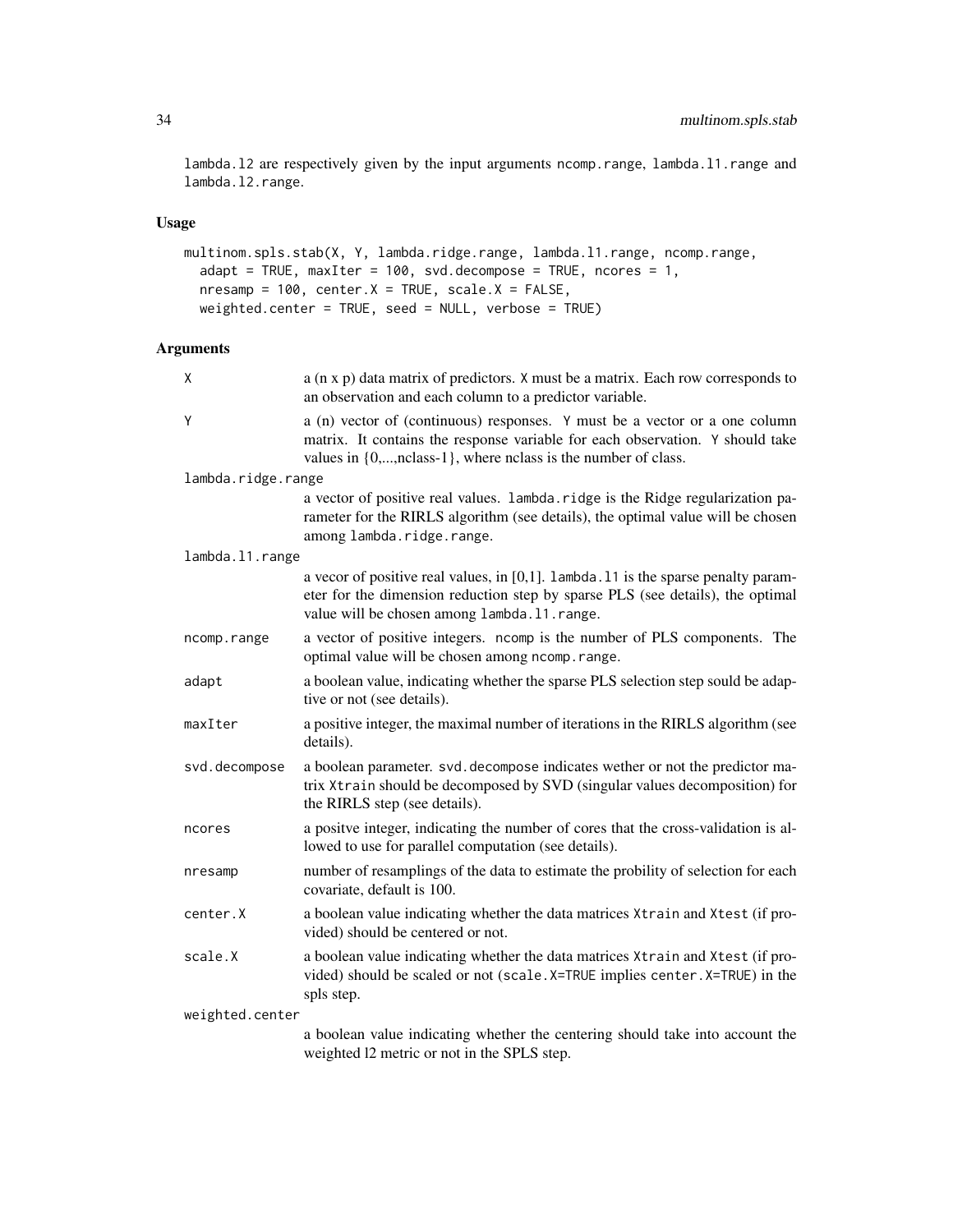lambda.l2 are respectively given by the input arguments ncomp.range, lambda.l1.range and lambda.l2.range.

#### Usage

```
multinom.spls.stab(X, Y, lambda.ridge.range, lambda.l1.range, ncomp.range,
 adapt = TRUE, maxIter = 100, svd.decompose = TRUE, ncores = 1,nresamp = 100, center.X = TRUE, scale.X = FALSE,
 weighted.center = TRUE, seed = NULL, verbose = TRUE)
```
# Arguments

| X                  | a (n x p) data matrix of predictors. X must be a matrix. Each row corresponds to<br>an observation and each column to a predictor variable.                                                                                                      |  |
|--------------------|--------------------------------------------------------------------------------------------------------------------------------------------------------------------------------------------------------------------------------------------------|--|
| Y                  | a (n) vector of (continuous) responses. Y must be a vector or a one column<br>matrix. It contains the response variable for each observation. Y should take<br>values in $\{0, \ldots, \text{nclass-1}\}$ , where nclass is the number of class. |  |
| lambda.ridge.range |                                                                                                                                                                                                                                                  |  |
|                    | a vector of positive real values. lambda.ridge is the Ridge regularization pa-<br>rameter for the RIRLS algorithm (see details), the optimal value will be chosen<br>among lambda.ridge.range.                                                   |  |
| lambda.11.range    |                                                                                                                                                                                                                                                  |  |
|                    | a vecor of positive real values, in $[0,1]$ . Lambda. 11 is the sparse penalty param-<br>eter for the dimension reduction step by sparse PLS (see details), the optimal<br>value will be chosen among lambda.11.range.                           |  |
| ncomp.range        | a vector of positive integers. ncomp is the number of PLS components. The<br>optimal value will be chosen among ncomp.range.                                                                                                                     |  |
| adapt              | a boolean value, indicating whether the sparse PLS selection step sould be adap-<br>tive or not (see details).                                                                                                                                   |  |
| maxIter            | a positive integer, the maximal number of iterations in the RIRLS algorithm (see<br>details).                                                                                                                                                    |  |
| svd.decompose      | a boolean parameter. svd. decompose indicates wether or not the predictor ma-<br>trix Xtrain should be decomposed by SVD (singular values decomposition) for<br>the RIRLS step (see details).                                                    |  |
| ncores             | a positve integer, indicating the number of cores that the cross-validation is al-<br>lowed to use for parallel computation (see details).                                                                                                       |  |
| nresamp            | number of resamplings of the data to estimate the probility of selection for each<br>covariate, default is 100.                                                                                                                                  |  |
| center.X           | a boolean value indicating whether the data matrices Xtrain and Xtest (if pro-<br>vided) should be centered or not.                                                                                                                              |  |
| scale.X            | a boolean value indicating whether the data matrices Xtrain and Xtest (if pro-<br>vided) should be scaled or not (scale. X=TRUE implies center. X=TRUE) in the<br>spls step.                                                                     |  |
| weighted.center    |                                                                                                                                                                                                                                                  |  |
|                    | a boolean value indicating whether the centering should take into account the<br>weighted 12 metric or not in the SPLS step.                                                                                                                     |  |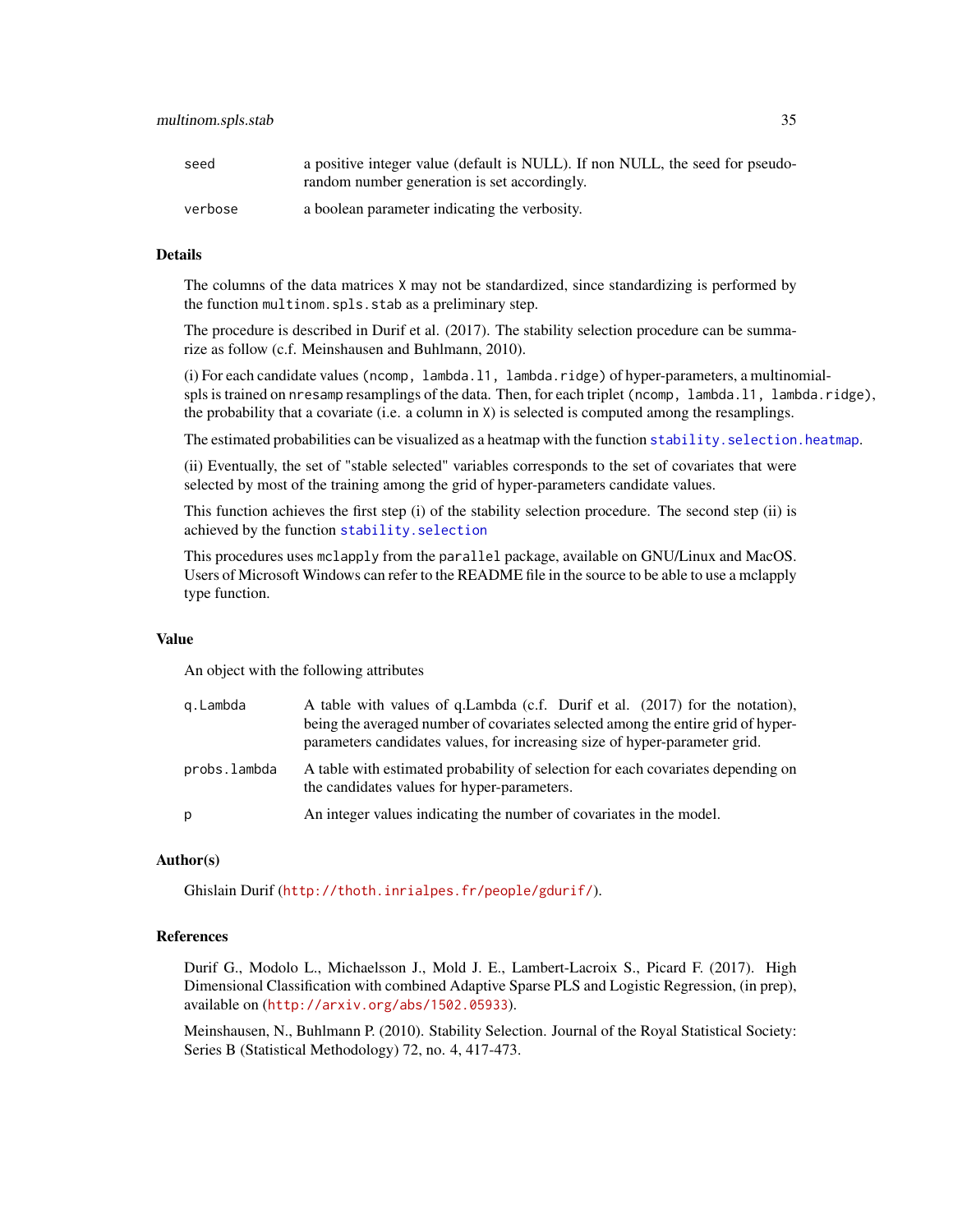| seed    | a positive integer value (default is NULL). If non NULL, the seed for pseudo-<br>random number generation is set accordingly. |
|---------|-------------------------------------------------------------------------------------------------------------------------------|
| verbose | a boolean parameter indicating the verbosity.                                                                                 |

#### Details

The columns of the data matrices X may not be standardized, since standardizing is performed by the function multinom.spls.stab as a preliminary step.

The procedure is described in Durif et al. (2017). The stability selection procedure can be summarize as follow (c.f. Meinshausen and Buhlmann, 2010).

(i) For each candidate values (ncomp, lambda.l1, lambda.ridge) of hyper-parameters, a multinomialspls is trained on nresamp resamplings of the data. Then, for each triplet (ncomp, lambda.l1, lambda.ridge), the probability that a covariate (i.e. a column in X) is selected is computed among the resamplings.

The estimated probabilities can be visualized as a heatmap with the function stability. selection. heatmap.

(ii) Eventually, the set of "stable selected" variables corresponds to the set of covariates that were selected by most of the training among the grid of hyper-parameters candidate values.

This function achieves the first step (i) of the stability selection procedure. The second step (ii) is achieved by the function [stability.selection](#page-67-1)

This procedures uses mclapply from the parallel package, available on GNU/Linux and MacOS. Users of Microsoft Windows can refer to the README file in the source to be able to use a mclapply type function.

#### Value

An object with the following attributes

| g.Lambda     | A table with values of q.Lambda (c.f. Durif et al. (2017) for the notation),<br>being the averaged number of covariates selected among the entire grid of hyper-<br>parameters candidates values, for increasing size of hyper-parameter grid. |
|--------------|------------------------------------------------------------------------------------------------------------------------------------------------------------------------------------------------------------------------------------------------|
| probs.lambda | A table with estimated probability of selection for each covariates depending on<br>the candidates values for hyper-parameters.                                                                                                                |
| p            | An integer values indicating the number of covariates in the model.                                                                                                                                                                            |

#### Author(s)

Ghislain Durif (<http://thoth.inrialpes.fr/people/gdurif/>).

#### References

Durif G., Modolo L., Michaelsson J., Mold J. E., Lambert-Lacroix S., Picard F. (2017). High Dimensional Classification with combined Adaptive Sparse PLS and Logistic Regression, (in prep), available on (<http://arxiv.org/abs/1502.05933>).

Meinshausen, N., Buhlmann P. (2010). Stability Selection. Journal of the Royal Statistical Society: Series B (Statistical Methodology) 72, no. 4, 417-473.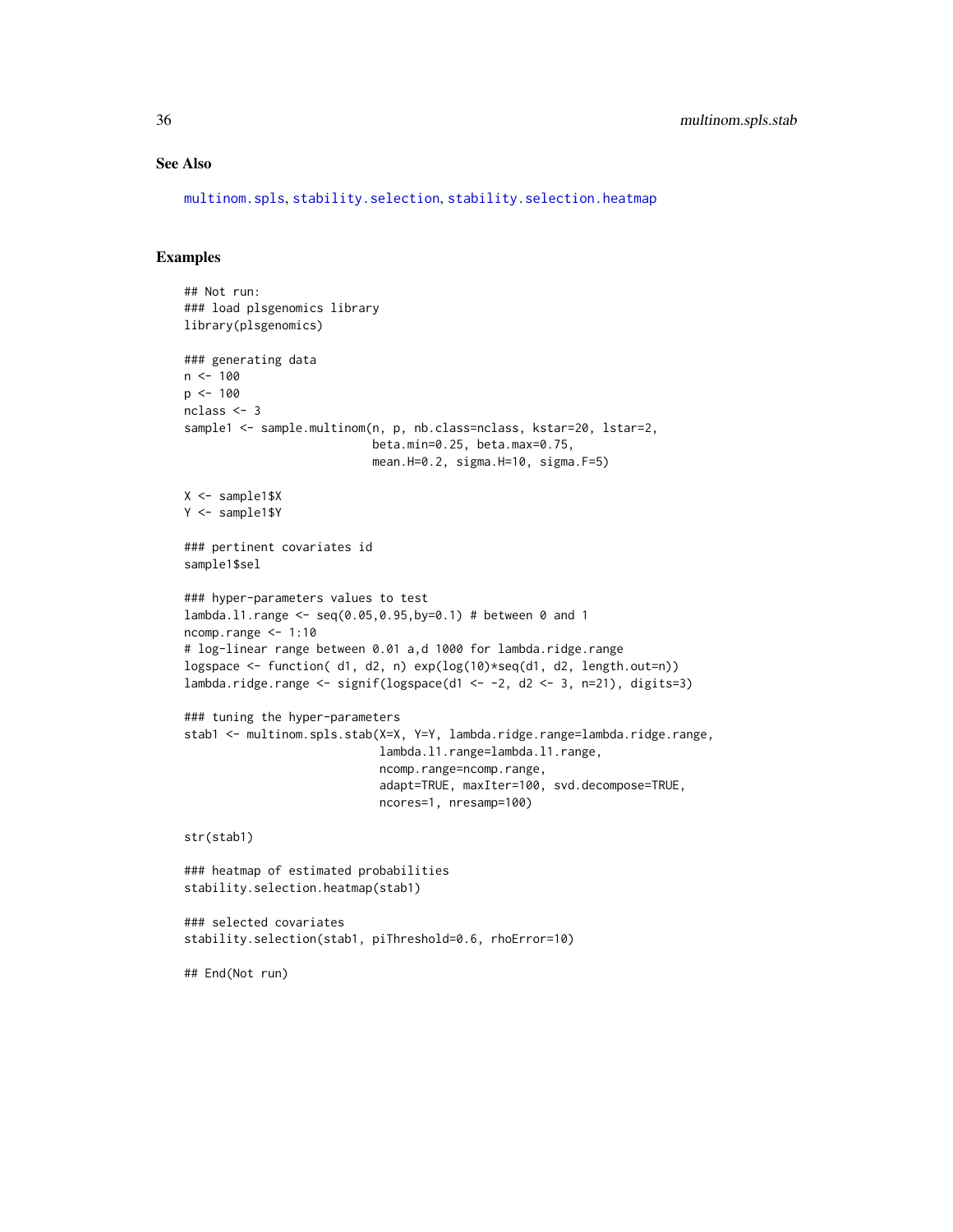# See Also

[multinom.spls](#page-26-1), [stability.selection](#page-67-1), [stability.selection.heatmap](#page-68-1)

# Examples

```
## Not run:
### load plsgenomics library
library(plsgenomics)
### generating data
n <- 100
p <- 100
nclass <- 3
sample1 <- sample.multinom(n, p, nb.class=nclass, kstar=20, lstar=2,
                           beta.min=0.25, beta.max=0.75,
                           mean.H=0.2, sigma.H=10, sigma.F=5)
X <- sample1$X
Y <- sample1$Y
### pertinent covariates id
sample1$sel
### hyper-parameters values to test
lambda.l1.range <- seq(0.05,0.95,by=0.1) # between 0 and 1
ncomp.range <- 1:10
# log-linear range between 0.01 a,d 1000 for lambda.ridge.range
logspace <- function( d1, d2, n) exp(log(10)*seq(d1, d2, length.out=n))
lambda.ridge.range <- signif(logspace(d1 <- -2, d2 <- 3, n=21), digits=3)
### tuning the hyper-parameters
stab1 <- multinom.spls.stab(X=X, Y=Y, lambda.ridge.range=lambda.ridge.range,
                            lambda.l1.range=lambda.l1.range,
                            ncomp.range=ncomp.range,
                            adapt=TRUE, maxIter=100, svd.decompose=TRUE,
                            ncores=1, nresamp=100)
str(stab1)
### heatmap of estimated probabilities
stability.selection.heatmap(stab1)
### selected covariates
stability.selection(stab1, piThreshold=0.6, rhoError=10)
```
## End(Not run)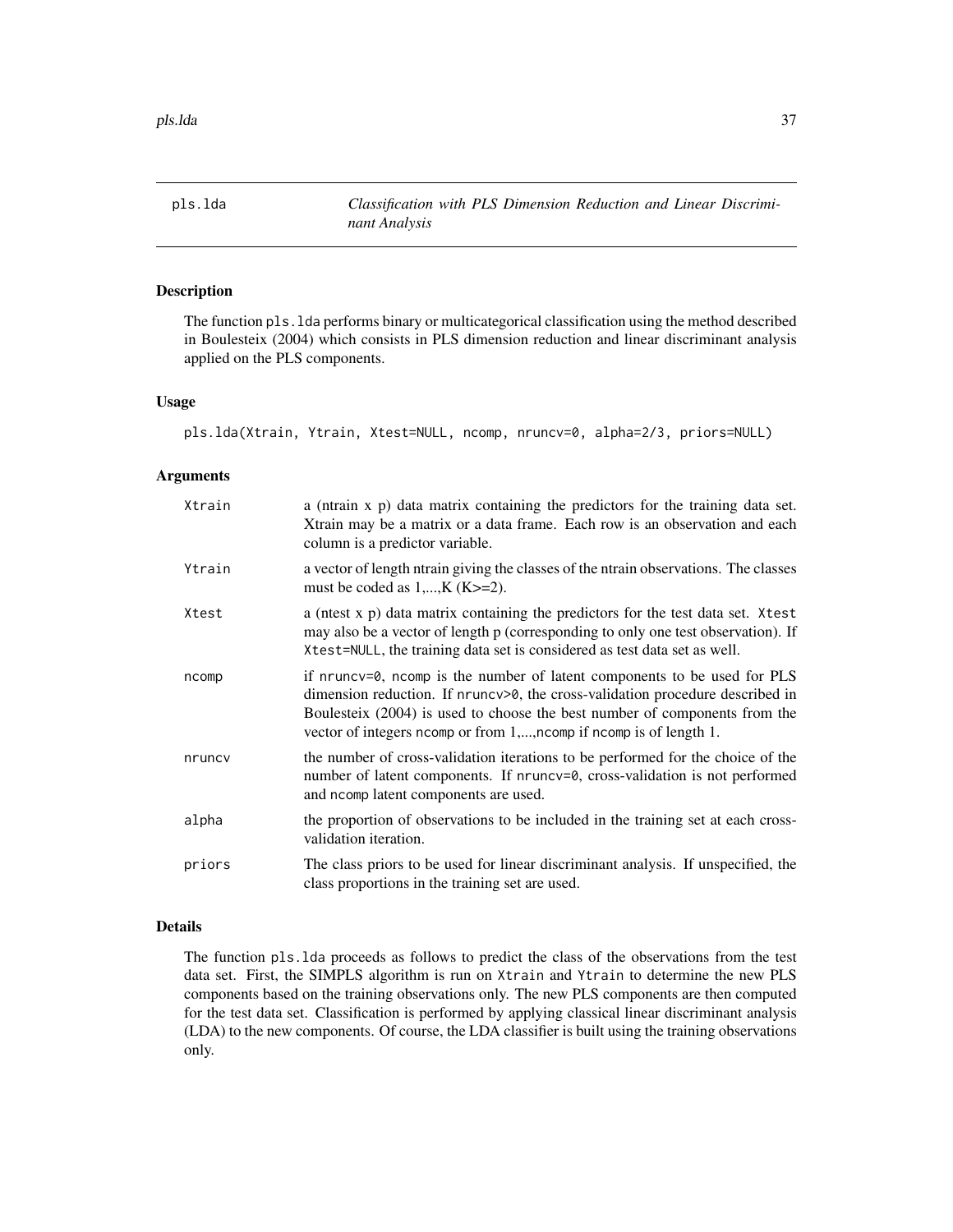<span id="page-36-0"></span>pls.lda *Classification with PLS Dimension Reduction and Linear Discriminant Analysis*

# Description

The function pls.lda performs binary or multicategorical classification using the method described in Boulesteix (2004) which consists in PLS dimension reduction and linear discriminant analysis applied on the PLS components.

#### Usage

pls.lda(Xtrain, Ytrain, Xtest=NULL, ncomp, nruncv=0, alpha=2/3, priors=NULL)

### Arguments

| Xtrain | a (ntrain x p) data matrix containing the predictors for the training data set.<br>Xtrain may be a matrix or a data frame. Each row is an observation and each<br>column is a predictor variable.                                                                                                              |
|--------|----------------------------------------------------------------------------------------------------------------------------------------------------------------------------------------------------------------------------------------------------------------------------------------------------------------|
| Ytrain | a vector of length ntrain giving the classes of the ntrain observations. The classes<br>must be coded as $1,,K$ (K $>=$ 2).                                                                                                                                                                                    |
| Xtest  | a (ntest x p) data matrix containing the predictors for the test data set. Xtest<br>may also be a vector of length p (corresponding to only one test observation). If<br>Xtest=NULL, the training data set is considered as test data set as well.                                                             |
| ncomp  | if nruncv=0, ncomp is the number of latent components to be used for PLS<br>dimension reduction. If nruncv>0, the cross-validation procedure described in<br>Boulesteix (2004) is used to choose the best number of components from the<br>vector of integers noomp or from 1,, noomp if noomp is of length 1. |
| nruncy | the number of cross-validation iterations to be performed for the choice of the<br>number of latent components. If nruncv=0, cross-validation is not performed<br>and nomp latent components are used.                                                                                                         |
| alpha  | the proportion of observations to be included in the training set at each cross-<br>validation iteration.                                                                                                                                                                                                      |
| priors | The class priors to be used for linear discriminant analysis. If unspecified, the<br>class proportions in the training set are used.                                                                                                                                                                           |

# Details

The function pls.lda proceeds as follows to predict the class of the observations from the test data set. First, the SIMPLS algorithm is run on Xtrain and Ytrain to determine the new PLS components based on the training observations only. The new PLS components are then computed for the test data set. Classification is performed by applying classical linear discriminant analysis (LDA) to the new components. Of course, the LDA classifier is built using the training observations only.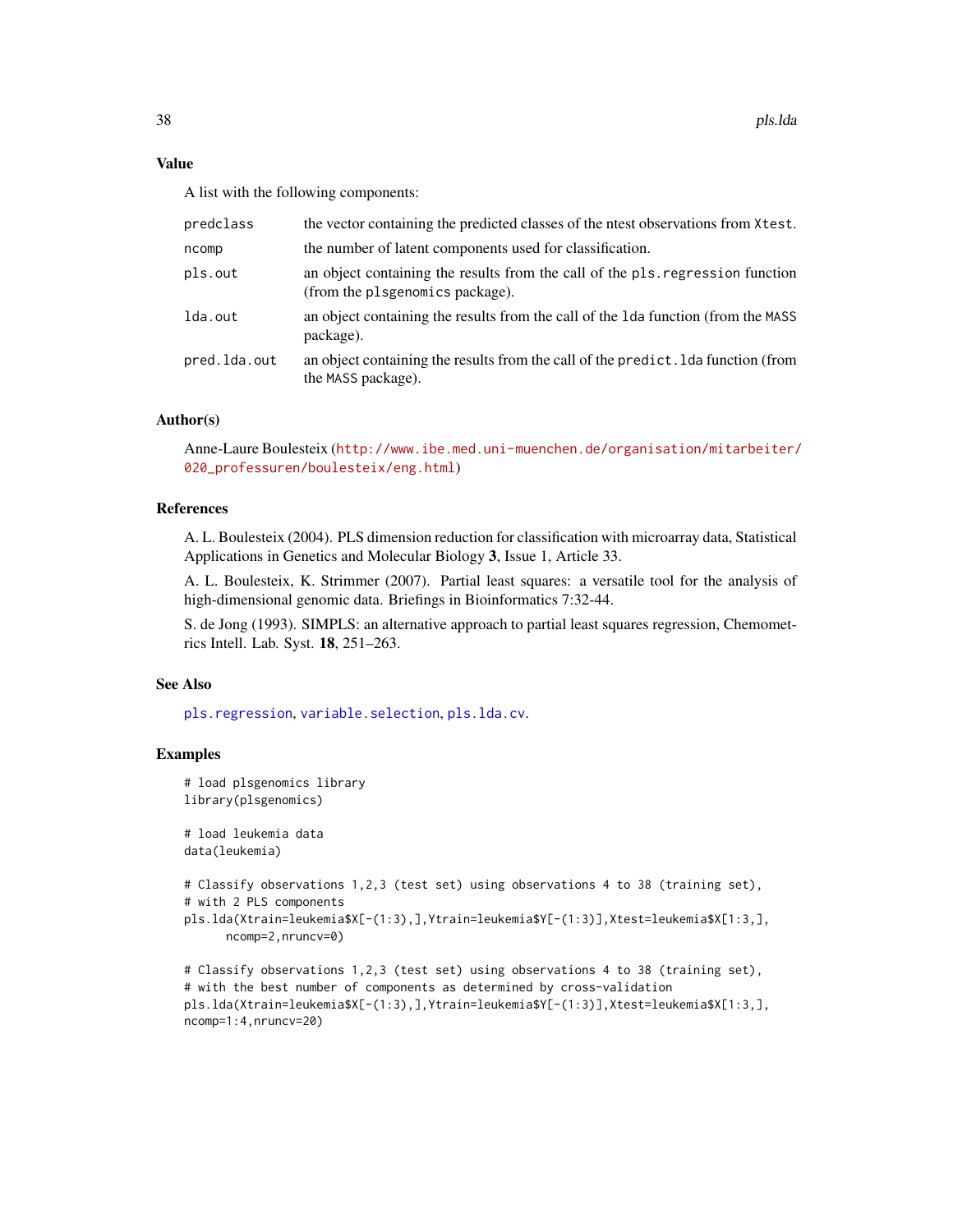A list with the following components:

| predclass    | the vector containing the predicted classes of the neest observations from Xtest.                                 |
|--------------|-------------------------------------------------------------------------------------------------------------------|
| ncomp        | the number of latent components used for classification.                                                          |
| pls.out      | an object containing the results from the call of the pls. regression function<br>(from the plsgenomics package). |
| lda.out      | an object containing the results from the call of the 1da function (from the MASS)<br>package).                   |
| pred.lda.out | an object containing the results from the call of the predict. Ida function (from<br>the MASS package).           |

# Author(s)

Anne-Laure Boulesteix ([http://www.ibe.med.uni-muenchen.de/organisation/mitarbeiter/](http://www.ibe.med.uni-muenchen.de/organisation/mitarbeiter/020_professuren/boulesteix/eng.html) [020\\_professuren/boulesteix/eng.html](http://www.ibe.med.uni-muenchen.de/organisation/mitarbeiter/020_professuren/boulesteix/eng.html))

## References

A. L. Boulesteix (2004). PLS dimension reduction for classification with microarray data, Statistical Applications in Genetics and Molecular Biology 3, Issue 1, Article 33.

A. L. Boulesteix, K. Strimmer (2007). Partial least squares: a versatile tool for the analysis of high-dimensional genomic data. Briefings in Bioinformatics 7:32-44.

S. de Jong (1993). SIMPLS: an alternative approach to partial least squares regression, Chemometrics Intell. Lab. Syst. 18, 251–263.

## See Also

[pls.regression](#page-39-0), [variable.selection](#page-72-0), [pls.lda.cv](#page-38-0).

## Examples

```
# load plsgenomics library
library(plsgenomics)
# load leukemia data
data(leukemia)
# Classify observations 1,2,3 (test set) using observations 4 to 38 (training set),
# with 2 PLS components
pls.lda(Xtrain=leukemia$X[-(1:3),],Ytrain=leukemia$Y[-(1:3)],Xtest=leukemia$X[1:3,],
     ncomp=2,nruncv=0)
```

```
# Classify observations 1,2,3 (test set) using observations 4 to 38 (training set),
# with the best number of components as determined by cross-validation
pls.lda(Xtrain=leukemia$X[-(1:3),],Ytrain=leukemia$Y[-(1:3)],Xtest=leukemia$X[1:3,],
ncomp=1:4,nruncv=20)
```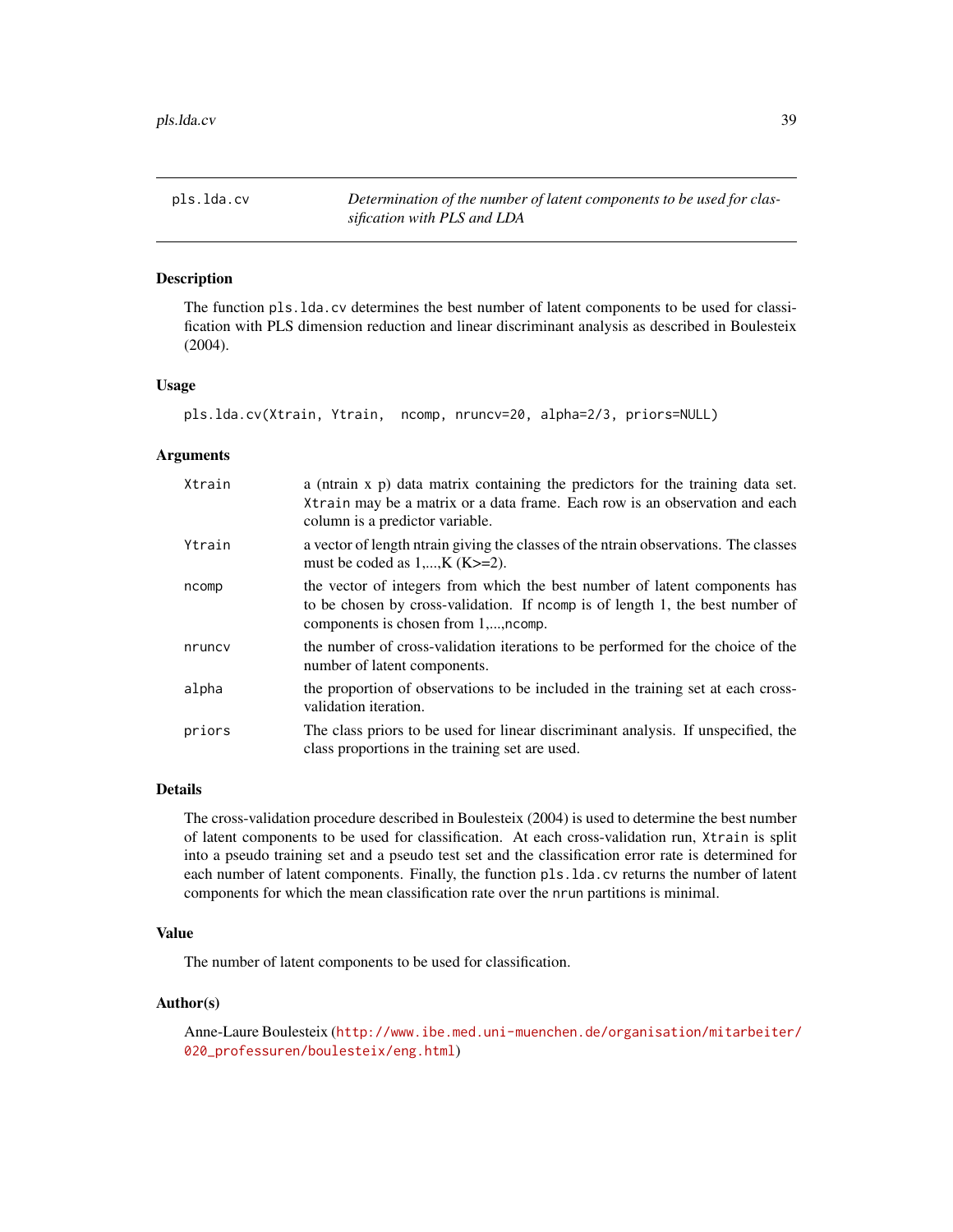<span id="page-38-0"></span>pls.lda.cv *Determination of the number of latent components to be used for classification with PLS and LDA*

### Description

The function pls.lda.cv determines the best number of latent components to be used for classification with PLS dimension reduction and linear discriminant analysis as described in Boulesteix (2004).

### Usage

pls.lda.cv(Xtrain, Ytrain, ncomp, nruncv=20, alpha=2/3, priors=NULL)

#### **Arguments**

| Xtrain | a (ntrain x p) data matrix containing the predictors for the training data set.<br>Xtrain may be a matrix or a data frame. Each row is an observation and each<br>column is a predictor variable.  |
|--------|----------------------------------------------------------------------------------------------------------------------------------------------------------------------------------------------------|
| Ytrain | a vector of length ntrain giving the classes of the ntrain observations. The classes<br>must be coded as $1,,K$ (K $>=$ 2).                                                                        |
| ncomp  | the vector of integers from which the best number of latent components has<br>to be chosen by cross-validation. If nomp is of length 1, the best number of<br>components is chosen from 1,, ncomp. |
| nruncy | the number of cross-validation iterations to be performed for the choice of the<br>number of latent components.                                                                                    |
| alpha  | the proportion of observations to be included in the training set at each cross-<br>validation iteration.                                                                                          |
| priors | The class priors to be used for linear discriminant analysis. If unspecified, the<br>class proportions in the training set are used.                                                               |

## Details

The cross-validation procedure described in Boulesteix (2004) is used to determine the best number of latent components to be used for classification. At each cross-validation run, Xtrain is split into a pseudo training set and a pseudo test set and the classification error rate is determined for each number of latent components. Finally, the function pls.lda.cv returns the number of latent components for which the mean classification rate over the nrun partitions is minimal.

## Value

The number of latent components to be used for classification.

### Author(s)

Anne-Laure Boulesteix ([http://www.ibe.med.uni-muenchen.de/organisation/mitarbeiter/](http://www.ibe.med.uni-muenchen.de/organisation/mitarbeiter/020_professuren/boulesteix/eng.html) [020\\_professuren/boulesteix/eng.html](http://www.ibe.med.uni-muenchen.de/organisation/mitarbeiter/020_professuren/boulesteix/eng.html))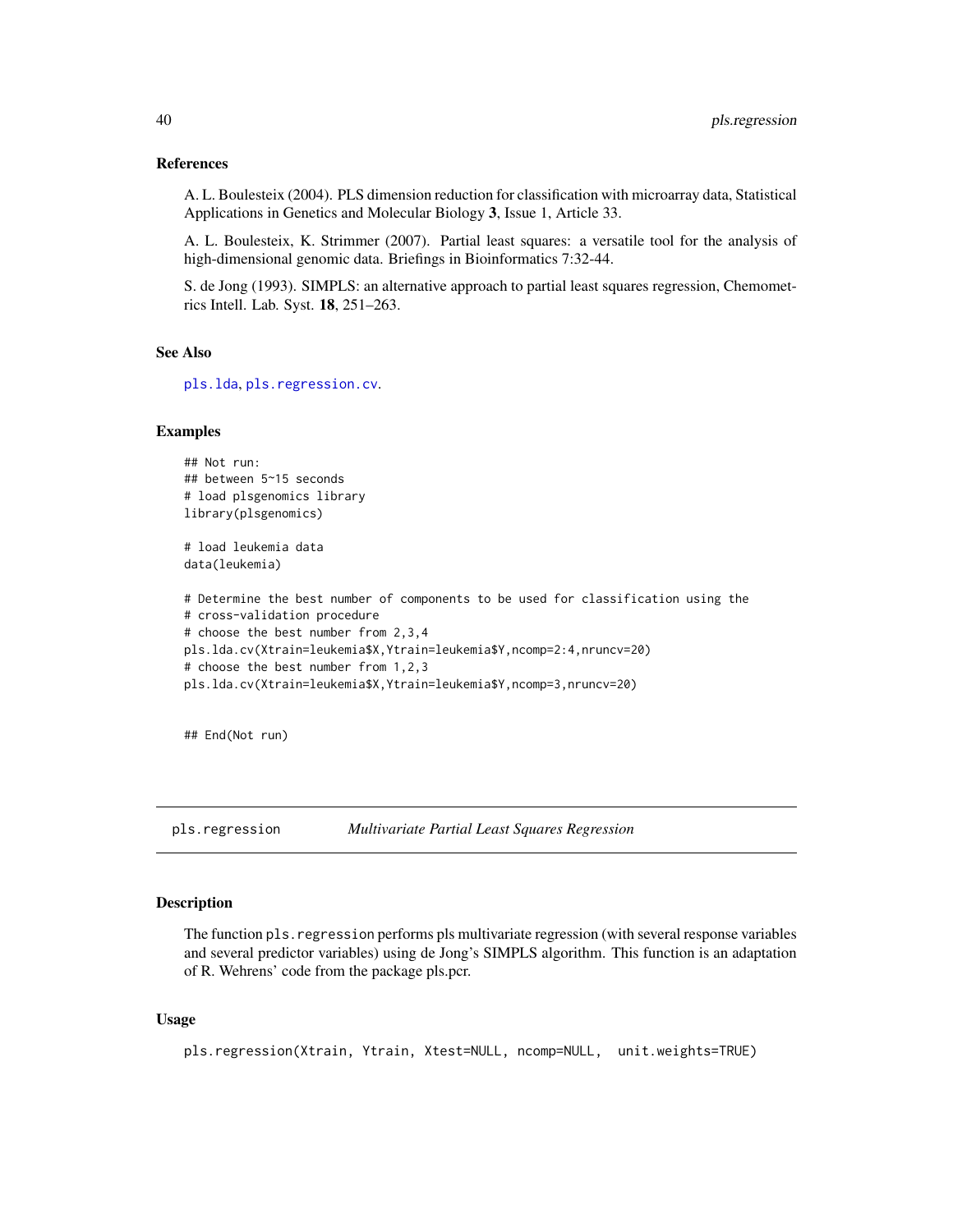#### References

A. L. Boulesteix (2004). PLS dimension reduction for classification with microarray data, Statistical Applications in Genetics and Molecular Biology 3, Issue 1, Article 33.

A. L. Boulesteix, K. Strimmer (2007). Partial least squares: a versatile tool for the analysis of high-dimensional genomic data. Briefings in Bioinformatics 7:32-44.

S. de Jong (1993). SIMPLS: an alternative approach to partial least squares regression, Chemometrics Intell. Lab. Syst. 18, 251–263.

#### See Also

[pls.lda](#page-36-0), [pls.regression.cv](#page-41-0).

#### Examples

```
## Not run:
## between 5~15 seconds
# load plsgenomics library
library(plsgenomics)
# load leukemia data
data(leukemia)
# Determine the best number of components to be used for classification using the
# cross-validation procedure
# choose the best number from 2,3,4
pls.lda.cv(Xtrain=leukemia$X,Ytrain=leukemia$Y,ncomp=2:4,nruncv=20)
# choose the best number from 1,2,3
pls.lda.cv(Xtrain=leukemia$X,Ytrain=leukemia$Y,ncomp=3,nruncv=20)
```
## End(Not run)

<span id="page-39-0"></span>pls.regression *Multivariate Partial Least Squares Regression*

### **Description**

The function pls.regression performs pls multivariate regression (with several response variables and several predictor variables) using de Jong's SIMPLS algorithm. This function is an adaptation of R. Wehrens' code from the package pls.pcr.

## Usage

```
pls.regression(Xtrain, Ytrain, Xtest=NULL, ncomp=NULL, unit.weights=TRUE)
```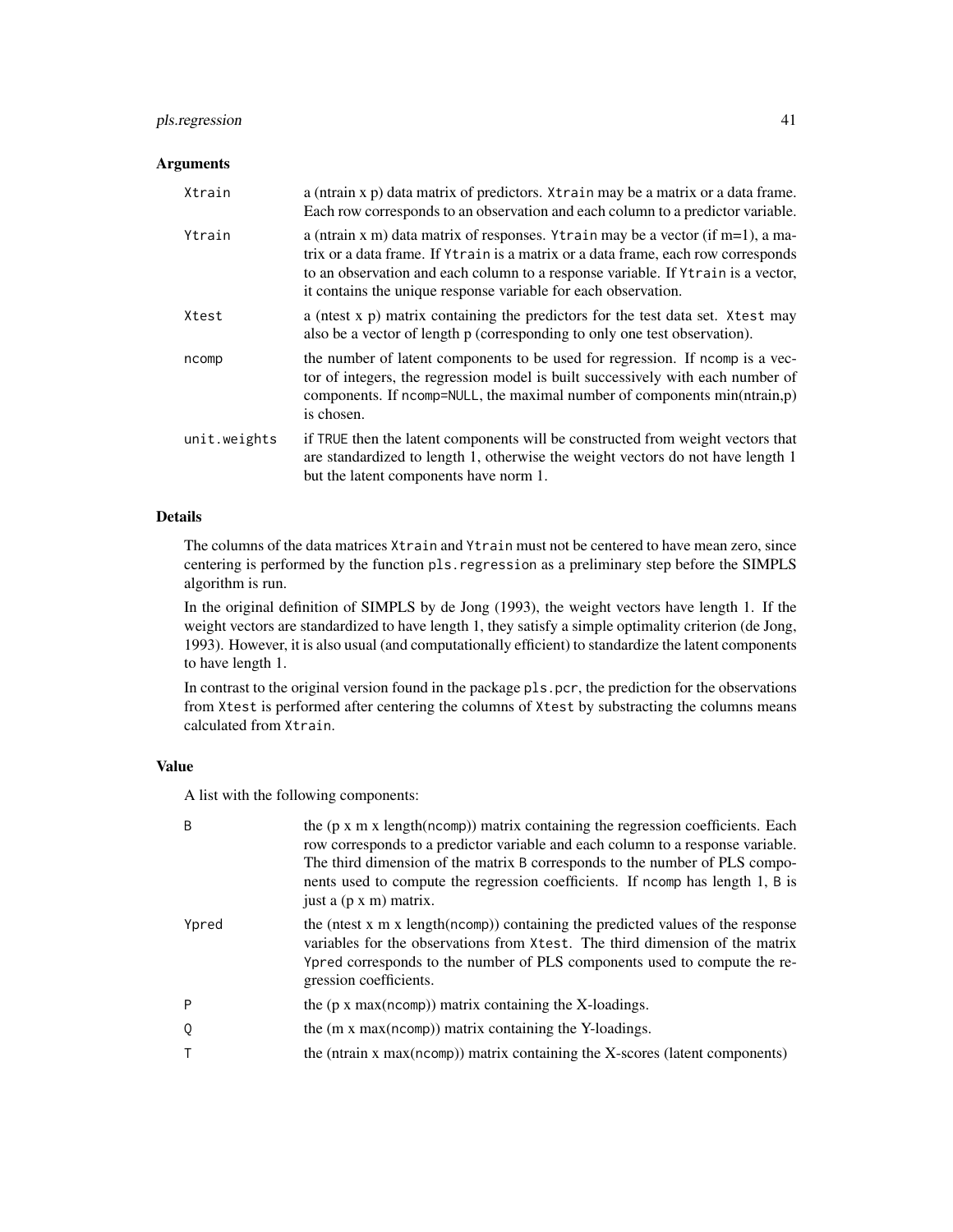# pls.regression 41

# Arguments

| Xtrain       | a (ntrain x p) data matrix of predictors. Xtrain may be a matrix or a data frame.<br>Each row corresponds to an observation and each column to a predictor variable.                                                                                                                                                          |
|--------------|-------------------------------------------------------------------------------------------------------------------------------------------------------------------------------------------------------------------------------------------------------------------------------------------------------------------------------|
| Ytrain       | a (ntrain x m) data matrix of responses. Ytrain may be a vector (if $m=1$ ), a ma-<br>trix or a data frame. If Ytrain is a matrix or a data frame, each row corresponds<br>to an observation and each column to a response variable. If Ytrain is a vector,<br>it contains the unique response variable for each observation. |
| Xtest        | a (nest x p) matrix containing the predictors for the test data set. Xtest may<br>also be a vector of length p (corresponding to only one test observation).                                                                                                                                                                  |
| ncomp        | the number of latent components to be used for regression. If normally is a vec-<br>tor of integers, the regression model is built successively with each number of<br>components. If ncomp=NULL, the maximal number of components min(ntrain,p)<br>is chosen.                                                                |
| unit.weights | if TRUE then the latent components will be constructed from weight vectors that<br>are standardized to length 1, otherwise the weight vectors do not have length 1<br>but the latent components have norm 1.                                                                                                                  |

## Details

The columns of the data matrices Xtrain and Ytrain must not be centered to have mean zero, since centering is performed by the function pls.regression as a preliminary step before the SIMPLS algorithm is run.

In the original definition of SIMPLS by de Jong (1993), the weight vectors have length 1. If the weight vectors are standardized to have length 1, they satisfy a simple optimality criterion (de Jong, 1993). However, it is also usual (and computationally efficient) to standardize the latent components to have length 1.

In contrast to the original version found in the package pls.pcr, the prediction for the observations from Xtest is performed after centering the columns of Xtest by substracting the columns means calculated from Xtrain.

# Value

A list with the following components:

| B     | the $(p \times m \times length(ncomp))$ matrix containing the regression coefficients. Each<br>row corresponds to a predictor variable and each column to a response variable.<br>The third dimension of the matrix B corresponds to the number of PLS compo-<br>nents used to compute the regression coefficients. If no mp has length 1, B is<br>just a (p x m) matrix. |
|-------|---------------------------------------------------------------------------------------------------------------------------------------------------------------------------------------------------------------------------------------------------------------------------------------------------------------------------------------------------------------------------|
| Ypred | the (ntest x m x length(ncomp)) containing the predicted values of the response<br>variables for the observations from Xtest. The third dimension of the matrix<br>Ypred corresponds to the number of PLS components used to compute the re-<br>gression coefficients.                                                                                                    |
| P     | the $(p \times max(ncomp))$ matrix containing the X-loadings.                                                                                                                                                                                                                                                                                                             |
| 0     | the (m x max(ncomp)) matrix containing the Y-loadings.                                                                                                                                                                                                                                                                                                                    |
| Τ     | the ( $ntrain x max(ncomp)$ ) matrix containing the X-scores (latent components)                                                                                                                                                                                                                                                                                          |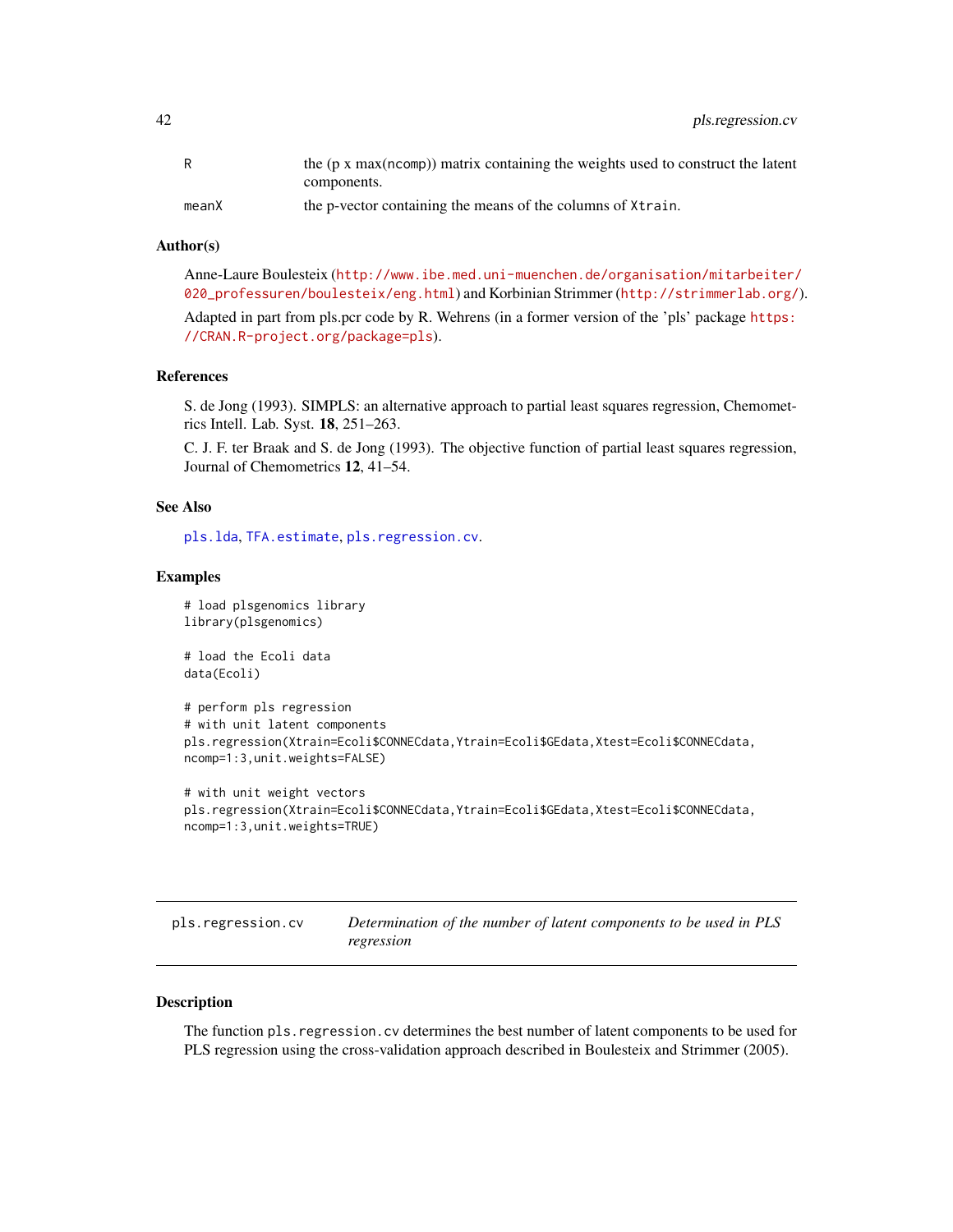42 pls.regression.cv

|       | the $(p \times max(ncomp))$ matrix containing the weights used to construct the latent |
|-------|----------------------------------------------------------------------------------------|
|       | components.                                                                            |
| meanX | the p-vector containing the means of the columns of Xtrain.                            |

## Author(s)

Anne-Laure Boulesteix ([http://www.ibe.med.uni-muenchen.de/organisation/mitarbeiter/](http://www.ibe.med.uni-muenchen.de/organisation/mitarbeiter/020_professuren/boulesteix/eng.html) [020\\_professuren/boulesteix/eng.html](http://www.ibe.med.uni-muenchen.de/organisation/mitarbeiter/020_professuren/boulesteix/eng.html)) and Korbinian Strimmer (<http://strimmerlab.org/>). Adapted in part from pls.pcr code by R. Wehrens (in a former version of the 'pls' package [https:](https://CRAN.R-project.org/package=pls) [//CRAN.R-project.org/package=pls](https://CRAN.R-project.org/package=pls)).

#### References

S. de Jong (1993). SIMPLS: an alternative approach to partial least squares regression, Chemometrics Intell. Lab. Syst. 18, 251–263.

C. J. F. ter Braak and S. de Jong (1993). The objective function of partial least squares regression, Journal of Chemometrics 12, 41–54.

# See Also

[pls.lda](#page-36-0), [TFA.estimate](#page-70-0), [pls.regression.cv](#page-41-0).

#### Examples

```
# load plsgenomics library
library(plsgenomics)
# load the Ecoli data
data(Ecoli)
# perform pls regression
# with unit latent components
pls.regression(Xtrain=Ecoli$CONNECdata,Ytrain=Ecoli$GEdata,Xtest=Ecoli$CONNECdata,
ncomp=1:3,unit.weights=FALSE)
# with unit weight vectors
pls.regression(Xtrain=Ecoli$CONNECdata,Ytrain=Ecoli$GEdata,Xtest=Ecoli$CONNECdata,
```

```
ncomp=1:3,unit.weights=TRUE)
```
<span id="page-41-0"></span>

| pls.regression.cv | Determination of the number of latent components to be used in PLS |
|-------------------|--------------------------------------------------------------------|
|                   | regression                                                         |

# **Description**

The function pls.regression.cv determines the best number of latent components to be used for PLS regression using the cross-validation approach described in Boulesteix and Strimmer (2005).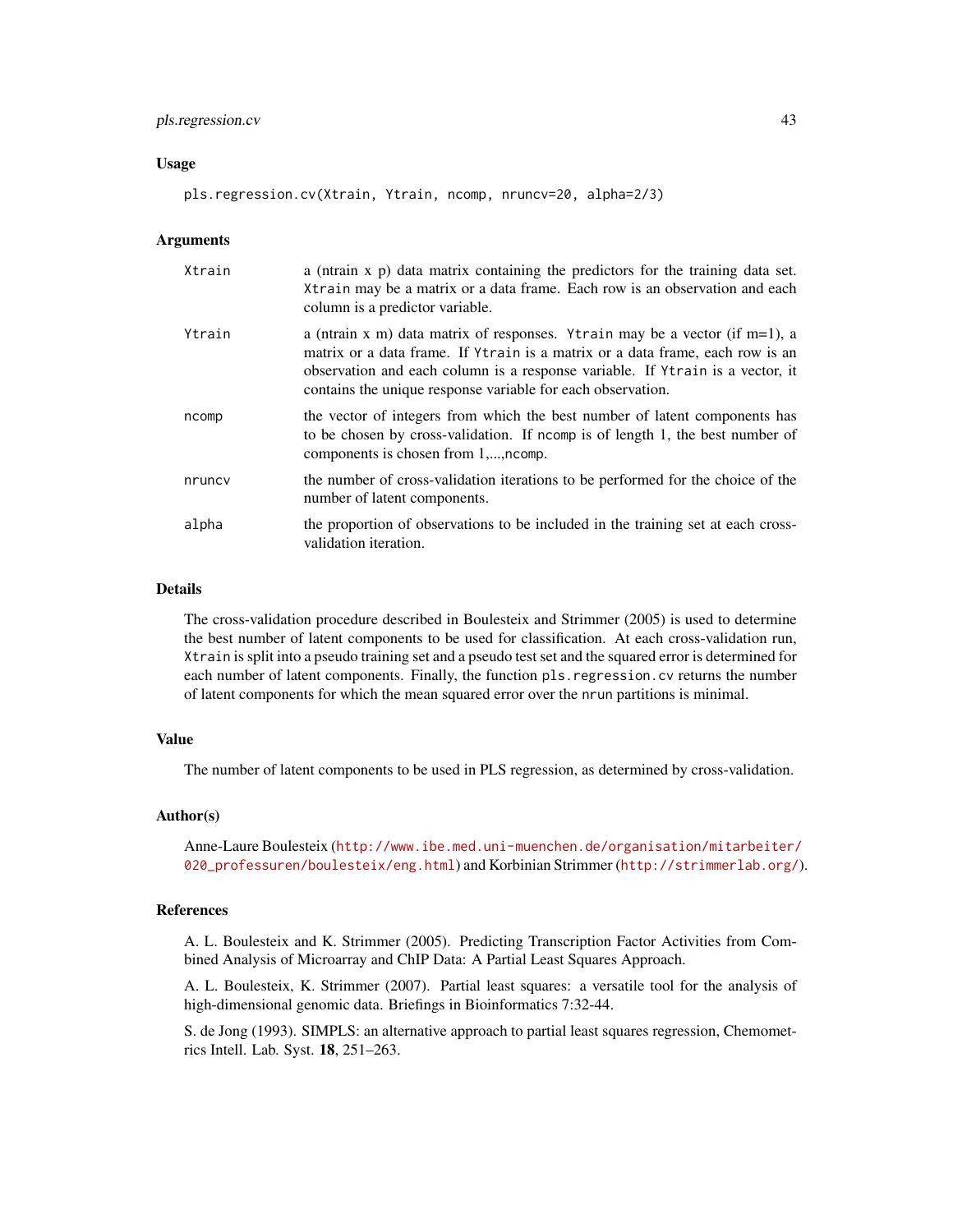## pls.regression.cv 43

### Usage

pls.regression.cv(Xtrain, Ytrain, ncomp, nruncv=20, alpha=2/3)

#### Arguments

| Xtrain | a (ntrain x p) data matrix containing the predictors for the training data set.<br>Xtrain may be a matrix or a data frame. Each row is an observation and each<br>column is a predictor variable.                                                                                                            |
|--------|--------------------------------------------------------------------------------------------------------------------------------------------------------------------------------------------------------------------------------------------------------------------------------------------------------------|
| Ytrain | a (ntrain x m) data matrix of responses. Ytrain may be a vector (if m=1), a<br>matrix or a data frame. If Ytrain is a matrix or a data frame, each row is an<br>observation and each column is a response variable. If Ytrain is a vector, it<br>contains the unique response variable for each observation. |
| ncomp  | the vector of integers from which the best number of latent components has<br>to be chosen by cross-validation. If nomp is of length 1, the best number of<br>components is chosen from 1,, ncomp.                                                                                                           |
| nruncy | the number of cross-validation iterations to be performed for the choice of the<br>number of latent components.                                                                                                                                                                                              |
| alpha  | the proportion of observations to be included in the training set at each cross-<br>validation iteration.                                                                                                                                                                                                    |

## Details

The cross-validation procedure described in Boulesteix and Strimmer (2005) is used to determine the best number of latent components to be used for classification. At each cross-validation run, Xtrain is split into a pseudo training set and a pseudo test set and the squared error is determined for each number of latent components. Finally, the function pls.regression.cv returns the number of latent components for which the mean squared error over the nrun partitions is minimal.

#### Value

The number of latent components to be used in PLS regression, as determined by cross-validation.

#### Author(s)

Anne-Laure Boulesteix ([http://www.ibe.med.uni-muenchen.de/organisation/mitarbeiter/](http://www.ibe.med.uni-muenchen.de/organisation/mitarbeiter/020_professuren/boulesteix/eng.html) [020\\_professuren/boulesteix/eng.html](http://www.ibe.med.uni-muenchen.de/organisation/mitarbeiter/020_professuren/boulesteix/eng.html)) and Korbinian Strimmer (<http://strimmerlab.org/>).

#### References

A. L. Boulesteix and K. Strimmer (2005). Predicting Transcription Factor Activities from Combined Analysis of Microarray and ChIP Data: A Partial Least Squares Approach.

A. L. Boulesteix, K. Strimmer (2007). Partial least squares: a versatile tool for the analysis of high-dimensional genomic data. Briefings in Bioinformatics 7:32-44.

S. de Jong (1993). SIMPLS: an alternative approach to partial least squares regression, Chemometrics Intell. Lab. Syst. 18, 251–263.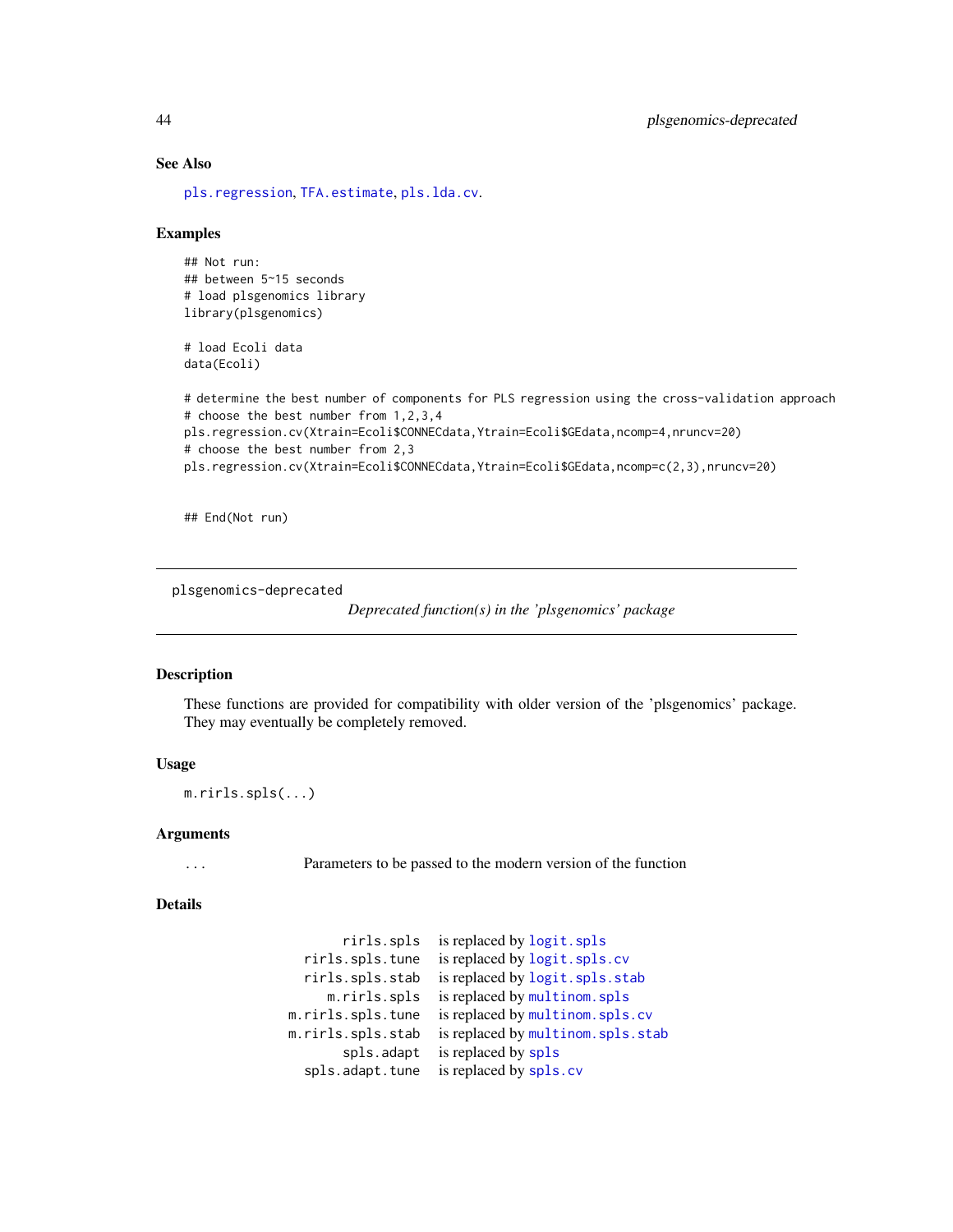# See Also

[pls.regression](#page-39-0), [TFA.estimate](#page-70-0), [pls.lda.cv](#page-38-0).

## Examples

```
## Not run:
## between 5~15 seconds
# load plsgenomics library
library(plsgenomics)
```
# load Ecoli data data(Ecoli)

```
# determine the best number of components for PLS regression using the cross-validation approach
# choose the best number from 1,2,3,4
pls.regression.cv(Xtrain=Ecoli$CONNECdata,Ytrain=Ecoli$GEdata,ncomp=4,nruncv=20)
# choose the best number from 2,3
pls.regression.cv(Xtrain=Ecoli$CONNECdata,Ytrain=Ecoli$GEdata,ncomp=c(2,3),nruncv=20)
```
## End(Not run)

plsgenomics-deprecated

*Deprecated function(s) in the 'plsgenomics' package*

## **Description**

These functions are provided for compatibility with older version of the 'plsgenomics' package. They may eventually be completely removed.

#### Usage

m.rirls.spls(...)

#### Arguments

... Parameters to be passed to the modern version of the function

#### Details

```
rirls.spls is replaced by logit.spls
  rirls.spls.tune is replaced by logit.spls.cv
  rirls.spls.stab is replaced by logit.spls.stab
    m.rirls.spls is replaced by multinom.spls
m.rirls.spls.tune is replaced by multinom.spls.cv
m.rirls.spls.stab is replaced by multinom.spls.stab
      spls.adapt is replaced by spls
  spls.cv
```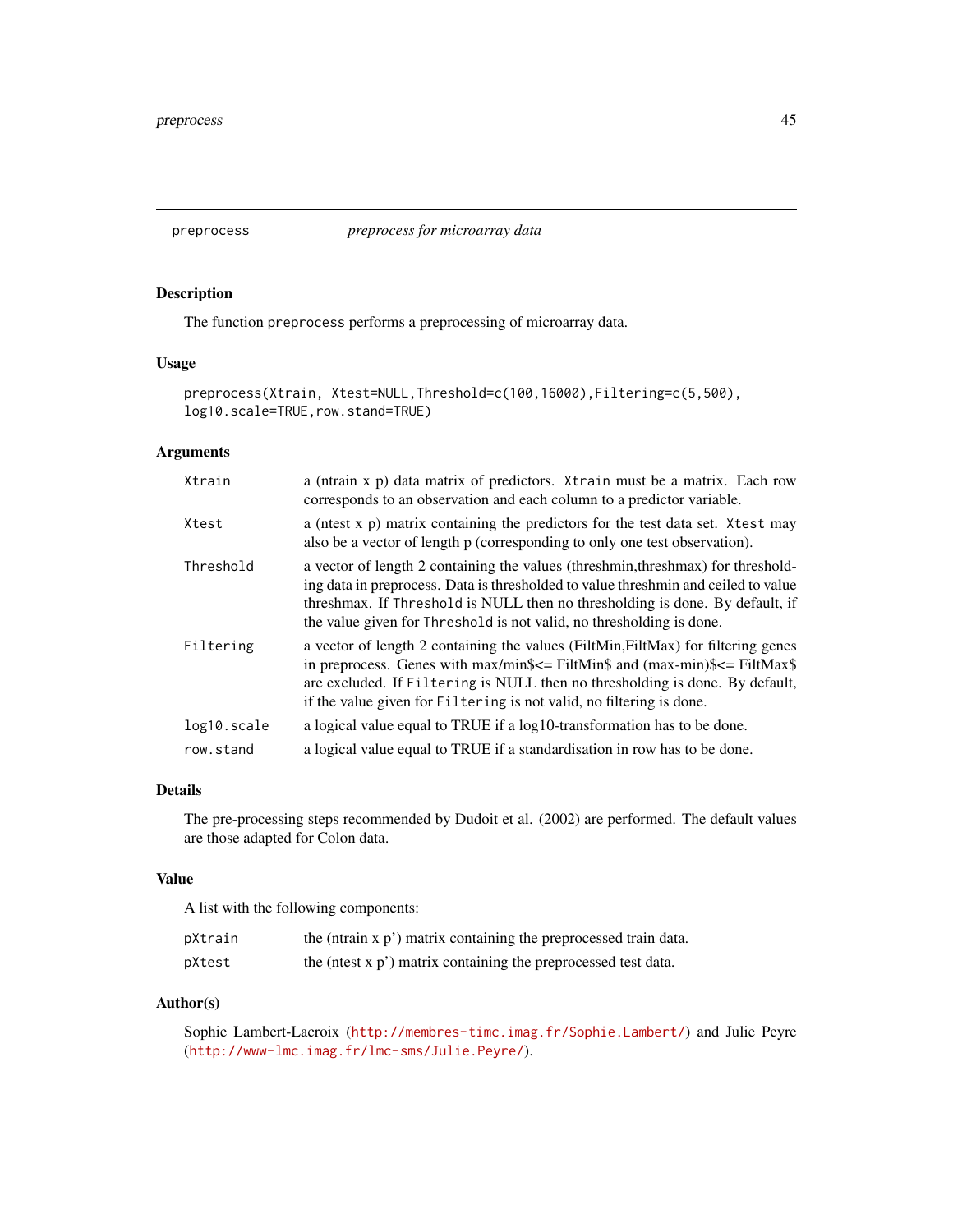# Description

The function preprocess performs a preprocessing of microarray data.

# Usage

```
preprocess(Xtrain, Xtest=NULL, Threshold=c(100, 16000), Filtering=c(5, 500),
log10.scale=TRUE,row.stand=TRUE)
```
# Arguments

| Xtrain      | a (ntrain x p) data matrix of predictors. Xtrain must be a matrix. Each row<br>corresponds to an observation and each column to a predictor variable.                                                                                                                                                                                  |
|-------------|----------------------------------------------------------------------------------------------------------------------------------------------------------------------------------------------------------------------------------------------------------------------------------------------------------------------------------------|
| Xtest       | a (nest x p) matrix containing the predictors for the test data set. Xtest may<br>also be a vector of length p (corresponding to only one test observation).                                                                                                                                                                           |
| Threshold   | a vector of length 2 containing the values (threshmin, threshmax) for threshold-<br>ing data in preprocess. Data is thresholded to value threshmin and ceiled to value<br>threshmax. If Threshold is NULL then no thresholding is done. By default, if<br>the value given for Threshold is not valid, no thresholding is done.         |
| Filtering   | a vector of length 2 containing the values (FiltMin, FiltMax) for filtering genes<br>in preprocess. Genes with $max/min$ \$ $\le$ FiltMin\$ and $(max-min)$ \$ $\le$ FiltMax\$<br>are excluded. If Filtering is NULL then no thresholding is done. By default,<br>if the value given for Filtering is not valid, no filtering is done. |
| log10.scale | a logical value equal to TRUE if a log10-transformation has to be done.                                                                                                                                                                                                                                                                |
| row.stand   | a logical value equal to TRUE if a standardisation in row has to be done.                                                                                                                                                                                                                                                              |

# Details

The pre-processing steps recommended by Dudoit et al. (2002) are performed. The default values are those adapted for Colon data.

#### Value

A list with the following components:

| pXtrain | the (ntrain x p') matrix containing the preprocessed train data.  |
|---------|-------------------------------------------------------------------|
| pXtest  | the (ntest $x p'$ ) matrix containing the preprocessed test data. |

# Author(s)

Sophie Lambert-Lacroix (<http://membres-timc.imag.fr/Sophie.Lambert/>) and Julie Peyre (<http://www-lmc.imag.fr/lmc-sms/Julie.Peyre/>).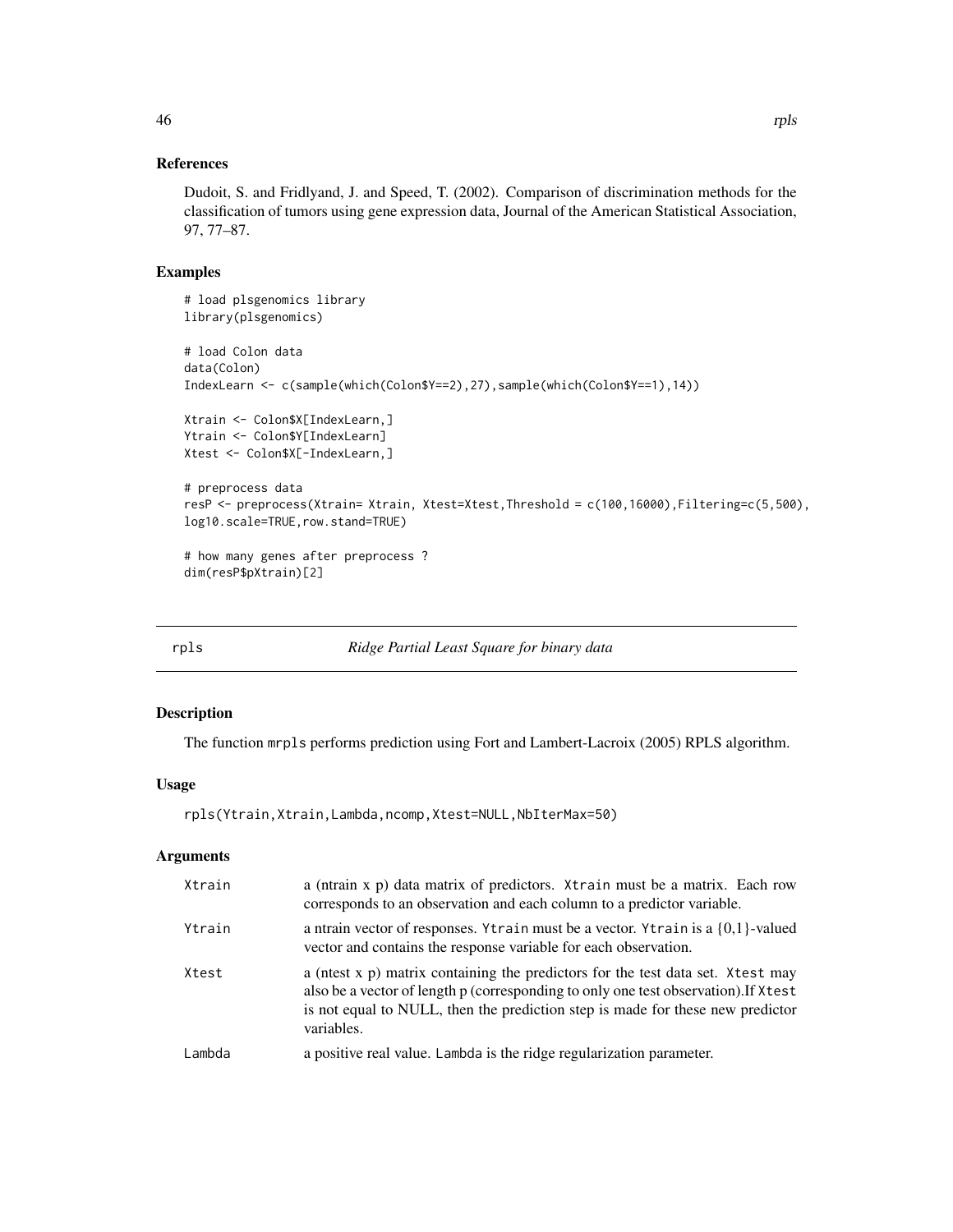# References

Dudoit, S. and Fridlyand, J. and Speed, T. (2002). Comparison of discrimination methods for the classification of tumors using gene expression data, Journal of the American Statistical Association, 97, 77–87.

## Examples

```
# load plsgenomics library
library(plsgenomics)
# load Colon data
data(Colon)
IndexLearn <- c(sample(which(Colon$Y==2),27),sample(which(Colon$Y==1),14))
Xtrain <- Colon$X[IndexLearn,]
Ytrain <- Colon$Y[IndexLearn]
Xtest <- Colon$X[-IndexLearn,]
# preprocess data
resP <- preprocess(Xtrain= Xtrain, Xtest=Xtest,Threshold = c(100,16000),Filtering=c(5,500),
log10.scale=TRUE,row.stand=TRUE)
# how many genes after preprocess ?
dim(resP$pXtrain)[2]
```
<span id="page-45-0"></span>rpls *Ridge Partial Least Square for binary data*

### Description

The function mrpls performs prediction using Fort and Lambert-Lacroix (2005) RPLS algorithm.

## Usage

rpls(Ytrain,Xtrain,Lambda,ncomp,Xtest=NULL,NbIterMax=50)

### Arguments

| Xtrain | a (ntrain x p) data matrix of predictors. Xtrain must be a matrix. Each row<br>corresponds to an observation and each column to a predictor variable.                                                                                                                  |
|--------|------------------------------------------------------------------------------------------------------------------------------------------------------------------------------------------------------------------------------------------------------------------------|
| Ytrain | a ntrain vector of responses. Ytrain must be a vector. Ytrain is a $\{0,1\}$ -valued<br>vector and contains the response variable for each observation.                                                                                                                |
| Xtest  | a (ntest x p) matrix containing the predictors for the test data set. Xtest may<br>also be a vector of length p (corresponding to only one test observation). If Xtest<br>is not equal to NULL, then the prediction step is made for these new predictor<br>variables. |
| Lambda | a positive real value. Lambda is the ridge regularization parameter.                                                                                                                                                                                                   |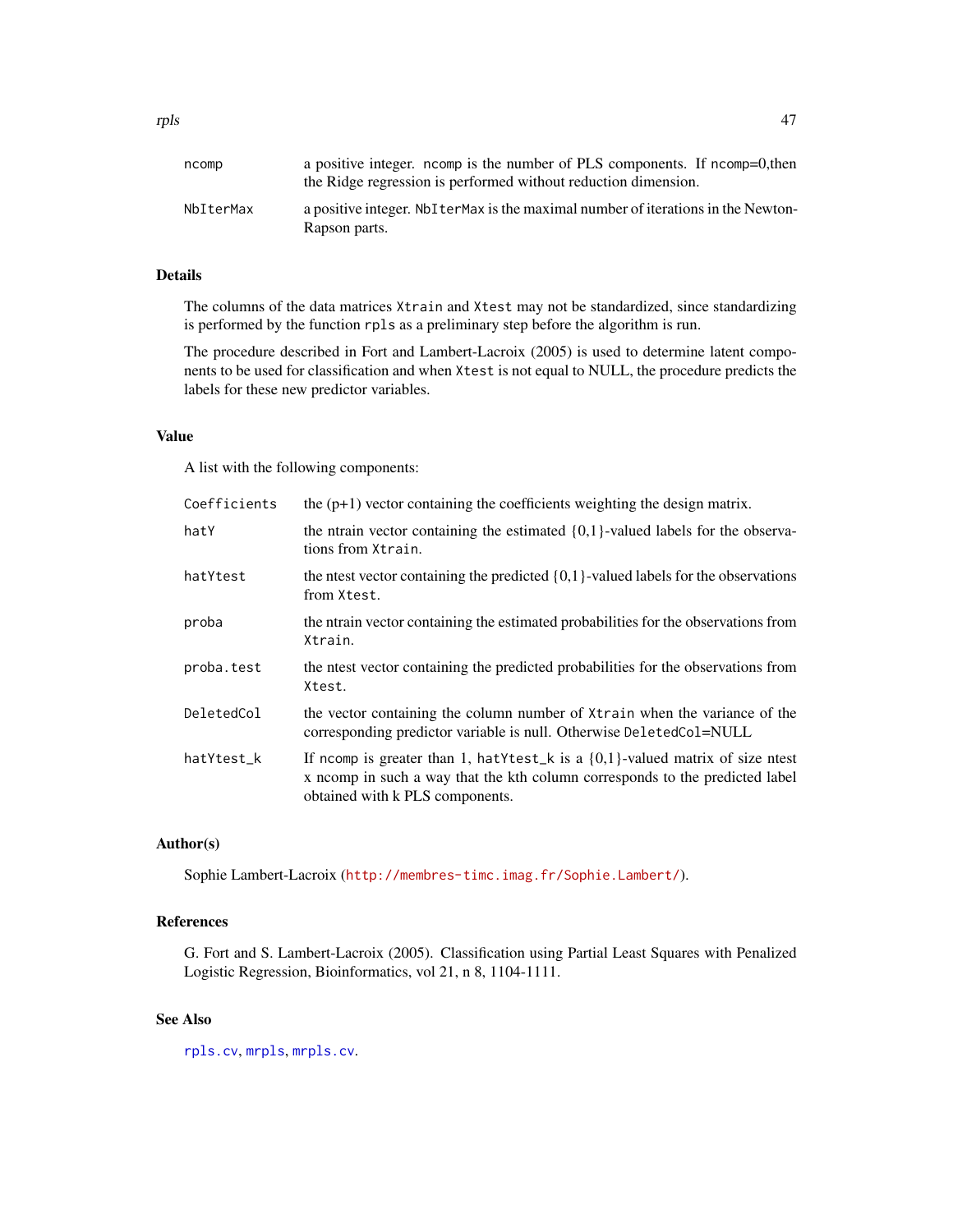# Details

The columns of the data matrices Xtrain and Xtest may not be standardized, since standardizing is performed by the function rpls as a preliminary step before the algorithm is run.

The procedure described in Fort and Lambert-Lacroix (2005) is used to determine latent components to be used for classification and when Xtest is not equal to NULL, the procedure predicts the labels for these new predictor variables.

# Value

A list with the following components:

| Coefficients | the $(p+1)$ vector containing the coefficients weighting the design matrix.                                                                                                                                            |
|--------------|------------------------------------------------------------------------------------------------------------------------------------------------------------------------------------------------------------------------|
| hatY         | the ntrain vector containing the estimated $\{0,1\}$ -valued labels for the observa-<br>tions from Xtrain.                                                                                                             |
| hatYtest     | the net vector containing the predicted $\{0,1\}$ -valued labels for the observations<br>from Xtest.                                                                                                                   |
| proba        | the norm in vector containing the estimated probabilities for the observations from<br>Xtrain.                                                                                                                         |
| proba.test   | the net vector containing the predicted probabilities for the observations from<br>Xtest.                                                                                                                              |
| DeletedCol   | the vector containing the column number of $X$ train when the variance of the<br>corresponding predictor variable is null. Otherwise DeletedCol=NULL                                                                   |
| hatYtest_k   | If norm is greater than 1, hat Y test $\lfloor k \rfloor$ is a $\{0,1\}$ -valued matrix of size nest<br>x norm in such a way that the kth column corresponds to the predicted label<br>obtained with k PLS components. |

## Author(s)

Sophie Lambert-Lacroix (<http://membres-timc.imag.fr/Sophie.Lambert/>).

# References

G. Fort and S. Lambert-Lacroix (2005). Classification using Partial Least Squares with Penalized Logistic Regression, Bioinformatics, vol 21, n 8, 1104-1111.

# See Also

[rpls.cv](#page-47-0), [mrpls](#page-22-0), [mrpls.cv](#page-24-0).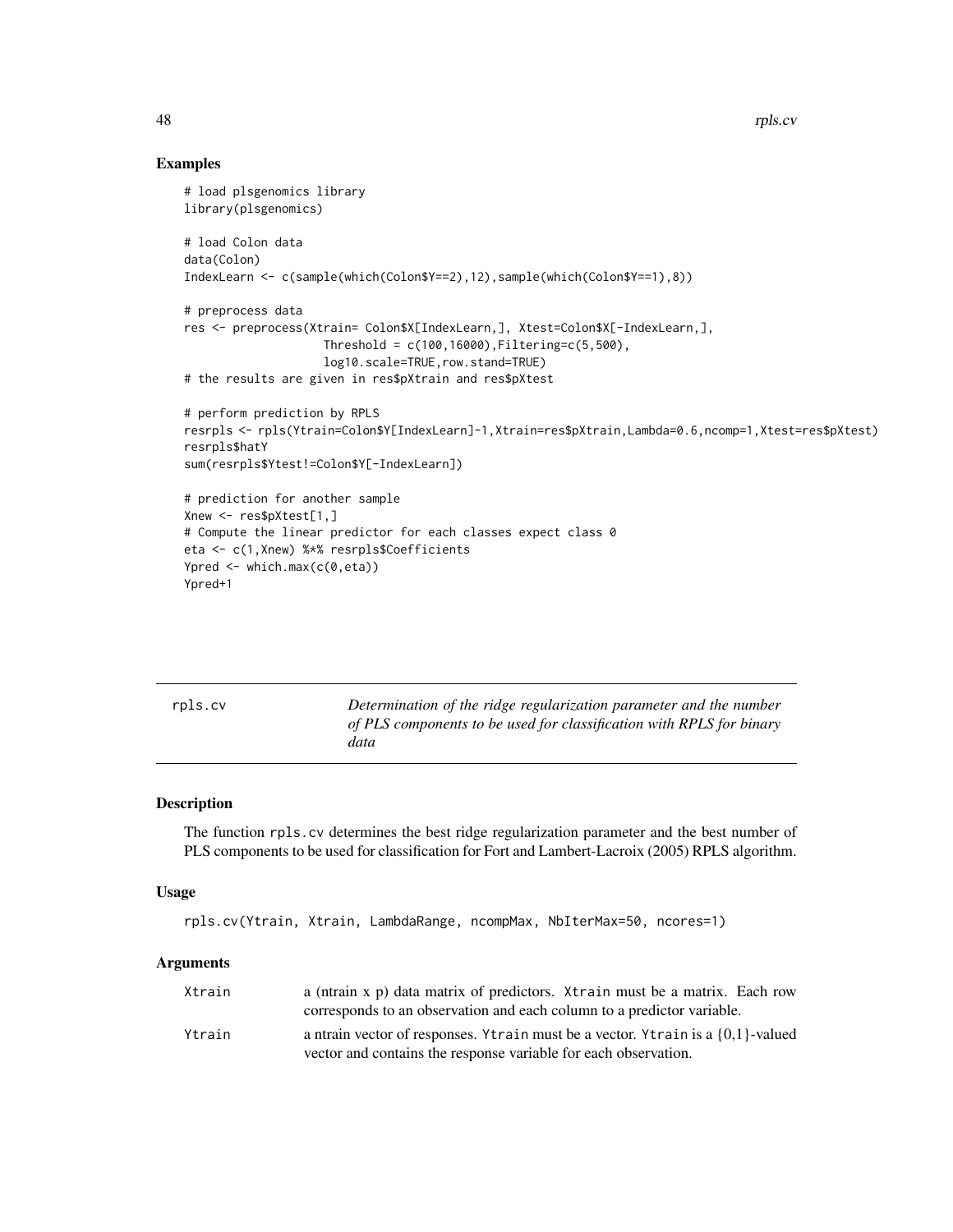## Examples

```
# load plsgenomics library
library(plsgenomics)
# load Colon data
data(Colon)
IndexLearn <- c(sample(which(Colon$Y==2),12),sample(which(Colon$Y==1),8))
# preprocess data
res <- preprocess(Xtrain= Colon$X[IndexLearn,], Xtest=Colon$X[-IndexLearn,],
                    Threshold = c(100, 16000), Filtering = c(5,500),log10.scale=TRUE,row.stand=TRUE)
# the results are given in res$pXtrain and res$pXtest
# perform prediction by RPLS
resrpls <- rpls(Ytrain=Colon$Y[IndexLearn]-1,Xtrain=res$pXtrain,Lambda=0.6,ncomp=1,Xtest=res$pXtest)
resrpls$hatY
sum(resrpls$Ytest!=Colon$Y[-IndexLearn])
# prediction for another sample
Xnew <- res$pXtest[1,]
# Compute the linear predictor for each classes expect class 0
eta <- c(1,Xnew) %*% resrpls$Coefficients
Ypred <- which.max(c(0,eta))
Ypred+1
```
<span id="page-47-0"></span>

| rpls.cv | Determination of the ridge regularization parameter and the number<br>of PLS components to be used for classification with RPLS for binary<br>data |
|---------|----------------------------------------------------------------------------------------------------------------------------------------------------|
|         |                                                                                                                                                    |

# Description

The function rpls.cv determines the best ridge regularization parameter and the best number of PLS components to be used for classification for Fort and Lambert-Lacroix (2005) RPLS algorithm.

#### Usage

```
rpls.cv(Ytrain, Xtrain, LambdaRange, ncompMax, NbIterMax=50, ncores=1)
```
### **Arguments**

| Xtrain | a (ntrain x p) data matrix of predictors. Xtrain must be a matrix. Each row<br>corresponds to an observation and each column to a predictor variable.   |
|--------|---------------------------------------------------------------------------------------------------------------------------------------------------------|
| Ytrain | a ntrain vector of responses. Ytrain must be a vector. Ytrain is a $\{0,1\}$ -valued<br>vector and contains the response variable for each observation. |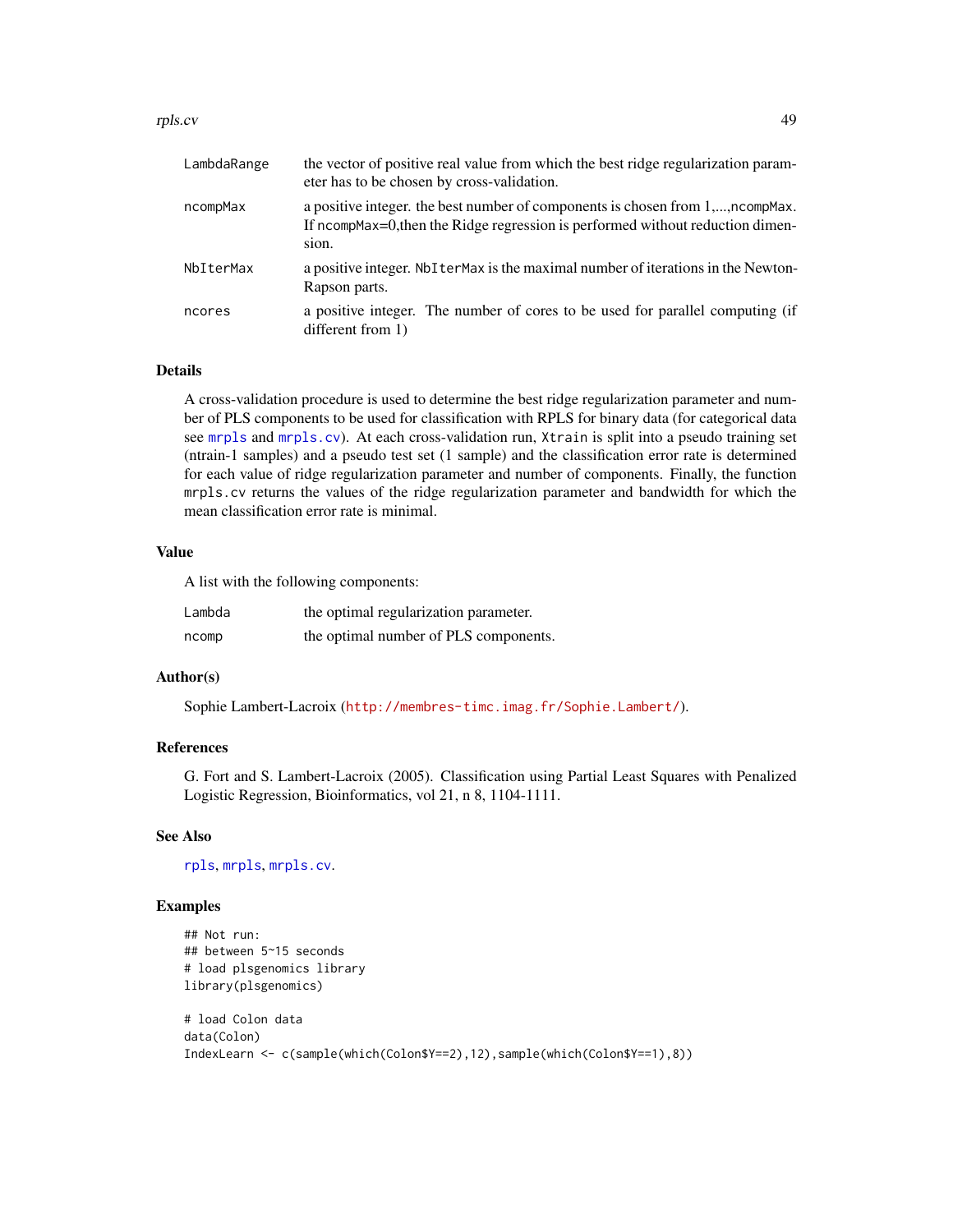#### rpls.cv 49

| LambdaRange | the vector of positive real value from which the best ridge regularization param-<br>eter has to be chosen by cross-validation.                                          |
|-------------|--------------------------------------------------------------------------------------------------------------------------------------------------------------------------|
| ncompMax    | a positive integer, the best number of components is chosen from 1,,ncompMax.<br>If ncompMax=0, then the Ridge regression is performed without reduction dimen-<br>sion. |
| NbIterMax   | a positive integer. Not term axis the maximal number of iterations in the Newton-<br>Rapson parts.                                                                       |
| ncores      | a positive integer. The number of cores to be used for parallel computing (if<br>different from 1)                                                                       |

# Details

A cross-validation procedure is used to determine the best ridge regularization parameter and number of PLS components to be used for classification with RPLS for binary data (for categorical data see [mrpls](#page-22-0) and [mrpls.cv](#page-24-0)). At each cross-validation run, Xtrain is split into a pseudo training set (ntrain-1 samples) and a pseudo test set (1 sample) and the classification error rate is determined for each value of ridge regularization parameter and number of components. Finally, the function mrpls.cv returns the values of the ridge regularization parameter and bandwidth for which the mean classification error rate is minimal.

# Value

A list with the following components:

| Lambda | the optimal regularization parameter. |
|--------|---------------------------------------|
| ncomp  | the optimal number of PLS components. |

## Author(s)

Sophie Lambert-Lacroix (<http://membres-timc.imag.fr/Sophie.Lambert/>).

### References

G. Fort and S. Lambert-Lacroix (2005). Classification using Partial Least Squares with Penalized Logistic Regression, Bioinformatics, vol 21, n 8, 1104-1111.

### See Also

[rpls](#page-45-0), [mrpls](#page-22-0), [mrpls.cv](#page-24-0).

### Examples

```
## Not run:
## between 5~15 seconds
# load plsgenomics library
library(plsgenomics)
# load Colon data
data(Colon)
IndexLearn <- c(sample(which(Colon$Y==2),12),sample(which(Colon$Y==1),8))
```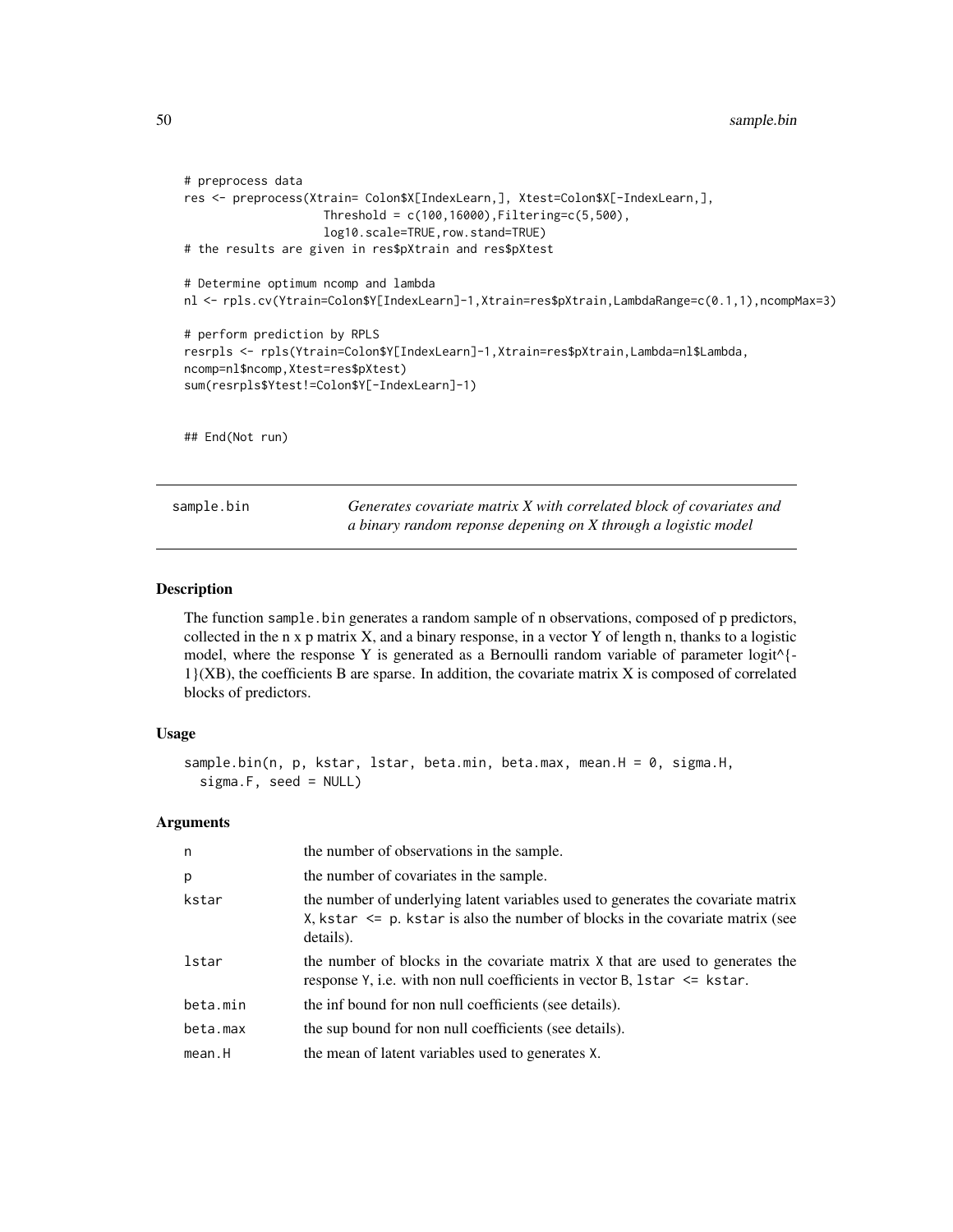```
# preprocess data
res <- preprocess(Xtrain= Colon$X[IndexLearn,], Xtest=Colon$X[-IndexLearn,],
                    Threshold = c(100, 16000), Filtering = c(5, 500),log10.scale=TRUE,row.stand=TRUE)
# the results are given in res$pXtrain and res$pXtest
# Determine optimum ncomp and lambda
nl <- rpls.cv(Ytrain=Colon$Y[IndexLearn]-1,Xtrain=res$pXtrain,LambdaRange=c(0.1,1),ncompMax=3)
# perform prediction by RPLS
resrpls <- rpls(Ytrain=Colon$Y[IndexLearn]-1,Xtrain=res$pXtrain,Lambda=nl$Lambda,
ncomp=nl$ncomp,Xtest=res$pXtest)
sum(resrpls$Ytest!=Colon$Y[-IndexLearn]-1)
## End(Not run)
```
<span id="page-49-0"></span>sample.bin *Generates covariate matrix X with correlated block of covariates and a binary random reponse depening on X through a logistic model*

# **Description**

The function sample.bin generates a random sample of n observations, composed of p predictors, collected in the n x p matrix X, and a binary response, in a vector Y of length n, thanks to a logistic model, where the response Y is generated as a Bernoulli random variable of parameter  $logit^{\wedge}$  {-1}(XB), the coefficients B are sparse. In addition, the covariate matrix X is composed of correlated blocks of predictors.

#### Usage

```
sample.bin(n, p, kstar, lstar, beta.min, beta.max, mean.H = 0, sigma.H,
  sigma.F, seed = NULL)
```
#### Arguments

| n        | the number of observations in the sample.                                                                                                                                           |
|----------|-------------------------------------------------------------------------------------------------------------------------------------------------------------------------------------|
| p        | the number of covariates in the sample.                                                                                                                                             |
| kstar    | the number of underlying latent variables used to generates the covariate matrix<br>X, kstar $\leq$ p. kstar is also the number of blocks in the covariate matrix (see<br>details). |
| lstar    | the number of blocks in the covariate matrix X that are used to generates the<br>response $Y$ , i.e. with non null coefficients in vector B, 1star $\leq$ kstar.                    |
| beta.min | the inf bound for non null coefficients (see details).                                                                                                                              |
| beta.max | the sup bound for non null coefficients (see details).                                                                                                                              |
| mean.H   | the mean of latent variables used to generates X.                                                                                                                                   |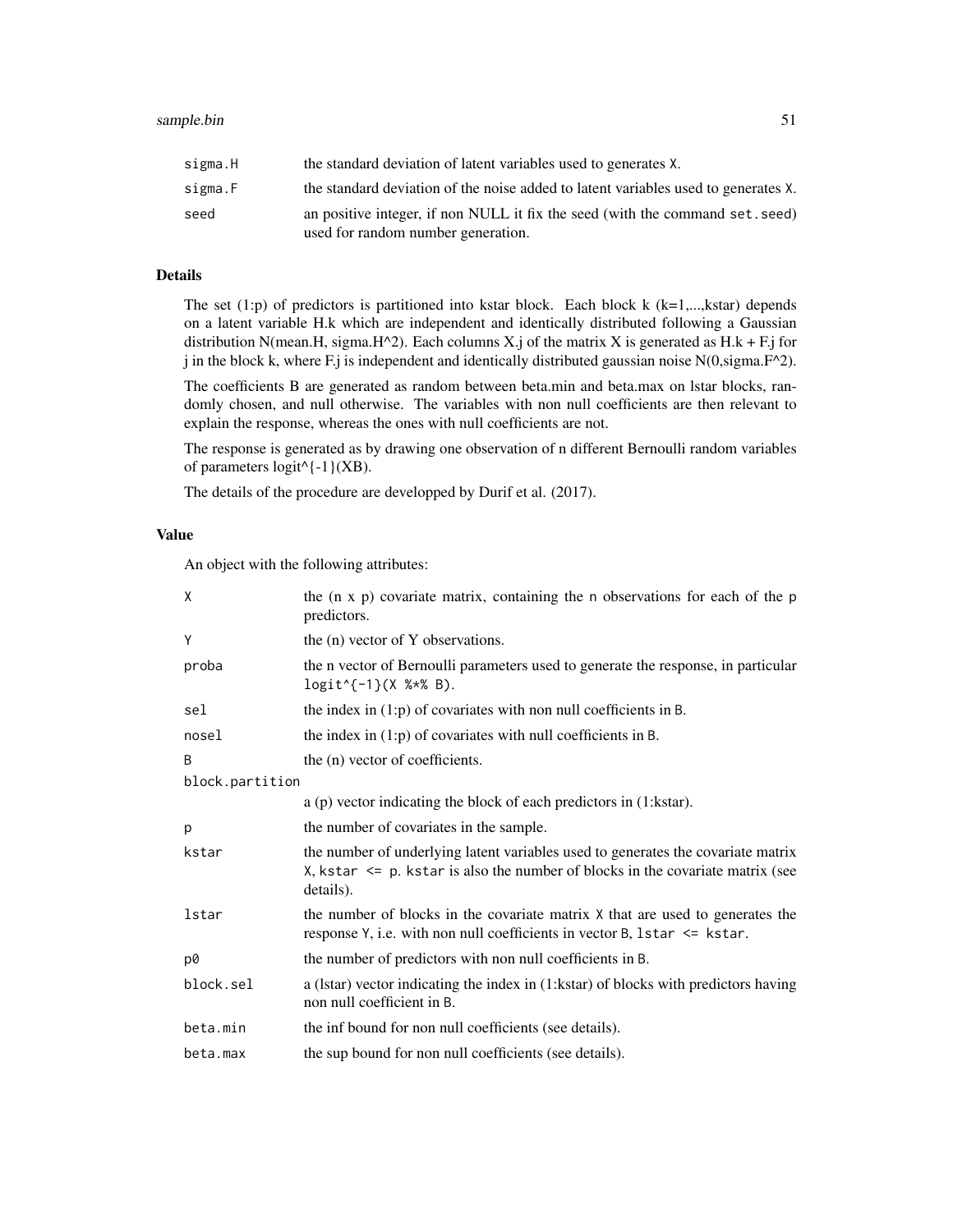| sigma.H | the standard deviation of latent variables used to generates X.                                                     |
|---------|---------------------------------------------------------------------------------------------------------------------|
| sigma.F | the standard deviation of the noise added to latent variables used to generates X.                                  |
| seed    | an positive integer, if non NULL it fix the seed (with the command set, seed)<br>used for random number generation. |

# Details

The set  $(1:p)$  of predictors is partitioned into kstar block. Each block k  $(k=1,...,kstar)$  depends on a latent variable H.k which are independent and identically distributed following a Gaussian distribution N(mean.H, sigma.H^2). Each columns X.j of the matrix X is generated as H.k + F.j for j in the block k, where F.j is independent and identically distributed gaussian noise  $N(0, \text{sigma}.F^2)$ .

The coefficients B are generated as random between beta.min and beta.max on lstar blocks, randomly chosen, and null otherwise. The variables with non null coefficients are then relevant to explain the response, whereas the ones with null coefficients are not.

The response is generated as by drawing one observation of n different Bernoulli random variables of parameters  $logit^{\wedge}$  {-1}(XB).

The details of the procedure are developped by Durif et al. (2017).

## Value

An object with the following attributes:

| X               | the $(n \times p)$ covariate matrix, containing the n observations for each of the p<br>predictors.                                                                                 |
|-----------------|-------------------------------------------------------------------------------------------------------------------------------------------------------------------------------------|
| Y               | the (n) vector of Y observations.                                                                                                                                                   |
| proba           | the n vector of Bernoulli parameters used to generate the response, in particular<br>$logit$ $(-1)$ (X % $*$ B).                                                                    |
| sel             | the index in $(1:p)$ of covariates with non null coefficients in B.                                                                                                                 |
| nosel           | the index in $(1:p)$ of covariates with null coefficients in B.                                                                                                                     |
| B               | the (n) vector of coefficients.                                                                                                                                                     |
| block.partition |                                                                                                                                                                                     |
|                 | $a$ (p) vector indicating the block of each predictors in $(1:kstar)$ .                                                                                                             |
| p               | the number of covariates in the sample.                                                                                                                                             |
| kstar           | the number of underlying latent variables used to generates the covariate matrix<br>X, kstar $\leq$ p. kstar is also the number of blocks in the covariate matrix (see<br>details). |
| lstar           | the number of blocks in the covariate matrix X that are used to generates the<br>response $Y$ , i.e. with non null coefficients in vector B, 1star $\leq$ kstar.                    |
| p0              | the number of predictors with non null coefficients in B.                                                                                                                           |
| block.sel       | a (Istar) vector indicating the index in (1:kstar) of blocks with predictors having<br>non null coefficient in B.                                                                   |
| beta.min        | the inf bound for non null coefficients (see details).                                                                                                                              |
| beta.max        | the sup bound for non null coefficients (see details).                                                                                                                              |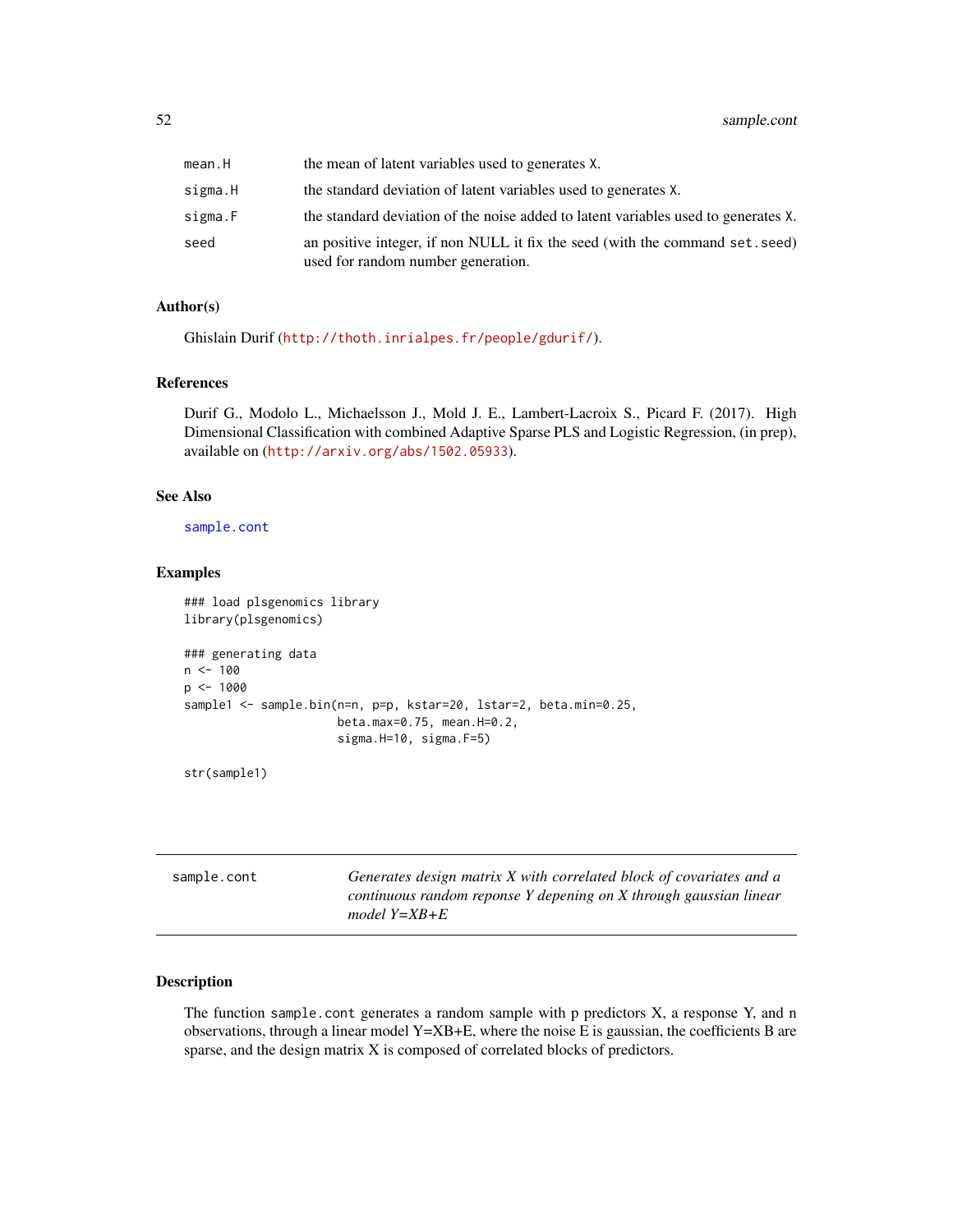| mean.H  | the mean of latent variables used to generates X.                                                                   |
|---------|---------------------------------------------------------------------------------------------------------------------|
| sigma.H | the standard deviation of latent variables used to generates X.                                                     |
| sigma.F | the standard deviation of the noise added to latent variables used to generates X.                                  |
| seed    | an positive integer, if non NULL it fix the seed (with the command set. seed)<br>used for random number generation. |

# Author(s)

Ghislain Durif (<http://thoth.inrialpes.fr/people/gdurif/>).

## References

Durif G., Modolo L., Michaelsson J., Mold J. E., Lambert-Lacroix S., Picard F. (2017). High Dimensional Classification with combined Adaptive Sparse PLS and Logistic Regression, (in prep), available on (<http://arxiv.org/abs/1502.05933>).

### See Also

[sample.cont](#page-51-0)

# Examples

```
### load plsgenomics library
library(plsgenomics)
### generating data
n < -100p <- 1000
sample1 <- sample.bin(n=n, p=p, kstar=20, lstar=2, beta.min=0.25,
                      beta.max=0.75, mean.H=0.2,
                      sigma.H=10, sigma.F=5)
```
str(sample1)

<span id="page-51-0"></span>

| sample.cont | Generates design matrix X with correlated block of covariates and a |
|-------------|---------------------------------------------------------------------|
|             | continuous random reponse Y depening on X through gaussian linear   |
|             | model $Y = XB + E$                                                  |

## Description

The function sample.cont generates a random sample with p predictors  $X$ , a response  $Y$ , and n observations, through a linear model Y=XB+E, where the noise E is gaussian, the coefficients B are sparse, and the design matrix X is composed of correlated blocks of predictors.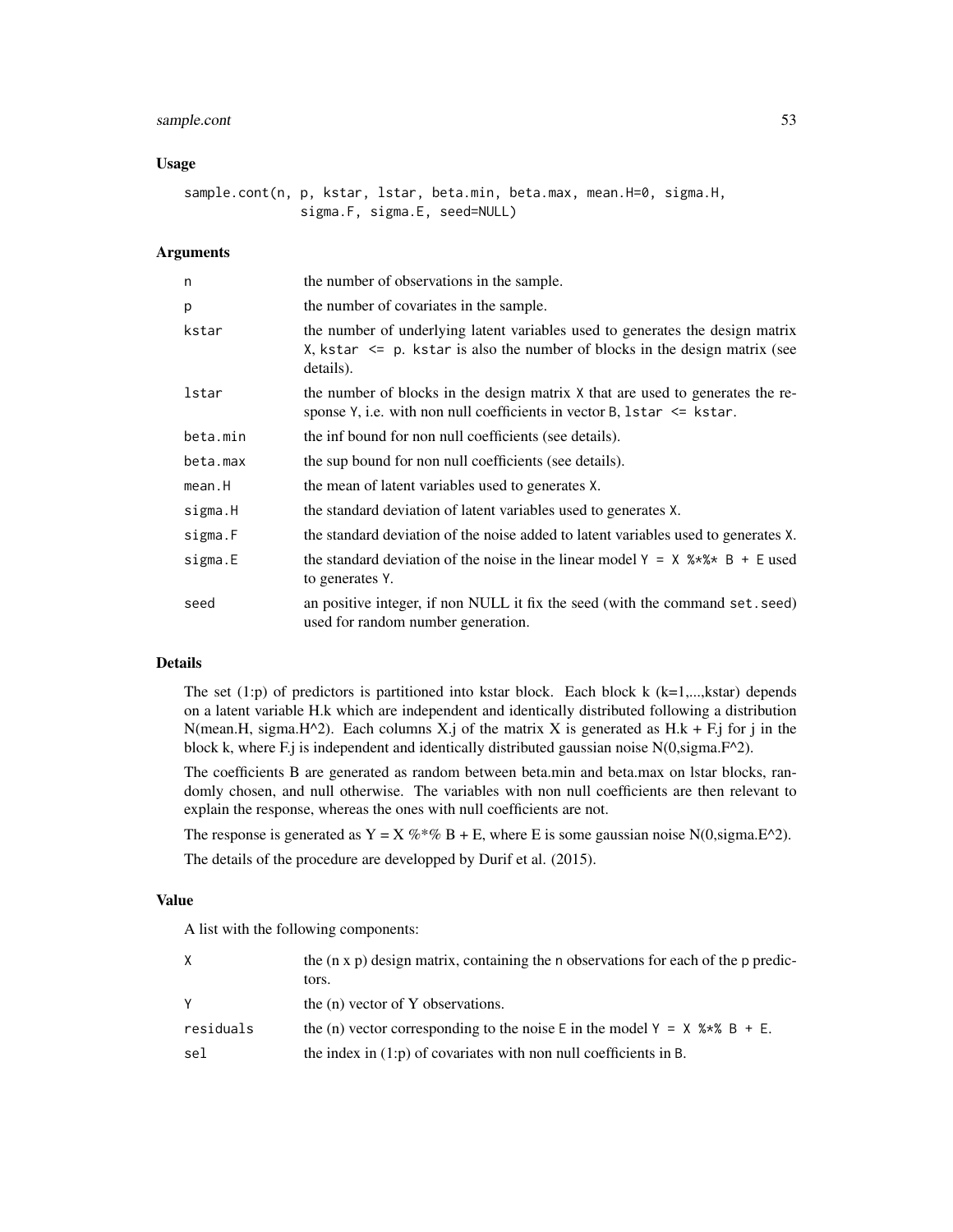# sample.cont 53

### Usage

sample.cont(n, p, kstar, lstar, beta.min, beta.max, mean.H=0, sigma.H, sigma.F, sigma.E, seed=NULL)

## Arguments

| n        | the number of observations in the sample.                                                                                                                                     |
|----------|-------------------------------------------------------------------------------------------------------------------------------------------------------------------------------|
| p        | the number of covariates in the sample.                                                                                                                                       |
| kstar    | the number of underlying latent variables used to generates the design matrix<br>X, kstar $\leq$ p. kstar is also the number of blocks in the design matrix (see<br>details). |
| lstar    | the number of blocks in the design matrix X that are used to generates the re-<br>sponse Y, i.e. with non null coefficients in vector B, 1star $\le$ kstar.                   |
| beta.min | the inf bound for non null coefficients (see details).                                                                                                                        |
| beta.max | the sup bound for non null coefficients (see details).                                                                                                                        |
| mean.H   | the mean of latent variables used to generates X.                                                                                                                             |
| sigma.H  | the standard deviation of latent variables used to generates X.                                                                                                               |
| sigma.F  | the standard deviation of the noise added to latent variables used to generates X.                                                                                            |
| sigma.E  | the standard deviation of the noise in the linear model $Y = X$ $* \times * \times * B + E$ used<br>to generates Y.                                                           |
| seed     | an positive integer, if non NULL it fix the seed (with the command set. seed)<br>used for random number generation.                                                           |

## Details

The set  $(1:p)$  of predictors is partitioned into kstar block. Each block k  $(k=1,...,kstar)$  depends on a latent variable H.k which are independent and identically distributed following a distribution N(mean.H, sigma.H^2). Each columns X.j of the matrix X is generated as H.k + F.j for j in the block k, where F.j is independent and identically distributed gaussian noise  $N(0, sigma.F^2)$ .

The coefficients B are generated as random between beta.min and beta.max on lstar blocks, randomly chosen, and null otherwise. The variables with non null coefficients are then relevant to explain the response, whereas the ones with null coefficients are not.

The response is generated as  $Y = X \%^* \% B + E$ , where E is some gaussian noise N(0,sigma.E^2).

The details of the procedure are developped by Durif et al. (2015).

# Value

A list with the following components:

| X         | the $(n \times p)$ design matrix, containing the n observations for each of the p predic-<br>tors. |
|-----------|----------------------------------------------------------------------------------------------------|
| <b>Y</b>  | the (n) vector of Y observations.                                                                  |
| residuals | the (n) vector corresponding to the noise E in the model $Y = X$ %*% B + E.                        |
| sel       | the index in $(1:p)$ of covariates with non null coefficients in B.                                |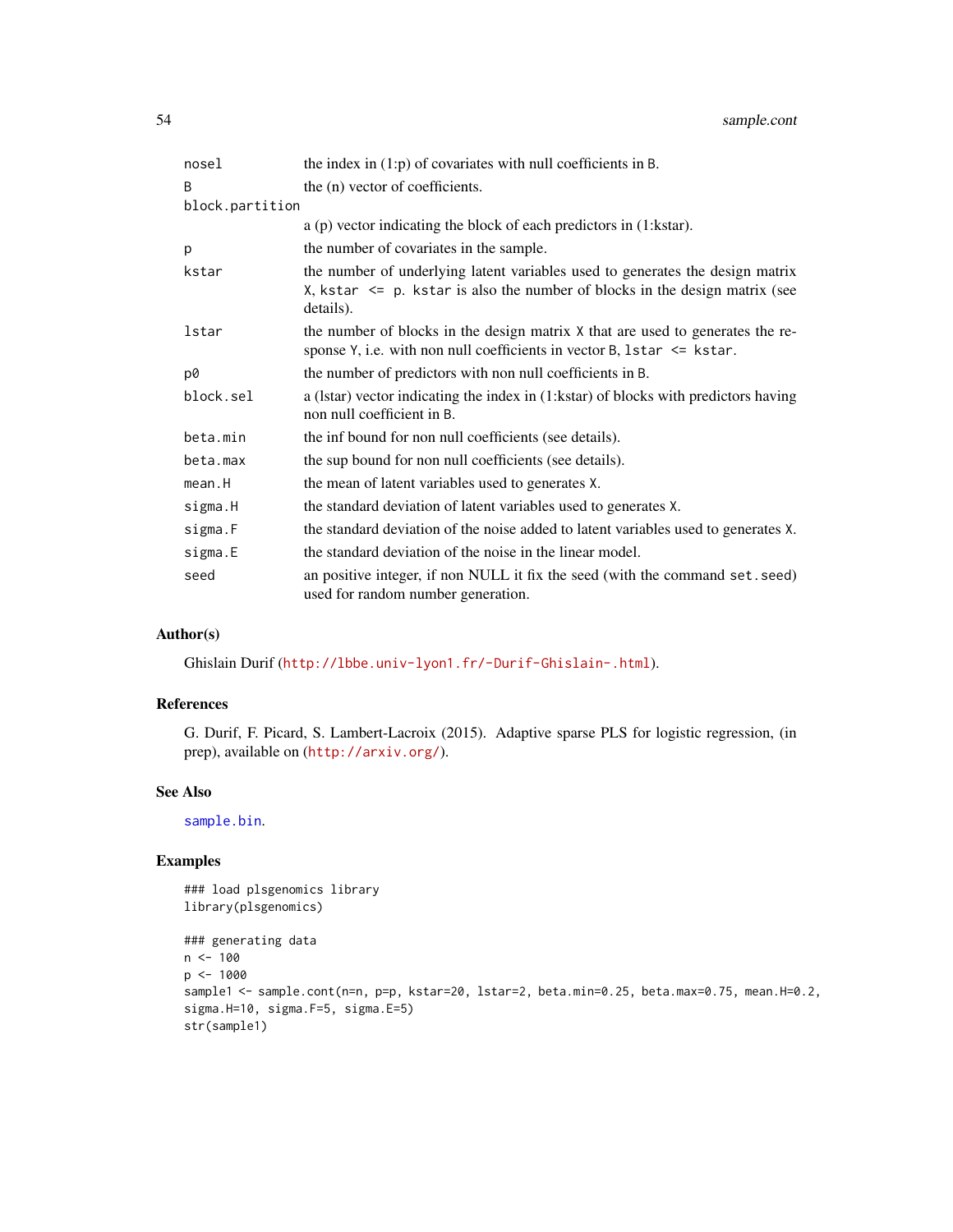| nosel           | the index in $(1:p)$ of covariates with null coefficients in B.                                                                                                               |
|-----------------|-------------------------------------------------------------------------------------------------------------------------------------------------------------------------------|
| B               | the (n) vector of coefficients.                                                                                                                                               |
| block.partition |                                                                                                                                                                               |
|                 | $a$ (p) vector indicating the block of each predictors in $(1:kstar)$ .                                                                                                       |
| p               | the number of covariates in the sample.                                                                                                                                       |
| kstar           | the number of underlying latent variables used to generates the design matrix<br>X, kstar $\leq$ p. kstar is also the number of blocks in the design matrix (see<br>details). |
| lstar           | the number of blocks in the design matrix X that are used to generates the re-<br>sponse Y, i.e. with non null coefficients in vector B, 1star $\le$ kstar.                   |
| p0              | the number of predictors with non null coefficients in B.                                                                                                                     |
| block.sel       | a (Istar) vector indicating the index in (1:kstar) of blocks with predictors having<br>non null coefficient in B.                                                             |
| beta.min        | the inf bound for non null coefficients (see details).                                                                                                                        |
| beta.max        | the sup bound for non null coefficients (see details).                                                                                                                        |
| mean.H          | the mean of latent variables used to generates X.                                                                                                                             |
| sigma.H         | the standard deviation of latent variables used to generates X.                                                                                                               |
| sigma.F         | the standard deviation of the noise added to latent variables used to generates X.                                                                                            |
| sigma.E         | the standard deviation of the noise in the linear model.                                                                                                                      |
| seed            | an positive integer, if non NULL it fix the seed (with the command set. seed)<br>used for random number generation.                                                           |

# Author(s)

Ghislain Durif (<http://lbbe.univ-lyon1.fr/-Durif-Ghislain-.html>).

# References

G. Durif, F. Picard, S. Lambert-Lacroix (2015). Adaptive sparse PLS for logistic regression, (in prep), available on (<http://arxiv.org/>).

## See Also

[sample.bin](#page-49-0).

## Examples

### load plsgenomics library library(plsgenomics)

```
### generating data
n < - 100p <- 1000
sample1 <- sample.cont(n=n, p=p, kstar=20, lstar=2, beta.min=0.25, beta.max=0.75, mean.H=0.2,
sigma.H=10, sigma.F=5, sigma.E=5)
str(sample1)
```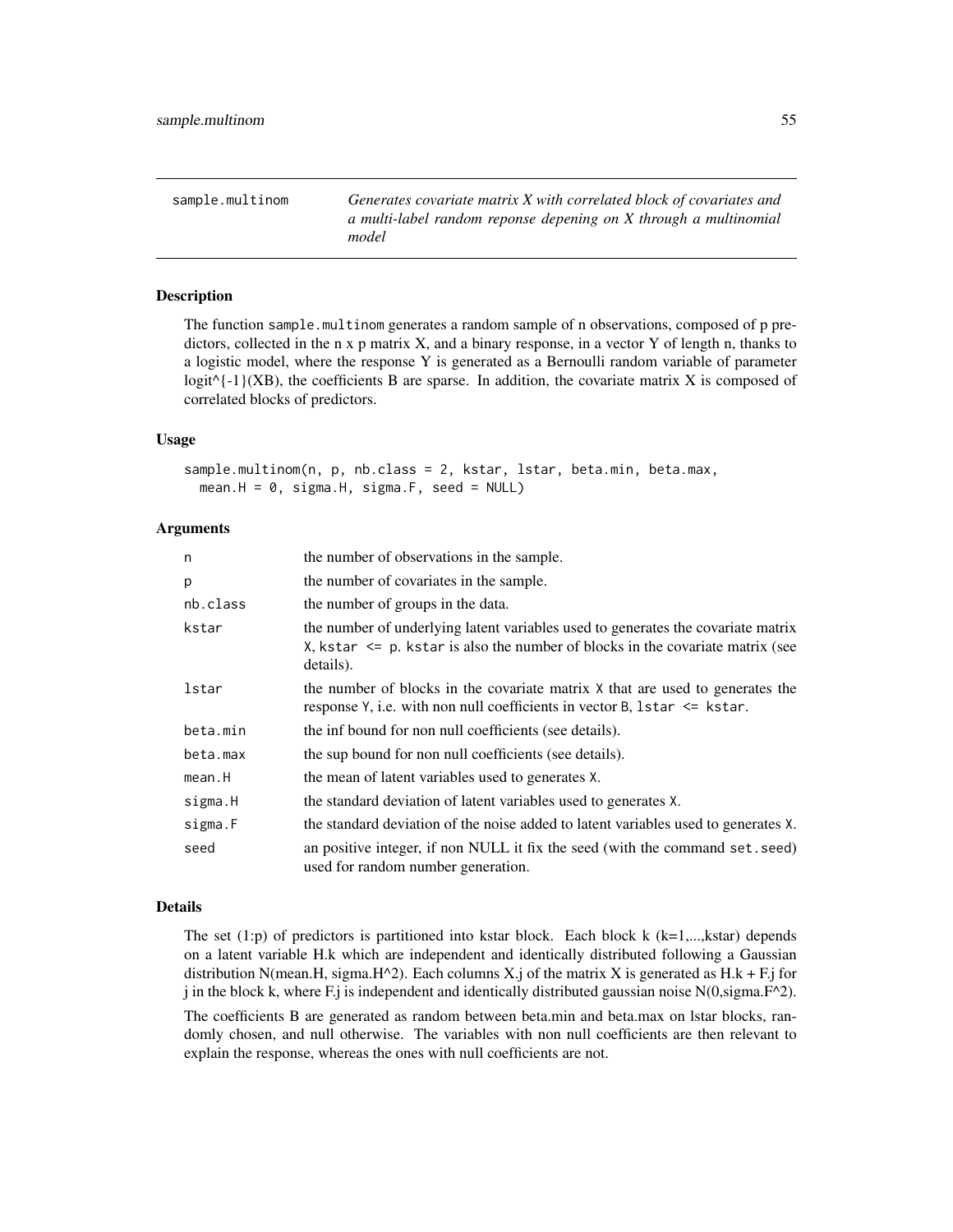sample.multinom *Generates covariate matrix X with correlated block of covariates and a multi-label random reponse depening on X through a multinomial model*

# Description

The function sample.multinom generates a random sample of n observations, composed of p predictors, collected in the n x p matrix  $X$ , and a binary response, in a vector Y of length n, thanks to a logistic model, where the response Y is generated as a Bernoulli random variable of parameter logit $\{-1\}$ (XB), the coefficients B are sparse. In addition, the covariate matrix X is composed of correlated blocks of predictors.

## Usage

sample.multinom(n, p, nb.class = 2, kstar, lstar, beta.min, beta.max,  $mean.H = 0$ , sigma.H, sigma.F, seed = NULL)

## Arguments

| n        | the number of observations in the sample.                                                                                                                                           |
|----------|-------------------------------------------------------------------------------------------------------------------------------------------------------------------------------------|
| р        | the number of covariates in the sample.                                                                                                                                             |
| nb.class | the number of groups in the data.                                                                                                                                                   |
| kstar    | the number of underlying latent variables used to generates the covariate matrix<br>X, kstar $\leq$ p. kstar is also the number of blocks in the covariate matrix (see<br>details). |
| lstar    | the number of blocks in the covariate matrix X that are used to generates the<br>response $Y$ , i.e. with non null coefficients in vector B, 1star $\leq$ kstar.                    |
| beta.min | the inf bound for non null coefficients (see details).                                                                                                                              |
| beta.max | the sup bound for non null coefficients (see details).                                                                                                                              |
| mean.H   | the mean of latent variables used to generates X.                                                                                                                                   |
| sigma.H  | the standard deviation of latent variables used to generates X.                                                                                                                     |
| sigma.F  | the standard deviation of the noise added to latent variables used to generates X.                                                                                                  |
| seed     | an positive integer, if non NULL it fix the seed (with the command set. seed)<br>used for random number generation.                                                                 |

## Details

The set  $(1:p)$  of predictors is partitioned into kstar block. Each block k  $(k=1,...,kstar)$  depends on a latent variable H.k which are independent and identically distributed following a Gaussian distribution N(mean.H, sigma.H^2). Each columns X.j of the matrix X is generated as H.k + F.j for j in the block k, where F.j is independent and identically distributed gaussian noise  $N(0, sigma.F^2)$ .

The coefficients B are generated as random between beta.min and beta.max on lstar blocks, randomly chosen, and null otherwise. The variables with non null coefficients are then relevant to explain the response, whereas the ones with null coefficients are not.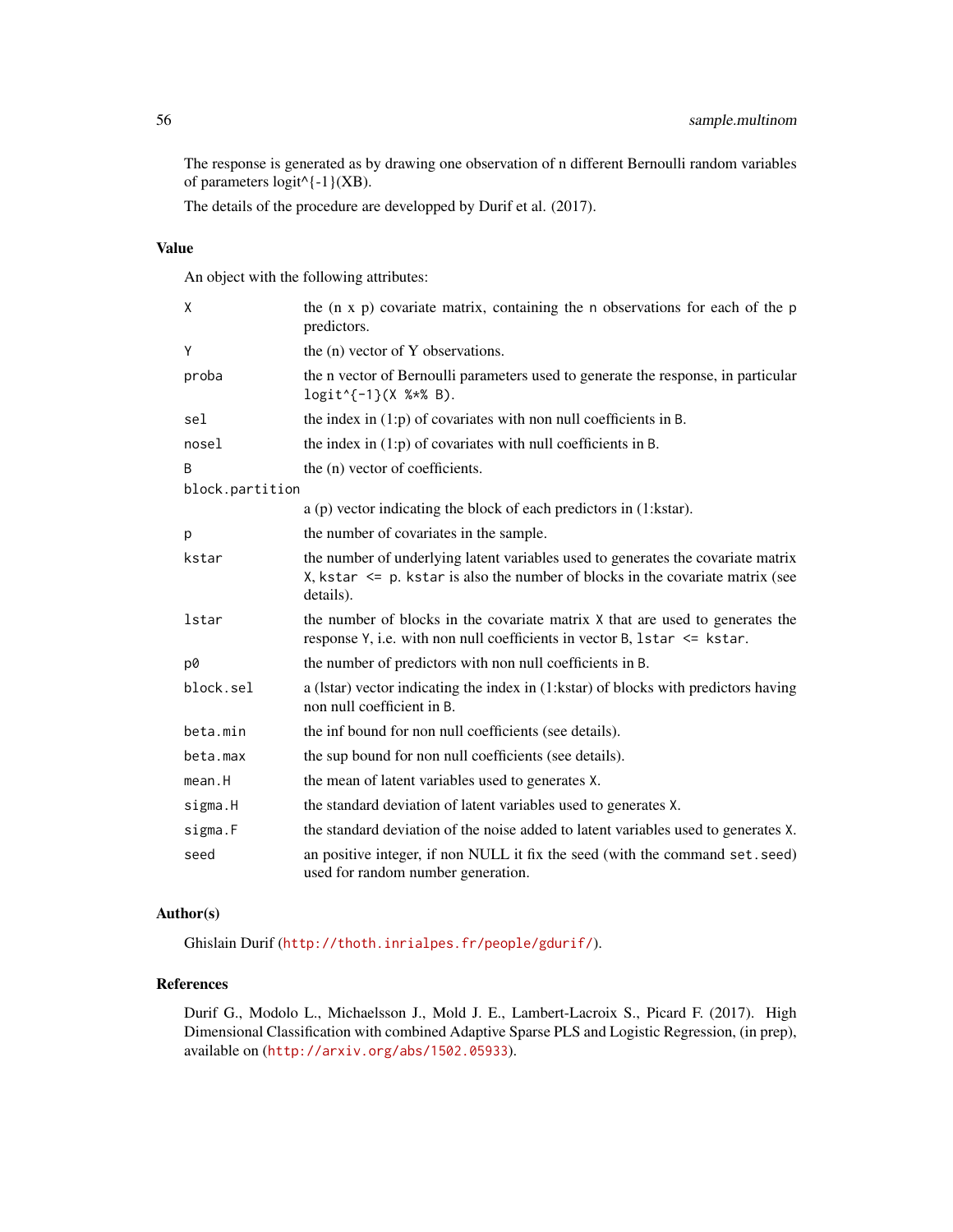The response is generated as by drawing one observation of n different Bernoulli random variables of parameters  $logit$ <sup>{-1}</sup>(XB).

The details of the procedure are developped by Durif et al. (2017).

# Value

An object with the following attributes:

| X               | the $(n \times p)$ covariate matrix, containing the n observations for each of the p<br>predictors.                                                                                 |
|-----------------|-------------------------------------------------------------------------------------------------------------------------------------------------------------------------------------|
| Υ               | the (n) vector of Y observations.                                                                                                                                                   |
| proba           | the n vector of Bernoulli parameters used to generate the response, in particular<br>$logit$ {-1}(X %*% B).                                                                         |
| sel             | the index in $(1:p)$ of covariates with non null coefficients in B.                                                                                                                 |
| nosel           | the index in $(1:p)$ of covariates with null coefficients in B.                                                                                                                     |
| B               | the (n) vector of coefficients.                                                                                                                                                     |
| block.partition |                                                                                                                                                                                     |
|                 | $a$ (p) vector indicating the block of each predictors in $(1:kstar)$ .                                                                                                             |
| р               | the number of covariates in the sample.                                                                                                                                             |
| kstar           | the number of underlying latent variables used to generates the covariate matrix<br>X, kstar $\leq$ p. kstar is also the number of blocks in the covariate matrix (see<br>details). |
| lstar           | the number of blocks in the covariate matrix X that are used to generates the<br>response Y, i.e. with non null coefficients in vector B, 1star <= kstar.                           |
| p0              | the number of predictors with non null coefficients in B.                                                                                                                           |
| block.sel       | a (Istar) vector indicating the index in (1:kstar) of blocks with predictors having<br>non null coefficient in B.                                                                   |
| beta.min        | the inf bound for non null coefficients (see details).                                                                                                                              |
| beta.max        | the sup bound for non null coefficients (see details).                                                                                                                              |
| mean.H          | the mean of latent variables used to generates X.                                                                                                                                   |
| sigma.H         | the standard deviation of latent variables used to generates X.                                                                                                                     |
| sigma.F         | the standard deviation of the noise added to latent variables used to generates X.                                                                                                  |
| seed            | an positive integer, if non NULL it fix the seed (with the command set. seed)<br>used for random number generation.                                                                 |

# Author(s)

Ghislain Durif (<http://thoth.inrialpes.fr/people/gdurif/>).

# References

Durif G., Modolo L., Michaelsson J., Mold J. E., Lambert-Lacroix S., Picard F. (2017). High Dimensional Classification with combined Adaptive Sparse PLS and Logistic Regression, (in prep), available on (<http://arxiv.org/abs/1502.05933>).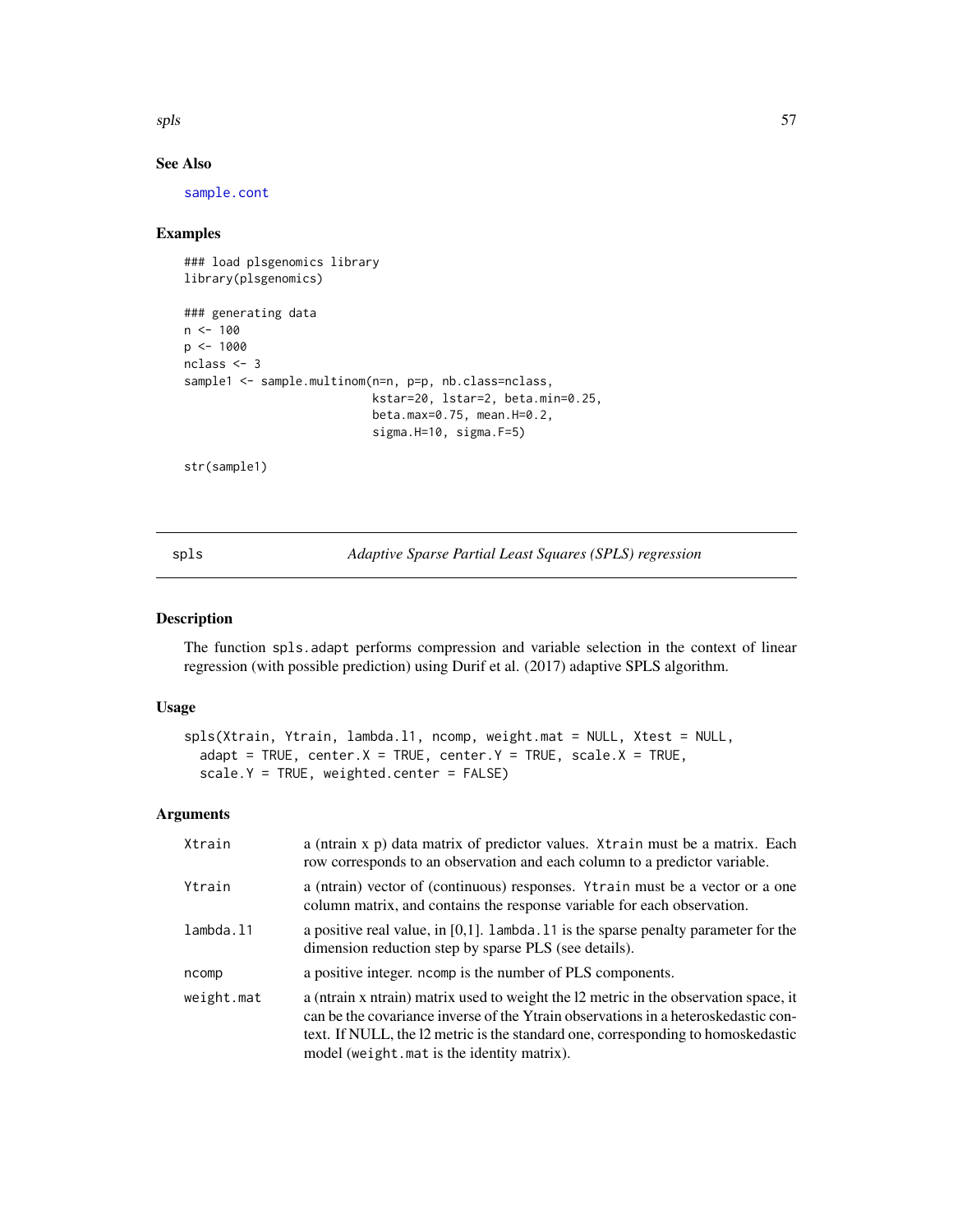$s$ pls  $57$ 

# See Also

[sample.cont](#page-51-0)

## Examples

```
### load plsgenomics library
library(plsgenomics)
### generating data
n < -100p <- 1000
nclass <- 3
sample1 <- sample.multinom(n=n, p=p, nb.class=nclass,
                           kstar=20, lstar=2, beta.min=0.25,
                           beta.max=0.75, mean.H=0.2,
                           sigma.H=10, sigma.F=5)
```
str(sample1)

<span id="page-56-0"></span>spls *Adaptive Sparse Partial Least Squares (SPLS) regression*

# Description

The function spls.adapt performs compression and variable selection in the context of linear regression (with possible prediction) using Durif et al. (2017) adaptive SPLS algorithm.

## Usage

```
spls(Xtrain, Ytrain, lambda.l1, ncomp, weight.mat = NULL, Xtest = NULL,
 adapt = TRUE, center.X = TRUE, center.Y = TRUE, scale.X = TRUE,
 scale.Y = TRUE, weighted.center = FALSE)
```
## Arguments

| Xtrain     | a (ntrain x p) data matrix of predictor values. Xtrain must be a matrix. Each<br>row corresponds to an observation and each column to a predictor variable.                                                                                                                                                  |
|------------|--------------------------------------------------------------------------------------------------------------------------------------------------------------------------------------------------------------------------------------------------------------------------------------------------------------|
| Ytrain     | a (ntrain) vector of (continuous) responses. Ytrain must be a vector or a one<br>column matrix, and contains the response variable for each observation.                                                                                                                                                     |
| lambda.l1  | a positive real value, in [0,1]. Lambda. 11 is the sparse penalty parameter for the<br>dimension reduction step by sparse PLS (see details).                                                                                                                                                                 |
| ncomp      | a positive integer, normally is the number of PLS components.                                                                                                                                                                                                                                                |
| weight.mat | a (ntrain x ntrain) matrix used to weight the 12 metric in the observation space, it<br>can be the covariance inverse of the Ytrain observations in a heteroskedastic con-<br>text. If NULL, the 12 metric is the standard one, corresponding to homoskedastic<br>model (weight.mat is the identity matrix). |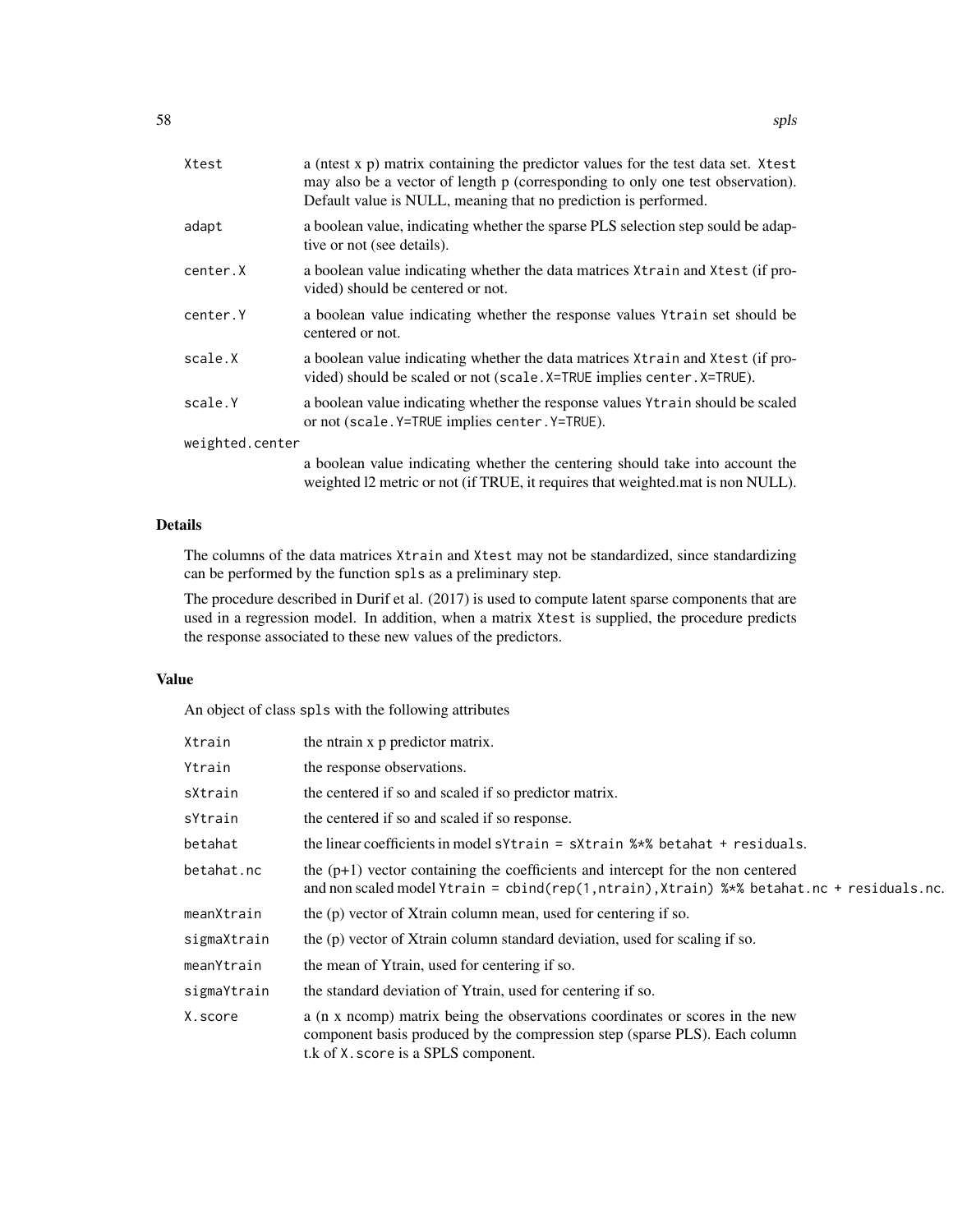| Xtest           | a (nest x p) matrix containing the predictor values for the test data set. Xtest<br>may also be a vector of length p (corresponding to only one test observation).<br>Default value is NULL, meaning that no prediction is performed. |
|-----------------|---------------------------------------------------------------------------------------------------------------------------------------------------------------------------------------------------------------------------------------|
| adapt           | a boolean value, indicating whether the sparse PLS selection step sould be adap-<br>tive or not (see details).                                                                                                                        |
| center.X        | a boolean value indicating whether the data matrices $X$ train and $X$ test (if pro-<br>vided) should be centered or not.                                                                                                             |
| center.Y        | a boolean value indicating whether the response values Ytrain set should be<br>centered or not.                                                                                                                                       |
| scale.X         | a boolean value indicating whether the data matrices $X$ train and $X$ test (if pro-<br>vided) should be scaled or not (scale. X=TRUE implies center. X=TRUE).                                                                        |
| scale.Y         | a boolean value indicating whether the response values $Y$ train should be scaled<br>or not (scale. Y=TRUE implies center. Y=TRUE).                                                                                                   |
| weighted.center |                                                                                                                                                                                                                                       |
|                 | a boolean value indicating whether the centering should take into account the<br>weighted 12 metric or not (if TRUE, it requires that weighted mat is non NULL).                                                                      |

# Details

The columns of the data matrices Xtrain and Xtest may not be standardized, since standardizing can be performed by the function spls as a preliminary step.

The procedure described in Durif et al. (2017) is used to compute latent sparse components that are used in a regression model. In addition, when a matrix Xtest is supplied, the procedure predicts the response associated to these new values of the predictors.

## Value

An object of class spls with the following attributes

| Xtrain      | the ntrain x p predictor matrix.                                                                                                                                                                   |
|-------------|----------------------------------------------------------------------------------------------------------------------------------------------------------------------------------------------------|
| Ytrain      | the response observations.                                                                                                                                                                         |
| sXtrain     | the centered if so and scaled if so predictor matrix.                                                                                                                                              |
| sYtrain     | the centered if so and scaled if so response.                                                                                                                                                      |
| betahat     | the linear coefficients in model s $Y$ train = s $X$ train $\frac{1}{2}$ betahat + residuals.                                                                                                      |
| betahat.nc  | the $(p+1)$ vector containing the coefficients and intercept for the non centered<br>and non scaled model Ytrain = cbind(rep(1, ntrain), Xtrain) %*% betahat.nc + residuals.nc.                    |
| meanXtrain  | the (p) vector of Xtrain column mean, used for centering if so.                                                                                                                                    |
| sigmaXtrain | the (p) vector of Xtrain column standard deviation, used for scaling if so.                                                                                                                        |
| meanYtrain  | the mean of Ytrain, used for centering if so.                                                                                                                                                      |
| sigmaYtrain | the standard deviation of Ytrain, used for centering if so.                                                                                                                                        |
| X.score     | a (n x ncomp) matrix being the observations coordinates or scores in the new<br>component basis produced by the compression step (sparse PLS). Each column<br>t.k of X. score is a SPLS component. |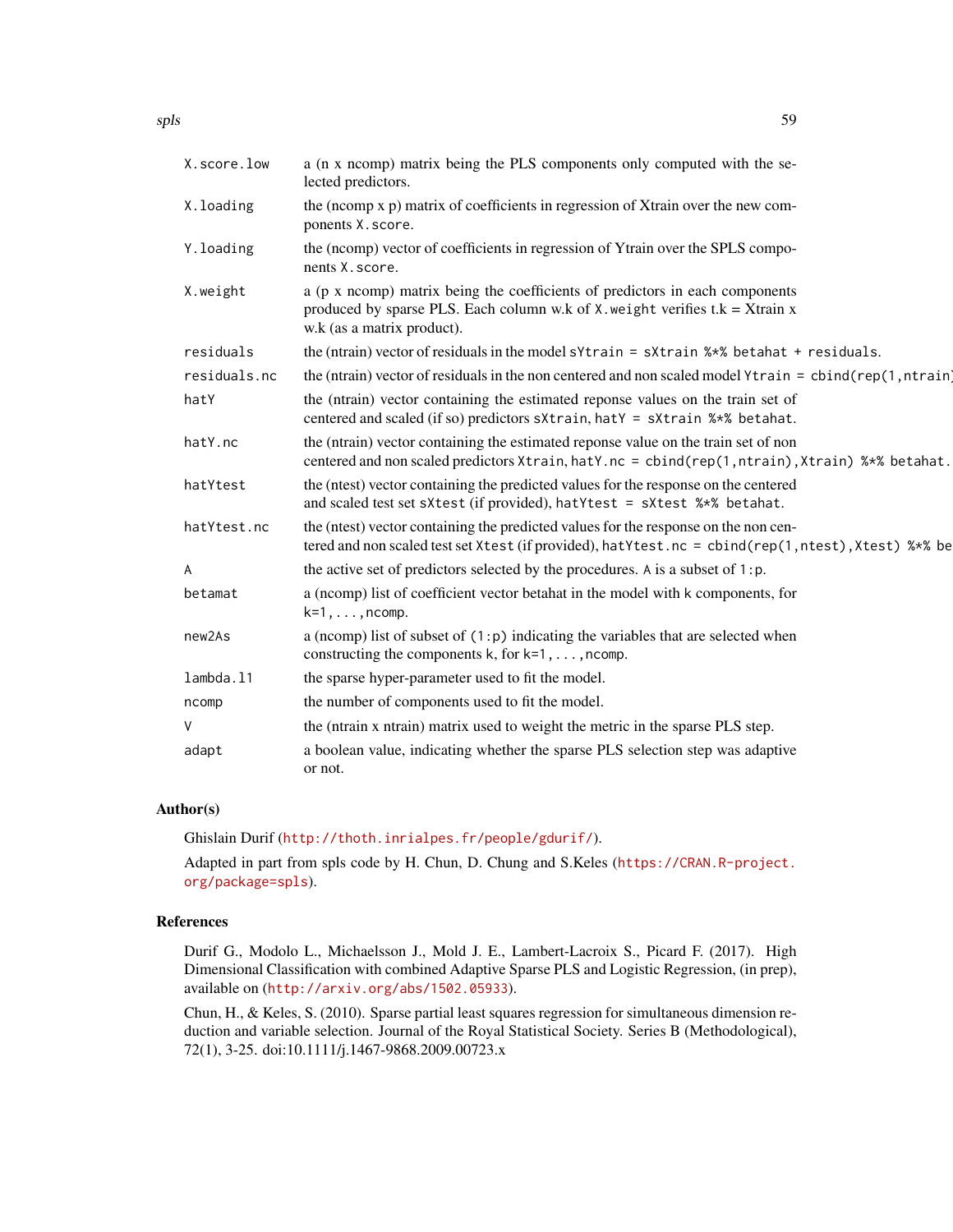| X.score.low  | a (n x ncomp) matrix being the PLS components only computed with the se-<br>lected predictors.                                                                                                   |
|--------------|--------------------------------------------------------------------------------------------------------------------------------------------------------------------------------------------------|
| X.loading    | the (ncomp x p) matrix of coefficients in regression of Xtrain over the new com-<br>ponents X. score.                                                                                            |
| Y.loading    | the (ncomp) vector of coefficients in regression of Ytrain over the SPLS compo-<br>nents X. score.                                                                                               |
| X.weight     | a (p x ncomp) matrix being the coefficients of predictors in each components<br>produced by sparse PLS. Each column w.k of $X$ . weight verifies $t.k = X$ train x<br>w.k (as a matrix product). |
| residuals    | the (ntrain) vector of residuals in the model s $Y$ train = s $X$ train $\frac{1}{2}$ betahat + residuals.                                                                                       |
| residuals.nc | the (ntrain) vector of residuals in the non centered and non scaled model $Ytrain = \text{cbind}(rep(1, ntrain))$                                                                                |
| hatY         | the (ntrain) vector containing the estimated reponse values on the train set of<br>centered and scaled (if so) predictors sXtrain, hatY = sXtrain %*% betahat.                                   |
| hatY.nc      | the (ntrain) vector containing the estimated reponse value on the train set of non<br>centered and non scaled predictors Xtrain, hatY.nc = cbind(rep(1, ntrain), Xtrain) %*% betahat.            |
| hatYtest     | the (ntest) vector containing the predicted values for the response on the centered<br>and scaled test set sXtest (if provided), hatYtest = sXtest %*% betahat.                                  |
| hatYtest.nc  | the (ntest) vector containing the predicted values for the response on the non cen-<br>tered and non scaled test set Xtest (if provided), hatYtest.nc = cbind(rep(1,ntest), Xtest) %*% be        |
| A            | the active set of predictors selected by the procedures. A is a subset of 1:p.                                                                                                                   |
| betamat      | a (normp) list of coefficient vector betahat in the model with k components, for<br>$k=1, \ldots, n$ comp.                                                                                       |
| new2As       | a (ncomp) list of subset of $(1:p)$ indicating the variables that are selected when<br>constructing the components $k$ , for $k=1, \ldots, n$ comp.                                              |
| lambda.11    | the sparse hyper-parameter used to fit the model.                                                                                                                                                |
| ncomp        | the number of components used to fit the model.                                                                                                                                                  |
| V            | the (ntrain x ntrain) matrix used to weight the metric in the sparse PLS step.                                                                                                                   |
| adapt        | a boolean value, indicating whether the sparse PLS selection step was adaptive<br>or not.                                                                                                        |

#### Author(s)

Ghislain Durif (<http://thoth.inrialpes.fr/people/gdurif/>).

Adapted in part from spls code by H. Chun, D. Chung and S.Keles ([https://CRAN.R-project.](https://CRAN.R-project.org/package=spls) [org/package=spls](https://CRAN.R-project.org/package=spls)).

# References

Durif G., Modolo L., Michaelsson J., Mold J. E., Lambert-Lacroix S., Picard F. (2017). High Dimensional Classification with combined Adaptive Sparse PLS and Logistic Regression, (in prep), available on (<http://arxiv.org/abs/1502.05933>).

Chun, H., & Keles, S. (2010). Sparse partial least squares regression for simultaneous dimension reduction and variable selection. Journal of the Royal Statistical Society. Series B (Methodological), 72(1), 3-25. doi:10.1111/j.1467-9868.2009.00723.x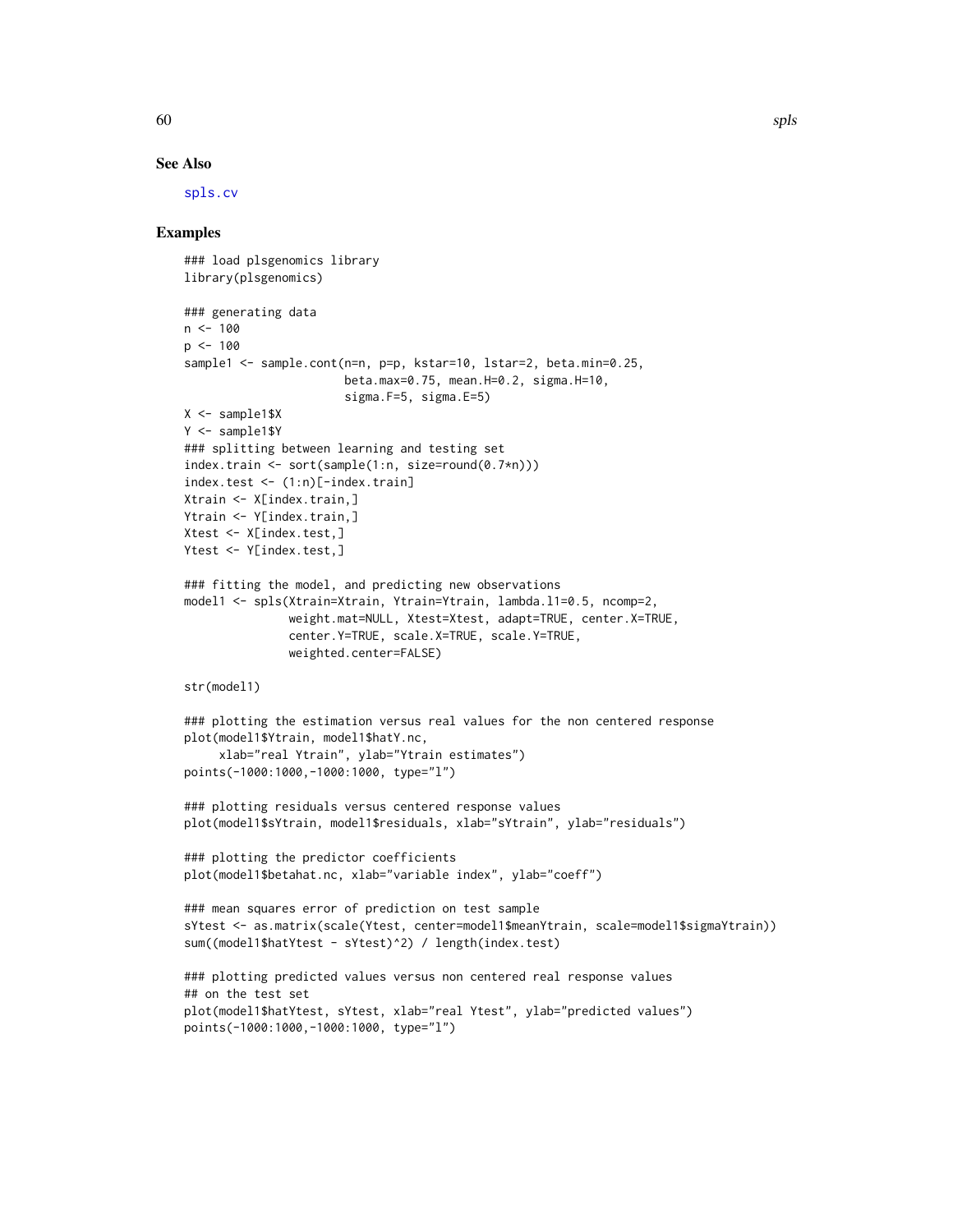#### See Also

[spls.cv](#page-60-0)

#### Examples

```
### load plsgenomics library
library(plsgenomics)
### generating data
n < -100p < -100sample1 <- sample.cont(n=n, p=p, kstar=10, lstar=2, beta.min=0.25,
                       beta.max=0.75, mean.H=0.2, sigma.H=10,
                       sigma.F=5, sigma.E=5)
X <- sample1$X
Y <- sample1$Y
### splitting between learning and testing set
index.train <- sort(sample(1:n, size=round(0.7*n)))
index.test <- (1:n)[-index.train]
Xtrain <- X[index.train,]
Ytrain <- Y[index.train,]
Xtest <- X[index.test,]
Ytest <- Y[index.test,]
### fitting the model, and predicting new observations
model1 <- spls(Xtrain=Xtrain, Ytrain=Ytrain, lambda.l1=0.5, ncomp=2,
               weight.mat=NULL, Xtest=Xtest, adapt=TRUE, center.X=TRUE,
               center.Y=TRUE, scale.X=TRUE, scale.Y=TRUE,
               weighted.center=FALSE)
str(model1)
### plotting the estimation versus real values for the non centered response
plot(model1$Ytrain, model1$hatY.nc,
     xlab="real Ytrain", ylab="Ytrain estimates")
points(-1000:1000,-1000:1000, type="l")
### plotting residuals versus centered response values
plot(model1$sYtrain, model1$residuals, xlab="sYtrain", ylab="residuals")
### plotting the predictor coefficients
plot(model1$betahat.nc, xlab="variable index", ylab="coeff")
### mean squares error of prediction on test sample
sYtest <- as.matrix(scale(Ytest, center=model1$meanYtrain, scale=model1$sigmaYtrain))
sum((model1$hatYtest - sYtest)^2) / length(index.test)
### plotting predicted values versus non centered real response values
## on the test set
plot(model1$hatYtest, sYtest, xlab="real Ytest", ylab="predicted values")
points(-1000:1000,-1000:1000, type="l")
```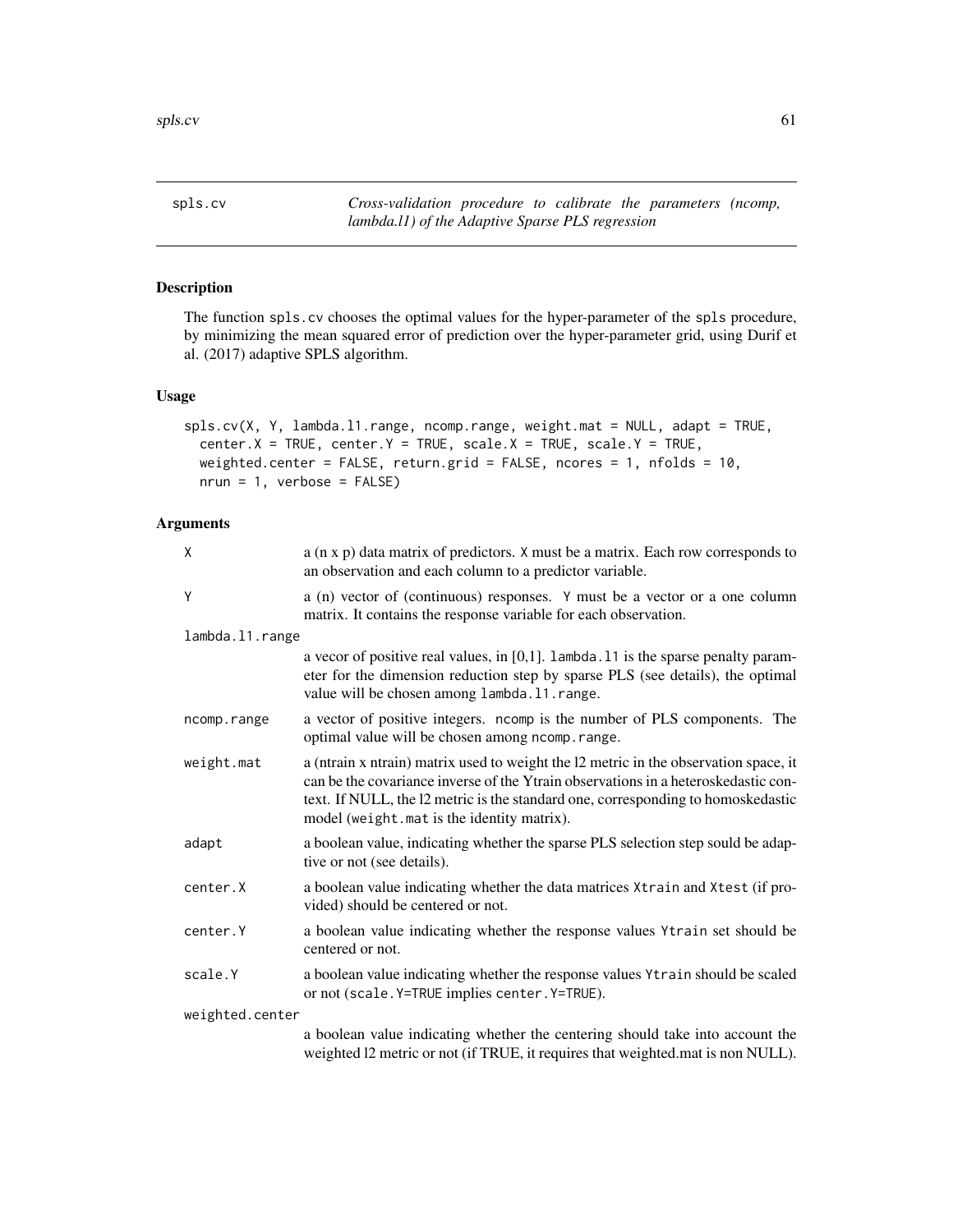<span id="page-60-0"></span>spls.cv *Cross-validation procedure to calibrate the parameters (ncomp, lambda.l1) of the Adaptive Sparse PLS regression*

# Description

The function spls.cv chooses the optimal values for the hyper-parameter of the spls procedure, by minimizing the mean squared error of prediction over the hyper-parameter grid, using Durif et al. (2017) adaptive SPLS algorithm.

# Usage

```
spls.cv(X, Y, lambda.l1.range, ncomp.range, weight.mat = NULL, adapt = TRUE,
 center.X = TRUE, center.Y = TRUE, scale.X = TRUE, scale.Y = TRUE,
 weighted.center = FALSE, return.grid = FALSE, ncores = 1, nfolds = 10,
 nrun = 1, verbose = FALSE)
```
# Arguments

| X               | a (n x p) data matrix of predictors. X must be a matrix. Each row corresponds to<br>an observation and each column to a predictor variable.                                                                                                                                                                  |
|-----------------|--------------------------------------------------------------------------------------------------------------------------------------------------------------------------------------------------------------------------------------------------------------------------------------------------------------|
| Υ               | a (n) vector of (continuous) responses. Y must be a vector or a one column<br>matrix. It contains the response variable for each observation.                                                                                                                                                                |
| lambda.11.range |                                                                                                                                                                                                                                                                                                              |
|                 | a vecor of positive real values, in $[0,1]$ . Lambda. 11 is the sparse penalty param-<br>eter for the dimension reduction step by sparse PLS (see details), the optimal<br>value will be chosen among lambda. 11. range.                                                                                     |
| ncomp.range     | a vector of positive integers. ncomp is the number of PLS components. The<br>optimal value will be chosen among ncomp.range.                                                                                                                                                                                 |
| weight.mat      | a (ntrain x ntrain) matrix used to weight the 12 metric in the observation space, it<br>can be the covariance inverse of the Ytrain observations in a heteroskedastic con-<br>text. If NULL, the 12 metric is the standard one, corresponding to homoskedastic<br>model (weight.mat is the identity matrix). |
| adapt           | a boolean value, indicating whether the sparse PLS selection step sould be adap-<br>tive or not (see details).                                                                                                                                                                                               |
| center.X        | a boolean value indicating whether the data matrices Xtrain and Xtest (if pro-<br>vided) should be centered or not.                                                                                                                                                                                          |
| center.Y        | a boolean value indicating whether the response values Ytrain set should be<br>centered or not.                                                                                                                                                                                                              |
| scale.Y         | a boolean value indicating whether the response values Ytrain should be scaled<br>or not (scale. Y=TRUE implies center. Y=TRUE).                                                                                                                                                                             |
| weighted.center |                                                                                                                                                                                                                                                                                                              |
|                 | a boolean value indicating whether the centering should take into account the<br>weighted 12 metric or not (if TRUE, it requires that weighted mat is non NULL).                                                                                                                                             |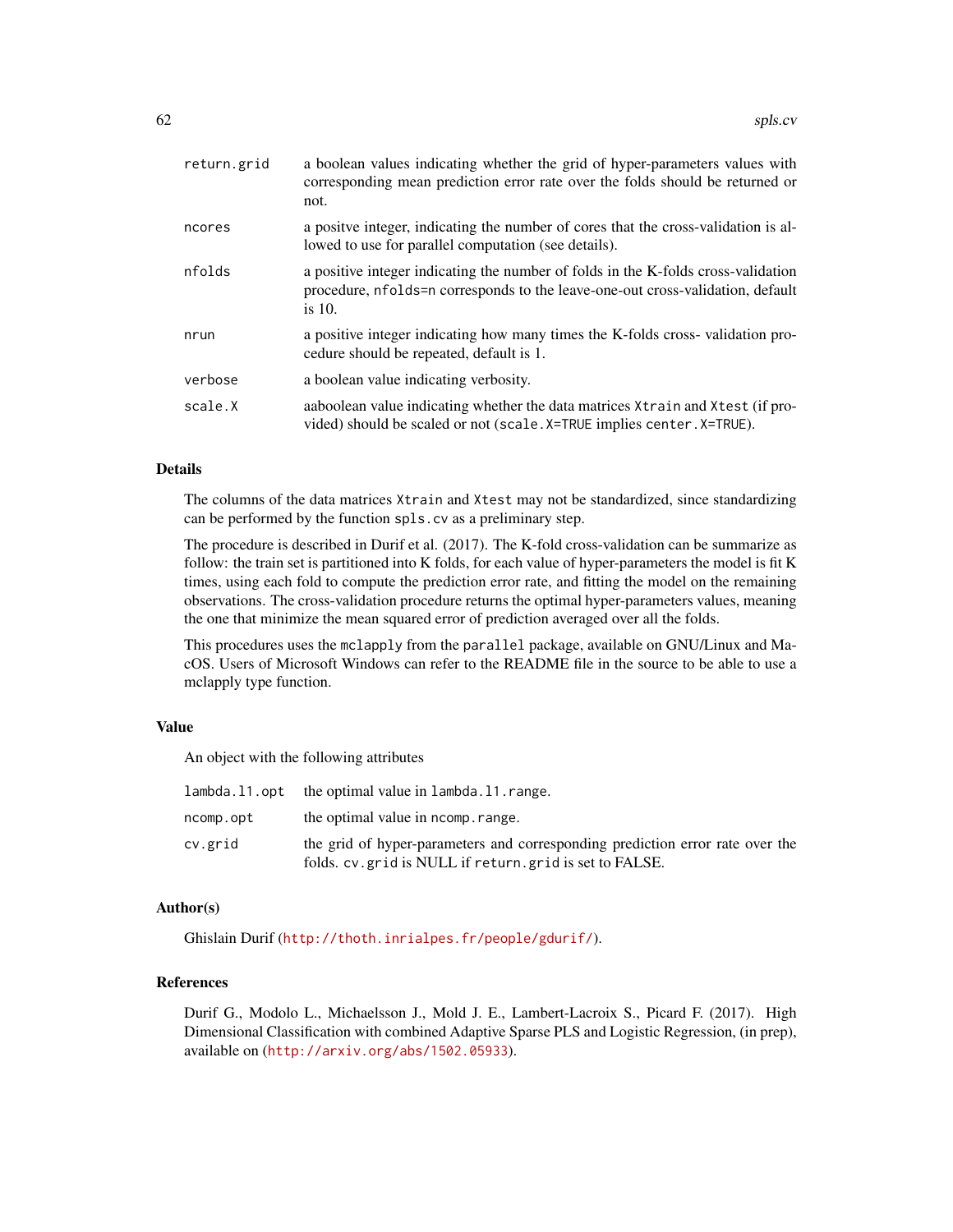| return.grid | a boolean values indicating whether the grid of hyper-parameters values with<br>corresponding mean prediction error rate over the folds should be returned or<br>not.            |
|-------------|----------------------------------------------------------------------------------------------------------------------------------------------------------------------------------|
| ncores      | a positive integer, indicating the number of cores that the cross-validation is al-<br>lowed to use for parallel computation (see details).                                      |
| nfolds      | a positive integer indicating the number of folds in the K-folds cross-validation<br>procedure, nfolds=n corresponds to the leave-one-out cross-validation, default<br>is $10$ . |
| nrun        | a positive integer indicating how many times the K-folds cross-validation pro-<br>cedure should be repeated, default is 1.                                                       |
| verbose     | a boolean value indicating verbosity.                                                                                                                                            |
| scale.X     | aaboolean value indicating whether the data matrices $X$ train and $X$ test (if pro-<br>vided) should be scaled or not (scale. X=TRUE implies center. X=TRUE).                   |

# Details

The columns of the data matrices Xtrain and Xtest may not be standardized, since standardizing can be performed by the function spls.cv as a preliminary step.

The procedure is described in Durif et al. (2017). The K-fold cross-validation can be summarize as follow: the train set is partitioned into K folds, for each value of hyper-parameters the model is fit K times, using each fold to compute the prediction error rate, and fitting the model on the remaining observations. The cross-validation procedure returns the optimal hyper-parameters values, meaning the one that minimize the mean squared error of prediction averaged over all the folds.

This procedures uses the mclapply from the parallel package, available on GNU/Linux and MacOS. Users of Microsoft Windows can refer to the README file in the source to be able to use a mclapply type function.

# Value

An object with the following attributes

|           | lambda.11.opt the optimal value in lambda.11.range.                                                                                       |
|-----------|-------------------------------------------------------------------------------------------------------------------------------------------|
| ncomp.opt | the optimal value in normp. range.                                                                                                        |
| cv.grid   | the grid of hyper-parameters and corresponding prediction error rate over the<br>folds, cv. grid is NULL if return, grid is set to FALSE. |

### Author(s)

Ghislain Durif (<http://thoth.inrialpes.fr/people/gdurif/>).

# References

Durif G., Modolo L., Michaelsson J., Mold J. E., Lambert-Lacroix S., Picard F. (2017). High Dimensional Classification with combined Adaptive Sparse PLS and Logistic Regression, (in prep), available on (<http://arxiv.org/abs/1502.05933>).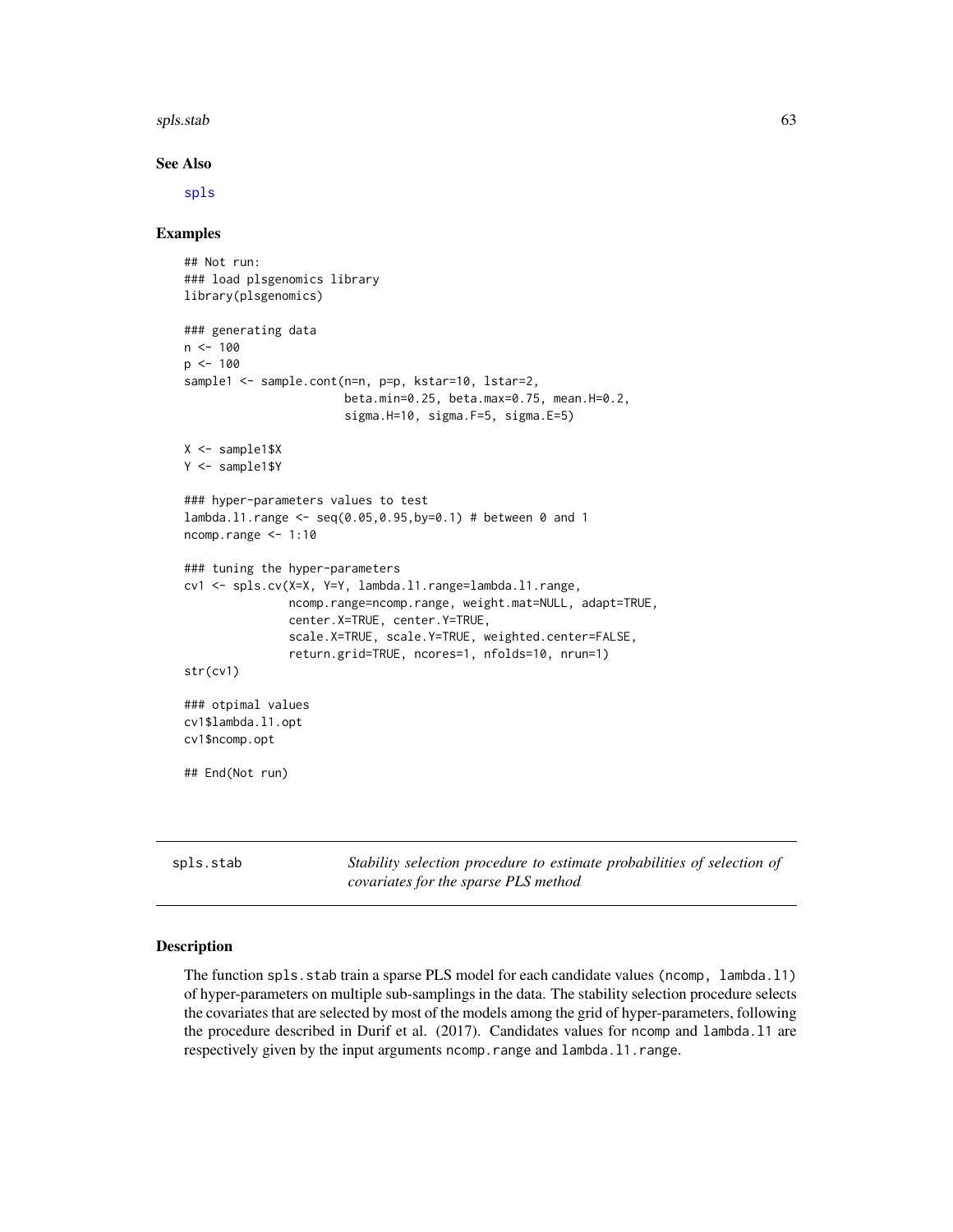#### spls.stab 63

#### See Also

[spls](#page-56-0)

# Examples

```
## Not run:
 ### load plsgenomics library
 library(plsgenomics)
 ### generating data
 n < - 100p \le -100sample1 <- sample.cont(n=n, p=p, kstar=10, lstar=2,
                        beta.min=0.25, beta.max=0.75, mean.H=0.2,
                        sigma.H=10, sigma.F=5, sigma.E=5)
 X <- sample1$X
 Y <- sample1$Y
 ### hyper-parameters values to test
 lambda.l1.range <- seq(0.05,0.95,by=0.1) # between 0 and 1
 ncomp.range <- 1:10
 ### tuning the hyper-parameters
 cv1 <- spls.cv(X=X, Y=Y, lambda.l1.range=lambda.l1.range,
                ncomp.range=ncomp.range, weight.mat=NULL, adapt=TRUE,
                center.X=TRUE, center.Y=TRUE,
                scale.X=TRUE, scale.Y=TRUE, weighted.center=FALSE,
                return.grid=TRUE, ncores=1, nfolds=10, nrun=1)
 str(cv1)
 ### otpimal values
 cv1$lambda.l1.opt
 cv1$ncomp.opt
 ## End(Not run)
spls.stab Stability selection procedure to estimate probabilities of selection of
```
### <span id="page-62-0"></span>Description

The function spls.stab train a sparse PLS model for each candidate values (ncomp, lambda.l1) of hyper-parameters on multiple sub-samplings in the data. The stability selection procedure selects the covariates that are selected by most of the models among the grid of hyper-parameters, following the procedure described in Durif et al. (2017). Candidates values for ncomp and lambda.l1 are respectively given by the input arguments ncomp. range and lambda.11. range.

*covariates for the sparse PLS method*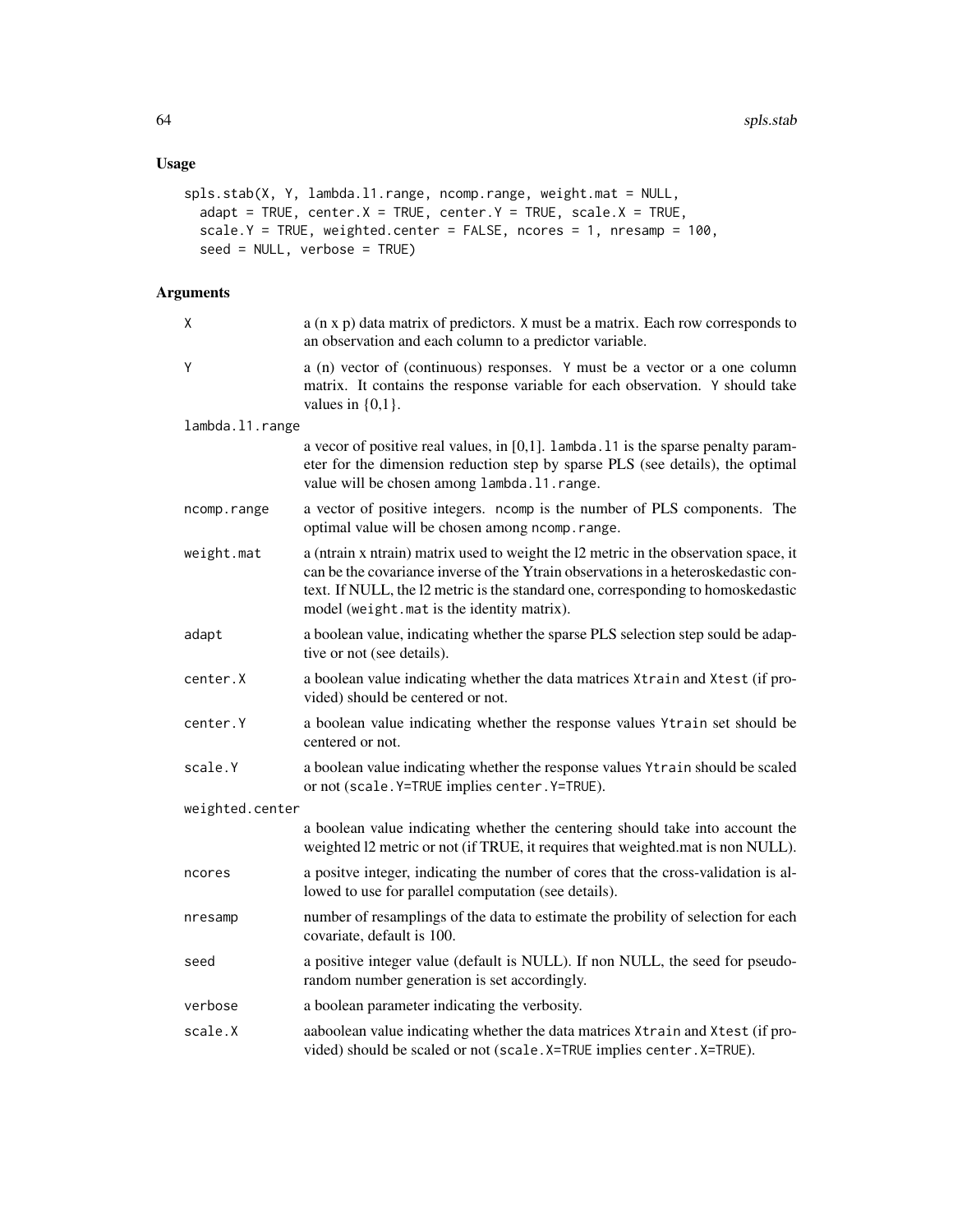# Usage

```
spls.stab(X, Y, lambda.l1.range, ncomp.range, weight.mat = NULL,
 adapt = TRUE, center.X = TRUE, center.Y = TRUE, scale.X = TRUE,scale.Y = TRUE, weighted.center = FALSE, ncores = 1, nresamp = 100,
 seed = NULL, verbose = TRUE)
```
# Arguments

| χ               | a (n x p) data matrix of predictors. X must be a matrix. Each row corresponds to<br>an observation and each column to a predictor variable.                                                                                                                                                                  |  |
|-----------------|--------------------------------------------------------------------------------------------------------------------------------------------------------------------------------------------------------------------------------------------------------------------------------------------------------------|--|
| Y               | a (n) vector of (continuous) responses. Y must be a vector or a one column<br>matrix. It contains the response variable for each observation. Y should take<br>values in $\{0,1\}$ .                                                                                                                         |  |
| lambda.11.range |                                                                                                                                                                                                                                                                                                              |  |
|                 | a vecor of positive real values, in $[0,1]$ . lambda. 11 is the sparse penalty param-<br>eter for the dimension reduction step by sparse PLS (see details), the optimal<br>value will be chosen among lambda.11.range.                                                                                       |  |
| ncomp.range     | a vector of positive integers. ncomp is the number of PLS components. The<br>optimal value will be chosen among ncomp.range.                                                                                                                                                                                 |  |
| weight.mat      | a (ntrain x ntrain) matrix used to weight the l2 metric in the observation space, it<br>can be the covariance inverse of the Ytrain observations in a heteroskedastic con-<br>text. If NULL, the l2 metric is the standard one, corresponding to homoskedastic<br>model (weight.mat is the identity matrix). |  |
| adapt           | a boolean value, indicating whether the sparse PLS selection step sould be adap-<br>tive or not (see details).                                                                                                                                                                                               |  |
| center.X        | a boolean value indicating whether the data matrices Xtrain and Xtest (if pro-<br>vided) should be centered or not.                                                                                                                                                                                          |  |
| center.Y        | a boolean value indicating whether the response values Ytrain set should be<br>centered or not.                                                                                                                                                                                                              |  |
| scale.Y         | a boolean value indicating whether the response values Ytrain should be scaled<br>or not (scale. Y=TRUE implies center. Y=TRUE).                                                                                                                                                                             |  |
| weighted.center |                                                                                                                                                                                                                                                                                                              |  |
|                 | a boolean value indicating whether the centering should take into account the<br>weighted 12 metric or not (if TRUE, it requires that weighted mat is non NULL).                                                                                                                                             |  |
| ncores          | a positve integer, indicating the number of cores that the cross-validation is al-<br>lowed to use for parallel computation (see details).                                                                                                                                                                   |  |
| nresamp         | number of resamplings of the data to estimate the probility of selection for each<br>covariate, default is 100.                                                                                                                                                                                              |  |
| seed            | a positive integer value (default is NULL). If non NULL, the seed for pseudo-<br>random number generation is set accordingly.                                                                                                                                                                                |  |
| verbose         | a boolean parameter indicating the verbosity.                                                                                                                                                                                                                                                                |  |
| scale.X         | aaboolean value indicating whether the data matrices Xtrain and Xtest (if pro-<br>vided) should be scaled or not (scale. X=TRUE implies center. X=TRUE).                                                                                                                                                     |  |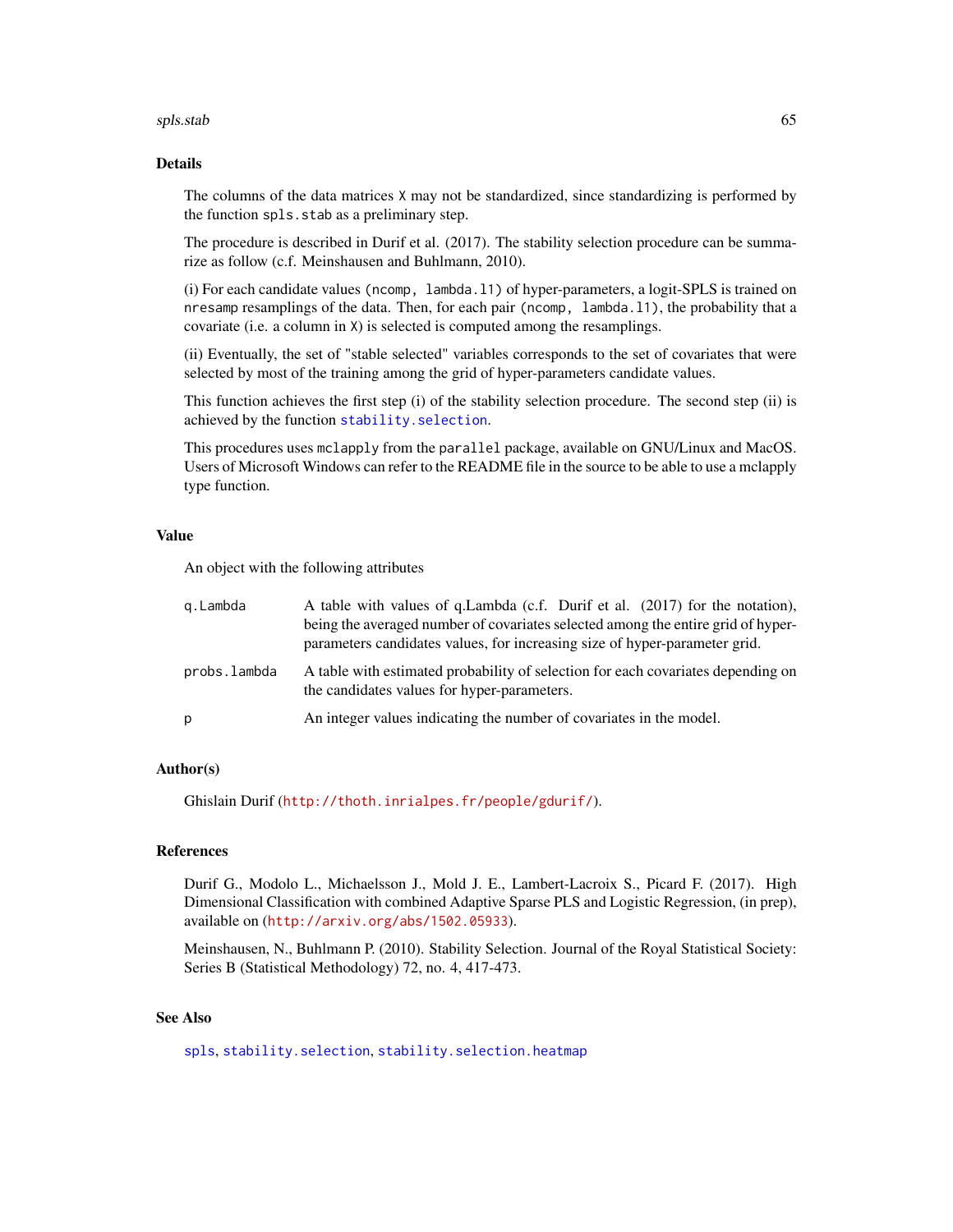#### spls.stab 65

## Details

The columns of the data matrices X may not be standardized, since standardizing is performed by the function spls.stab as a preliminary step.

The procedure is described in Durif et al. (2017). The stability selection procedure can be summarize as follow (c.f. Meinshausen and Buhlmann, 2010).

(i) For each candidate values (ncomp, lambda.l1) of hyper-parameters, a logit-SPLS is trained on nresamp resamplings of the data. Then, for each pair (ncomp, lambda.l1), the probability that a covariate (i.e. a column in X) is selected is computed among the resamplings.

(ii) Eventually, the set of "stable selected" variables corresponds to the set of covariates that were selected by most of the training among the grid of hyper-parameters candidate values.

This function achieves the first step (i) of the stability selection procedure. The second step (ii) is achieved by the function [stability.selection](#page-67-0).

This procedures uses mclapply from the parallel package, available on GNU/Linux and MacOS. Users of Microsoft Windows can refer to the README file in the source to be able to use a mclapply type function.

#### Value

An object with the following attributes

| g.Lambda     | A table with values of q.Lambda (c.f. Durif et al. (2017) for the notation),<br>being the averaged number of covariates selected among the entire grid of hyper-<br>parameters candidates values, for increasing size of hyper-parameter grid. |
|--------------|------------------------------------------------------------------------------------------------------------------------------------------------------------------------------------------------------------------------------------------------|
| probs.lambda | A table with estimated probability of selection for each covariates depending on<br>the candidates values for hyper-parameters.                                                                                                                |
| p            | An integer values indicating the number of covariates in the model.                                                                                                                                                                            |

# Author(s)

Ghislain Durif (<http://thoth.inrialpes.fr/people/gdurif/>).

#### References

Durif G., Modolo L., Michaelsson J., Mold J. E., Lambert-Lacroix S., Picard F. (2017). High Dimensional Classification with combined Adaptive Sparse PLS and Logistic Regression, (in prep), available on (<http://arxiv.org/abs/1502.05933>).

Meinshausen, N., Buhlmann P. (2010). Stability Selection. Journal of the Royal Statistical Society: Series B (Statistical Methodology) 72, no. 4, 417-473.

## See Also

[spls](#page-56-0), [stability.selection](#page-67-0), [stability.selection.heatmap](#page-68-0)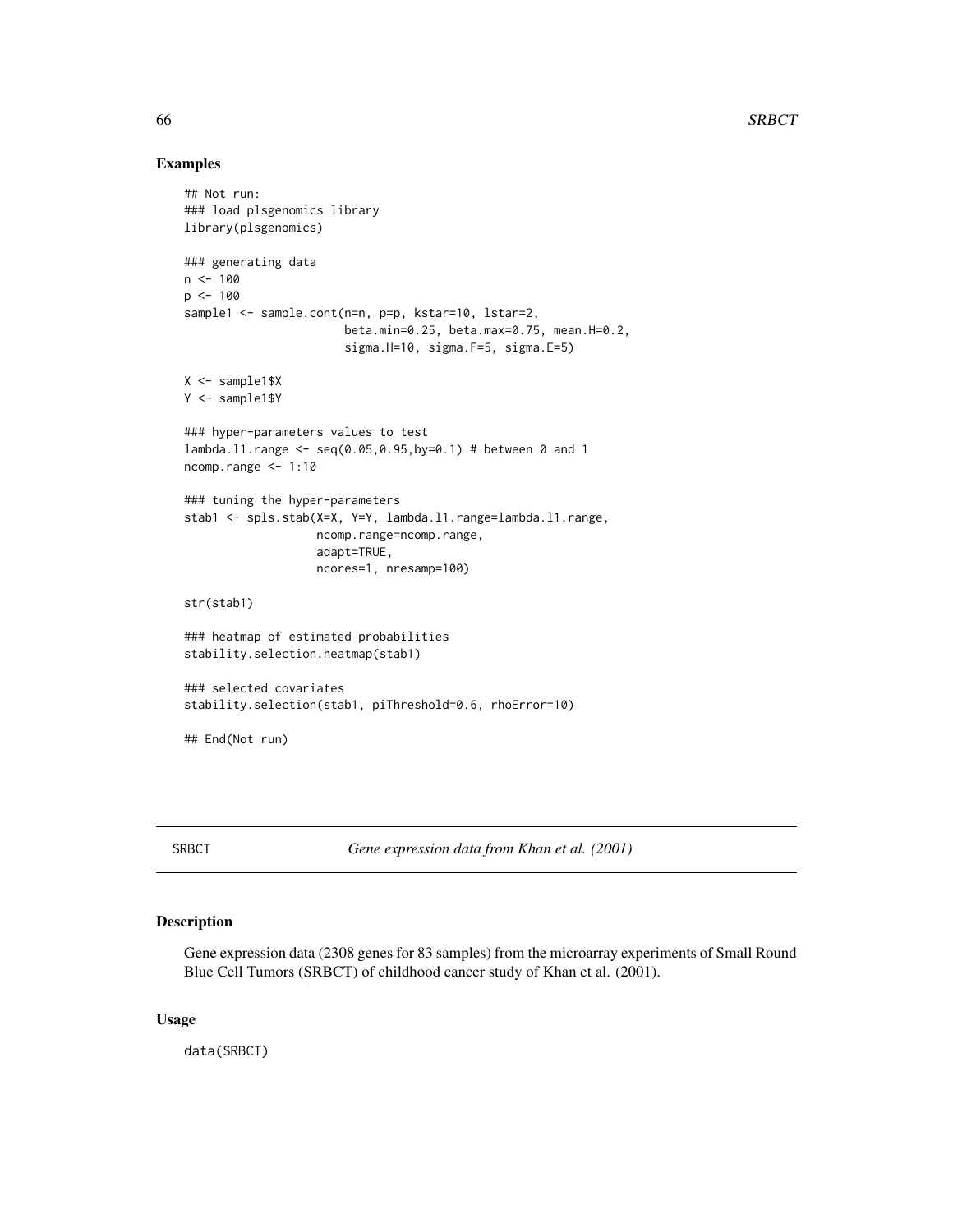### Examples

```
## Not run:
### load plsgenomics library
library(plsgenomics)
### generating data
n < - 100p \le -100sample1 <- sample.cont(n=n, p=p, kstar=10, lstar=2,
                       beta.min=0.25, beta.max=0.75, mean.H=0.2,
                       sigma.H=10, sigma.F=5, sigma.E=5)
X <- sample1$X
Y <- sample1$Y
### hyper-parameters values to test
lambda.l1.range <- seq(0.05,0.95,by=0.1) # between 0 and 1
ncomp.range <- 1:10
### tuning the hyper-parameters
stab1 <- spls.stab(X=X, Y=Y, lambda.l1.range=lambda.l1.range,
                   ncomp.range=ncomp.range,
                   adapt=TRUE,
                   ncores=1, nresamp=100)
str(stab1)
### heatmap of estimated probabilities
stability.selection.heatmap(stab1)
### selected covariates
stability.selection(stab1, piThreshold=0.6, rhoError=10)
## End(Not run)
```
SRBCT *Gene expression data from Khan et al. (2001)*

# Description

Gene expression data (2308 genes for 83 samples) from the microarray experiments of Small Round Blue Cell Tumors (SRBCT) of childhood cancer study of Khan et al. (2001).

# Usage

data(SRBCT)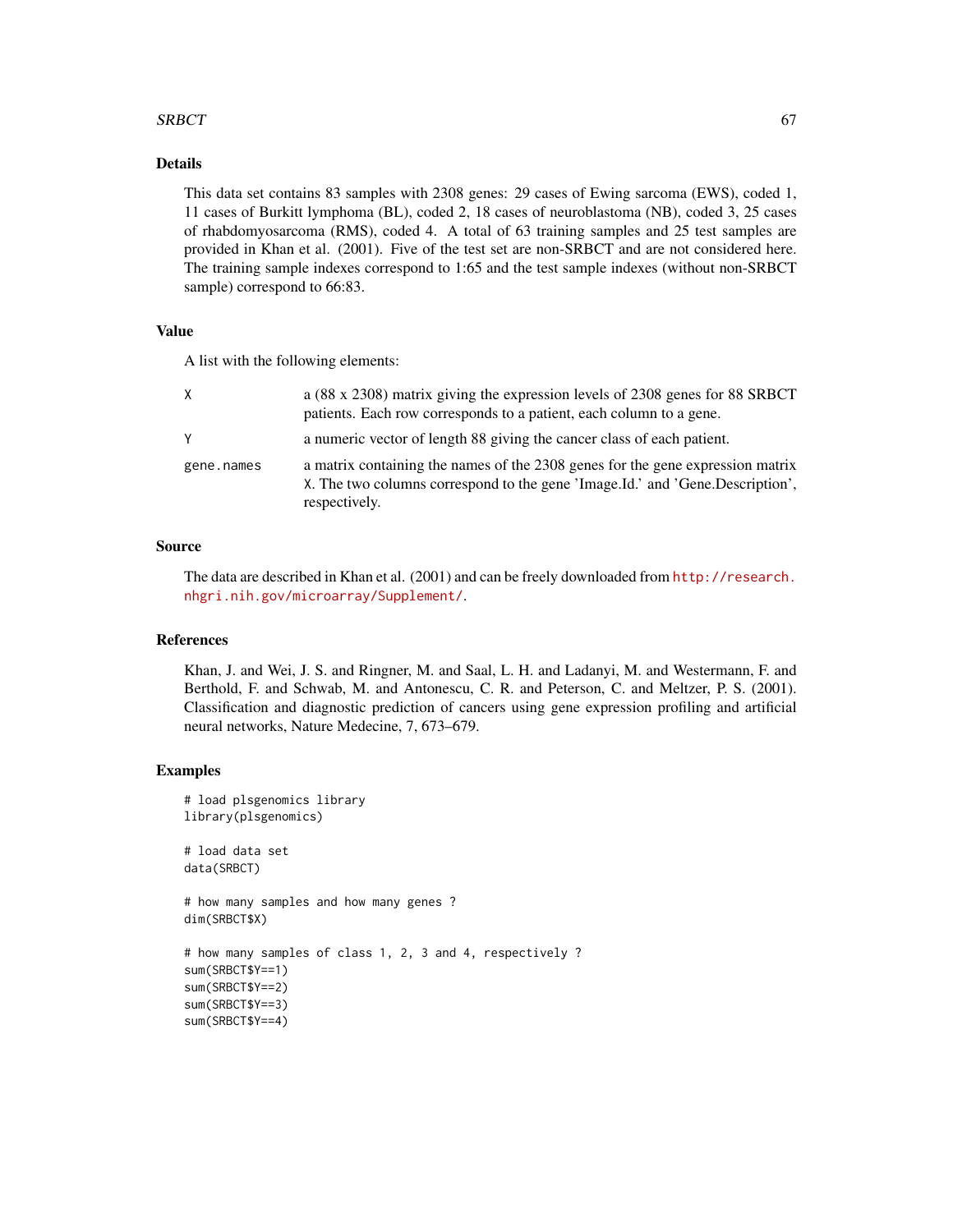## $SRBCT$  67

# Details

This data set contains 83 samples with 2308 genes: 29 cases of Ewing sarcoma (EWS), coded 1, 11 cases of Burkitt lymphoma (BL), coded 2, 18 cases of neuroblastoma (NB), coded 3, 25 cases of rhabdomyosarcoma (RMS), coded 4. A total of 63 training samples and 25 test samples are provided in Khan et al. (2001). Five of the test set are non-SRBCT and are not considered here. The training sample indexes correspond to 1:65 and the test sample indexes (without non-SRBCT sample) correspond to 66:83.

### Value

A list with the following elements:

| X          | a (88 x 2308) matrix giving the expression levels of 2308 genes for 88 SRBCT<br>patients. Each row corresponds to a patient, each column to a gene.                              |
|------------|----------------------------------------------------------------------------------------------------------------------------------------------------------------------------------|
| Y          | a numeric vector of length 88 giving the cancer class of each patient.                                                                                                           |
| gene.names | a matrix containing the names of the 2308 genes for the gene expression matrix<br>X. The two columns correspond to the gene 'Image.Id.' and 'Gene.Description',<br>respectively. |

### Source

The data are described in Khan et al. (2001) and can be freely downloaded from [http://research.](http://research.nhgri.nih.gov/microarray/Supplement/) [nhgri.nih.gov/microarray/Supplement/](http://research.nhgri.nih.gov/microarray/Supplement/).

### References

Khan, J. and Wei, J. S. and Ringner, M. and Saal, L. H. and Ladanyi, M. and Westermann, F. and Berthold, F. and Schwab, M. and Antonescu, C. R. and Peterson, C. and Meltzer, P. S. (2001). Classification and diagnostic prediction of cancers using gene expression profiling and artificial neural networks, Nature Medecine, 7, 673–679.

### Examples

```
# load plsgenomics library
library(plsgenomics)
# load data set
data(SRBCT)
# how many samples and how many genes ?
dim(SRBCT$X)
# how many samples of class 1, 2, 3 and 4, respectively ?
sum(SRBCT$Y==1)
sum(SRBCT$Y==2)
sum(SRBCT$Y==3)
sum(SRBCT$Y==4)
```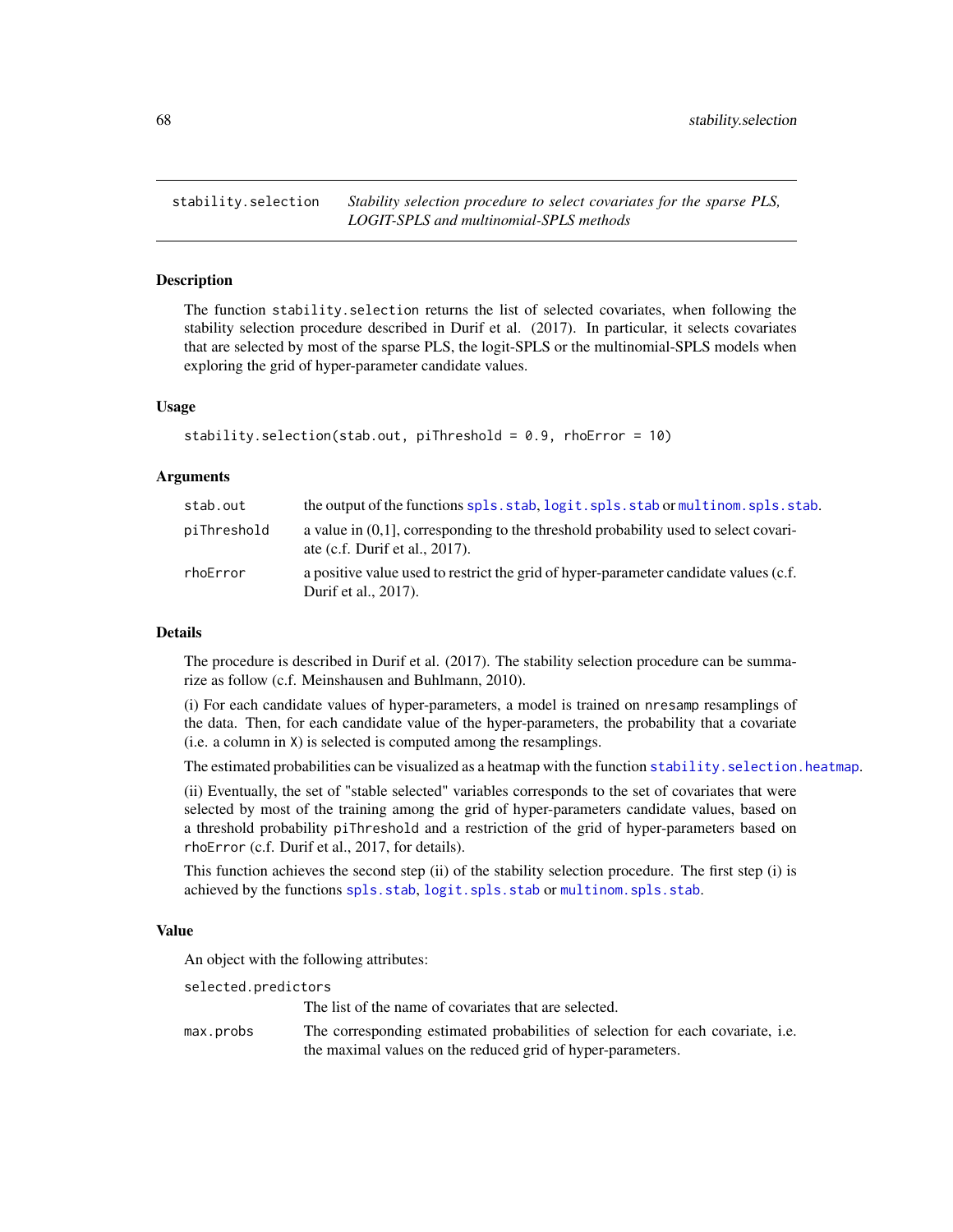<span id="page-67-0"></span>stability.selection *Stability selection procedure to select covariates for the sparse PLS, LOGIT-SPLS and multinomial-SPLS methods*

# Description

The function stability.selection returns the list of selected covariates, when following the stability selection procedure described in Durif et al. (2017). In particular, it selects covariates that are selected by most of the sparse PLS, the logit-SPLS or the multinomial-SPLS models when exploring the grid of hyper-parameter candidate values.

### Usage

```
stability.selection(stab.out, piThreshold = 0.9, rhoError = 10)
```
## Arguments

| stab.out    | the output of the functions spls.stab.logit.spls.stab.or multinom.spls.stab.                                                |
|-------------|-----------------------------------------------------------------------------------------------------------------------------|
| piThreshold | a value in $(0,1)$ , corresponding to the threshold probability used to select covari-<br>ate (c.f. Durif et al., $2017$ ). |
| rhoError    | a positive value used to restrict the grid of hyper-parameter candidate values (c.f.<br>Durif et al., 2017).                |

### Details

The procedure is described in Durif et al. (2017). The stability selection procedure can be summarize as follow (c.f. Meinshausen and Buhlmann, 2010).

(i) For each candidate values of hyper-parameters, a model is trained on nresamp resamplings of the data. Then, for each candidate value of the hyper-parameters, the probability that a covariate (i.e. a column in X) is selected is computed among the resamplings.

The estimated probabilities can be visualized as a heatmap with the function stability. selection. heatmap.

(ii) Eventually, the set of "stable selected" variables corresponds to the set of covariates that were selected by most of the training among the grid of hyper-parameters candidate values, based on a threshold probability piThreshold and a restriction of the grid of hyper-parameters based on rhoError (c.f. Durif et al., 2017, for details).

This function achieves the second step (ii) of the stability selection procedure. The first step (i) is achieved by the functions [spls.stab](#page-62-0), [logit.spls.stab](#page-15-0) or [multinom.spls.stab](#page-32-0).

#### Value

An object with the following attributes:

selected.predictors

The list of the name of covariates that are selected.

max.probs The corresponding estimated probabilities of selection for each covariate, i.e. the maximal values on the reduced grid of hyper-parameters.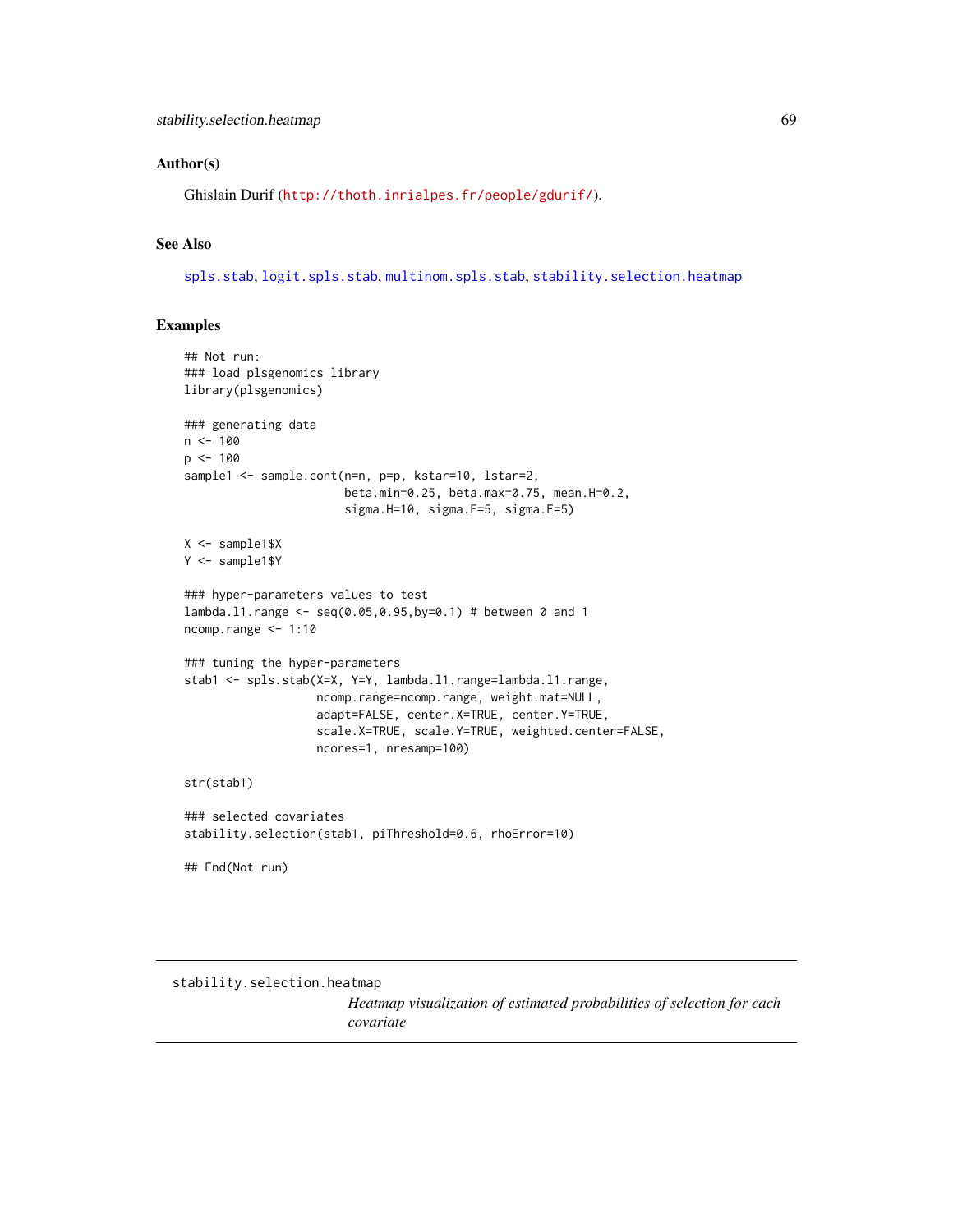### Author(s)

Ghislain Durif (<http://thoth.inrialpes.fr/people/gdurif/>).

# See Also

[spls.stab](#page-62-0), [logit.spls.stab](#page-15-0), [multinom.spls.stab](#page-32-0), [stability.selection.heatmap](#page-68-0)

# Examples

```
## Not run:
### load plsgenomics library
library(plsgenomics)
### generating data
n < - 100p <- 100
sample1 <- sample.cont(n=n, p=p, kstar=10, lstar=2,
                       beta.min=0.25, beta.max=0.75, mean.H=0.2,
                       sigma.H=10, sigma.F=5, sigma.E=5)
X <- sample1$X
Y <- sample1$Y
### hyper-parameters values to test
lambda.l1.range <- seq(0.05,0.95,by=0.1) # between 0 and 1
ncomp.range <- 1:10
### tuning the hyper-parameters
stab1 <- spls.stab(X=X, Y=Y, lambda.l1.range=lambda.l1.range,
                   ncomp.range=ncomp.range, weight.mat=NULL,
                   adapt=FALSE, center.X=TRUE, center.Y=TRUE,
                   scale.X=TRUE, scale.Y=TRUE, weighted.center=FALSE,
                   ncores=1, nresamp=100)
str(stab1)
### selected covariates
stability.selection(stab1, piThreshold=0.6, rhoError=10)
## End(Not run)
```
<span id="page-68-0"></span>stability.selection.heatmap

*Heatmap visualization of estimated probabilities of selection for each covariate*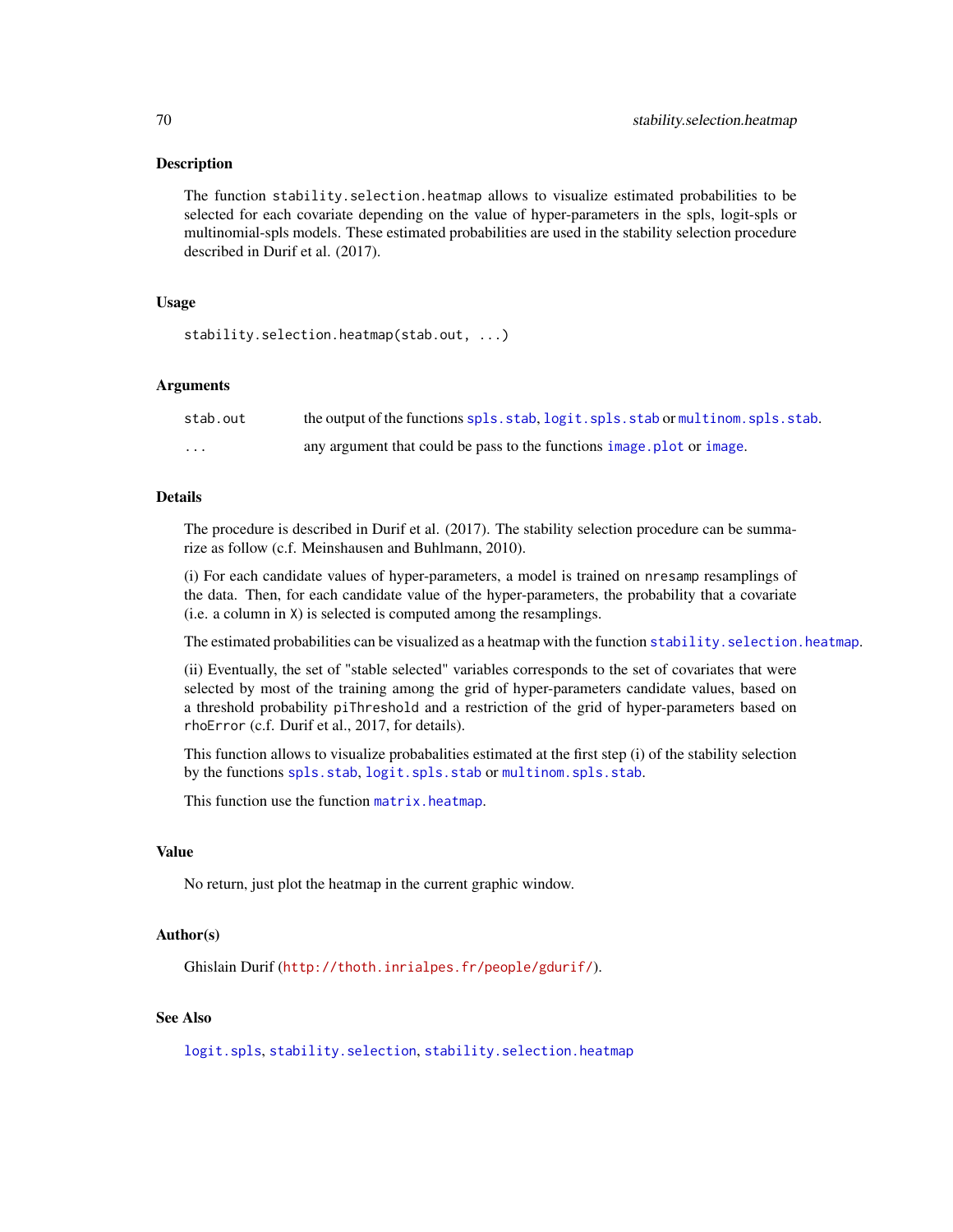#### **Description**

The function stability.selection.heatmap allows to visualize estimated probabilities to be selected for each covariate depending on the value of hyper-parameters in the spls, logit-spls or multinomial-spls models. These estimated probabilities are used in the stability selection procedure described in Durif et al. (2017).

## Usage

```
stability.selection.heatmap(stab.out, ...)
```
## Arguments

| stab.out          | the output of the functions spls.stab.logit.spls.stab.or multinom.spls.stab. |
|-------------------|------------------------------------------------------------------------------|
| $\cdot\cdot\cdot$ | any argument that could be pass to the functions image, plot or image.       |

## Details

The procedure is described in Durif et al. (2017). The stability selection procedure can be summarize as follow (c.f. Meinshausen and Buhlmann, 2010).

(i) For each candidate values of hyper-parameters, a model is trained on nresamp resamplings of the data. Then, for each candidate value of the hyper-parameters, the probability that a covariate (i.e. a column in X) is selected is computed among the resamplings.

The estimated probabilities can be visualized as a heatmap with the function stability. selection. heatmap.

(ii) Eventually, the set of "stable selected" variables corresponds to the set of covariates that were selected by most of the training among the grid of hyper-parameters candidate values, based on a threshold probability piThreshold and a restriction of the grid of hyper-parameters based on rhoError (c.f. Durif et al., 2017, for details).

This function allows to visualize probabalities estimated at the first step (i) of the stability selection by the functions [spls.stab](#page-62-0), [logit.spls.stab](#page-15-0) or [multinom.spls.stab](#page-32-0).

This function use the function [matrix.heatmap](#page-18-0).

## Value

No return, just plot the heatmap in the current graphic window.

#### Author(s)

Ghislain Durif (<http://thoth.inrialpes.fr/people/gdurif/>).

## See Also

[logit.spls](#page-9-0), [stability.selection](#page-67-0), [stability.selection.heatmap](#page-68-0)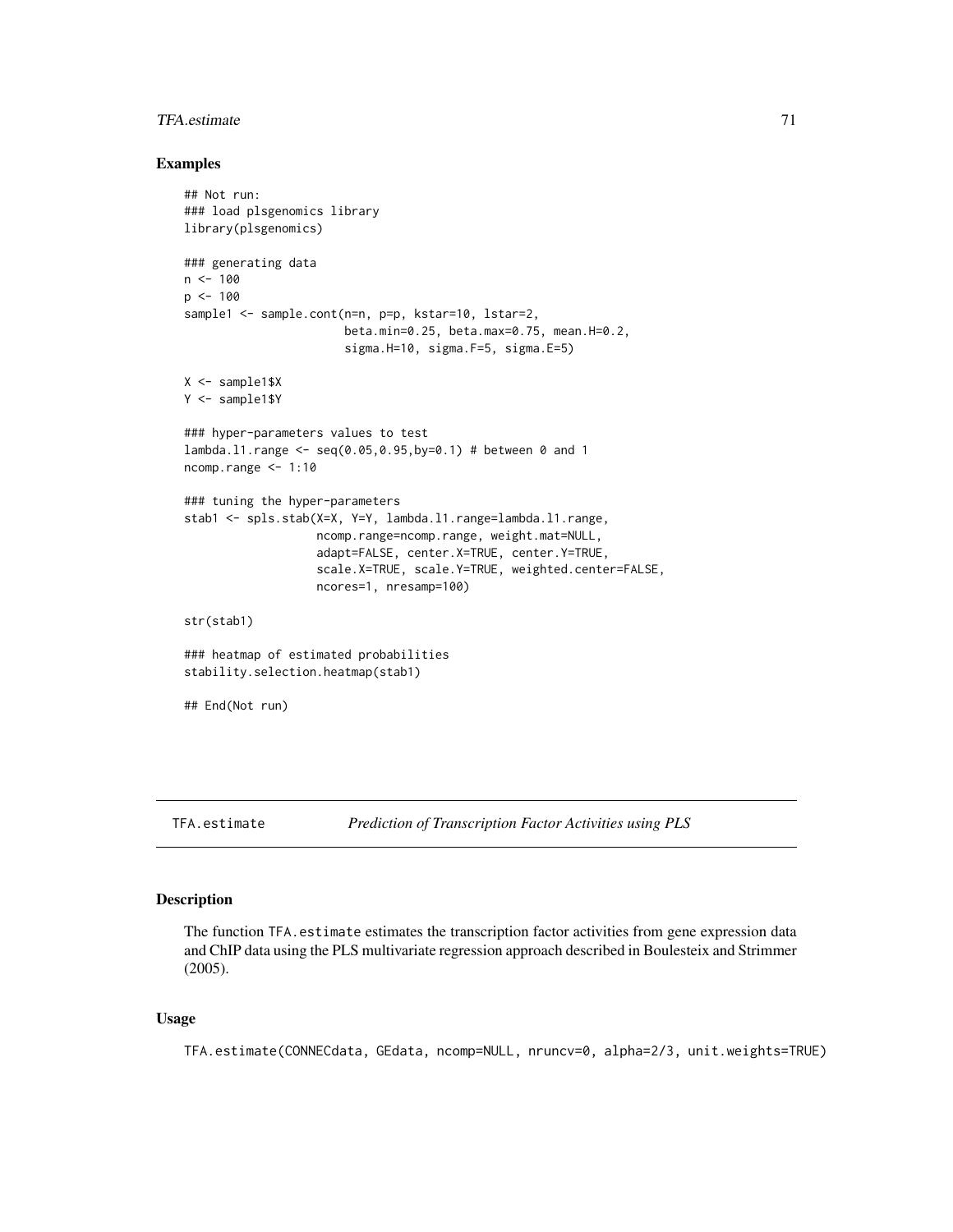#### TFA.estimate 71

#### Examples

```
## Not run:
### load plsgenomics library
library(plsgenomics)
### generating data
n < - 100p \le -100sample1 <- sample.cont(n=n, p=p, kstar=10, lstar=2,
                       beta.min=0.25, beta.max=0.75, mean.H=0.2,
                       sigma.H=10, sigma.F=5, sigma.E=5)
X <- sample1$X
Y <- sample1$Y
### hyper-parameters values to test
lambda.l1.range <- seq(0.05,0.95,by=0.1) # between 0 and 1
ncomp.range <- 1:10
### tuning the hyper-parameters
stab1 <- spls.stab(X=X, Y=Y, lambda.l1.range=lambda.l1.range,
                   ncomp.range=ncomp.range, weight.mat=NULL,
                   adapt=FALSE, center.X=TRUE, center.Y=TRUE,
                   scale.X=TRUE, scale.Y=TRUE, weighted.center=FALSE,
                   ncores=1, nresamp=100)
str(stab1)
### heatmap of estimated probabilities
stability.selection.heatmap(stab1)
## End(Not run)
```
<span id="page-70-0"></span>TFA.estimate *Prediction of Transcription Factor Activities using PLS*

# Description

The function TFA.estimate estimates the transcription factor activities from gene expression data and ChIP data using the PLS multivariate regression approach described in Boulesteix and Strimmer (2005).

### Usage

TFA.estimate(CONNECdata, GEdata, ncomp=NULL, nruncv=0, alpha=2/3, unit.weights=TRUE)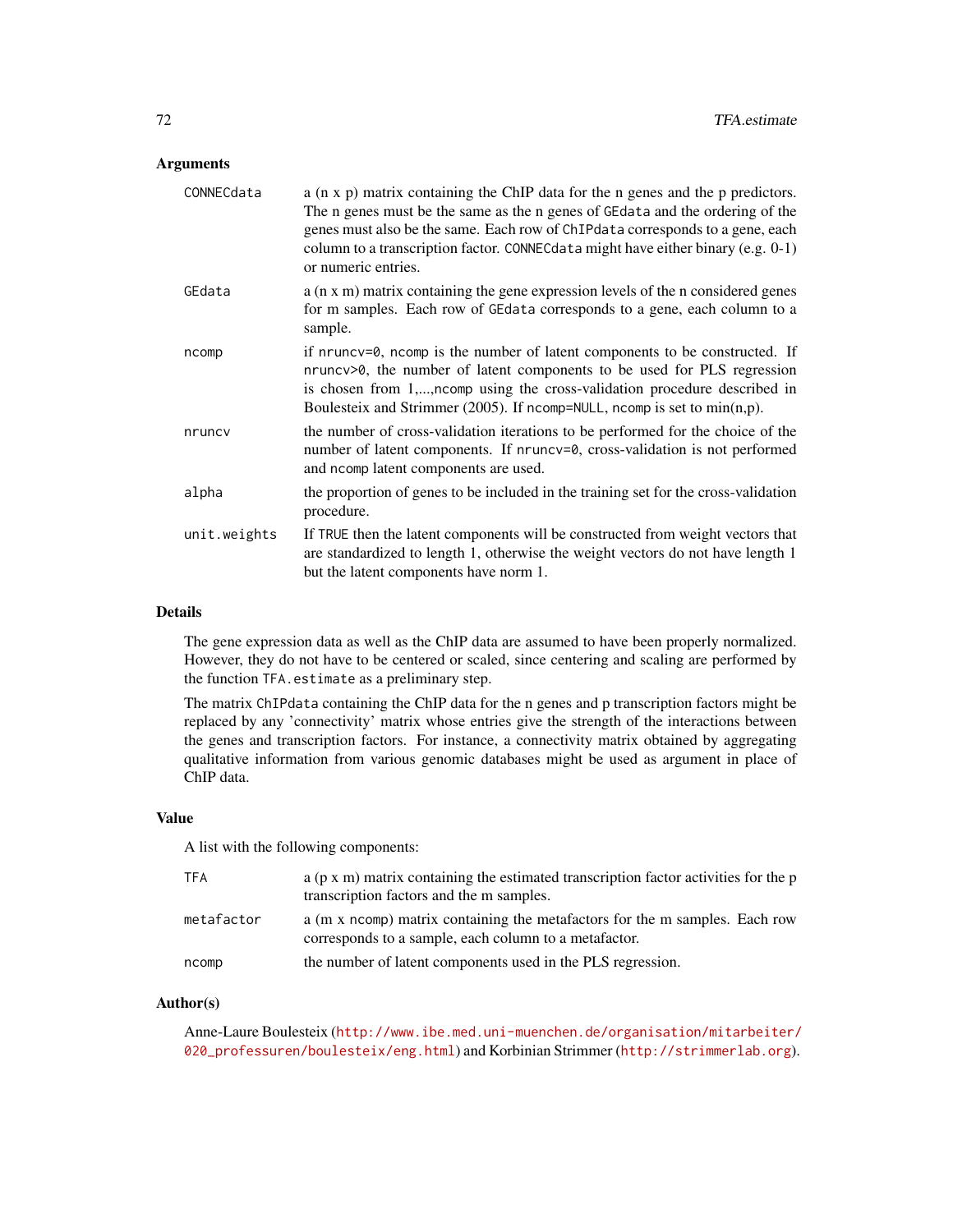# Arguments

| CONNECdata   | $a$ (n x p) matrix containing the ChIP data for the n genes and the p predictors.<br>The n genes must be the same as the n genes of GE data and the ordering of the<br>genes must also be the same. Each row of ChIPdata corresponds to a gene, each<br>column to a transcription factor. CONNECdata might have either binary (e.g. 0-1)<br>or numeric entries. |
|--------------|-----------------------------------------------------------------------------------------------------------------------------------------------------------------------------------------------------------------------------------------------------------------------------------------------------------------------------------------------------------------|
| GEdata       | a (n x m) matrix containing the gene expression levels of the n considered genes<br>for m samples. Each row of GEdata corresponds to a gene, each column to a<br>sample.                                                                                                                                                                                        |
| ncomp        | if nruncv=0, ncomp is the number of latent components to be constructed. If<br>nruncv>0, the number of latent components to be used for PLS regression<br>is chosen from 1,, ncomp using the cross-validation procedure described in<br>Boulesteix and Strimmer (2005). If ncomp=NULL, ncomp is set to $min(n,p)$ .                                             |
| nruncy       | the number of cross-validation iterations to be performed for the choice of the<br>number of latent components. If nruncy=0, cross-validation is not performed<br>and noomp latent components are used.                                                                                                                                                         |
| alpha        | the proportion of genes to be included in the training set for the cross-validation<br>procedure.                                                                                                                                                                                                                                                               |
| unit.weights | If TRUE then the latent components will be constructed from weight vectors that<br>are standardized to length 1, otherwise the weight vectors do not have length 1<br>but the latent components have norm 1.                                                                                                                                                    |

#### Details

The gene expression data as well as the ChIP data are assumed to have been properly normalized. However, they do not have to be centered or scaled, since centering and scaling are performed by the function TFA.estimate as a preliminary step.

The matrix ChIPdata containing the ChIP data for the n genes and p transcription factors might be replaced by any 'connectivity' matrix whose entries give the strength of the interactions between the genes and transcription factors. For instance, a connectivity matrix obtained by aggregating qualitative information from various genomic databases might be used as argument in place of ChIP data.

### Value

A list with the following components:

| <b>TFA</b> | $a$ (p x m) matrix containing the estimated transcription factor activities for the p<br>transcription factors and the m samples.    |
|------------|--------------------------------------------------------------------------------------------------------------------------------------|
| metafactor | a (m x ncomp) matrix containing the metafactors for the m samples. Each row<br>corresponds to a sample, each column to a metafactor. |
| ncomp      | the number of latent components used in the PLS regression.                                                                          |

# Author(s)

Anne-Laure Boulesteix ([http://www.ibe.med.uni-muenchen.de/organisation/mitarbeiter/](http://www.ibe.med.uni-muenchen.de/organisation/mitarbeiter/020_professuren/boulesteix/eng.html) [020\\_professuren/boulesteix/eng.html](http://www.ibe.med.uni-muenchen.de/organisation/mitarbeiter/020_professuren/boulesteix/eng.html)) and Korbinian Strimmer (<http://strimmerlab.org>).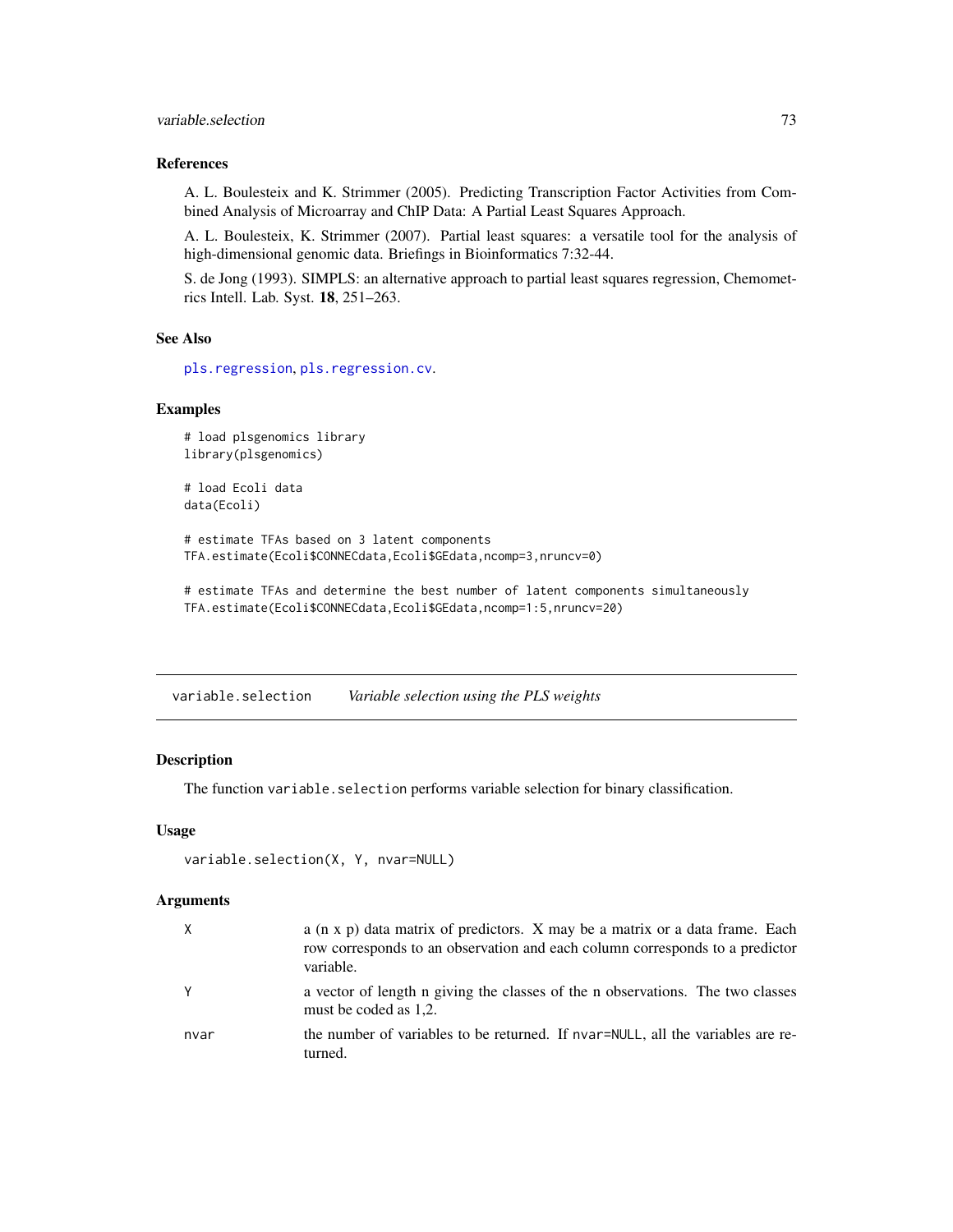### <span id="page-72-0"></span>variable.selection 73

## References

A. L. Boulesteix and K. Strimmer (2005). Predicting Transcription Factor Activities from Combined Analysis of Microarray and ChIP Data: A Partial Least Squares Approach.

A. L. Boulesteix, K. Strimmer (2007). Partial least squares: a versatile tool for the analysis of high-dimensional genomic data. Briefings in Bioinformatics 7:32-44.

S. de Jong (1993). SIMPLS: an alternative approach to partial least squares regression, Chemometrics Intell. Lab. Syst. 18, 251–263.

# See Also

[pls.regression](#page-39-0), [pls.regression.cv](#page-41-0).

# Examples

```
# load plsgenomics library
library(plsgenomics)
```
# load Ecoli data data(Ecoli)

# estimate TFAs based on 3 latent components TFA.estimate(Ecoli\$CONNECdata,Ecoli\$GEdata,ncomp=3,nruncv=0)

# estimate TFAs and determine the best number of latent components simultaneously TFA.estimate(Ecoli\$CONNECdata,Ecoli\$GEdata,ncomp=1:5,nruncv=20)

variable.selection *Variable selection using the PLS weights*

# Description

The function variable.selection performs variable selection for binary classification.

# Usage

```
variable.selection(X, Y, nvar=NULL)
```
#### Arguments

| X    | a (n x p) data matrix of predictors. X may be a matrix or a data frame. Each<br>row corresponds to an observation and each column corresponds to a predictor<br>variable. |
|------|---------------------------------------------------------------------------------------------------------------------------------------------------------------------------|
| Y    | a vector of length n giving the classes of the n observations. The two classes<br>must be coded as 1,2.                                                                   |
| nvar | the number of variables to be returned. If nvar=NULL, all the variables are re-<br>turned.                                                                                |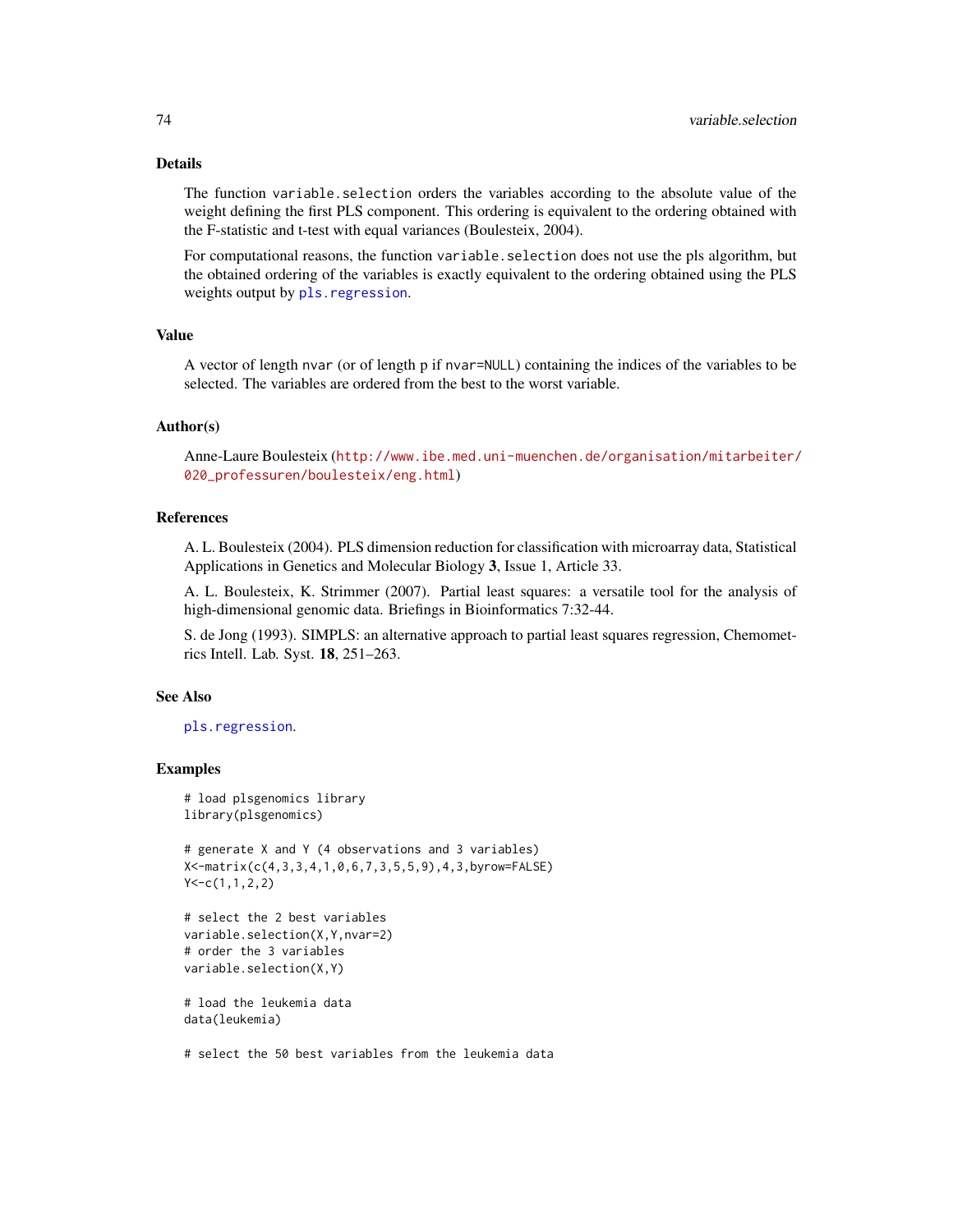## <span id="page-73-0"></span>Details

The function variable.selection orders the variables according to the absolute value of the weight defining the first PLS component. This ordering is equivalent to the ordering obtained with the F-statistic and t-test with equal variances (Boulesteix, 2004).

For computational reasons, the function variable. selection does not use the pls algorithm, but the obtained ordering of the variables is exactly equivalent to the ordering obtained using the PLS weights output by pls. regression.

#### Value

A vector of length nvar (or of length p if nvar=NULL) containing the indices of the variables to be selected. The variables are ordered from the best to the worst variable.

#### Author(s)

Anne-Laure Boulesteix ([http://www.ibe.med.uni-muenchen.de/organisation/mitarbeiter/](http://www.ibe.med.uni-muenchen.de/organisation/mitarbeiter/020_professuren/boulesteix/eng.html) [020\\_professuren/boulesteix/eng.html](http://www.ibe.med.uni-muenchen.de/organisation/mitarbeiter/020_professuren/boulesteix/eng.html))

#### References

A. L. Boulesteix (2004). PLS dimension reduction for classification with microarray data, Statistical Applications in Genetics and Molecular Biology 3, Issue 1, Article 33.

A. L. Boulesteix, K. Strimmer (2007). Partial least squares: a versatile tool for the analysis of high-dimensional genomic data. Briefings in Bioinformatics 7:32-44.

S. de Jong (1993). SIMPLS: an alternative approach to partial least squares regression, Chemometrics Intell. Lab. Syst. 18, 251–263.

#### See Also

[pls.regression](#page-39-0).

#### Examples

```
# load plsgenomics library
library(plsgenomics)
# generate X and Y (4 observations and 3 variables)
X<-matrix(c(4,3,3,4,1,0,6,7,3,5,5,9),4,3,byrow=FALSE)
Y < -c(1,1,2,2)# select the 2 best variables
```

```
variable.selection(X,Y,nvar=2)
# order the 3 variables
variable.selection(X,Y)
```

```
# load the leukemia data
data(leukemia)
```
# select the 50 best variables from the leukemia data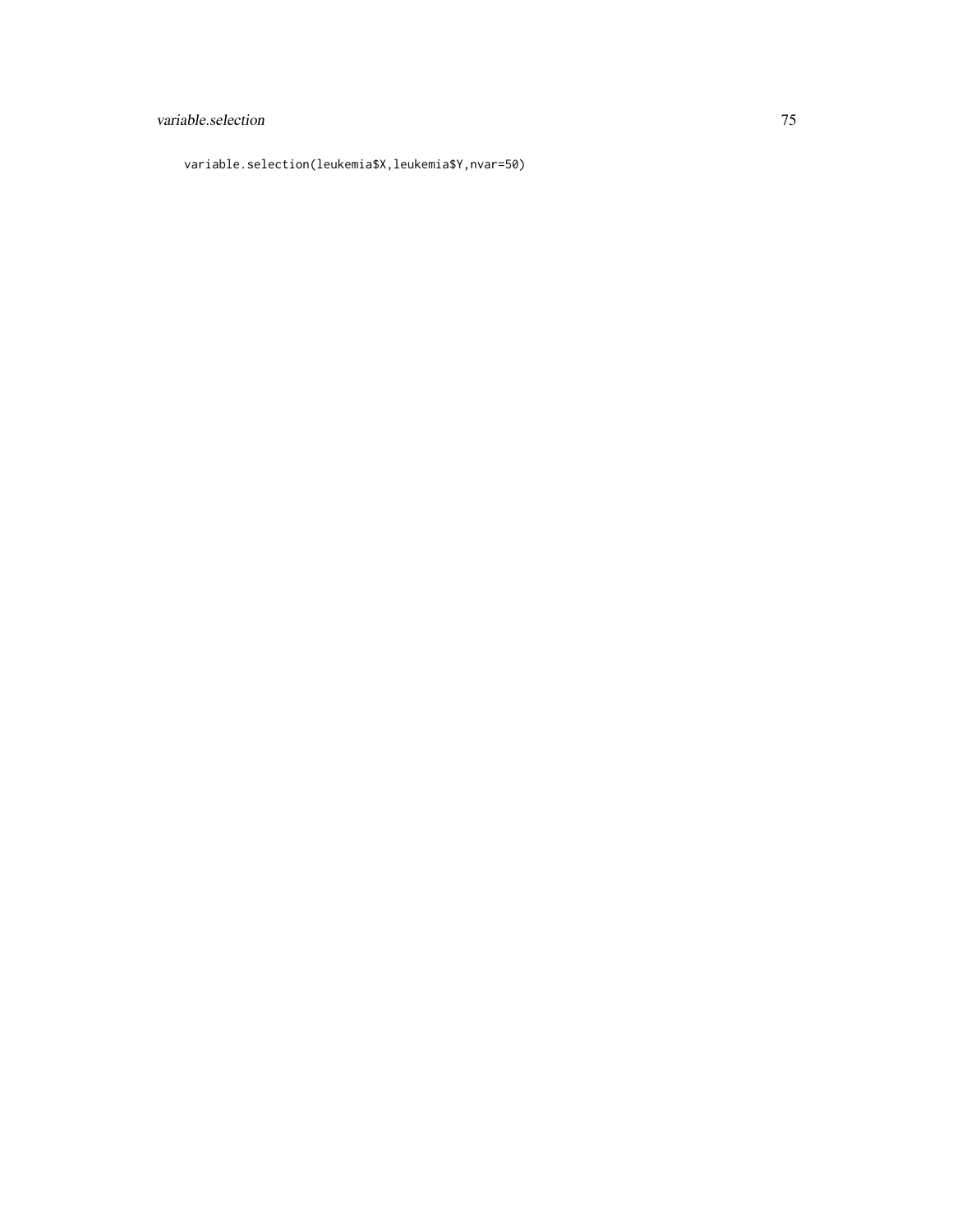# variable.selection 75

variable.selection(leukemia\$X,leukemia\$Y,nvar=50)